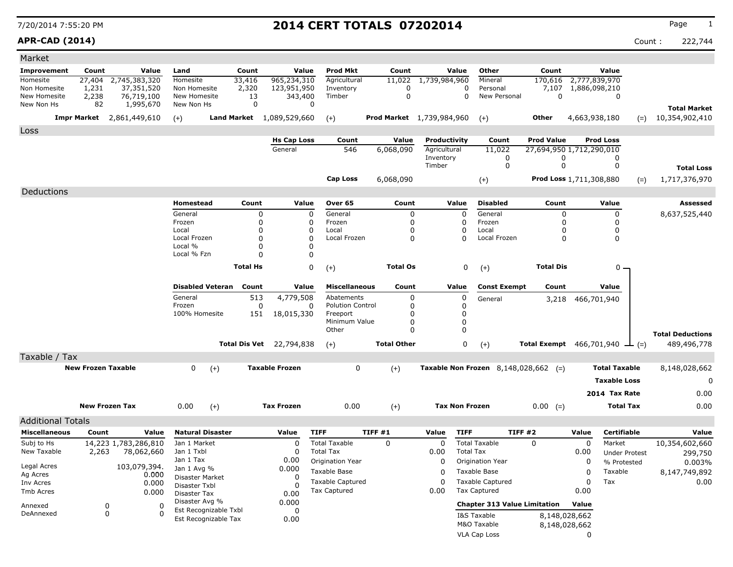**APR-CAD (2014)** Count : 222,744

| Market                     |                           |                                  |                                |                           |                                 |                         |                    |                                  |                                        |                          |               |                                      |                         |
|----------------------------|---------------------------|----------------------------------|--------------------------------|---------------------------|---------------------------------|-------------------------|--------------------|----------------------------------|----------------------------------------|--------------------------|---------------|--------------------------------------|-------------------------|
| Improvement                | Count                     | Value                            | Land                           | Count                     | Value                           | <b>Prod Mkt</b>         | Count              | Value                            | Other                                  | Count                    |               | Value                                |                         |
| Homesite                   | 27,404                    | 2,745,383,320                    | Homesite                       | 33,416                    | 965,234,310                     | Agricultural            | 11,022             | 1,739,984,960                    | Mineral                                | 170,616                  | 2,777,839,970 |                                      |                         |
| Non Homesite               | 1,231                     | 37,351,520                       | Non Homesite                   | 2,320                     | 123,951,950                     | Inventory               | 0                  |                                  | Personal<br>0                          | 7,107                    | 1,886,098,210 |                                      |                         |
| New Homesite<br>New Non Hs | 2,238<br>82               | 76,719,100<br>1,995,670          | New Homesite<br>New Non Hs     | 13<br>0                   | 343,400<br>0                    | Timber                  | $\mathbf 0$        |                                  | 0<br>New Personal                      | $\mathbf 0$              |               | 0                                    |                         |
|                            |                           |                                  |                                |                           |                                 |                         |                    |                                  |                                        |                          |               |                                      | <b>Total Market</b>     |
|                            |                           | <b>Impr Market</b> 2,861,449,610 | $(+)$                          | Land Market 1,089,529,660 |                                 | $(+)$                   |                    | <b>Prod Market</b> 1,739,984,960 | $(+)$                                  | Other                    | 4,663,938,180 | $(=)$                                | 10,354,902,410          |
| Loss                       |                           |                                  |                                |                           |                                 |                         |                    |                                  |                                        |                          |               |                                      |                         |
|                            |                           |                                  |                                |                           | <b>Hs Cap Loss</b>              | Count                   | Value              | Productivity                     | Count                                  | <b>Prod Value</b>        |               | <b>Prod Loss</b>                     |                         |
|                            |                           |                                  |                                |                           | General                         | 546                     | 6,068,090          | Agricultural                     | 11,022                                 | 27,694,950 1,712,290,010 |               |                                      |                         |
|                            |                           |                                  |                                |                           |                                 |                         |                    | Inventory<br>Timber              | 0<br>0                                 | 0<br>0                   |               | 0<br>0                               |                         |
|                            |                           |                                  |                                |                           |                                 |                         |                    |                                  |                                        |                          |               |                                      | <b>Total Loss</b>       |
|                            |                           |                                  |                                |                           |                                 | <b>Cap Loss</b>         | 6,068,090          |                                  | $(+)$                                  | Prod Loss 1,711,308,880  |               | $(=)$                                | 1,717,376,970           |
| Deductions                 |                           |                                  |                                |                           |                                 |                         |                    |                                  |                                        |                          |               |                                      |                         |
|                            |                           |                                  | Homestead                      | Count                     | Value                           | Over 65                 | Count              | Value                            | <b>Disabled</b>                        | Count                    |               | Value                                | Assessed                |
|                            |                           |                                  | General                        | 0                         | 0                               | General                 | 0                  | $\mathbf 0$                      | General                                |                          | 0             | 0                                    | 8,637,525,440           |
|                            |                           |                                  | Frozen                         | $\mathbf 0$               | 0                               | Frozen                  | 0                  | 0                                | Frozen                                 |                          | 0             | 0                                    |                         |
|                            |                           |                                  | Local<br>Local Frozen          | $\mathbf 0$<br>$\Omega$   | 0<br>0                          | Local<br>Local Frozen   | 0<br>0             | 0<br>0                           | Local                                  | 0                        | 0             | 0<br>0                               |                         |
|                            |                           |                                  | Local %                        | $\mathbf 0$               | 0                               |                         |                    |                                  | Local Frozen                           |                          |               |                                      |                         |
|                            |                           |                                  | Local % Fzn                    | $\Omega$                  | $\Omega$                        |                         |                    |                                  |                                        |                          |               |                                      |                         |
|                            |                           |                                  |                                | <b>Total Hs</b>           | 0                               |                         | <b>Total Os</b>    | 0                                |                                        | <b>Total Dis</b>         |               | $0 -$                                |                         |
|                            |                           |                                  |                                |                           |                                 | $(+)$                   |                    |                                  | $(+)$                                  |                          |               |                                      |                         |
|                            |                           |                                  | <b>Disabled Veteran</b>        | Count                     | Value                           | <b>Miscellaneous</b>    | Count              | Value                            | <b>Const Exempt</b>                    | Count                    |               | Value                                |                         |
|                            |                           |                                  | General                        | 513                       | 4,779,508                       | Abatements              | 0                  | 0                                | General                                | 3,218                    |               | 466,701,940                          |                         |
|                            |                           |                                  | Frozen                         | $\mathbf 0$               | 0                               | <b>Polution Control</b> | 0                  | 0                                |                                        |                          |               |                                      |                         |
|                            |                           |                                  | 100% Homesite                  | 151                       | 18,015,330                      | Freeport                | 0                  | 0                                |                                        |                          |               |                                      |                         |
|                            |                           |                                  |                                |                           |                                 | Minimum Value<br>Other  | $\Omega$<br>0      | 0<br>0                           |                                        |                          |               |                                      |                         |
|                            |                           |                                  |                                |                           |                                 |                         |                    |                                  |                                        |                          |               |                                      | <b>Total Deductions</b> |
|                            |                           |                                  |                                |                           | <b>Total Dis Vet</b> 22,794,838 | $(+)$                   | <b>Total Other</b> | 0                                | $(+)$                                  |                          |               | Total Exempt $466,701,940 \perp (=)$ | 489,496,778             |
| Taxable / Tax              |                           |                                  |                                |                           |                                 |                         |                    |                                  |                                        |                          |               |                                      |                         |
|                            | <b>New Frozen Taxable</b> |                                  | 0                              | $(+)$                     | <b>Taxable Frozen</b>           | 0                       | $(+)$              |                                  | Taxable Non Frozen $8,148,028,662$ (=) |                          |               | <b>Total Taxable</b>                 | 8,148,028,662           |
|                            |                           |                                  |                                |                           |                                 |                         |                    |                                  |                                        |                          |               | <b>Taxable Loss</b>                  | 0                       |
|                            |                           |                                  |                                |                           |                                 |                         |                    |                                  |                                        |                          |               | 2014 Tax Rate                        | 0.00                    |
|                            | <b>New Frozen Tax</b>     |                                  |                                |                           | <b>Tax Frozen</b>               |                         |                    |                                  |                                        |                          |               | <b>Total Tax</b>                     |                         |
|                            |                           |                                  | 0.00                           | $(+)$                     |                                 | 0.00                    | $(+)$              | <b>Tax Non Frozen</b>            |                                        | $0.00 (=)$               |               |                                      | 0.00                    |
| <b>Additional Totals</b>   |                           |                                  |                                |                           |                                 |                         |                    |                                  |                                        |                          |               |                                      |                         |
| <b>Miscellaneous</b>       | Count                     | Value                            | <b>Natural Disaster</b>        |                           | Value                           | <b>TIFF</b>             | TIFF#1             | <b>TIFF</b><br>Value             |                                        | TIFF #2                  | Value         | <b>Certifiable</b>                   | Value                   |
| Subj to Hs                 |                           | 14,223 1,783,286,810             | Jan 1 Market                   |                           | 0                               | <b>Total Taxable</b>    | 0                  | 0                                | <b>Total Taxable</b>                   | 0                        | 0             | Market                               | 10,354,602,660          |
| New Taxable                | 2,263                     | 78,062,660                       | Jan 1 Txbl                     |                           | 0                               | <b>Total Tax</b>        |                    | 0.00                             | <b>Total Tax</b>                       |                          | 0.00          | <b>Under Protest</b>                 | 299,750                 |
| Legal Acres                |                           | 103,079,394.                     | Jan 1 Tax                      |                           | 0.00                            | Origination Year        |                    | 0                                | Origination Year                       |                          | 0             | % Protested                          | 0.003%                  |
| Ag Acres                   |                           | 0.000                            | Jan 1 Avg %<br>Disaster Market |                           | 0.000<br>0                      | Taxable Base            |                    | 0                                | Taxable Base                           |                          | 0             | Taxable                              | 8,147,749,892           |
| Inv Acres                  |                           | 0.000                            | Disaster Txbl                  |                           | O                               | <b>Taxable Captured</b> |                    | 0                                | <b>Taxable Captured</b>                |                          | 0             | Tax                                  | 0.00                    |
| Tmb Acres                  |                           | 0.000                            | <b>Disaster Tax</b>            |                           | 0.00                            | <b>Tax Captured</b>     |                    | 0.00                             | Tax Captured                           |                          | 0.00          |                                      |                         |
| Annexed                    | 0                         | 0                                | Disaster Avg %                 |                           | 0.000                           |                         |                    |                                  | <b>Chapter 313 Value Limitation</b>    |                          | Value         |                                      |                         |
| DeAnnexed                  |                           | 0<br>$\Omega$                    | Est Recognizable Txbl          |                           | 0                               |                         |                    |                                  | I&S Taxable                            |                          | 8,148,028,662 |                                      |                         |
|                            |                           |                                  | Est Recognizable Tax           |                           | 0.00                            |                         |                    |                                  | M&O Taxable                            |                          | 8,148,028,662 |                                      |                         |
|                            |                           |                                  |                                |                           |                                 |                         |                    |                                  | VLA Cap Loss                           |                          | 0             |                                      |                         |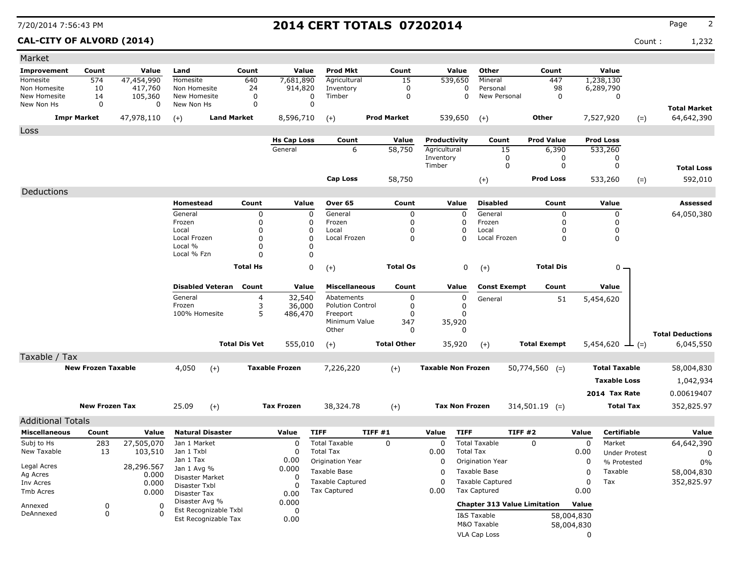### **CAL-CITY OF ALVORD (2014)** Count : 1,232

| Market                     |                           |              |                            |                                               |                            |                       |                         |         |                    |                           |                       |                                     |                     |            |                      |       |                         |
|----------------------------|---------------------------|--------------|----------------------------|-----------------------------------------------|----------------------------|-----------------------|-------------------------|---------|--------------------|---------------------------|-----------------------|-------------------------------------|---------------------|------------|----------------------|-------|-------------------------|
| <b>Improvement</b>         | Count                     | Value        | Land                       |                                               | Count                      | Value                 | <b>Prod Mkt</b>         |         | Count              |                           | Value                 | Other                               | Count               |            | Value                |       |                         |
| Homesite                   | 574                       | 47,454,990   | Homesite                   |                                               | 640                        | 7,681,890             | Agricultural            |         | $\overline{15}$    |                           | 539,650               | Mineral                             | 447                 |            | 1,238,130            |       |                         |
| Non Homesite               | 10                        | 417,760      | Non Homesite               |                                               | 24                         | 914,820               | Inventory               |         | $\Omega$           |                           | 0                     | Personal                            | 98                  |            | 6,289,790            |       |                         |
| New Homesite<br>New Non Hs | 14<br>0                   | 105,360<br>0 | New Homesite<br>New Non Hs |                                               | 0<br>0                     | 0<br>$\Omega$         | Timber                  |         | 0                  |                           | $\Omega$              | New Personal                        | $\mathbf 0$         |            | 0                    |       |                         |
|                            |                           |              |                            |                                               |                            |                       |                         |         |                    |                           |                       |                                     |                     |            |                      |       | <b>Total Market</b>     |
| <b>Impr Market</b>         |                           | 47,978,110   | $(+)$                      | <b>Land Market</b>                            |                            | 8,596,710             | $(+)$                   |         | <b>Prod Market</b> |                           | 539,650               | $(+)$                               | Other               |            | 7,527,920            | $(=)$ | 64,642,390              |
| Loss                       |                           |              |                            |                                               |                            |                       |                         |         |                    |                           |                       |                                     |                     |            |                      |       |                         |
|                            |                           |              |                            |                                               |                            | <b>Hs Cap Loss</b>    | Count                   |         | Value              | Productivity              |                       | Count                               | <b>Prod Value</b>   |            | <b>Prod Loss</b>     |       |                         |
|                            |                           |              |                            |                                               |                            | General               | 6                       |         | 58,750             | Agricultural              |                       | 15                                  | 6,390               |            | 533,260              |       |                         |
|                            |                           |              |                            |                                               |                            |                       |                         |         |                    | Inventory                 |                       | 0                                   | 0                   |            | 0                    |       |                         |
|                            |                           |              |                            |                                               |                            |                       |                         |         |                    | Timber                    |                       | 0                                   | 0                   |            | 0                    |       | <b>Total Loss</b>       |
|                            |                           |              |                            |                                               |                            |                       | Cap Loss                |         | 58,750             |                           |                       | $(+)$                               | <b>Prod Loss</b>    |            | 533,260              | $(=)$ | 592,010                 |
| Deductions                 |                           |              |                            |                                               |                            |                       |                         |         |                    |                           |                       |                                     |                     |            |                      |       |                         |
|                            |                           |              | Homestead                  |                                               | Count                      | Value                 | Over 65                 |         | Count              |                           | Value                 | <b>Disabled</b>                     | Count               |            | Value                |       | Assessed                |
|                            |                           |              | General                    |                                               | 0                          | 0                     | General                 |         | 0                  |                           | 0                     | General                             | 0                   |            | 0                    |       | 64,050,380              |
|                            |                           |              | Frozen                     |                                               | 0                          | 0                     | Frozen                  |         | 0                  |                           | 0                     | Frozen                              | 0                   |            | $\Omega$             |       |                         |
|                            |                           |              | Local                      |                                               | $\mathbf 0$                | 0                     | Local                   |         | 0                  |                           | 0                     | Local                               | $\Omega$            |            | 0                    |       |                         |
|                            |                           |              | Local Frozen<br>Local %    |                                               | $\mathbf 0$<br>$\mathbf 0$ | 0<br>0                | Local Frozen            |         | $\Omega$           |                           | $\Omega$              | Local Frozen                        | 0                   |            | 0                    |       |                         |
|                            |                           |              | Local % Fzn                |                                               | $\Omega$                   | 0                     |                         |         |                    |                           |                       |                                     |                     |            |                      |       |                         |
|                            |                           |              |                            |                                               |                            |                       |                         |         |                    |                           |                       |                                     |                     |            |                      |       |                         |
|                            |                           |              |                            |                                               | <b>Total Hs</b>            | 0                     | $(+)$                   |         | <b>Total Os</b>    |                           | 0                     | $(+)$                               | <b>Total Dis</b>    |            | 0 -                  |       |                         |
|                            |                           |              |                            | <b>Disabled Veteran</b>                       | Count                      | Value                 | <b>Miscellaneous</b>    |         | Count              |                           | Value                 | <b>Const Exempt</b>                 | Count               |            | Value                |       |                         |
|                            |                           |              | General                    |                                               | 4                          | 32,540                | Abatements              |         | 0                  |                           | $\pmb{0}$             | General                             | 51                  |            | 5,454,620            |       |                         |
|                            |                           |              | Frozen                     |                                               | 3                          | 36,000                | <b>Polution Control</b> |         | 0                  |                           | 0                     |                                     |                     |            |                      |       |                         |
|                            |                           |              | 100% Homesite              |                                               | 5                          | 486,470               | Freeport                |         | 0                  |                           | $\Omega$              |                                     |                     |            |                      |       |                         |
|                            |                           |              |                            |                                               |                            |                       | Minimum Value<br>Other  |         | 347<br>0           |                           | 35,920<br>0           |                                     |                     |            |                      |       |                         |
|                            |                           |              |                            |                                               |                            |                       |                         |         |                    |                           |                       |                                     |                     |            |                      |       | <b>Total Deductions</b> |
|                            |                           |              |                            |                                               | <b>Total Dis Vet</b>       | 555,010               | $(+)$                   |         | <b>Total Other</b> |                           | 35,920                | $(+)$                               | <b>Total Exempt</b> |            | 5,454,620<br>$ (=)$  |       | 6,045,550               |
| Taxable / Tax              |                           |              |                            |                                               |                            |                       |                         |         |                    |                           |                       |                                     |                     |            |                      |       |                         |
|                            | <b>New Frozen Taxable</b> |              | 4,050                      | $(+)$                                         |                            | <b>Taxable Frozen</b> | 7,226,220               |         | $(+)$              | <b>Taxable Non Frozen</b> |                       |                                     | $50,774,560$ (=)    |            | <b>Total Taxable</b> |       | 58,004,830              |
|                            |                           |              |                            |                                               |                            |                       |                         |         |                    |                           |                       |                                     |                     |            | <b>Taxable Loss</b>  |       | 1,042,934               |
|                            |                           |              |                            |                                               |                            |                       |                         |         |                    |                           |                       |                                     |                     |            | 2014 Tax Rate        |       | 0.00619407              |
|                            | <b>New Frozen Tax</b>     |              | 25.09                      | $(+)$                                         |                            | <b>Tax Frozen</b>     | 38,324.78               |         | $(+)$              |                           | <b>Tax Non Frozen</b> |                                     | $314,501.19$ (=)    |            | <b>Total Tax</b>     |       | 352,825.97              |
|                            |                           |              |                            |                                               |                            |                       |                         |         |                    |                           |                       |                                     |                     |            |                      |       |                         |
| <b>Additional Totals</b>   |                           |              |                            |                                               |                            |                       |                         |         |                    |                           |                       |                                     |                     |            |                      |       |                         |
| <b>Miscellaneous</b>       | Count                     | Value        | <b>Natural Disaster</b>    |                                               |                            | Value                 | <b>TIFF</b>             | TIFF #1 |                    | Value                     | <b>TIFF</b>           |                                     | TIFF #2             | Value      | <b>Certifiable</b>   |       | Value                   |
| Subj to Hs                 | 283                       | 27,505,070   | Jan 1 Market               |                                               |                            | 0                     | <b>Total Taxable</b>    |         | 0                  | 0                         |                       | <b>Total Taxable</b>                | 0                   | 0          | Market               |       | 64,642,390              |
| New Taxable                | 13                        | 103,510      | Jan 1 Txbl<br>Jan 1 Tax    |                                               |                            | 0<br>0.00             | <b>Total Tax</b>        |         |                    | 0.00                      | <b>Total Tax</b>      |                                     |                     | 0.00       | <b>Under Protest</b> |       | 0                       |
| Legal Acres                |                           | 28,296.567   | Jan 1 Avg %                |                                               |                            | 0.000                 | Origination Year        |         |                    | 0                         |                       | Origination Year                    |                     | 0          | % Protested          |       | 0%                      |
| Ag Acres                   |                           | 0.000        | Disaster Market            |                                               |                            | 0                     | Taxable Base            |         |                    | 0                         |                       | Taxable Base                        |                     | 0          | Taxable              |       | 58,004,830              |
| Inv Acres                  |                           | 0.000        | Disaster Txbl              |                                               |                            | 0                     | <b>Taxable Captured</b> |         |                    | 0                         |                       | <b>Taxable Captured</b>             |                     | 0          | Tax                  |       | 352,825.97              |
| Tmb Acres                  |                           | 0.000        | Disaster Tax               |                                               |                            | 0.00                  | Tax Captured            |         |                    | 0.00                      |                       | <b>Tax Captured</b>                 |                     | 0.00       |                      |       |                         |
| Annexed                    | 0                         | 0            | Disaster Avg %             |                                               |                            | 0.000                 |                         |         |                    |                           |                       | <b>Chapter 313 Value Limitation</b> |                     | Value      |                      |       |                         |
| DeAnnexed                  | 0                         | $\Omega$     |                            | Est Recognizable Txbl<br>Est Recognizable Tax |                            | 0<br>0.00             |                         |         |                    |                           |                       | I&S Taxable                         |                     | 58,004,830 |                      |       |                         |
|                            |                           |              |                            |                                               |                            |                       |                         |         |                    |                           |                       | M&O Taxable                         |                     | 58,004,830 |                      |       |                         |
|                            |                           |              |                            |                                               |                            |                       |                         |         |                    |                           |                       | <b>VLA Cap Loss</b>                 |                     | 0          |                      |       |                         |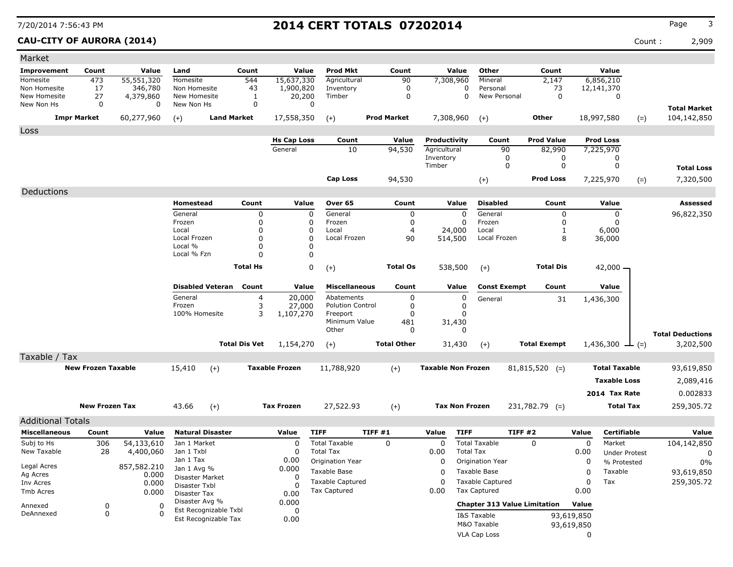### **CAU-CITY OF AURORA (2014)** Count : 2,909

| Market                       |                           |                      |                                  |                       |                      |                       |                           |                |                               |                           |                       |                                     |                     |             |                      |             |                                    |
|------------------------------|---------------------------|----------------------|----------------------------------|-----------------------|----------------------|-----------------------|---------------------------|----------------|-------------------------------|---------------------------|-----------------------|-------------------------------------|---------------------|-------------|----------------------|-------------|------------------------------------|
| Improvement                  | Count                     | Value                | Land                             |                       | Count                | Value                 | Prod Mkt                  |                | Count                         |                           | Value                 | Other                               | Count               |             | Value                |             |                                    |
| Homesite                     | 473                       | 55,551,320           | Homesite                         |                       | 544                  | 15,637,330            | Agricultural              |                | 90                            |                           | 7,308,960             | Mineral                             | 2,147               |             | 6,856,210            |             |                                    |
| Non Homesite<br>New Homesite | 17<br>27                  | 346,780<br>4,379,860 | Non Homesite<br>New Homesite     |                       | 43                   | 1,900,820<br>20,200   | Inventory<br>Timber       |                | $\mathbf 0$<br>$\mathbf 0$    |                           | 0<br>$\Omega$         | Personal<br>New Personal            | 73<br>$\mathbf 0$   |             | 12,141,370<br>0      |             |                                    |
| New Non Hs                   | $\Omega$                  | $\Omega$             | New Non Hs                       |                       | 1<br>0               | 0                     |                           |                |                               |                           |                       |                                     |                     |             |                      |             |                                    |
|                              | <b>Impr Market</b>        | 60,277,960           | $(+)$                            | <b>Land Market</b>    |                      | 17,558,350            | $(+)$                     |                | <b>Prod Market</b>            |                           | 7,308,960             | $(+)$                               | Other               |             | 18,997,580           | $(=)$       | <b>Total Market</b><br>104,142,850 |
| Loss                         |                           |                      |                                  |                       |                      |                       |                           |                |                               |                           |                       |                                     |                     |             |                      |             |                                    |
|                              |                           |                      |                                  |                       |                      | <b>Hs Cap Loss</b>    | Count                     |                | Value                         | Productivity              |                       | Count                               | <b>Prod Value</b>   |             | <b>Prod Loss</b>     |             |                                    |
|                              |                           |                      |                                  |                       |                      | General               | 10                        |                | 94,530                        | Agricultural              |                       | 90                                  | 82,990              |             | 7,225,970            |             |                                    |
|                              |                           |                      |                                  |                       |                      |                       |                           |                |                               | Inventory                 |                       | 0                                   | 0                   |             | 0                    |             |                                    |
|                              |                           |                      |                                  |                       |                      |                       |                           |                |                               | Timber                    |                       | 0                                   | 0                   |             | 0                    |             | <b>Total Loss</b>                  |
|                              |                           |                      |                                  |                       |                      |                       | <b>Cap Loss</b>           |                | 94,530                        |                           |                       | $(+)$                               | <b>Prod Loss</b>    |             | 7,225,970            | $(=)$       | 7,320,500                          |
| Deductions                   |                           |                      |                                  |                       |                      |                       |                           |                |                               |                           |                       |                                     |                     |             |                      |             |                                    |
|                              |                           |                      | Homestead                        |                       | Count                | Value                 | Over 65                   |                | Count                         |                           | Value                 | <b>Disabled</b>                     | Count               |             | Value                |             | Assessed                           |
|                              |                           |                      | General                          |                       | 0                    | 0                     | General                   |                | 0                             |                           | $\mathbf 0$           | General                             | 0                   |             | 0                    |             | 96,822,350                         |
|                              |                           |                      | Frozen<br>Local                  |                       | 0<br>0               | 0<br>0                | Frozen<br>Local           |                | $\mathbf 0$<br>$\overline{4}$ |                           | 0<br>24,000           | Frozen                              | 0<br>-1             |             | 0<br>6,000           |             |                                    |
|                              |                           |                      | Local Frozen                     |                       | 0                    | $\Omega$              | Local Frozen              |                | 90                            |                           | 514,500               | Local<br>Local Frozen               | 8                   |             | 36,000               |             |                                    |
|                              |                           |                      | Local %                          |                       | 0                    | 0                     |                           |                |                               |                           |                       |                                     |                     |             |                      |             |                                    |
|                              |                           |                      | Local % Fzn                      |                       | 0                    | 0                     |                           |                |                               |                           |                       |                                     |                     |             |                      |             |                                    |
|                              |                           |                      |                                  |                       | <b>Total Hs</b>      | 0                     | $(+)$                     |                | <b>Total Os</b>               |                           | 538,500               | $(+)$                               | <b>Total Dis</b>    |             | $42,000 -$           |             |                                    |
|                              |                           |                      | <b>Disabled Veteran</b>          |                       | Count                | Value                 | <b>Miscellaneous</b>      |                | Count                         |                           | Value                 | <b>Const Exempt</b>                 | Count               |             | Value                |             |                                    |
|                              |                           |                      | General                          |                       | 4                    | 20,000                | Abatements                |                | 0                             |                           | 0                     | General                             | 31                  |             | 1,436,300            |             |                                    |
|                              |                           |                      | Frozen                           |                       | 3                    | 27,000                | <b>Polution Control</b>   |                | 0                             |                           | 0                     |                                     |                     |             |                      |             |                                    |
|                              |                           |                      | 100% Homesite                    |                       | 3                    | 1,107,270             | Freeport<br>Minimum Value |                | 0<br>481                      |                           | $\Omega$<br>31,430    |                                     |                     |             |                      |             |                                    |
|                              |                           |                      |                                  |                       |                      |                       | Other                     |                | 0                             |                           | 0                     |                                     |                     |             |                      |             |                                    |
|                              |                           |                      |                                  |                       | <b>Total Dis Vet</b> |                       |                           |                | <b>Total Other</b>            |                           |                       |                                     |                     |             |                      |             | <b>Total Deductions</b>            |
|                              |                           |                      |                                  |                       |                      | 1,154,270             | $(+)$                     |                |                               |                           | 31,430                | $(+)$                               | <b>Total Exempt</b> |             | 1,436,300            | $\perp$ (=) | 3,202,500                          |
| Taxable / Tax                |                           |                      |                                  |                       |                      |                       |                           |                |                               |                           |                       |                                     |                     |             |                      |             |                                    |
|                              | <b>New Frozen Taxable</b> |                      | 15,410                           | $(+)$                 |                      | <b>Taxable Frozen</b> | 11,788,920                |                | $(+)$                         | <b>Taxable Non Frozen</b> |                       |                                     | $81,815,520$ (=)    |             | <b>Total Taxable</b> |             | 93,619,850                         |
|                              |                           |                      |                                  |                       |                      |                       |                           |                |                               |                           |                       |                                     |                     |             | <b>Taxable Loss</b>  |             | 2,089,416                          |
|                              |                           |                      |                                  |                       |                      |                       |                           |                |                               |                           |                       |                                     |                     |             | 2014 Tax Rate        |             | 0.002833                           |
|                              | <b>New Frozen Tax</b>     |                      | 43.66                            | $(+)$                 |                      | <b>Tax Frozen</b>     | 27,522.93                 |                | $(+)$                         |                           | <b>Tax Non Frozen</b> |                                     | $231,782.79$ (=)    |             | <b>Total Tax</b>     |             | 259,305.72                         |
| <b>Additional Totals</b>     |                           |                      |                                  |                       |                      |                       |                           |                |                               |                           |                       |                                     |                     |             |                      |             |                                    |
| <b>Miscellaneous</b>         | Count                     | Value                | <b>Natural Disaster</b>          |                       |                      | Value                 | <b>TIFF</b>               | <b>TIFF #1</b> |                               | Value                     | <b>TIFF</b>           | <b>TIFF #2</b>                      |                     | Value       | Certifiable          |             | Value                              |
| Subj to Hs                   | 306                       | 54,133,610           | Jan 1 Market                     |                       |                      | $\Omega$              | <b>Total Taxable</b>      |                | 0                             | 0                         |                       | <b>Total Taxable</b>                | $\Omega$            | $\mathbf 0$ | Market               |             | 104,142,850                        |
| New Taxable                  | 28                        | 4,400,060            | Jan 1 Txbl                       |                       |                      | <sup>0</sup>          | <b>Total Tax</b>          |                |                               | 0.00                      | <b>Total Tax</b>      |                                     |                     | 0.00        | <b>Under Protest</b> |             | 0                                  |
|                              |                           |                      | Jan 1 Tax                        |                       |                      | 0.00                  | <b>Origination Year</b>   |                |                               | 0                         |                       | Origination Year                    |                     | 0           | % Protested          |             | $0\%$                              |
| Legal Acres<br>Ag Acres      |                           | 857,582.210<br>0.000 | Jan 1 Avg %                      |                       |                      | 0.000                 | Taxable Base              |                |                               | 0                         |                       | Taxable Base                        |                     | 0           | Taxable              |             | 93,619,850                         |
| Inv Acres                    |                           | 0.000                | Disaster Market<br>Disaster Txbl |                       |                      | 0                     | <b>Taxable Captured</b>   |                |                               | 0                         |                       | <b>Taxable Captured</b>             |                     | 0           | Tax                  |             | 259,305.72                         |
| Tmb Acres                    |                           | 0.000                | Disaster Tax                     |                       |                      | 0.00                  | <b>Tax Captured</b>       |                |                               | 0.00                      |                       | <b>Tax Captured</b>                 |                     | 0.00        |                      |             |                                    |
| Annexed                      | 0                         | 0                    | Disaster Avg %                   |                       |                      | 0.000                 |                           |                |                               |                           |                       | <b>Chapter 313 Value Limitation</b> |                     | Value       |                      |             |                                    |
| DeAnnexed                    | 0                         | 0                    |                                  | Est Recognizable Txbl |                      | 0                     |                           |                |                               |                           |                       | I&S Taxable                         |                     | 93,619,850  |                      |             |                                    |
|                              |                           |                      |                                  | Est Recognizable Tax  |                      | 0.00                  |                           |                |                               |                           |                       | M&O Taxable                         |                     | 93,619,850  |                      |             |                                    |
|                              |                           |                      |                                  |                       |                      |                       |                           |                |                               |                           |                       | <b>VLA Cap Loss</b>                 |                     | 0           |                      |             |                                    |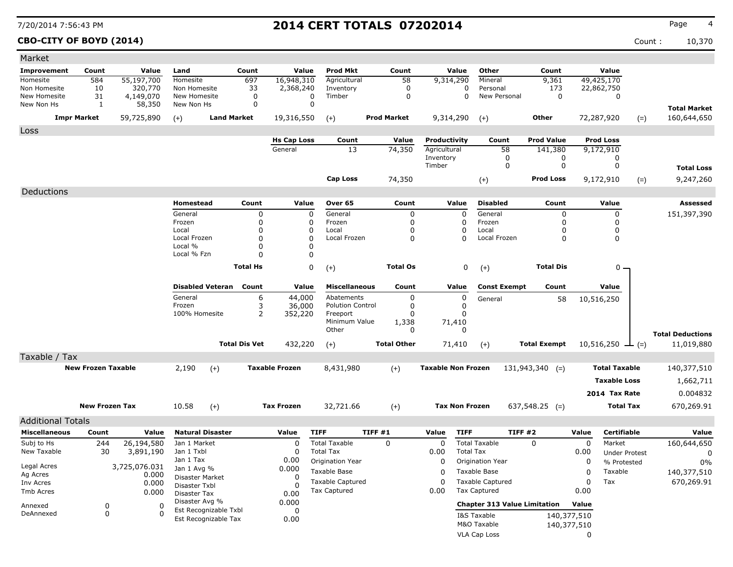## **CBO-CITY OF BOYD (2014)** Count : 10,370

| Value<br>Count<br>Value<br><b>Prod Mkt</b><br>Count<br>Value<br>Other<br>Count<br>Value<br>Count<br>Land<br>584<br>Homesite<br>16,948,310<br>Agricultural<br>$\overline{58}$<br>Mineral<br>49,425,170<br>55,197,700<br>697<br>9,314,290<br>9,361<br>320,770<br>0<br>Non Homesite<br>10<br>Non Homesite<br>33<br>Personal<br>173<br>2,368,240<br>Inventory<br>0<br>22,862,750<br>31<br>4,149,070<br>$\mathbf 0$<br>New Homesite<br>New Homesite<br>0<br>Timber<br>0<br>0<br>New Personal<br>0<br>0<br>$\mathbf 0$<br>1<br>58,350<br>New Non Hs<br>0<br><b>Total Market</b><br>59,725,890<br>160,644,650<br><b>Impr Market</b><br><b>Land Market</b><br>19,316,550<br><b>Prod Market</b><br>9,314,290<br>Other<br>72,287,920<br>$(+)$<br>$(=)$<br>$(+)$<br>$(+)$<br><b>Prod Value</b><br><b>Prod Loss</b><br><b>Hs Cap Loss</b><br>Count<br>Value<br>Productivity<br>Count<br>Agricultural<br>13<br>74,350<br>58<br>General<br>141,380<br>9,172,910<br>Inventory<br>0<br>0<br>0<br>0<br>0<br>0<br>Timber<br><b>Total Loss</b><br>Cap Loss<br><b>Prod Loss</b><br>9,247,260<br>74,350<br>9,172,910<br>$(+)$<br>$(=)$<br>Deductions<br>Over 65<br><b>Disabled</b><br>Homestead<br>Count<br>Value<br>Count<br>Value<br>Count<br>Value<br>Assessed<br>General<br>151,397,390<br>General<br>0<br>0<br>General<br>0<br>0<br>0<br>0<br>Frozen<br>0<br>Frozen<br>Frozen<br>0<br>0<br>0<br>0<br>0<br>0<br>Local<br>0<br>Local<br>0<br>Local<br>0<br>0<br>0<br>$\mathbf 0$<br>$\Omega$<br>0<br>$\Omega$<br>0<br>0<br>Local Frozen<br>Local Frozen<br>Local Frozen<br>Local %<br>$\Omega$<br>0<br>Local % Fzn<br>$\Omega$<br>0<br>0<br><b>Total Hs</b><br>0<br><b>Total Dis</b><br><b>Total Os</b><br>0 -<br>$(+)$<br>$(+)$<br><b>Disabled Veteran</b><br>Count<br>Value<br><b>Miscellaneous</b><br><b>Const Exempt</b><br>Count<br>Value<br>Count<br>Value<br>6<br>44,000<br>0<br>0<br>General<br>Abatements<br>58<br>10,516,250<br>General<br>Frozen<br>3<br>36,000<br><b>Polution Control</b><br>0<br>0<br>100% Homesite<br>2<br>352,220<br>Freeport<br>0<br>O<br>Minimum Value<br>1,338<br>71,410<br>$\Omega$<br>Other<br>0<br><b>Total Deductions</b><br><b>Total Dis Vet</b><br><b>Total Other</b><br>432,220<br><b>Total Exempt</b><br>11,019,880<br>71,410<br>$(+)$<br>10,516,250<br>$(+)$<br>$ (=)$<br>Taxable / Tax<br><b>New Frozen Taxable</b><br><b>Taxable Frozen</b><br><b>Taxable Non Frozen</b><br>2,190<br>8,431,980<br>$131,943,340$ (=)<br><b>Total Taxable</b><br>140,377,510<br>$(+)$<br>$(+)$<br><b>Taxable Loss</b><br>1,662,711<br>0.004832<br>2014 Tax Rate<br><b>New Frozen Tax</b><br>10.58<br><b>Tax Frozen</b><br>32,721.66<br><b>Tax Non Frozen</b><br>$637,548.25$ (=)<br><b>Total Tax</b><br>$(+)$<br>$(+)$<br>670,269.91<br><b>Additional Totals</b><br><b>TIFF #1</b><br><b>Miscellaneous</b><br><b>Natural Disaster</b><br><b>TIFF</b><br><b>TIFF</b><br>TIFF#2<br><b>Certifiable</b><br>Value<br>Count<br>Value<br>Value<br>Value<br>Value<br><b>Total Taxable</b><br>$\Omega$<br><b>Total Taxable</b><br>Subj to Hs<br>26,194,580<br>Jan 1 Market<br>0<br>$\Omega$<br>0<br>$\Omega$<br>Market<br>160,644,650<br>244<br>New Taxable<br>30<br>3,891,190<br>Jan 1 Txbl<br>0<br><b>Total Tax</b><br>0.00<br><b>Total Tax</b><br>0.00<br><b>Under Protest</b><br>0<br>Jan 1 Tax<br>0.00<br>Origination Year<br>0<br>Origination Year<br>0<br>% Protested<br>0%<br>3,725,076.031<br>Jan 1 Avg %<br>0.000<br>Taxable Base<br>Taxable Base<br>Taxable<br>140,377,510<br>0<br>0<br>Ag Acres<br>0.000<br>Disaster Market<br>0<br>670,269.91<br><b>Taxable Captured</b><br>0<br><b>Taxable Captured</b><br>Tax<br>0<br>0.000<br>Inv Acres<br>Disaster Txbl<br>$\Omega$<br><b>Tax Captured</b><br><b>Tax Captured</b><br>0.00<br>0.00<br>0.000<br>0.00<br>Disaster Tax<br>Disaster Avg %<br>0.000<br><b>Chapter 313 Value Limitation</b><br>Value<br>Annexed<br>0<br>-0<br>Est Recognizable Txbl<br>0<br>DeAnnexed<br>0<br>C<br>I&S Taxable<br>140,377,510<br>Est Recognizable Tax<br>0.00<br>M&O Taxable<br>140,377,510 | Market             |  |  |  |  |  |  |   |  |  |
|---------------------------------------------------------------------------------------------------------------------------------------------------------------------------------------------------------------------------------------------------------------------------------------------------------------------------------------------------------------------------------------------------------------------------------------------------------------------------------------------------------------------------------------------------------------------------------------------------------------------------------------------------------------------------------------------------------------------------------------------------------------------------------------------------------------------------------------------------------------------------------------------------------------------------------------------------------------------------------------------------------------------------------------------------------------------------------------------------------------------------------------------------------------------------------------------------------------------------------------------------------------------------------------------------------------------------------------------------------------------------------------------------------------------------------------------------------------------------------------------------------------------------------------------------------------------------------------------------------------------------------------------------------------------------------------------------------------------------------------------------------------------------------------------------------------------------------------------------------------------------------------------------------------------------------------------------------------------------------------------------------------------------------------------------------------------------------------------------------------------------------------------------------------------------------------------------------------------------------------------------------------------------------------------------------------------------------------------------------------------------------------------------------------------------------------------------------------------------------------------------------------------------------------------------------------------------------------------------------------------------------------------------------------------------------------------------------------------------------------------------------------------------------------------------------------------------------------------------------------------------------------------------------------------------------------------------------------------------------------------------------------------------------------------------------------------------------------------------------------------------------------------------------------------------------------------------------------------------------------------------------------------------------------------------------------------------------------------------------------------------------------------------------------------------------------------------------------------------------------------------------------------------------------------------------------------------------------------------------------------------------------------------------------------------------------------------------------------------------------------------------------------------------------------------------------------------------------------------------------------------------------------------------------------------------------------------------------------------------------------------------------------------------------|--------------------|--|--|--|--|--|--|---|--|--|
|                                                                                                                                                                                                                                                                                                                                                                                                                                                                                                                                                                                                                                                                                                                                                                                                                                                                                                                                                                                                                                                                                                                                                                                                                                                                                                                                                                                                                                                                                                                                                                                                                                                                                                                                                                                                                                                                                                                                                                                                                                                                                                                                                                                                                                                                                                                                                                                                                                                                                                                                                                                                                                                                                                                                                                                                                                                                                                                                                                                                                                                                                                                                                                                                                                                                                                                                                                                                                                                                                                                                                                                                                                                                                                                                                                                                                                                                                                                                                                                                                                       | <b>Improvement</b> |  |  |  |  |  |  |   |  |  |
|                                                                                                                                                                                                                                                                                                                                                                                                                                                                                                                                                                                                                                                                                                                                                                                                                                                                                                                                                                                                                                                                                                                                                                                                                                                                                                                                                                                                                                                                                                                                                                                                                                                                                                                                                                                                                                                                                                                                                                                                                                                                                                                                                                                                                                                                                                                                                                                                                                                                                                                                                                                                                                                                                                                                                                                                                                                                                                                                                                                                                                                                                                                                                                                                                                                                                                                                                                                                                                                                                                                                                                                                                                                                                                                                                                                                                                                                                                                                                                                                                                       | Homesite           |  |  |  |  |  |  |   |  |  |
|                                                                                                                                                                                                                                                                                                                                                                                                                                                                                                                                                                                                                                                                                                                                                                                                                                                                                                                                                                                                                                                                                                                                                                                                                                                                                                                                                                                                                                                                                                                                                                                                                                                                                                                                                                                                                                                                                                                                                                                                                                                                                                                                                                                                                                                                                                                                                                                                                                                                                                                                                                                                                                                                                                                                                                                                                                                                                                                                                                                                                                                                                                                                                                                                                                                                                                                                                                                                                                                                                                                                                                                                                                                                                                                                                                                                                                                                                                                                                                                                                                       |                    |  |  |  |  |  |  |   |  |  |
|                                                                                                                                                                                                                                                                                                                                                                                                                                                                                                                                                                                                                                                                                                                                                                                                                                                                                                                                                                                                                                                                                                                                                                                                                                                                                                                                                                                                                                                                                                                                                                                                                                                                                                                                                                                                                                                                                                                                                                                                                                                                                                                                                                                                                                                                                                                                                                                                                                                                                                                                                                                                                                                                                                                                                                                                                                                                                                                                                                                                                                                                                                                                                                                                                                                                                                                                                                                                                                                                                                                                                                                                                                                                                                                                                                                                                                                                                                                                                                                                                                       | New Non Hs         |  |  |  |  |  |  |   |  |  |
|                                                                                                                                                                                                                                                                                                                                                                                                                                                                                                                                                                                                                                                                                                                                                                                                                                                                                                                                                                                                                                                                                                                                                                                                                                                                                                                                                                                                                                                                                                                                                                                                                                                                                                                                                                                                                                                                                                                                                                                                                                                                                                                                                                                                                                                                                                                                                                                                                                                                                                                                                                                                                                                                                                                                                                                                                                                                                                                                                                                                                                                                                                                                                                                                                                                                                                                                                                                                                                                                                                                                                                                                                                                                                                                                                                                                                                                                                                                                                                                                                                       |                    |  |  |  |  |  |  |   |  |  |
|                                                                                                                                                                                                                                                                                                                                                                                                                                                                                                                                                                                                                                                                                                                                                                                                                                                                                                                                                                                                                                                                                                                                                                                                                                                                                                                                                                                                                                                                                                                                                                                                                                                                                                                                                                                                                                                                                                                                                                                                                                                                                                                                                                                                                                                                                                                                                                                                                                                                                                                                                                                                                                                                                                                                                                                                                                                                                                                                                                                                                                                                                                                                                                                                                                                                                                                                                                                                                                                                                                                                                                                                                                                                                                                                                                                                                                                                                                                                                                                                                                       | Loss               |  |  |  |  |  |  |   |  |  |
|                                                                                                                                                                                                                                                                                                                                                                                                                                                                                                                                                                                                                                                                                                                                                                                                                                                                                                                                                                                                                                                                                                                                                                                                                                                                                                                                                                                                                                                                                                                                                                                                                                                                                                                                                                                                                                                                                                                                                                                                                                                                                                                                                                                                                                                                                                                                                                                                                                                                                                                                                                                                                                                                                                                                                                                                                                                                                                                                                                                                                                                                                                                                                                                                                                                                                                                                                                                                                                                                                                                                                                                                                                                                                                                                                                                                                                                                                                                                                                                                                                       |                    |  |  |  |  |  |  |   |  |  |
|                                                                                                                                                                                                                                                                                                                                                                                                                                                                                                                                                                                                                                                                                                                                                                                                                                                                                                                                                                                                                                                                                                                                                                                                                                                                                                                                                                                                                                                                                                                                                                                                                                                                                                                                                                                                                                                                                                                                                                                                                                                                                                                                                                                                                                                                                                                                                                                                                                                                                                                                                                                                                                                                                                                                                                                                                                                                                                                                                                                                                                                                                                                                                                                                                                                                                                                                                                                                                                                                                                                                                                                                                                                                                                                                                                                                                                                                                                                                                                                                                                       |                    |  |  |  |  |  |  |   |  |  |
|                                                                                                                                                                                                                                                                                                                                                                                                                                                                                                                                                                                                                                                                                                                                                                                                                                                                                                                                                                                                                                                                                                                                                                                                                                                                                                                                                                                                                                                                                                                                                                                                                                                                                                                                                                                                                                                                                                                                                                                                                                                                                                                                                                                                                                                                                                                                                                                                                                                                                                                                                                                                                                                                                                                                                                                                                                                                                                                                                                                                                                                                                                                                                                                                                                                                                                                                                                                                                                                                                                                                                                                                                                                                                                                                                                                                                                                                                                                                                                                                                                       |                    |  |  |  |  |  |  |   |  |  |
|                                                                                                                                                                                                                                                                                                                                                                                                                                                                                                                                                                                                                                                                                                                                                                                                                                                                                                                                                                                                                                                                                                                                                                                                                                                                                                                                                                                                                                                                                                                                                                                                                                                                                                                                                                                                                                                                                                                                                                                                                                                                                                                                                                                                                                                                                                                                                                                                                                                                                                                                                                                                                                                                                                                                                                                                                                                                                                                                                                                                                                                                                                                                                                                                                                                                                                                                                                                                                                                                                                                                                                                                                                                                                                                                                                                                                                                                                                                                                                                                                                       |                    |  |  |  |  |  |  |   |  |  |
|                                                                                                                                                                                                                                                                                                                                                                                                                                                                                                                                                                                                                                                                                                                                                                                                                                                                                                                                                                                                                                                                                                                                                                                                                                                                                                                                                                                                                                                                                                                                                                                                                                                                                                                                                                                                                                                                                                                                                                                                                                                                                                                                                                                                                                                                                                                                                                                                                                                                                                                                                                                                                                                                                                                                                                                                                                                                                                                                                                                                                                                                                                                                                                                                                                                                                                                                                                                                                                                                                                                                                                                                                                                                                                                                                                                                                                                                                                                                                                                                                                       |                    |  |  |  |  |  |  |   |  |  |
|                                                                                                                                                                                                                                                                                                                                                                                                                                                                                                                                                                                                                                                                                                                                                                                                                                                                                                                                                                                                                                                                                                                                                                                                                                                                                                                                                                                                                                                                                                                                                                                                                                                                                                                                                                                                                                                                                                                                                                                                                                                                                                                                                                                                                                                                                                                                                                                                                                                                                                                                                                                                                                                                                                                                                                                                                                                                                                                                                                                                                                                                                                                                                                                                                                                                                                                                                                                                                                                                                                                                                                                                                                                                                                                                                                                                                                                                                                                                                                                                                                       |                    |  |  |  |  |  |  |   |  |  |
|                                                                                                                                                                                                                                                                                                                                                                                                                                                                                                                                                                                                                                                                                                                                                                                                                                                                                                                                                                                                                                                                                                                                                                                                                                                                                                                                                                                                                                                                                                                                                                                                                                                                                                                                                                                                                                                                                                                                                                                                                                                                                                                                                                                                                                                                                                                                                                                                                                                                                                                                                                                                                                                                                                                                                                                                                                                                                                                                                                                                                                                                                                                                                                                                                                                                                                                                                                                                                                                                                                                                                                                                                                                                                                                                                                                                                                                                                                                                                                                                                                       |                    |  |  |  |  |  |  |   |  |  |
|                                                                                                                                                                                                                                                                                                                                                                                                                                                                                                                                                                                                                                                                                                                                                                                                                                                                                                                                                                                                                                                                                                                                                                                                                                                                                                                                                                                                                                                                                                                                                                                                                                                                                                                                                                                                                                                                                                                                                                                                                                                                                                                                                                                                                                                                                                                                                                                                                                                                                                                                                                                                                                                                                                                                                                                                                                                                                                                                                                                                                                                                                                                                                                                                                                                                                                                                                                                                                                                                                                                                                                                                                                                                                                                                                                                                                                                                                                                                                                                                                                       |                    |  |  |  |  |  |  |   |  |  |
|                                                                                                                                                                                                                                                                                                                                                                                                                                                                                                                                                                                                                                                                                                                                                                                                                                                                                                                                                                                                                                                                                                                                                                                                                                                                                                                                                                                                                                                                                                                                                                                                                                                                                                                                                                                                                                                                                                                                                                                                                                                                                                                                                                                                                                                                                                                                                                                                                                                                                                                                                                                                                                                                                                                                                                                                                                                                                                                                                                                                                                                                                                                                                                                                                                                                                                                                                                                                                                                                                                                                                                                                                                                                                                                                                                                                                                                                                                                                                                                                                                       |                    |  |  |  |  |  |  |   |  |  |
|                                                                                                                                                                                                                                                                                                                                                                                                                                                                                                                                                                                                                                                                                                                                                                                                                                                                                                                                                                                                                                                                                                                                                                                                                                                                                                                                                                                                                                                                                                                                                                                                                                                                                                                                                                                                                                                                                                                                                                                                                                                                                                                                                                                                                                                                                                                                                                                                                                                                                                                                                                                                                                                                                                                                                                                                                                                                                                                                                                                                                                                                                                                                                                                                                                                                                                                                                                                                                                                                                                                                                                                                                                                                                                                                                                                                                                                                                                                                                                                                                                       |                    |  |  |  |  |  |  |   |  |  |
|                                                                                                                                                                                                                                                                                                                                                                                                                                                                                                                                                                                                                                                                                                                                                                                                                                                                                                                                                                                                                                                                                                                                                                                                                                                                                                                                                                                                                                                                                                                                                                                                                                                                                                                                                                                                                                                                                                                                                                                                                                                                                                                                                                                                                                                                                                                                                                                                                                                                                                                                                                                                                                                                                                                                                                                                                                                                                                                                                                                                                                                                                                                                                                                                                                                                                                                                                                                                                                                                                                                                                                                                                                                                                                                                                                                                                                                                                                                                                                                                                                       |                    |  |  |  |  |  |  |   |  |  |
|                                                                                                                                                                                                                                                                                                                                                                                                                                                                                                                                                                                                                                                                                                                                                                                                                                                                                                                                                                                                                                                                                                                                                                                                                                                                                                                                                                                                                                                                                                                                                                                                                                                                                                                                                                                                                                                                                                                                                                                                                                                                                                                                                                                                                                                                                                                                                                                                                                                                                                                                                                                                                                                                                                                                                                                                                                                                                                                                                                                                                                                                                                                                                                                                                                                                                                                                                                                                                                                                                                                                                                                                                                                                                                                                                                                                                                                                                                                                                                                                                                       |                    |  |  |  |  |  |  |   |  |  |
|                                                                                                                                                                                                                                                                                                                                                                                                                                                                                                                                                                                                                                                                                                                                                                                                                                                                                                                                                                                                                                                                                                                                                                                                                                                                                                                                                                                                                                                                                                                                                                                                                                                                                                                                                                                                                                                                                                                                                                                                                                                                                                                                                                                                                                                                                                                                                                                                                                                                                                                                                                                                                                                                                                                                                                                                                                                                                                                                                                                                                                                                                                                                                                                                                                                                                                                                                                                                                                                                                                                                                                                                                                                                                                                                                                                                                                                                                                                                                                                                                                       |                    |  |  |  |  |  |  |   |  |  |
|                                                                                                                                                                                                                                                                                                                                                                                                                                                                                                                                                                                                                                                                                                                                                                                                                                                                                                                                                                                                                                                                                                                                                                                                                                                                                                                                                                                                                                                                                                                                                                                                                                                                                                                                                                                                                                                                                                                                                                                                                                                                                                                                                                                                                                                                                                                                                                                                                                                                                                                                                                                                                                                                                                                                                                                                                                                                                                                                                                                                                                                                                                                                                                                                                                                                                                                                                                                                                                                                                                                                                                                                                                                                                                                                                                                                                                                                                                                                                                                                                                       |                    |  |  |  |  |  |  |   |  |  |
|                                                                                                                                                                                                                                                                                                                                                                                                                                                                                                                                                                                                                                                                                                                                                                                                                                                                                                                                                                                                                                                                                                                                                                                                                                                                                                                                                                                                                                                                                                                                                                                                                                                                                                                                                                                                                                                                                                                                                                                                                                                                                                                                                                                                                                                                                                                                                                                                                                                                                                                                                                                                                                                                                                                                                                                                                                                                                                                                                                                                                                                                                                                                                                                                                                                                                                                                                                                                                                                                                                                                                                                                                                                                                                                                                                                                                                                                                                                                                                                                                                       |                    |  |  |  |  |  |  |   |  |  |
|                                                                                                                                                                                                                                                                                                                                                                                                                                                                                                                                                                                                                                                                                                                                                                                                                                                                                                                                                                                                                                                                                                                                                                                                                                                                                                                                                                                                                                                                                                                                                                                                                                                                                                                                                                                                                                                                                                                                                                                                                                                                                                                                                                                                                                                                                                                                                                                                                                                                                                                                                                                                                                                                                                                                                                                                                                                                                                                                                                                                                                                                                                                                                                                                                                                                                                                                                                                                                                                                                                                                                                                                                                                                                                                                                                                                                                                                                                                                                                                                                                       |                    |  |  |  |  |  |  |   |  |  |
|                                                                                                                                                                                                                                                                                                                                                                                                                                                                                                                                                                                                                                                                                                                                                                                                                                                                                                                                                                                                                                                                                                                                                                                                                                                                                                                                                                                                                                                                                                                                                                                                                                                                                                                                                                                                                                                                                                                                                                                                                                                                                                                                                                                                                                                                                                                                                                                                                                                                                                                                                                                                                                                                                                                                                                                                                                                                                                                                                                                                                                                                                                                                                                                                                                                                                                                                                                                                                                                                                                                                                                                                                                                                                                                                                                                                                                                                                                                                                                                                                                       |                    |  |  |  |  |  |  |   |  |  |
|                                                                                                                                                                                                                                                                                                                                                                                                                                                                                                                                                                                                                                                                                                                                                                                                                                                                                                                                                                                                                                                                                                                                                                                                                                                                                                                                                                                                                                                                                                                                                                                                                                                                                                                                                                                                                                                                                                                                                                                                                                                                                                                                                                                                                                                                                                                                                                                                                                                                                                                                                                                                                                                                                                                                                                                                                                                                                                                                                                                                                                                                                                                                                                                                                                                                                                                                                                                                                                                                                                                                                                                                                                                                                                                                                                                                                                                                                                                                                                                                                                       |                    |  |  |  |  |  |  |   |  |  |
|                                                                                                                                                                                                                                                                                                                                                                                                                                                                                                                                                                                                                                                                                                                                                                                                                                                                                                                                                                                                                                                                                                                                                                                                                                                                                                                                                                                                                                                                                                                                                                                                                                                                                                                                                                                                                                                                                                                                                                                                                                                                                                                                                                                                                                                                                                                                                                                                                                                                                                                                                                                                                                                                                                                                                                                                                                                                                                                                                                                                                                                                                                                                                                                                                                                                                                                                                                                                                                                                                                                                                                                                                                                                                                                                                                                                                                                                                                                                                                                                                                       |                    |  |  |  |  |  |  |   |  |  |
|                                                                                                                                                                                                                                                                                                                                                                                                                                                                                                                                                                                                                                                                                                                                                                                                                                                                                                                                                                                                                                                                                                                                                                                                                                                                                                                                                                                                                                                                                                                                                                                                                                                                                                                                                                                                                                                                                                                                                                                                                                                                                                                                                                                                                                                                                                                                                                                                                                                                                                                                                                                                                                                                                                                                                                                                                                                                                                                                                                                                                                                                                                                                                                                                                                                                                                                                                                                                                                                                                                                                                                                                                                                                                                                                                                                                                                                                                                                                                                                                                                       |                    |  |  |  |  |  |  |   |  |  |
|                                                                                                                                                                                                                                                                                                                                                                                                                                                                                                                                                                                                                                                                                                                                                                                                                                                                                                                                                                                                                                                                                                                                                                                                                                                                                                                                                                                                                                                                                                                                                                                                                                                                                                                                                                                                                                                                                                                                                                                                                                                                                                                                                                                                                                                                                                                                                                                                                                                                                                                                                                                                                                                                                                                                                                                                                                                                                                                                                                                                                                                                                                                                                                                                                                                                                                                                                                                                                                                                                                                                                                                                                                                                                                                                                                                                                                                                                                                                                                                                                                       |                    |  |  |  |  |  |  |   |  |  |
|                                                                                                                                                                                                                                                                                                                                                                                                                                                                                                                                                                                                                                                                                                                                                                                                                                                                                                                                                                                                                                                                                                                                                                                                                                                                                                                                                                                                                                                                                                                                                                                                                                                                                                                                                                                                                                                                                                                                                                                                                                                                                                                                                                                                                                                                                                                                                                                                                                                                                                                                                                                                                                                                                                                                                                                                                                                                                                                                                                                                                                                                                                                                                                                                                                                                                                                                                                                                                                                                                                                                                                                                                                                                                                                                                                                                                                                                                                                                                                                                                                       |                    |  |  |  |  |  |  |   |  |  |
|                                                                                                                                                                                                                                                                                                                                                                                                                                                                                                                                                                                                                                                                                                                                                                                                                                                                                                                                                                                                                                                                                                                                                                                                                                                                                                                                                                                                                                                                                                                                                                                                                                                                                                                                                                                                                                                                                                                                                                                                                                                                                                                                                                                                                                                                                                                                                                                                                                                                                                                                                                                                                                                                                                                                                                                                                                                                                                                                                                                                                                                                                                                                                                                                                                                                                                                                                                                                                                                                                                                                                                                                                                                                                                                                                                                                                                                                                                                                                                                                                                       |                    |  |  |  |  |  |  |   |  |  |
|                                                                                                                                                                                                                                                                                                                                                                                                                                                                                                                                                                                                                                                                                                                                                                                                                                                                                                                                                                                                                                                                                                                                                                                                                                                                                                                                                                                                                                                                                                                                                                                                                                                                                                                                                                                                                                                                                                                                                                                                                                                                                                                                                                                                                                                                                                                                                                                                                                                                                                                                                                                                                                                                                                                                                                                                                                                                                                                                                                                                                                                                                                                                                                                                                                                                                                                                                                                                                                                                                                                                                                                                                                                                                                                                                                                                                                                                                                                                                                                                                                       |                    |  |  |  |  |  |  |   |  |  |
|                                                                                                                                                                                                                                                                                                                                                                                                                                                                                                                                                                                                                                                                                                                                                                                                                                                                                                                                                                                                                                                                                                                                                                                                                                                                                                                                                                                                                                                                                                                                                                                                                                                                                                                                                                                                                                                                                                                                                                                                                                                                                                                                                                                                                                                                                                                                                                                                                                                                                                                                                                                                                                                                                                                                                                                                                                                                                                                                                                                                                                                                                                                                                                                                                                                                                                                                                                                                                                                                                                                                                                                                                                                                                                                                                                                                                                                                                                                                                                                                                                       |                    |  |  |  |  |  |  |   |  |  |
|                                                                                                                                                                                                                                                                                                                                                                                                                                                                                                                                                                                                                                                                                                                                                                                                                                                                                                                                                                                                                                                                                                                                                                                                                                                                                                                                                                                                                                                                                                                                                                                                                                                                                                                                                                                                                                                                                                                                                                                                                                                                                                                                                                                                                                                                                                                                                                                                                                                                                                                                                                                                                                                                                                                                                                                                                                                                                                                                                                                                                                                                                                                                                                                                                                                                                                                                                                                                                                                                                                                                                                                                                                                                                                                                                                                                                                                                                                                                                                                                                                       |                    |  |  |  |  |  |  |   |  |  |
|                                                                                                                                                                                                                                                                                                                                                                                                                                                                                                                                                                                                                                                                                                                                                                                                                                                                                                                                                                                                                                                                                                                                                                                                                                                                                                                                                                                                                                                                                                                                                                                                                                                                                                                                                                                                                                                                                                                                                                                                                                                                                                                                                                                                                                                                                                                                                                                                                                                                                                                                                                                                                                                                                                                                                                                                                                                                                                                                                                                                                                                                                                                                                                                                                                                                                                                                                                                                                                                                                                                                                                                                                                                                                                                                                                                                                                                                                                                                                                                                                                       |                    |  |  |  |  |  |  |   |  |  |
|                                                                                                                                                                                                                                                                                                                                                                                                                                                                                                                                                                                                                                                                                                                                                                                                                                                                                                                                                                                                                                                                                                                                                                                                                                                                                                                                                                                                                                                                                                                                                                                                                                                                                                                                                                                                                                                                                                                                                                                                                                                                                                                                                                                                                                                                                                                                                                                                                                                                                                                                                                                                                                                                                                                                                                                                                                                                                                                                                                                                                                                                                                                                                                                                                                                                                                                                                                                                                                                                                                                                                                                                                                                                                                                                                                                                                                                                                                                                                                                                                                       |                    |  |  |  |  |  |  |   |  |  |
|                                                                                                                                                                                                                                                                                                                                                                                                                                                                                                                                                                                                                                                                                                                                                                                                                                                                                                                                                                                                                                                                                                                                                                                                                                                                                                                                                                                                                                                                                                                                                                                                                                                                                                                                                                                                                                                                                                                                                                                                                                                                                                                                                                                                                                                                                                                                                                                                                                                                                                                                                                                                                                                                                                                                                                                                                                                                                                                                                                                                                                                                                                                                                                                                                                                                                                                                                                                                                                                                                                                                                                                                                                                                                                                                                                                                                                                                                                                                                                                                                                       |                    |  |  |  |  |  |  |   |  |  |
|                                                                                                                                                                                                                                                                                                                                                                                                                                                                                                                                                                                                                                                                                                                                                                                                                                                                                                                                                                                                                                                                                                                                                                                                                                                                                                                                                                                                                                                                                                                                                                                                                                                                                                                                                                                                                                                                                                                                                                                                                                                                                                                                                                                                                                                                                                                                                                                                                                                                                                                                                                                                                                                                                                                                                                                                                                                                                                                                                                                                                                                                                                                                                                                                                                                                                                                                                                                                                                                                                                                                                                                                                                                                                                                                                                                                                                                                                                                                                                                                                                       | Legal Acres        |  |  |  |  |  |  |   |  |  |
|                                                                                                                                                                                                                                                                                                                                                                                                                                                                                                                                                                                                                                                                                                                                                                                                                                                                                                                                                                                                                                                                                                                                                                                                                                                                                                                                                                                                                                                                                                                                                                                                                                                                                                                                                                                                                                                                                                                                                                                                                                                                                                                                                                                                                                                                                                                                                                                                                                                                                                                                                                                                                                                                                                                                                                                                                                                                                                                                                                                                                                                                                                                                                                                                                                                                                                                                                                                                                                                                                                                                                                                                                                                                                                                                                                                                                                                                                                                                                                                                                                       |                    |  |  |  |  |  |  |   |  |  |
|                                                                                                                                                                                                                                                                                                                                                                                                                                                                                                                                                                                                                                                                                                                                                                                                                                                                                                                                                                                                                                                                                                                                                                                                                                                                                                                                                                                                                                                                                                                                                                                                                                                                                                                                                                                                                                                                                                                                                                                                                                                                                                                                                                                                                                                                                                                                                                                                                                                                                                                                                                                                                                                                                                                                                                                                                                                                                                                                                                                                                                                                                                                                                                                                                                                                                                                                                                                                                                                                                                                                                                                                                                                                                                                                                                                                                                                                                                                                                                                                                                       | Tmb Acres          |  |  |  |  |  |  |   |  |  |
|                                                                                                                                                                                                                                                                                                                                                                                                                                                                                                                                                                                                                                                                                                                                                                                                                                                                                                                                                                                                                                                                                                                                                                                                                                                                                                                                                                                                                                                                                                                                                                                                                                                                                                                                                                                                                                                                                                                                                                                                                                                                                                                                                                                                                                                                                                                                                                                                                                                                                                                                                                                                                                                                                                                                                                                                                                                                                                                                                                                                                                                                                                                                                                                                                                                                                                                                                                                                                                                                                                                                                                                                                                                                                                                                                                                                                                                                                                                                                                                                                                       |                    |  |  |  |  |  |  |   |  |  |
|                                                                                                                                                                                                                                                                                                                                                                                                                                                                                                                                                                                                                                                                                                                                                                                                                                                                                                                                                                                                                                                                                                                                                                                                                                                                                                                                                                                                                                                                                                                                                                                                                                                                                                                                                                                                                                                                                                                                                                                                                                                                                                                                                                                                                                                                                                                                                                                                                                                                                                                                                                                                                                                                                                                                                                                                                                                                                                                                                                                                                                                                                                                                                                                                                                                                                                                                                                                                                                                                                                                                                                                                                                                                                                                                                                                                                                                                                                                                                                                                                                       |                    |  |  |  |  |  |  |   |  |  |
|                                                                                                                                                                                                                                                                                                                                                                                                                                                                                                                                                                                                                                                                                                                                                                                                                                                                                                                                                                                                                                                                                                                                                                                                                                                                                                                                                                                                                                                                                                                                                                                                                                                                                                                                                                                                                                                                                                                                                                                                                                                                                                                                                                                                                                                                                                                                                                                                                                                                                                                                                                                                                                                                                                                                                                                                                                                                                                                                                                                                                                                                                                                                                                                                                                                                                                                                                                                                                                                                                                                                                                                                                                                                                                                                                                                                                                                                                                                                                                                                                                       |                    |  |  |  |  |  |  |   |  |  |
| VLA Cap Loss                                                                                                                                                                                                                                                                                                                                                                                                                                                                                                                                                                                                                                                                                                                                                                                                                                                                                                                                                                                                                                                                                                                                                                                                                                                                                                                                                                                                                                                                                                                                                                                                                                                                                                                                                                                                                                                                                                                                                                                                                                                                                                                                                                                                                                                                                                                                                                                                                                                                                                                                                                                                                                                                                                                                                                                                                                                                                                                                                                                                                                                                                                                                                                                                                                                                                                                                                                                                                                                                                                                                                                                                                                                                                                                                                                                                                                                                                                                                                                                                                          |                    |  |  |  |  |  |  | 0 |  |  |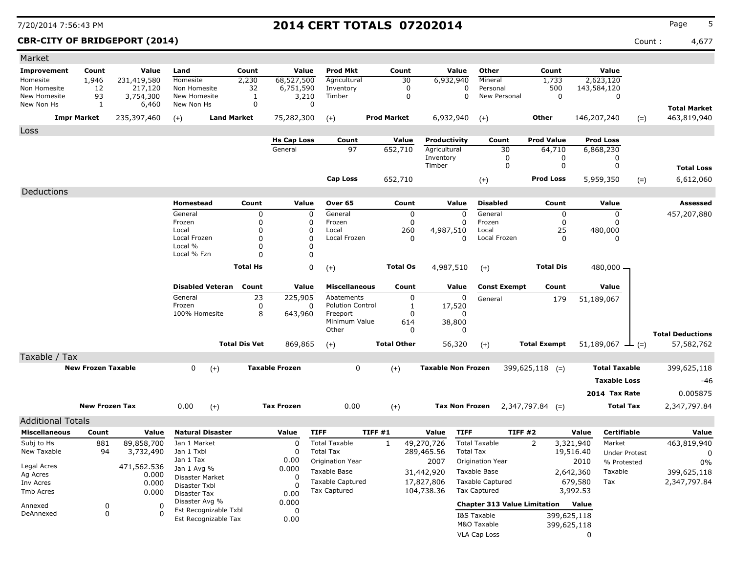## **CBR-CITY OF BRIDGEPORT (2014)** Count : 4,677

| Market                     |                           |             |                                |                      |                       |                         |                    |          |                                |                                     |                     |             |                      |                         |
|----------------------------|---------------------------|-------------|--------------------------------|----------------------|-----------------------|-------------------------|--------------------|----------|--------------------------------|-------------------------------------|---------------------|-------------|----------------------|-------------------------|
| Improvement                | Count                     | Value       | Land                           | Count                | Value                 | Prod Mkt                | Count              |          | Value                          | Other                               | Count               |             | Value                |                         |
| Homesite                   | 1,946                     | 231,419,580 | Homesite                       | 2,230                | 68,527,500            | Agricultural            |                    | 30       | 6,932,940                      | Mineral                             | 1,733               |             | 2,623,120            |                         |
| Non Homesite               | 12                        | 217,120     | Non Homesite                   | 32                   | 6,751,590             | Inventory               |                    | 0        | 0                              | Personal                            | 500                 | 143,584,120 |                      |                         |
| New Homesite<br>New Non Hs | 93                        | 3,754,300   | New Homesite                   | 1<br>$\mathbf 0$     | 3,210                 | Timber                  |                    | 0        | 0                              | New Personal                        | 0                   |             | 0                    |                         |
|                            | 1                         | 6,460       | New Non Hs                     |                      | 0                     |                         |                    |          |                                |                                     |                     |             |                      | <b>Total Market</b>     |
|                            | <b>Impr Market</b>        | 235,397,460 | <b>Land Market</b><br>$(+)$    |                      | 75,282,300            | $(+)$                   | <b>Prod Market</b> |          | 6,932,940                      | $(+)$                               | Other               | 146,207,240 | $(=)$                | 463,819,940             |
| Loss                       |                           |             |                                |                      |                       |                         |                    |          |                                |                                     |                     |             |                      |                         |
|                            |                           |             |                                |                      | <b>Hs Cap Loss</b>    | Count                   |                    | Value    | Productivity                   | Count                               | <b>Prod Value</b>   |             | <b>Prod Loss</b>     |                         |
|                            |                           |             |                                |                      | General               | 97                      | 652,710            |          | Agricultural                   | 30                                  | 64,710              |             | 6,868,230            |                         |
|                            |                           |             |                                |                      |                       |                         |                    |          | Inventory                      | 0<br>0                              | 0<br>$\mathbf 0$    |             | 0<br>0               |                         |
|                            |                           |             |                                |                      |                       |                         |                    |          | Timber                         |                                     |                     |             |                      | <b>Total Loss</b>       |
|                            |                           |             |                                |                      |                       | Cap Loss                | 652,710            |          |                                | $(+)$                               | <b>Prod Loss</b>    |             | 5,959,350<br>$(=)$   | 6,612,060               |
| Deductions                 |                           |             |                                |                      |                       |                         |                    |          |                                |                                     |                     |             |                      |                         |
|                            |                           |             | Homestead                      | Count                | Value                 | Over 65                 |                    | Count    | Value                          | <b>Disabled</b>                     | Count               |             | Value                | Assessed                |
|                            |                           |             | General                        | 0                    | 0                     | General                 |                    | 0        | $\mathbf 0$                    | General                             | 0                   |             | 0                    | 457,207,880             |
|                            |                           |             | Frozen                         | 0                    | 0                     | Frozen                  |                    | $\Omega$ | $\Omega$                       | Frozen                              | 0                   |             | O                    |                         |
|                            |                           |             | Local                          | 0                    | 0                     | Local                   |                    | 260      | 4,987,510                      | Local                               | 25                  |             | 480,000              |                         |
|                            |                           |             | Local Frozen<br>Local %        | 0<br>0               | 0<br>0                | Local Frozen            |                    | 0        | 0                              | Local Frozen                        | 0                   |             | 0                    |                         |
|                            |                           |             | Local % Fzn                    | O                    | $\Omega$              |                         |                    |          |                                |                                     |                     |             |                      |                         |
|                            |                           |             |                                |                      |                       |                         |                    |          |                                |                                     |                     |             |                      |                         |
|                            |                           |             |                                | <b>Total Hs</b>      | 0                     | $(+)$                   | <b>Total Os</b>    |          | 4,987,510                      | $(+)$                               | <b>Total Dis</b>    |             | 480,000 -            |                         |
|                            |                           |             | <b>Disabled Veteran</b>        | Count                | Value                 | <b>Miscellaneous</b>    |                    | Count    | Value                          | <b>Const Exempt</b>                 | Count               |             | Value                |                         |
|                            |                           |             | General                        | 23                   | 225,905               | Abatements              |                    | 0        | 0                              | General                             | 179                 | 51,189,067  |                      |                         |
|                            |                           |             | Frozen                         | 0                    | 0                     | <b>Polution Control</b> |                    | 1        | 17,520                         |                                     |                     |             |                      |                         |
|                            |                           |             | 100% Homesite                  | 8                    | 643,960               | Freeport                |                    | $\Omega$ | $\Omega$                       |                                     |                     |             |                      |                         |
|                            |                           |             |                                |                      |                       | Minimum Value<br>Other  |                    | 614<br>0 | 38,800<br>0                    |                                     |                     |             |                      |                         |
|                            |                           |             |                                |                      |                       |                         |                    |          |                                |                                     |                     |             |                      | <b>Total Deductions</b> |
|                            |                           |             |                                | <b>Total Dis Vet</b> | 869,865               | $(+)$                   | <b>Total Other</b> |          | 56,320                         | $(+)$                               | <b>Total Exempt</b> | 51,189,067  | $(=)$                | 57,582,762              |
| Taxable / Tax              |                           |             |                                |                      |                       |                         |                    |          |                                |                                     |                     |             |                      |                         |
|                            | <b>New Frozen Taxable</b> |             | 0<br>$(+)$                     |                      | <b>Taxable Frozen</b> | 0                       | $(+)$              |          | <b>Taxable Non Frozen</b>      |                                     | $399,625,118$ (=)   |             | <b>Total Taxable</b> | 399,625,118             |
|                            |                           |             |                                |                      |                       |                         |                    |          |                                |                                     |                     |             | <b>Taxable Loss</b>  | -46                     |
|                            |                           |             |                                |                      |                       |                         |                    |          |                                |                                     |                     |             | 2014 Tax Rate        | 0.005875                |
|                            | <b>New Frozen Tax</b>     |             | 0.00<br>$(+)$                  |                      | <b>Tax Frozen</b>     | 0.00                    | $(+)$              |          | <b>Tax Non Frozen</b>          |                                     | $2,347,797.84$ (=)  |             | <b>Total Tax</b>     | 2,347,797.84            |
|                            |                           |             |                                |                      |                       |                         |                    |          |                                |                                     |                     |             |                      |                         |
| <b>Additional Totals</b>   |                           |             |                                |                      |                       |                         |                    |          |                                |                                     |                     |             |                      |                         |
| <b>Miscellaneous</b>       | Count                     | Value       | <b>Natural Disaster</b>        |                      | Value                 | <b>TIFF</b>             | TIFF #1            |          | <b>TIFF</b><br>Value           | TIFF #2                             |                     | Value       | Certifiable          | Value                   |
| Subj to Hs                 | 881                       | 89,858,700  | Jan 1 Market                   |                      | $\Omega$              | <b>Total Taxable</b>    | 1                  |          | 49,270,726                     | <b>Total Taxable</b>                | $\overline{2}$      | 3,321,940   | Market               | 463,819,940             |
| New Taxable                | 94                        | 3,732,490   | Jan 1 Txbl                     |                      | <sup>0</sup>          | <b>Total Tax</b>        |                    |          | 289,465.56<br><b>Total Tax</b> |                                     |                     | 19,516.40   | <b>Under Protest</b> | 0                       |
| Legal Acres                |                           | 471,562.536 | Jan 1 Tax                      |                      | 0.00<br>0.000         | Origination Year        |                    |          | 2007                           | Origination Year                    |                     | 2010        | % Protested          | 0%                      |
| Ag Acres                   |                           | 0.000       | Jan 1 Avg %<br>Disaster Market |                      | 0                     | Taxable Base            |                    |          | 31,442,920                     | Taxable Base                        |                     | 2,642,360   | Taxable              | 399,625,118             |
| Inv Acres                  |                           | 0.000       | Disaster Txbl                  |                      |                       | <b>Taxable Captured</b> |                    |          | 17,827,806                     | <b>Taxable Captured</b>             |                     | 679,580     | Tax                  | 2,347,797.84            |
| Tmb Acres                  |                           | 0.000       | <b>Disaster Tax</b>            |                      | 0.00                  | <b>Tax Captured</b>     |                    |          | 104,738.36                     | <b>Tax Captured</b>                 |                     | 3,992.53    |                      |                         |
| Annexed                    | 0                         | 0           | Disaster Avg %                 |                      | 0.000                 |                         |                    |          |                                | <b>Chapter 313 Value Limitation</b> |                     | Value       |                      |                         |
| DeAnnexed                  | 0                         | 0           | Est Recognizable Txbl          |                      | 0                     |                         |                    |          |                                | I&S Taxable                         |                     | 399,625,118 |                      |                         |
|                            |                           |             | Est Recognizable Tax           |                      | 0.00                  |                         |                    |          |                                | M&O Taxable                         |                     | 399,625,118 |                      |                         |
|                            |                           |             |                                |                      |                       |                         |                    |          |                                | VLA Cap Loss                        |                     | 0           |                      |                         |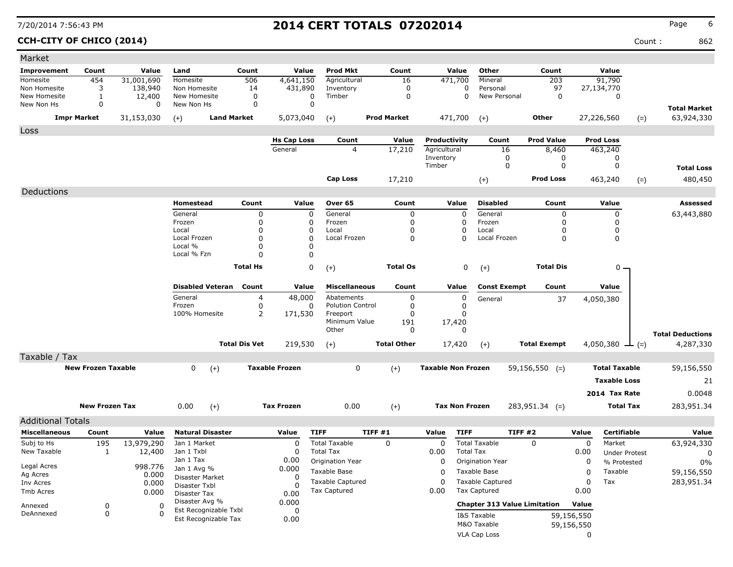**CCH-CITY OF CHICO (2014)** Count : 862

| Market                       |                           |                   |                               |                      |                       |                           |                    |                           |                       |                                     |                     |             |                      |        |                                      |
|------------------------------|---------------------------|-------------------|-------------------------------|----------------------|-----------------------|---------------------------|--------------------|---------------------------|-----------------------|-------------------------------------|---------------------|-------------|----------------------|--------|--------------------------------------|
| Improvement                  | Count                     | Value             | Land                          | Count                | Value                 | <b>Prod Mkt</b>           | Count              |                           | Value                 | Other                               | Count               |             | Value                |        |                                      |
| Homesite                     | 454                       | 31,001,690        | Homesite                      | 506                  | 4,641,150             | Agricultural              | 16                 |                           | 471,700               | Mineral                             | 203                 |             | 91,790               |        |                                      |
| Non Homesite<br>New Homesite | 3<br>1                    | 138,940<br>12,400 | Non Homesite<br>New Homesite  | 14<br>0              | 431,890<br>0          | Inventory<br>Timber       | 0<br>$\mathbf 0$   |                           | 0<br>0                | Personal<br>New Personal            | 97<br>0             |             | 27,134,770<br>0      |        |                                      |
| New Non Hs                   | 0                         | $\Omega$          | New Non Hs                    | $\mathbf 0$          | $\mathbf 0$           |                           |                    |                           |                       |                                     |                     |             |                      |        |                                      |
|                              | <b>Impr Market</b>        | 31,153,030        | <b>Land Market</b><br>$(+)$   |                      | 5,073,040             | $(+)$                     | <b>Prod Market</b> |                           | 471,700               | $(+)$                               | Other               |             | 27,226,560           | $(=)$  | <b>Total Market</b><br>63,924,330    |
| Loss                         |                           |                   |                               |                      |                       |                           |                    |                           |                       |                                     |                     |             |                      |        |                                      |
|                              |                           |                   |                               |                      | <b>Hs Cap Loss</b>    | Count                     | Value              | Productivity              |                       | Count                               | <b>Prod Value</b>   |             | <b>Prod Loss</b>     |        |                                      |
|                              |                           |                   |                               |                      | General               | $\overline{4}$            | 17,210             | Agricultural              |                       | 16                                  | 8,460               |             | 463,240              |        |                                      |
|                              |                           |                   |                               |                      |                       |                           |                    | Inventory<br>Timber       |                       | 0<br>0                              | 0<br>0              |             | 0<br>0               |        |                                      |
|                              |                           |                   |                               |                      |                       | <b>Cap Loss</b>           |                    |                           |                       |                                     | <b>Prod Loss</b>    |             |                      |        | <b>Total Loss</b>                    |
|                              |                           |                   |                               |                      |                       |                           | 17,210             |                           |                       | $(+)$                               |                     |             | 463,240              | $(=)$  | 480,450                              |
| Deductions                   |                           |                   |                               |                      |                       |                           |                    |                           |                       |                                     |                     |             |                      |        |                                      |
|                              |                           |                   | Homestead                     | Count                | Value                 | Over 65                   | Count              |                           | Value                 | <b>Disabled</b>                     | Count               |             | Value                |        | Assessed                             |
|                              |                           |                   | General<br>Frozen             | 0<br>0               | 0<br>0                | General<br>Frozen         | 0<br>$\mathbf 0$   |                           | 0<br>$\Omega$         | General<br>Frozen                   | 0<br>0              |             | 0<br>0               |        | 63,443,880                           |
|                              |                           |                   | Local                         | 0                    | 0                     | Local                     | 0                  |                           | 0                     | Local                               | 0                   |             | 0                    |        |                                      |
|                              |                           |                   | Local Frozen                  | 0                    | $\Omega$              | Local Frozen              | 0                  |                           | 0                     | Local Frozen                        | 0                   |             | 0                    |        |                                      |
|                              |                           |                   | Local %                       | 0                    | 0                     |                           |                    |                           |                       |                                     |                     |             |                      |        |                                      |
|                              |                           |                   | Local % Fzn                   | O                    | 0                     |                           |                    |                           |                       |                                     |                     |             |                      |        |                                      |
|                              |                           |                   |                               | <b>Total Hs</b>      | 0                     | $(+)$                     | <b>Total Os</b>    |                           | 0                     | $(+)$                               | <b>Total Dis</b>    |             | 0 -                  |        |                                      |
|                              |                           |                   | <b>Disabled Veteran</b>       | Count                | Value                 | <b>Miscellaneous</b>      | Count              |                           | Value                 | <b>Const Exempt</b>                 | Count               |             | Value                |        |                                      |
|                              |                           |                   | General                       | 4                    | 48,000                | Abatements                | 0                  |                           | 0                     | General                             | 37                  |             | 4,050,380            |        |                                      |
|                              |                           |                   | Frozen                        | 0                    | 0                     | <b>Polution Control</b>   | 0                  |                           | $\Omega$              |                                     |                     |             |                      |        |                                      |
|                              |                           |                   | 100% Homesite                 | 2                    | 171,530               | Freeport<br>Minimum Value | $\mathbf 0$<br>191 |                           | $\Omega$<br>17,420    |                                     |                     |             |                      |        |                                      |
|                              |                           |                   |                               |                      |                       | Other                     | 0                  |                           | $\Omega$              |                                     |                     |             |                      |        |                                      |
|                              |                           |                   |                               | <b>Total Dis Vet</b> | 219,530               | $(+)$                     | <b>Total Other</b> |                           | 17,420                |                                     | <b>Total Exempt</b> |             | 4,050,380            |        | <b>Total Deductions</b><br>4,287,330 |
|                              |                           |                   |                               |                      |                       |                           |                    |                           |                       | $(+)$                               |                     |             |                      | $-(-)$ |                                      |
| Taxable / Tax                |                           |                   |                               |                      |                       |                           |                    |                           |                       |                                     |                     |             |                      |        |                                      |
|                              | <b>New Frozen Taxable</b> |                   | 0<br>$(+)$                    |                      | <b>Taxable Frozen</b> | 0                         | $(+)$              | <b>Taxable Non Frozen</b> |                       |                                     | $59,156,550$ (=)    |             | <b>Total Taxable</b> |        | 59,156,550                           |
|                              |                           |                   |                               |                      |                       |                           |                    |                           |                       |                                     |                     |             | <b>Taxable Loss</b>  |        | 21                                   |
|                              |                           |                   |                               |                      |                       |                           |                    |                           |                       |                                     |                     |             | 2014 Tax Rate        |        | 0.0048                               |
|                              | <b>New Frozen Tax</b>     |                   | 0.00<br>$(+)$                 |                      | <b>Tax Frozen</b>     | 0.00                      | $(+)$              |                           | <b>Tax Non Frozen</b> |                                     | $283,951.34$ (=)    |             | <b>Total Tax</b>     |        | 283,951.34                           |
| <b>Additional Totals</b>     |                           |                   |                               |                      |                       |                           |                    |                           |                       |                                     |                     |             |                      |        |                                      |
| <b>Miscellaneous</b>         | Count                     | Value             | <b>Natural Disaster</b>       |                      | Value                 | <b>TIFF</b>               | <b>TIFF #1</b>     | Value                     | <b>TIFF</b>           | TIFF #2                             |                     | Value       | <b>Certifiable</b>   |        | Value                                |
| Subj to Hs                   | 195                       | 13,979,290        | Jan 1 Market                  |                      | 0                     | <b>Total Taxable</b>      | 0                  | $\mathbf 0$               |                       | <b>Total Taxable</b>                | $\Omega$            | $\mathbf 0$ | Market               |        | 63,924,330                           |
| New Taxable                  | 1                         | 12,400            | Jan 1 Txbl                    |                      | 0                     | <b>Total Tax</b>          |                    | 0.00                      | <b>Total Tax</b>      |                                     |                     | 0.00        | <b>Under Protest</b> |        | 0                                    |
|                              |                           |                   | Jan 1 Tax                     |                      | 0.00                  | Origination Year          |                    | 0                         |                       | Origination Year                    |                     | 0           | % Protested          |        | $0\%$                                |
| Legal Acres                  |                           | 998.776           | Jan 1 Avg %                   |                      | 0.000                 | Taxable Base              |                    | 0                         |                       | Taxable Base                        |                     | 0           | Taxable              |        | 59,156,550                           |
| Ag Acres<br>Inv Acres        |                           | 0.000<br>0.000    | Disaster Market               |                      | 0                     | <b>Taxable Captured</b>   |                    | $\mathbf 0$               |                       | <b>Taxable Captured</b>             |                     | $\Omega$    | Tax                  |        | 283,951.34                           |
| Tmb Acres                    |                           | 0.000             | Disaster Txbl<br>Disaster Tax |                      |                       | Tax Captured              |                    | 0.00                      |                       | <b>Tax Captured</b>                 |                     | 0.00        |                      |        |                                      |
|                              |                           |                   | Disaster Avg %                |                      | 0.00<br>0.000         |                           |                    |                           |                       |                                     |                     |             |                      |        |                                      |
| Annexed<br>DeAnnexed         | 0<br>0                    | 0<br>$\Omega$     | Est Recognizable Txbl         |                      | 0                     |                           |                    |                           |                       | <b>Chapter 313 Value Limitation</b> |                     | Value       |                      |        |                                      |
|                              |                           |                   | Est Recognizable Tax          |                      | 0.00                  |                           |                    |                           |                       | I&S Taxable                         |                     | 59,156,550  |                      |        |                                      |
|                              |                           |                   |                               |                      |                       |                           |                    |                           |                       | M&O Taxable                         |                     | 59,156,550  |                      |        |                                      |
|                              |                           |                   |                               |                      |                       |                           |                    |                           |                       | VLA Cap Loss                        |                     | 0           |                      |        |                                      |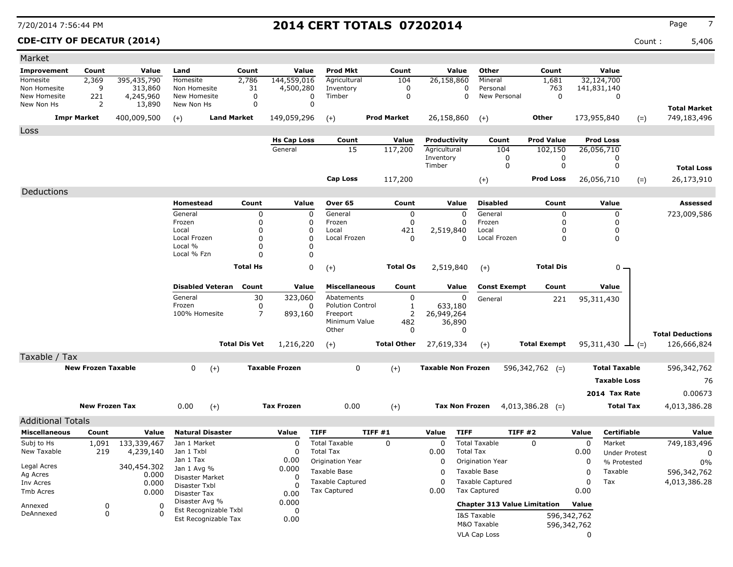## **CDE-CITY OF DECATUR (2014)** Count : 5,406

| Market                       |                           |                      |                                  |                      |                               |                           |                       |                              |                         |                          |                                     |             |                        |                                    |
|------------------------------|---------------------------|----------------------|----------------------------------|----------------------|-------------------------------|---------------------------|-----------------------|------------------------------|-------------------------|--------------------------|-------------------------------------|-------------|------------------------|------------------------------------|
| Improvement                  | Count                     | Value                | Land                             | Count                | Value                         | <b>Prod Mkt</b>           | Count                 | Value                        | Other                   |                          | Count                               |             | Value                  |                                    |
| Homesite                     | 2,369                     | 395,435,790          | Homesite                         | 2,786                | 144,559,016                   | Agricultural              | 104                   | 26,158,860                   |                         | Mineral                  | 1,681                               |             | 32,124,700             |                                    |
| Non Homesite<br>New Homesite | 9<br>221                  | 313,860<br>4,245,960 | Non Homesite<br>New Homesite     | 31<br>0              | 4,500,280<br>0                | Inventory<br>Timber       | 0<br>$\mathbf 0$      |                              | $\Omega$<br>$\Omega$    | Personal<br>New Personal | 763<br>$\mathbf 0$                  |             | 141,831,140<br>0       |                                    |
| New Non Hs                   | 2                         | 13,890               | New Non Hs                       | 0                    | $\mathbf 0$                   |                           |                       |                              |                         |                          |                                     |             |                        |                                    |
|                              | <b>Impr Market</b>        | 400,009,500          |                                  | <b>Land Market</b>   |                               |                           | <b>Prod Market</b>    | 26,158,860                   |                         |                          | Other                               |             | 173,955,840            | <b>Total Market</b><br>749,183,496 |
|                              |                           |                      | $(+)$                            |                      | 149,059,296                   | $(+)$                     |                       |                              | $(+)$                   |                          |                                     |             |                        | $(=)$                              |
| Loss                         |                           |                      |                                  |                      |                               |                           |                       |                              |                         |                          | <b>Prod Value</b>                   |             | <b>Prod Loss</b>       |                                    |
|                              |                           |                      |                                  |                      | <b>Hs Cap Loss</b><br>General | Count<br>15               | Value<br>117,200      | Productivity<br>Agricultural |                         | Count<br>104             | 102,150                             |             | 26,056,710             |                                    |
|                              |                           |                      |                                  |                      |                               |                           |                       | Inventory                    |                         | $\mathbf 0$              | 0                                   |             | $\mathbf{0}$           |                                    |
|                              |                           |                      |                                  |                      |                               |                           |                       | Timber                       |                         | $\pmb{0}$                | $\mathbf 0$                         |             | 0                      | <b>Total Loss</b>                  |
|                              |                           |                      |                                  |                      |                               | Cap Loss                  | 117,200               |                              | $^{(+)}$                |                          | <b>Prod Loss</b>                    |             | 26,056,710             | 26,173,910<br>$(=)$                |
| Deductions                   |                           |                      |                                  |                      |                               |                           |                       |                              |                         |                          |                                     |             |                        |                                    |
|                              |                           |                      | Homestead                        | Count                | Value                         | Over 65                   | Count                 | Value                        |                         | <b>Disabled</b>          | Count                               |             | Value                  | Assessed                           |
|                              |                           |                      | General                          | 0                    | $\Omega$                      | General                   | $\mathbf 0$           |                              | $\Omega$                | General                  | $\mathbf 0$                         |             | $\Omega$               | 723,009,586                        |
|                              |                           |                      | Frozen                           | 0                    | 0                             | Frozen                    | $\mathbf 0$           |                              | $\Omega$<br>Frozen      |                          | $\mathbf 0$                         |             | $\Omega$               |                                    |
|                              |                           |                      | Local                            | 0                    | 0                             | Local                     | 421                   | 2,519,840                    | Local                   |                          | $\mathbf 0$                         |             | 0                      |                                    |
|                              |                           |                      | Local Frozen                     | $\Omega$             | $\Omega$                      | Local Frozen              | $\Omega$              |                              | $\Omega$                | Local Frozen             | $\Omega$                            |             | 0                      |                                    |
|                              |                           |                      | Local %<br>Local % Fzn           | 0<br>0               | $\Omega$<br>0                 |                           |                       |                              |                         |                          |                                     |             |                        |                                    |
|                              |                           |                      |                                  | <b>Total Hs</b>      | $\mathbf 0$                   |                           | <b>Total Os</b>       |                              |                         |                          | <b>Total Dis</b>                    |             | 0 -                    |                                    |
|                              |                           |                      |                                  |                      |                               | $(+)$                     |                       | 2,519,840                    | $(+)$                   |                          |                                     |             |                        |                                    |
|                              |                           |                      | <b>Disabled Veteran</b>          | Count                | Value                         | <b>Miscellaneous</b>      | Count                 | Value                        |                         | <b>Const Exempt</b>      | Count                               |             | Value                  |                                    |
|                              |                           |                      | General                          | 30                   | 323,060                       | Abatements                | $\mathbf 0$           |                              | $\mathbf 0$             | General                  | 221                                 |             | 95,311,430             |                                    |
|                              |                           |                      | Frozen                           | $\mathbf 0$          | $\Omega$                      | <b>Polution Control</b>   | $\mathbf{1}$          | 633,180                      |                         |                          |                                     |             |                        |                                    |
|                              |                           |                      | 100% Homesite                    | $\overline{7}$       | 893,160                       | Freeport<br>Minimum Value | $\overline{2}$<br>482 | 26,949,264<br>36,890         |                         |                          |                                     |             |                        |                                    |
|                              |                           |                      |                                  |                      |                               | Other                     | $\mathbf 0$           |                              | $\mathbf 0$             |                          |                                     |             |                        | <b>Total Deductions</b>            |
|                              |                           |                      |                                  | <b>Total Dis Vet</b> | 1,216,220                     | $(+)$                     | <b>Total Other</b>    | 27,619,334                   | $(+)$                   |                          | <b>Total Exempt</b>                 |             | 95,311,430 $\perp$ (=) | 126,666,824                        |
| Taxable / Tax                |                           |                      |                                  |                      |                               |                           |                       |                              |                         |                          |                                     |             |                        |                                    |
|                              | <b>New Frozen Taxable</b> |                      | 0<br>$(+)$                       |                      | <b>Taxable Frozen</b>         | 0                         | $(+)$                 | <b>Taxable Non Frozen</b>    |                         |                          | $596,342,762$ (=)                   |             | <b>Total Taxable</b>   | 596,342,762                        |
|                              |                           |                      |                                  |                      |                               |                           |                       |                              |                         |                          |                                     |             |                        |                                    |
|                              |                           |                      |                                  |                      |                               |                           |                       |                              |                         |                          |                                     |             | <b>Taxable Loss</b>    | 76                                 |
|                              |                           |                      |                                  |                      |                               |                           |                       |                              |                         |                          |                                     |             | 2014 Tax Rate          | 0.00673                            |
|                              | <b>New Frozen Tax</b>     |                      | 0.00<br>$(+)$                    |                      | <b>Tax Frozen</b>             | 0.00                      | $(+)$                 |                              | <b>Tax Non Frozen</b>   |                          | $4,013,386.28$ (=)                  |             | <b>Total Tax</b>       | 4,013,386.28                       |
| <b>Additional Totals</b>     |                           |                      |                                  |                      |                               |                           |                       |                              |                         |                          |                                     |             |                        |                                    |
| <b>Miscellaneous</b>         | Count                     | Value                | <b>Natural Disaster</b>          |                      | Value                         | <b>TIFF</b>               | TIFF#1                | Value                        | <b>TIFF</b>             | <b>TIFF #2</b>           |                                     | Value       | <b>Certifiable</b>     | Value                              |
| Subj to Hs                   | 1,091                     | 133,339,467          | Jan 1 Market                     |                      | $\Omega$                      | <b>Total Taxable</b>      | $\mathbf 0$           | $\Omega$                     | <b>Total Taxable</b>    |                          | $\mathbf{0}$                        | $\Omega$    | Market                 | 749,183,496                        |
| New Taxable                  | 219                       | 4,239,140            | Jan 1 Txbl                       |                      | $\Omega$                      | <b>Total Tax</b>          |                       | 0.00                         | <b>Total Tax</b>        |                          |                                     | 0.00        | <b>Under Protest</b>   | 0                                  |
|                              |                           |                      | Jan 1 Tax                        |                      | 0.00                          | Origination Year          |                       | $\Omega$                     | Origination Year        |                          |                                     | 0           | % Protested            | 0%                                 |
| Legal Acres<br>Ag Acres      |                           | 340,454.302<br>0.000 | Jan 1 Avg %                      |                      | 0.000                         | Taxable Base              |                       | 0                            | Taxable Base            |                          |                                     | $\mathbf 0$ | Taxable                | 596,342,762                        |
| Inv Acres                    |                           | 0.000                | Disaster Market<br>Disaster Txbl |                      | 0<br>$\Omega$                 | <b>Taxable Captured</b>   |                       | 0                            | <b>Taxable Captured</b> |                          |                                     | 0           | Tax                    | 4,013,386.28                       |
| Tmb Acres                    |                           | 0.000                | Disaster Tax                     |                      | 0.00                          | Tax Captured              |                       | 0.00                         | <b>Tax Captured</b>     |                          |                                     | 0.00        |                        |                                    |
| Annexed                      | $\mathbf 0$               | $\Omega$             | Disaster Avg %                   |                      | 0.000                         |                           |                       |                              |                         |                          | <b>Chapter 313 Value Limitation</b> | Value       |                        |                                    |
| DeAnnexed                    | $\mathbf 0$               | $\Omega$             | Est Recognizable Txbl            |                      | $\mathbf 0$                   |                           |                       |                              | I&S Taxable             |                          |                                     | 596,342,762 |                        |                                    |
|                              |                           |                      | Est Recognizable Tax             |                      | 0.00                          |                           |                       |                              | M&O Taxable             |                          |                                     | 596,342,762 |                        |                                    |
|                              |                           |                      |                                  |                      |                               |                           |                       |                              | <b>VLA Cap Loss</b>     |                          |                                     | $\Omega$    |                        |                                    |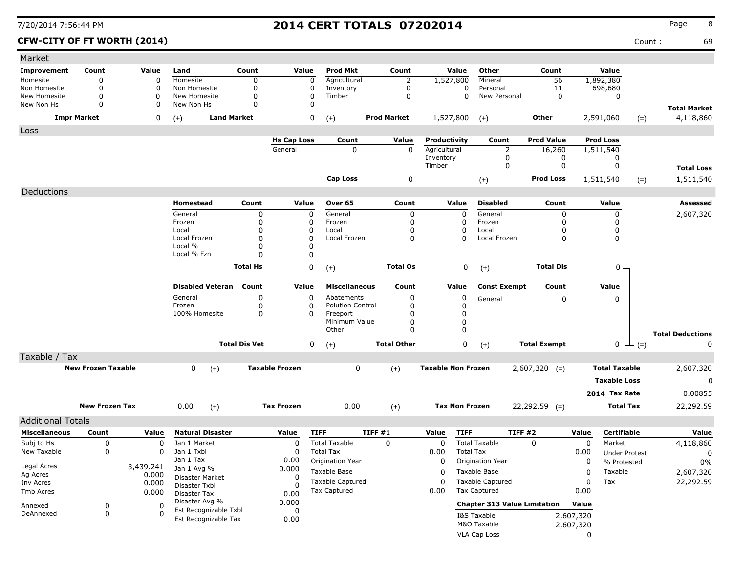### **CFW-CITY OF FT WORTH (2014)** Count : 69

| <b>Prod Mkt</b><br>Other<br>Value<br>Value<br>Count<br>Value<br>Count<br>Value<br>Count<br>Improvement<br>Count<br>Land<br>Homesite<br>0<br>Homesite<br>Agricultural<br>Mineral<br>56<br>$\Omega$<br>0<br>0<br>2<br>1,527,800<br>1,892,380<br>Non Homesite<br>0<br>11<br>698,680<br>0<br>Non Homesite<br>0<br>Inventory<br>Personal<br>0<br>0<br>0<br>0<br>0<br>New Homesite<br>0<br>$\Omega$<br>New Homesite<br>0<br>Timber<br>0<br>New Personal<br>0<br>O<br>New Non Hs<br>0<br>New Non Hs<br>0<br>0<br><b>Land Market</b><br>1,527,800<br><b>Impr Market</b><br>0<br><b>Prod Market</b><br>Other<br>2,591,060<br>0<br>$(+)$<br>$(+)$<br>$(+)$<br>$(=)$<br>Loss | <b>Total Market</b>     |
|-------------------------------------------------------------------------------------------------------------------------------------------------------------------------------------------------------------------------------------------------------------------------------------------------------------------------------------------------------------------------------------------------------------------------------------------------------------------------------------------------------------------------------------------------------------------------------------------------------------------------------------------------------------------|-------------------------|
|                                                                                                                                                                                                                                                                                                                                                                                                                                                                                                                                                                                                                                                                   |                         |
|                                                                                                                                                                                                                                                                                                                                                                                                                                                                                                                                                                                                                                                                   |                         |
|                                                                                                                                                                                                                                                                                                                                                                                                                                                                                                                                                                                                                                                                   |                         |
|                                                                                                                                                                                                                                                                                                                                                                                                                                                                                                                                                                                                                                                                   |                         |
|                                                                                                                                                                                                                                                                                                                                                                                                                                                                                                                                                                                                                                                                   |                         |
|                                                                                                                                                                                                                                                                                                                                                                                                                                                                                                                                                                                                                                                                   | 4,118,860               |
|                                                                                                                                                                                                                                                                                                                                                                                                                                                                                                                                                                                                                                                                   |                         |
| <b>Prod Value</b><br><b>Hs Cap Loss</b><br>Count<br>Value<br>Productivity<br>Count<br><b>Prod Loss</b>                                                                                                                                                                                                                                                                                                                                                                                                                                                                                                                                                            |                         |
| General<br>$\Omega$<br>$\Omega$<br>2<br>Agricultural<br>16,260<br>1,511,540                                                                                                                                                                                                                                                                                                                                                                                                                                                                                                                                                                                       |                         |
| Inventory<br>0<br>0<br>0<br>$\mathbf 0$<br>0<br>Timber<br>0                                                                                                                                                                                                                                                                                                                                                                                                                                                                                                                                                                                                       |                         |
|                                                                                                                                                                                                                                                                                                                                                                                                                                                                                                                                                                                                                                                                   | <b>Total Loss</b>       |
| Cap Loss<br>0<br><b>Prod Loss</b><br>$(+)$<br>1,511,540<br>$(=)$                                                                                                                                                                                                                                                                                                                                                                                                                                                                                                                                                                                                  | 1,511,540               |
| Deductions                                                                                                                                                                                                                                                                                                                                                                                                                                                                                                                                                                                                                                                        |                         |
| Value<br>Homestead<br>Count<br>Value<br>Over 65<br>Count<br>Value<br><b>Disabled</b><br>Count                                                                                                                                                                                                                                                                                                                                                                                                                                                                                                                                                                     | Assessed                |
| General<br>0<br>General<br>General<br>0<br>0<br>0<br>0<br>0                                                                                                                                                                                                                                                                                                                                                                                                                                                                                                                                                                                                       | 2,607,320               |
| Frozen<br>0<br>0<br>Frozen<br>Frozen<br>0<br>0<br>0<br>0                                                                                                                                                                                                                                                                                                                                                                                                                                                                                                                                                                                                          |                         |
| $\Omega$<br>0<br>0<br>0<br>0<br>Local<br>Local<br>0<br>Local                                                                                                                                                                                                                                                                                                                                                                                                                                                                                                                                                                                                      |                         |
| 0<br>$\Omega$<br>0<br>0<br>Local Frozen<br>$\Omega$<br>Local Frozen<br>Local Frozen<br>0                                                                                                                                                                                                                                                                                                                                                                                                                                                                                                                                                                          |                         |
| Local %<br>0<br>n<br>Local % Fzn<br>$\Omega$<br>n                                                                                                                                                                                                                                                                                                                                                                                                                                                                                                                                                                                                                 |                         |
|                                                                                                                                                                                                                                                                                                                                                                                                                                                                                                                                                                                                                                                                   |                         |
| 0<br>0<br><b>Total Dis</b><br><b>Total Hs</b><br><b>Total Os</b><br>0 -<br>$(+)$<br>$(+)$                                                                                                                                                                                                                                                                                                                                                                                                                                                                                                                                                                         |                         |
| <b>Miscellaneous</b><br><b>Disabled Veteran</b><br>Count<br>Value<br>Count<br>Value<br><b>Const Exempt</b><br>Count<br>Value                                                                                                                                                                                                                                                                                                                                                                                                                                                                                                                                      |                         |
| 0<br>$\mathbf 0$<br>Abatements<br>0<br>0<br>General<br>General<br>0<br>0                                                                                                                                                                                                                                                                                                                                                                                                                                                                                                                                                                                          |                         |
| Frozen<br><b>Polution Control</b><br>0<br>0<br>0<br>0                                                                                                                                                                                                                                                                                                                                                                                                                                                                                                                                                                                                             |                         |
| $\pmb{0}$<br>100% Homesite<br>0<br>0<br>Freeport<br>0                                                                                                                                                                                                                                                                                                                                                                                                                                                                                                                                                                                                             |                         |
| 0<br>Minimum Value<br>0<br>$\mathbf 0$<br>0<br>Other                                                                                                                                                                                                                                                                                                                                                                                                                                                                                                                                                                                                              |                         |
|                                                                                                                                                                                                                                                                                                                                                                                                                                                                                                                                                                                                                                                                   | <b>Total Deductions</b> |
| <b>Total Dis Vet</b><br><b>Total Other</b><br>0<br><b>Total Exempt</b><br>0<br>0<br>$(+)$<br>$(+)$<br>$ (=)$                                                                                                                                                                                                                                                                                                                                                                                                                                                                                                                                                      | 0                       |
| Taxable / Tax                                                                                                                                                                                                                                                                                                                                                                                                                                                                                                                                                                                                                                                     |                         |
| 0<br><b>New Frozen Taxable</b><br>0<br><b>Taxable Frozen</b><br><b>Total Taxable</b><br><b>Taxable Non Frozen</b><br>$2,607,320$ (=)<br>$(+)$<br>$(+)$                                                                                                                                                                                                                                                                                                                                                                                                                                                                                                            | 2,607,320               |
| <b>Taxable Loss</b>                                                                                                                                                                                                                                                                                                                                                                                                                                                                                                                                                                                                                                               | 0                       |
| 2014 Tax Rate                                                                                                                                                                                                                                                                                                                                                                                                                                                                                                                                                                                                                                                     | 0.00855                 |
| <b>New Frozen Tax</b><br>0.00<br><b>Tax Frozen</b><br>0.00<br><b>Tax Non Frozen</b><br>$22,292.59$ (=)<br><b>Total Tax</b><br>$(+)$<br>$(+)$                                                                                                                                                                                                                                                                                                                                                                                                                                                                                                                      | 22,292.59               |
|                                                                                                                                                                                                                                                                                                                                                                                                                                                                                                                                                                                                                                                                   |                         |
| <b>Additional Totals</b>                                                                                                                                                                                                                                                                                                                                                                                                                                                                                                                                                                                                                                          |                         |
| <b>Miscellaneous</b><br><b>Natural Disaster</b><br><b>TIFF</b><br>TIFF #1<br><b>TIFF</b><br>TIFF #2<br><b>Certifiable</b><br>Count<br>Value<br>Value<br>Value<br>Value                                                                                                                                                                                                                                                                                                                                                                                                                                                                                            | Value                   |
| Subj to Hs<br><b>Total Taxable</b><br><b>Total Taxable</b><br>0<br>Jan 1 Market<br>0<br>0<br>0<br>0<br>0<br>Market<br>0                                                                                                                                                                                                                                                                                                                                                                                                                                                                                                                                           | 4,118,860               |
| New Taxable<br>0<br>Jan 1 Txbl<br><b>Total Tax</b><br><b>Total Tax</b><br>0<br>0<br>0.00<br>0.00<br><b>Under Protest</b>                                                                                                                                                                                                                                                                                                                                                                                                                                                                                                                                          | 0                       |
| Jan 1 Tax<br>0.00<br>Origination Year<br>Origination Year<br>0<br>0<br>% Protested<br>Legal Acres<br>3,439.241                                                                                                                                                                                                                                                                                                                                                                                                                                                                                                                                                    | $0\%$                   |
| Jan 1 Avg %<br>0.000<br>Taxable Base<br>Taxable Base<br>Taxable<br>0<br>0<br>Ag Acres<br>0.000<br>Disaster Market<br>0                                                                                                                                                                                                                                                                                                                                                                                                                                                                                                                                            | 2,607,320               |
| <b>Taxable Captured</b><br>0<br><b>Taxable Captured</b><br>0<br>Tax<br>0.000<br>Inv Acres<br>Disaster Txbl<br>-0                                                                                                                                                                                                                                                                                                                                                                                                                                                                                                                                                  | 22,292.59               |
| <b>Tax Captured</b><br>Tax Captured<br>0.00<br>0.00<br>Tmb Acres<br>0.000<br>Disaster Tax<br>0.00                                                                                                                                                                                                                                                                                                                                                                                                                                                                                                                                                                 |                         |
| Disaster Avg %<br>0.000<br><b>Chapter 313 Value Limitation</b><br>Value<br>Annexed<br>0<br>0                                                                                                                                                                                                                                                                                                                                                                                                                                                                                                                                                                      |                         |
| Est Recognizable Txbl<br>0<br>DeAnnexed<br>0<br>0<br>I&S Taxable<br>2,607,320                                                                                                                                                                                                                                                                                                                                                                                                                                                                                                                                                                                     |                         |
| Est Recognizable Tax<br>0.00<br>M&O Taxable<br>2,607,320                                                                                                                                                                                                                                                                                                                                                                                                                                                                                                                                                                                                          |                         |
| VLA Cap Loss<br>0                                                                                                                                                                                                                                                                                                                                                                                                                                                                                                                                                                                                                                                 |                         |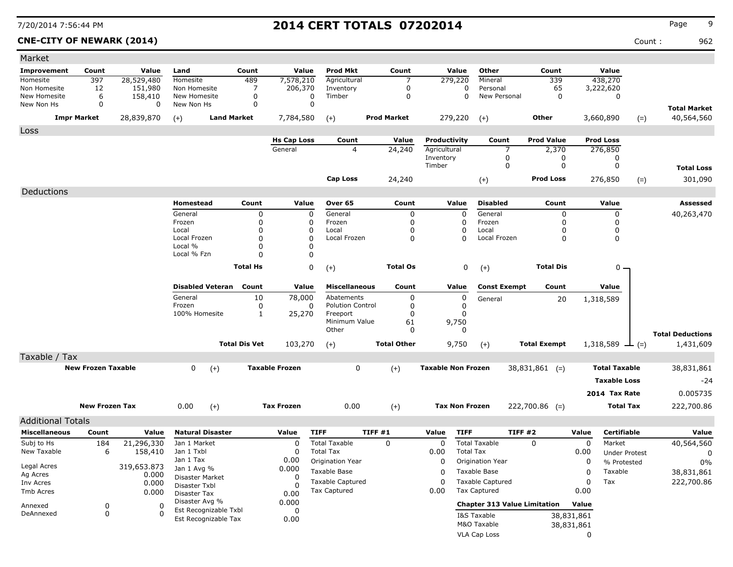### **CNE-CITY OF NEWARK (2014)** Count : 962

| Market                     |                           |              |                                         |                      |                       |                                          |                    |                           |                  |                                                |                     |             |                      |                         |
|----------------------------|---------------------------|--------------|-----------------------------------------|----------------------|-----------------------|------------------------------------------|--------------------|---------------------------|------------------|------------------------------------------------|---------------------|-------------|----------------------|-------------------------|
| <b>Improvement</b>         | Count                     | Value        | Land                                    | Count                | Value                 | <b>Prod Mkt</b>                          | Count              | Value                     |                  | Other                                          | Count               |             | Value                |                         |
| Homesite                   | 397                       | 28,529,480   | Homesite                                | 489                  | 7,578,210             | Agricultural                             |                    | 279,220                   |                  | Mineral                                        | 339                 |             | 438,270              |                         |
| Non Homesite               | 12                        | 151,980      | Non Homesite                            | 7                    | 206,370               | Inventory                                | 0                  |                           | 0                | Personal                                       | 65                  |             | 3,222,620            |                         |
| New Homesite<br>New Non Hs | 6<br>$\Omega$             | 158,410<br>0 | New Homesite<br>New Non Hs              | 0<br>$\Omega$        | 0<br>$\mathbf 0$      | Timber                                   | 0                  |                           | $\Omega$         | New Personal                                   | $\mathbf 0$         |             | 0                    |                         |
|                            |                           |              |                                         |                      |                       |                                          |                    |                           |                  |                                                |                     |             |                      | <b>Total Market</b>     |
|                            | <b>Impr Market</b>        | 28,839,870   | <b>Land Market</b><br>$(+)$             |                      | 7,784,580             | $(+)$                                    | <b>Prod Market</b> | 279,220                   |                  | $(+)$                                          | <b>Other</b>        |             | 3,660,890<br>$(=)$   | 40,564,560              |
| Loss                       |                           |              |                                         |                      |                       |                                          |                    |                           |                  |                                                |                     |             |                      |                         |
|                            |                           |              |                                         |                      | <b>Hs Cap Loss</b>    | Count                                    | Value              | Productivity              |                  | Count                                          | <b>Prod Value</b>   |             | <b>Prod Loss</b>     |                         |
|                            |                           |              |                                         |                      | General               | $\overline{4}$                           | 24,240             | Agricultural<br>Inventory |                  | 7                                              | 2,370               |             | 276,850              |                         |
|                            |                           |              |                                         |                      |                       |                                          |                    | Timber                    |                  | 0<br>0                                         | 0<br>0              |             | 0<br>0               | <b>Total Loss</b>       |
|                            |                           |              |                                         |                      |                       |                                          |                    |                           |                  |                                                | <b>Prod Loss</b>    |             |                      |                         |
|                            |                           |              |                                         |                      |                       | Cap Loss                                 | 24,240             |                           |                  | $(+)$                                          |                     |             | 276,850<br>$(=)$     | 301,090                 |
| Deductions                 |                           |              |                                         |                      |                       |                                          |                    |                           |                  |                                                |                     |             |                      |                         |
|                            |                           |              | Homestead                               | Count                | Value                 | Over 65                                  | Count              | Value                     |                  | <b>Disabled</b>                                | Count               |             | Value                | Assessed                |
|                            |                           |              | General                                 | 0                    | 0                     | General                                  | 0                  |                           | 0                | General                                        | 0                   |             | 0                    | 40,263,470              |
|                            |                           |              | Frozen<br>Local                         | 0<br>0               | 0<br>0                | Frozen<br>Local                          | 0<br>0             |                           | 0<br>0           | Frozen<br>Local                                | $\Omega$<br>0       |             | 0<br>0               |                         |
|                            |                           |              | Local Frozen                            | $\mathbf 0$          | 0                     | Local Frozen                             | 0                  |                           | $\Omega$         | Local Frozen                                   | 0                   |             | 0                    |                         |
|                            |                           |              | Local %                                 | $\mathbf 0$          | 0                     |                                          |                    |                           |                  |                                                |                     |             |                      |                         |
|                            |                           |              | Local % Fzn                             | $\Omega$             | 0                     |                                          |                    |                           |                  |                                                |                     |             |                      |                         |
|                            |                           |              |                                         | <b>Total Hs</b>      | 0                     | $(+)$                                    | <b>Total Os</b>    |                           | 0                | $(+)$                                          | <b>Total Dis</b>    |             | $0 -$                |                         |
|                            |                           |              |                                         |                      |                       |                                          |                    |                           |                  |                                                |                     |             |                      |                         |
|                            |                           |              | <b>Disabled Veteran</b>                 | Count                | Value                 | <b>Miscellaneous</b>                     | Count              | Value                     |                  | <b>Const Exempt</b>                            | Count               |             | Value                |                         |
|                            |                           |              | General                                 | 10                   | 78,000                | Abatements                               | 0                  |                           | 0                | General                                        | 20                  |             | 1,318,589            |                         |
|                            |                           |              | Frozen                                  | 0                    | 0                     | <b>Polution Control</b>                  | 0                  |                           | 0                |                                                |                     |             |                      |                         |
|                            |                           |              | 100% Homesite                           | 1                    | 25,270                | Freeport<br>Minimum Value                | 0<br>61            | 9,750                     | $\Omega$         |                                                |                     |             |                      |                         |
|                            |                           |              |                                         |                      |                       | Other                                    | 0                  |                           | 0                |                                                |                     |             |                      |                         |
|                            |                           |              |                                         |                      |                       |                                          | <b>Total Other</b> |                           |                  |                                                |                     |             |                      | <b>Total Deductions</b> |
|                            |                           |              |                                         | <b>Total Dis Vet</b> | 103,270               | $(+)$                                    |                    | 9,750                     |                  | $(+)$                                          | <b>Total Exempt</b> |             | 1,318,589<br>$ (=)$  | 1,431,609               |
| Taxable / Tax              |                           |              |                                         |                      |                       |                                          |                    |                           |                  |                                                |                     |             |                      |                         |
|                            | <b>New Frozen Taxable</b> |              | 0<br>$(+)$                              |                      | <b>Taxable Frozen</b> | 0                                        | $(+)$              | <b>Taxable Non Frozen</b> |                  |                                                | $38,831,861$ (=)    |             | <b>Total Taxable</b> | 38,831,861              |
|                            |                           |              |                                         |                      |                       |                                          |                    |                           |                  |                                                |                     |             | <b>Taxable Loss</b>  | -24                     |
|                            |                           |              |                                         |                      |                       |                                          |                    |                           |                  |                                                |                     |             | 2014 Tax Rate        | 0.005735                |
|                            | <b>New Frozen Tax</b>     |              | 0.00<br>$(+)$                           |                      | <b>Tax Frozen</b>     | 0.00                                     | $(+)$              | <b>Tax Non Frozen</b>     |                  |                                                | $222,700.86$ (=)    |             | <b>Total Tax</b>     | 222,700.86              |
|                            |                           |              |                                         |                      |                       |                                          |                    |                           |                  |                                                |                     |             |                      |                         |
| <b>Additional Totals</b>   |                           |              |                                         |                      |                       |                                          |                    |                           |                  |                                                |                     |             |                      |                         |
| <b>Miscellaneous</b>       | Count                     | Value        | <b>Natural Disaster</b>                 |                      | Value                 | <b>TIFF</b>                              | <b>TIFF #1</b>     | Value                     | <b>TIFF</b>      | TIFF #2                                        |                     | Value       | Certifiable          | Value                   |
| Subj to Hs<br>New Taxable  | 184                       | 21,296,330   | Jan 1 Market<br>Jan 1 Txbl              |                      | 0<br>0                | <b>Total Taxable</b><br><b>Total Tax</b> | $\mathbf 0$        | 0                         | <b>Total Tax</b> | <b>Total Taxable</b>                           | $\Omega$            | $\mathbf 0$ | Market               | 40,564,560              |
|                            | 6                         | 158,410      | Jan 1 Tax                               |                      | 0.00                  | Origination Year                         |                    | 0.00                      |                  |                                                |                     | 0.00        | <b>Under Protest</b> | 0                       |
| Legal Acres                |                           | 319,653.873  | Jan 1 Avg %                             |                      | 0.000                 |                                          |                    | 0                         |                  | Origination Year                               |                     | 0           | % Protested          | 0%                      |
| Ag Acres                   |                           | 0.000        | Disaster Market                         |                      | 0                     | Taxable Base                             |                    | 0                         |                  | Taxable Base                                   |                     | 0           | Taxable              | 38,831,861              |
| Inv Acres                  |                           | 0.000        | Disaster Txbl                           |                      | $\Omega$              | <b>Taxable Captured</b><br>Tax Captured  |                    | 0                         |                  | <b>Taxable Captured</b><br><b>Tax Captured</b> |                     | 0           | Tax                  | 222,700.86              |
| Tmb Acres                  |                           | 0.000        | Disaster Tax                            |                      | 0.00                  |                                          |                    | 0.00                      |                  |                                                |                     | 0.00        |                      |                         |
| Annexed                    | 0                         | $\Omega$     | Disaster Avg %<br>Est Recognizable Txbl |                      | 0.000                 |                                          |                    |                           |                  | <b>Chapter 313 Value Limitation</b>            |                     | Value       |                      |                         |
| DeAnnexed                  | 0                         | n            | Est Recognizable Tax                    |                      | 0<br>0.00             |                                          |                    |                           |                  | I&S Taxable                                    |                     | 38,831,861  |                      |                         |
|                            |                           |              |                                         |                      |                       |                                          |                    |                           |                  | M&O Taxable                                    |                     | 38,831,861  |                      |                         |
|                            |                           |              |                                         |                      |                       |                                          |                    |                           |                  | VLA Cap Loss                                   |                     | 0           |                      |                         |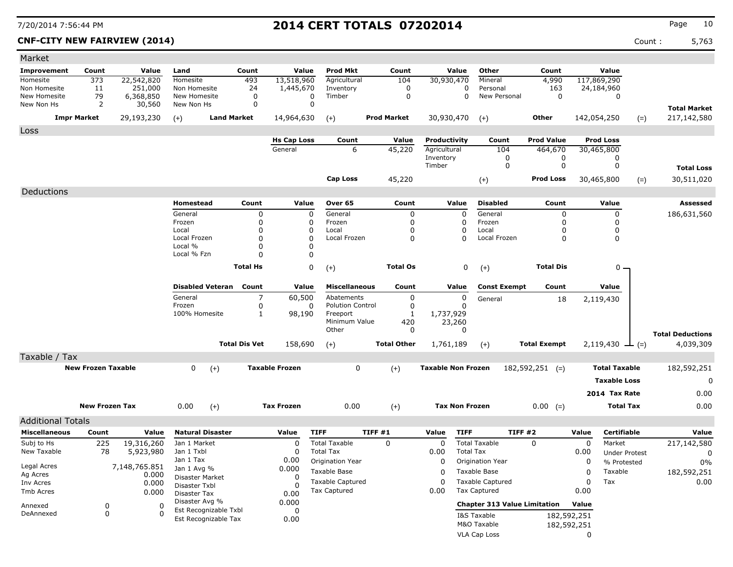## **CNF-CITY NEW FAIRVIEW (2014)** Count : 5,763

| Market                     |                           |                        |                               |                      |                       |                         |                    |                           |                                     |                     |             |                      |                         |
|----------------------------|---------------------------|------------------------|-------------------------------|----------------------|-----------------------|-------------------------|--------------------|---------------------------|-------------------------------------|---------------------|-------------|----------------------|-------------------------|
| Improvement                | Count                     | Value                  | Land                          | Count                | Value                 | <b>Prod Mkt</b>         | Count              | Value                     | Other                               | Count               |             | Value                |                         |
| Homesite                   | 373                       | 22,542,820             | Homesite                      | 493                  | 13,518,960            | Agricultural            | 104                | 30,930,470                | Mineral                             | 4,990               |             | 117,869,290          |                         |
| Non Homesite               | 11                        | 251,000                | Non Homesite                  | 24                   | 1,445,670             | Inventory               | 0                  |                           | 0<br>Personal                       | 163                 |             | 24,184,960           |                         |
| New Homesite<br>New Non Hs | 79<br>2                   | 6,368,850<br>30,560    | New Homesite<br>New Non Hs    | 0<br>0               | 0<br>$\mathbf 0$      | Timber                  | 0                  |                           | 0<br>New Personal                   | 0                   |             | 0                    |                         |
|                            |                           |                        |                               |                      |                       |                         |                    |                           |                                     |                     |             |                      | <b>Total Market</b>     |
|                            | <b>Impr Market</b>        | 29,193,230             | <b>Land Market</b><br>$(+)$   |                      | 14,964,630            | $(+)$                   | <b>Prod Market</b> | 30,930,470                | $(+)$                               | Other               |             | 142,054,250          | 217,142,580<br>$(=)$    |
| Loss                       |                           |                        |                               |                      |                       |                         |                    |                           |                                     |                     |             |                      |                         |
|                            |                           |                        |                               |                      | <b>Hs Cap Loss</b>    | Count                   | Value              | Productivity              | Count                               | <b>Prod Value</b>   |             | <b>Prod Loss</b>     |                         |
|                            |                           |                        |                               |                      | General               | 6                       | 45,220             | Agricultural              | 104                                 | 464,670             |             | 30,465,800           |                         |
|                            |                           |                        |                               |                      |                       |                         |                    | Inventory<br>Timber       | 0<br>0                              | 0<br>0              |             | 0<br>0               |                         |
|                            |                           |                        |                               |                      |                       |                         |                    |                           |                                     |                     |             |                      | <b>Total Loss</b>       |
|                            |                           |                        |                               |                      |                       | <b>Cap Loss</b>         | 45,220             |                           | $(+)$                               | <b>Prod Loss</b>    |             | 30,465,800           | 30,511,020<br>$(=)$     |
| Deductions                 |                           |                        |                               |                      |                       |                         |                    |                           |                                     |                     |             |                      |                         |
|                            |                           |                        | Homestead                     | Count                | Value                 | Over 65                 | Count              | Value                     | <b>Disabled</b>                     | Count               |             | Value                | Assessed                |
|                            |                           |                        | General                       | 0                    | 0                     | General                 | 0                  |                           | $\mathbf 0$<br>General              | 0                   |             | 0                    | 186,631,560             |
|                            |                           |                        | Frozen                        | $\Omega$             | 0                     | Frozen                  | 0                  |                           | 0<br>Frozen                         | 0                   |             | 0                    |                         |
|                            |                           |                        | Local                         | $\Omega$             | 0                     | Local                   | $\Omega$           |                           | 0<br>Local                          | 0                   |             | 0                    |                         |
|                            |                           |                        | Local Frozen<br>Local %       | $\Omega$             | 0                     | Local Frozen            | 0                  |                           | $\Omega$<br>Local Frozen            | 0                   |             | 0                    |                         |
|                            |                           |                        | Local % Fzn                   | $\Omega$<br>$\Omega$ | 0<br>0                |                         |                    |                           |                                     |                     |             |                      |                         |
|                            |                           |                        |                               |                      |                       |                         |                    |                           |                                     |                     |             |                      |                         |
|                            |                           |                        |                               | <b>Total Hs</b>      | 0                     | $(+)$                   | <b>Total Os</b>    |                           | 0<br>$(+)$                          | <b>Total Dis</b>    |             | 0 -                  |                         |
|                            |                           |                        | <b>Disabled Veteran</b>       | Count                | Value                 | <b>Miscellaneous</b>    | Count              | Value                     | <b>Const Exempt</b>                 | Count               |             | Value                |                         |
|                            |                           |                        | General                       | 7                    | 60,500                | Abatements              | 0                  |                           | 0<br>General                        | 18                  |             | 2,119,430            |                         |
|                            |                           |                        | Frozen                        | 0                    | 0                     | <b>Polution Control</b> | 0                  |                           | $\Omega$                            |                     |             |                      |                         |
|                            |                           |                        | 100% Homesite                 | 1                    | 98,190                | Freeport                | 1                  | 1,737,929                 |                                     |                     |             |                      |                         |
|                            |                           |                        |                               |                      |                       | Minimum Value           | 420                | 23,260                    |                                     |                     |             |                      |                         |
|                            |                           |                        |                               |                      |                       | Other                   | 0                  |                           | 0                                   |                     |             |                      | <b>Total Deductions</b> |
|                            |                           |                        |                               | <b>Total Dis Vet</b> | 158,690               | $(+)$                   | <b>Total Other</b> | 1,761,189                 | $(+)$                               | <b>Total Exempt</b> |             | 2,119,430<br>$ (=)$  | 4,039,309               |
| Taxable / Tax              |                           |                        |                               |                      |                       |                         |                    |                           |                                     |                     |             |                      |                         |
|                            | <b>New Frozen Taxable</b> |                        | 0<br>$(+)$                    |                      | <b>Taxable Frozen</b> | 0                       | $(+)$              | <b>Taxable Non Frozen</b> |                                     | $182,592,251$ (=)   |             | <b>Total Taxable</b> | 182,592,251             |
|                            |                           |                        |                               |                      |                       |                         |                    |                           |                                     |                     |             | <b>Taxable Loss</b>  | 0                       |
|                            |                           |                        |                               |                      |                       |                         |                    |                           |                                     |                     |             | 2014 Tax Rate        | 0.00                    |
|                            |                           |                        |                               |                      |                       |                         |                    |                           |                                     |                     |             |                      |                         |
|                            | <b>New Frozen Tax</b>     |                        | 0.00<br>$(+)$                 |                      | <b>Tax Frozen</b>     | 0.00                    | $(+)$              |                           | <b>Tax Non Frozen</b>               | $0.00 (=)$          |             | <b>Total Tax</b>     | 0.00                    |
| <b>Additional Totals</b>   |                           |                        |                               |                      |                       |                         |                    |                           |                                     |                     |             |                      |                         |
| <b>Miscellaneous</b>       | Count                     | Value                  | <b>Natural Disaster</b>       |                      | Value                 | <b>TIFF</b>             | TIFF#1             | Value                     | <b>TIFF</b>                         | TIFF#2              | Value       | <b>Certifiable</b>   | Value                   |
| Subj to Hs                 | 225                       | 19,316,260             | Jan 1 Market                  |                      | $\mathbf 0$           | <b>Total Taxable</b>    | $\mathbf 0$        | $\mathbf 0$               | <b>Total Taxable</b>                | $\Omega$            | $\mathbf 0$ | Market               | 217,142,580             |
| New Taxable                | 78                        | 5,923,980              | Jan 1 Txbl                    |                      | 0                     | <b>Total Tax</b>        |                    | 0.00                      | <b>Total Tax</b>                    |                     | 0.00        | <b>Under Protest</b> | 0                       |
|                            |                           |                        | Jan 1 Tax                     |                      | 0.00                  | Origination Year        |                    | 0                         | Origination Year                    |                     | 0           | % Protested          | $0\%$                   |
| Legal Acres<br>Ag Acres    |                           | 7,148,765.851<br>0.000 | Jan 1 Avg %                   |                      | 0.000                 | Taxable Base            |                    | 0                         | Taxable Base                        |                     | 0           | Taxable              | 182,592,251             |
| Inv Acres                  |                           | 0.000                  | Disaster Market               |                      | 0                     | <b>Taxable Captured</b> |                    | 0                         | <b>Taxable Captured</b>             |                     | $\Omega$    | Tax                  | 0.00                    |
| Tmb Acres                  |                           | 0.000                  | Disaster Txbl<br>Disaster Tax |                      | O<br>0.00             | Tax Captured            |                    | 0.00                      | <b>Tax Captured</b>                 |                     | 0.00        |                      |                         |
|                            |                           |                        | Disaster Avg %                |                      | 0.000                 |                         |                    |                           |                                     |                     |             |                      |                         |
| Annexed                    | 0                         | 0                      | Est Recognizable Txbl         |                      | 0                     |                         |                    |                           | <b>Chapter 313 Value Limitation</b> |                     | Value       |                      |                         |
| DeAnnexed                  | 0                         | n                      | Est Recognizable Tax          |                      | 0.00                  |                         |                    |                           | I&S Taxable                         |                     | 182,592,251 |                      |                         |
|                            |                           |                        |                               |                      |                       |                         |                    |                           | M&O Taxable                         |                     | 182,592,251 |                      |                         |
|                            |                           |                        |                               |                      |                       |                         |                    |                           | VLA Cap Loss                        |                     | 0           |                      |                         |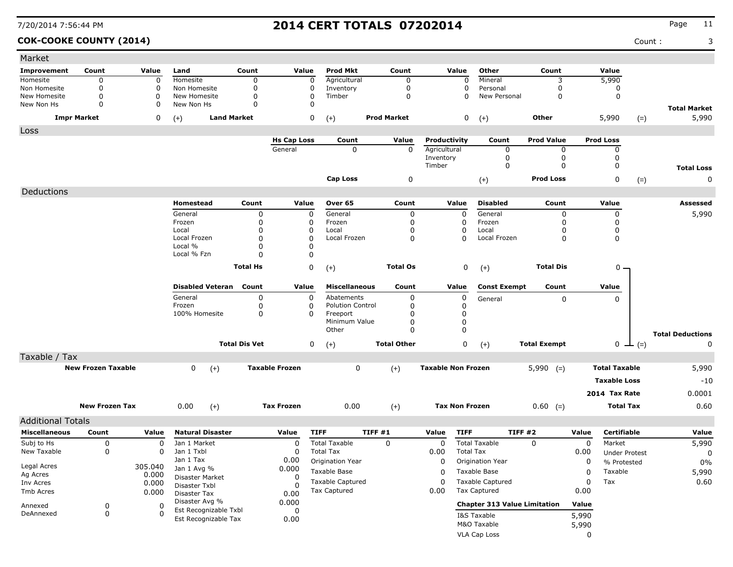**COK-COOKE COUNTY (2014)** Count : 3

| Market                   |                           |          |                                           |                      |                       |                         |                    |                           |                                     |                     |          |                      |        |                              |
|--------------------------|---------------------------|----------|-------------------------------------------|----------------------|-----------------------|-------------------------|--------------------|---------------------------|-------------------------------------|---------------------|----------|----------------------|--------|------------------------------|
| Improvement              | Count                     | Value    | Land                                      | Count                | Value                 | <b>Prod Mkt</b>         | Count              | Value                     | Other                               | Count               |          | Value                |        |                              |
| Homesite                 | 0                         | 0        | Homesite                                  | 0                    | 0                     | Agricultural            | $\mathbf 0$        | $\Omega$                  | Mineral                             | 3                   |          | 5,990                |        |                              |
| Non Homesite             | 0                         | $\Omega$ | Non Homesite                              | 0                    | 0                     | Inventory               | 0                  | O                         | Personal                            | $\Omega$            |          | 0                    |        |                              |
| New Homesite             | 0<br>0                    | 0        | New Homesite                              | $\mathbf 0$          | 0<br>0                | Timber                  | $\mathbf 0$        | O                         | New Personal                        | $\Omega$            |          | 0                    |        |                              |
| New Non Hs               | <b>Impr Market</b>        | 0<br>0   | New Non Hs<br><b>Land Market</b><br>$(+)$ | 0                    | 0                     | $(+)$                   | <b>Prod Market</b> | 0                         | $(+)$                               | Other               |          | 5,990                |        | <b>Total Market</b><br>5,990 |
|                          |                           |          |                                           |                      |                       |                         |                    |                           |                                     |                     |          |                      | $(=)$  |                              |
| Loss                     |                           |          |                                           |                      | <b>Hs Cap Loss</b>    | Count                   | Value              | Productivity              | Count                               | <b>Prod Value</b>   |          | <b>Prod Loss</b>     |        |                              |
|                          |                           |          |                                           |                      | General               | 0                       | $\mathbf 0$        | Agricultural              | 0                                   | 0                   |          | 0                    |        |                              |
|                          |                           |          |                                           |                      |                       |                         |                    | Inventory                 | 0                                   | 0                   |          | 0                    |        |                              |
|                          |                           |          |                                           |                      |                       |                         |                    | Timber                    | 0                                   | 0                   |          | 0                    |        | <b>Total Loss</b>            |
|                          |                           |          |                                           |                      |                       | <b>Cap Loss</b>         | 0                  |                           | $(+)$                               | <b>Prod Loss</b>    |          | 0                    | $(=)$  | 0                            |
| Deductions               |                           |          |                                           |                      |                       |                         |                    |                           |                                     |                     |          |                      |        |                              |
|                          |                           |          | Homestead                                 | Count                | Value                 | Over 65                 | Count              | Value                     | <b>Disabled</b>                     | Count               |          | Value                |        | Assessed                     |
|                          |                           |          | General                                   | 0                    | 0                     | General                 | 0                  | 0                         | General                             | 0                   |          | 0                    |        | 5,990                        |
|                          |                           |          | Frozen                                    | 0                    | 0                     | Frozen                  | 0                  | 0                         | Frozen                              | 0                   |          | 0                    |        |                              |
|                          |                           |          | Local                                     | 0                    | 0                     | Local                   | 0                  | 0                         | Local                               | 0                   |          | 0                    |        |                              |
|                          |                           |          | Local Frozen<br>Local %                   | 0<br>0               | 0<br>$\Omega$         | Local Frozen            | 0                  | $\mathbf{0}$              | Local Frozen                        | 0                   |          | 0                    |        |                              |
|                          |                           |          | Local % Fzn                               | 0                    | 0                     |                         |                    |                           |                                     |                     |          |                      |        |                              |
|                          |                           |          |                                           |                      |                       |                         |                    |                           |                                     |                     |          |                      |        |                              |
|                          |                           |          |                                           | <b>Total Hs</b>      | 0                     | $(+)$                   | <b>Total Os</b>    | 0                         | $(+)$                               | <b>Total Dis</b>    |          | $0 -$                |        |                              |
|                          |                           |          | <b>Disabled Veteran</b>                   | Count                | Value                 | <b>Miscellaneous</b>    | Count              | Value                     | <b>Const Exempt</b>                 | Count               |          | Value                |        |                              |
|                          |                           |          | General                                   | 0                    | 0                     | Abatements              | 0                  | 0                         | General                             | 0                   |          | 0                    |        |                              |
|                          |                           |          | Frozen                                    | 0                    | 0                     | <b>Polution Control</b> | $\mathbf 0$        | $\mathbf{0}$              |                                     |                     |          |                      |        |                              |
|                          |                           |          | 100% Homesite                             | 0                    | $\Omega$              | Freeport                | 0                  | 0                         |                                     |                     |          |                      |        |                              |
|                          |                           |          |                                           |                      |                       | Minimum Value<br>Other  | 0<br>0             | 0<br>0                    |                                     |                     |          |                      |        |                              |
|                          |                           |          |                                           |                      |                       |                         |                    |                           |                                     |                     |          |                      |        | <b>Total Deductions</b>      |
|                          |                           |          |                                           | <b>Total Dis Vet</b> | 0                     | $(+)$                   | <b>Total Other</b> | 0                         | $(+)$                               | <b>Total Exempt</b> |          | $\mathbf 0$          | $-(-)$ | 0                            |
| Taxable / Tax            |                           |          |                                           |                      |                       |                         |                    |                           |                                     |                     |          |                      |        |                              |
|                          | <b>New Frozen Taxable</b> |          | $\mathbf 0$<br>$(+)$                      |                      | <b>Taxable Frozen</b> | 0                       | $(+)$              | <b>Taxable Non Frozen</b> |                                     | $5,990$ (=)         |          | <b>Total Taxable</b> |        | 5,990                        |
|                          |                           |          |                                           |                      |                       |                         |                    |                           |                                     |                     |          | <b>Taxable Loss</b>  |        | $-10$                        |
|                          |                           |          |                                           |                      |                       |                         |                    |                           |                                     |                     |          | 2014 Tax Rate        |        | 0.0001                       |
|                          | <b>New Frozen Tax</b>     |          |                                           |                      | <b>Tax Frozen</b>     |                         |                    | <b>Tax Non Frozen</b>     |                                     |                     |          | <b>Total Tax</b>     |        |                              |
|                          |                           |          | 0.00<br>$(+)$                             |                      |                       | 0.00                    | $(+)$              |                           |                                     | $0.60 (=)$          |          |                      |        | 0.60                         |
| <b>Additional Totals</b> |                           |          |                                           |                      |                       |                         |                    |                           |                                     |                     |          |                      |        |                              |
| <b>Miscellaneous</b>     | Count                     | Value    | <b>Natural Disaster</b>                   |                      | Value                 | <b>TIFF</b>             | TIFF#1             | <b>TIFF</b><br>Value      |                                     | <b>TIFF #2</b>      | Value    | <b>Certifiable</b>   |        | Value                        |
| Subj to Hs               | $\mathbf 0$               | 0        | Jan 1 Market                              |                      | 0                     | <b>Total Taxable</b>    | 0                  | 0                         | <b>Total Taxable</b>                | $\Omega$            | $\Omega$ | Market               |        | 5,990                        |
| New Taxable              | 0                         | 0        | Jan 1 Txbl                                |                      | 0                     | <b>Total Tax</b>        |                    | 0.00                      | <b>Total Tax</b>                    |                     | 0.00     | <b>Under Protest</b> |        | 0                            |
| Legal Acres              |                           | 305.040  | Jan 1 Tax                                 |                      | 0.00                  | Origination Year        |                    | 0                         | Origination Year                    |                     | 0        | % Protested          |        | $0\%$                        |
| Ag Acres                 |                           | 0.000    | Jan 1 Avg %<br>Disaster Market            |                      | 0.000<br>0            | Taxable Base            |                    | 0                         | Taxable Base                        |                     | 0        | Taxable              |        | 5,990                        |
| Inv Acres                |                           | 0.000    | Disaster Txbl                             |                      | n                     | <b>Taxable Captured</b> |                    | 0                         | <b>Taxable Captured</b>             |                     | 0        | Tax                  |        | 0.60                         |
| Tmb Acres                |                           | 0.000    | Disaster Tax                              |                      | 0.00                  | <b>Tax Captured</b>     |                    | 0.00                      | <b>Tax Captured</b>                 |                     | 0.00     |                      |        |                              |
| Annexed                  | 0                         | 0        | Disaster Avg %                            |                      | 0.000                 |                         |                    |                           | <b>Chapter 313 Value Limitation</b> |                     | Value    |                      |        |                              |
| DeAnnexed                | 0                         | 0        | Est Recognizable Txbl                     |                      | 0                     |                         |                    |                           | I&S Taxable                         |                     | 5,990    |                      |        |                              |
|                          |                           |          | Est Recognizable Tax                      |                      | 0.00                  |                         |                    |                           | M&O Taxable                         |                     | 5,990    |                      |        |                              |
|                          |                           |          |                                           |                      |                       |                         |                    |                           | <b>VLA Cap Loss</b>                 |                     | 0        |                      |        |                              |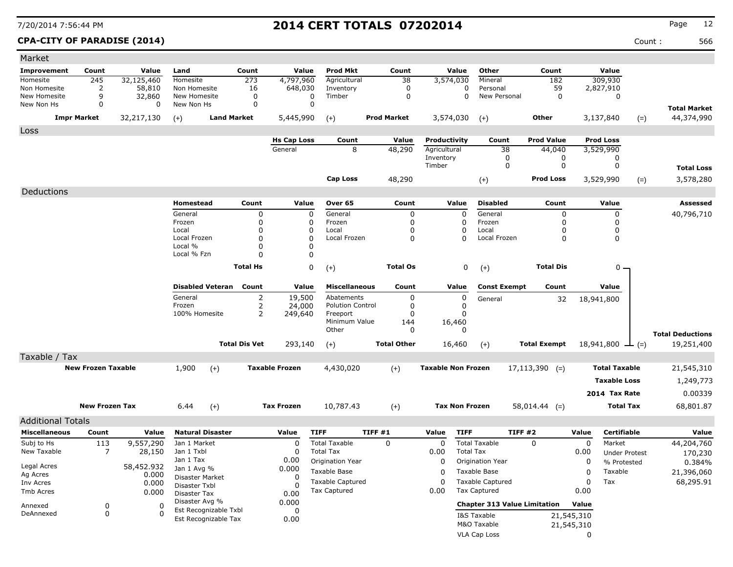### **CPA-CITY OF PARADISE (2014)** Count : 566

| Market                     |                           |                |                                |                      |                       |                         |                    |       |                           |                         |                                     |             |                      |        |                         |
|----------------------------|---------------------------|----------------|--------------------------------|----------------------|-----------------------|-------------------------|--------------------|-------|---------------------------|-------------------------|-------------------------------------|-------------|----------------------|--------|-------------------------|
| Improvement                | Count                     | Value          | Land                           | Count                | Value                 | <b>Prod Mkt</b>         | Count              |       | Value                     | Other                   | Count                               |             | Value                |        |                         |
| Homesite                   | 245                       | 32,125,460     | Homesite                       | 273                  | 4,797,960             | Agricultural            |                    | 38    | 3,574,030                 | Mineral                 | 182                                 |             | 309,930              |        |                         |
| Non Homesite               | 2                         | 58,810         | Non Homesite                   | 16                   | 648,030               | Inventory               |                    | 0     | 0                         | Personal                | 59                                  |             | 2,827,910            |        |                         |
| New Homesite<br>New Non Hs | 9<br>0                    | 32,860<br>0    | New Homesite<br>New Non Hs     | 0<br>$\mathbf 0$     | 0<br>$\mathbf 0$      | Timber                  |                    | 0     | $\Omega$                  | New Personal            | $\mathbf 0$                         |             | 0                    |        |                         |
|                            |                           |                |                                |                      |                       |                         |                    |       |                           |                         |                                     |             |                      |        | <b>Total Market</b>     |
| <b>Impr Market</b>         |                           | 32,217,130     | $(+)$                          | <b>Land Market</b>   | 5,445,990             | $(+)$                   | <b>Prod Market</b> |       | 3,574,030                 | $(+)$                   | <b>Other</b>                        |             | 3,137,840            | $(=)$  | 44,374,990              |
| Loss                       |                           |                |                                |                      |                       |                         |                    |       |                           |                         |                                     |             |                      |        |                         |
|                            |                           |                |                                |                      | <b>Hs Cap Loss</b>    | Count                   | Value              |       | Productivity              | Count                   | <b>Prod Value</b>                   |             | <b>Prod Loss</b>     |        |                         |
|                            |                           |                |                                |                      | General               | 8                       | 48,290             |       | Agricultural              | 38                      | 44,040                              |             | 3,529,990            |        |                         |
|                            |                           |                |                                |                      |                       |                         |                    |       | Inventory<br>Timber       | 0<br>$\mathbf 0$        | 0<br>$\mathbf 0$                    |             | 0<br>0               |        |                         |
|                            |                           |                |                                |                      |                       |                         |                    |       |                           |                         |                                     |             |                      |        | <b>Total Loss</b>       |
|                            |                           |                |                                |                      |                       | Cap Loss                | 48,290             |       |                           | $(+)$                   | <b>Prod Loss</b>                    |             | 3,529,990            | $(=)$  | 3,578,280               |
| Deductions                 |                           |                |                                |                      |                       |                         |                    |       |                           |                         |                                     |             |                      |        |                         |
|                            |                           |                | Homestead                      | Count                | Value                 | Over 65                 |                    | Count | Value                     | <b>Disabled</b>         | Count                               |             | Value                |        | Assessed                |
|                            |                           |                | General                        | 0                    | 0                     | General                 |                    | 0     | 0                         | General                 | 0                                   |             | 0                    |        | 40,796,710              |
|                            |                           |                | Frozen                         | 0                    | 0                     | Frozen                  |                    | 0     | 0                         | Frozen                  | 0                                   |             | $\Omega$             |        |                         |
|                            |                           |                | Local                          | 0                    | 0                     | Local                   |                    | 0     | 0                         | Local                   | 0                                   |             | 0                    |        |                         |
|                            |                           |                | Local Frozen<br>Local %        | 0<br>0               | 0<br>0                | Local Frozen            |                    | 0     | $\Omega$                  | Local Frozen            | 0                                   |             | 0                    |        |                         |
|                            |                           |                | Local % Fzn                    | $\Omega$             | 0                     |                         |                    |       |                           |                         |                                     |             |                      |        |                         |
|                            |                           |                |                                |                      |                       |                         |                    |       |                           |                         |                                     |             |                      |        |                         |
|                            |                           |                |                                | <b>Total Hs</b>      | 0                     | $(+)$                   | <b>Total Os</b>    |       | 0                         | $(+)$                   | <b>Total Dis</b>                    |             | $0 -$                |        |                         |
|                            |                           |                | <b>Disabled Veteran</b>        | Count                | Value                 | <b>Miscellaneous</b>    |                    | Count | Value                     | <b>Const Exempt</b>     | Count                               |             | Value                |        |                         |
|                            |                           |                | General                        | 2                    | 19,500                | Abatements              |                    | 0     | 0                         | General                 | 32                                  |             | 18,941,800           |        |                         |
|                            |                           |                | Frozen                         | 2                    | 24,000                | <b>Polution Control</b> |                    | 0     | 0                         |                         |                                     |             |                      |        |                         |
|                            |                           |                | 100% Homesite                  | 2                    | 249,640               | Freeport                |                    | 0     | $\Omega$                  |                         |                                     |             |                      |        |                         |
|                            |                           |                |                                |                      |                       | Minimum Value           |                    | 144   | 16,460                    |                         |                                     |             |                      |        |                         |
|                            |                           |                |                                |                      |                       | Other                   |                    | 0     | 0                         |                         |                                     |             |                      |        | <b>Total Deductions</b> |
|                            |                           |                |                                | <b>Total Dis Vet</b> | 293,140               | $(+)$                   | <b>Total Other</b> |       | 16,460                    | $(+)$                   | <b>Total Exempt</b>                 |             | 18,941,800           | $-(-)$ | 19,251,400              |
| Taxable / Tax              |                           |                |                                |                      |                       |                         |                    |       |                           |                         |                                     |             |                      |        |                         |
|                            | <b>New Frozen Taxable</b> |                | 1,900<br>$(+)$                 |                      | <b>Taxable Frozen</b> | 4,430,020               | $(+)$              |       | <b>Taxable Non Frozen</b> |                         | $17,113,390$ (=)                    |             | <b>Total Taxable</b> |        | 21,545,310              |
|                            |                           |                |                                |                      |                       |                         |                    |       |                           |                         |                                     |             | <b>Taxable Loss</b>  |        | 1,249,773               |
|                            |                           |                |                                |                      |                       |                         |                    |       |                           |                         |                                     |             |                      |        | 0.00339                 |
|                            |                           |                |                                |                      |                       |                         |                    |       |                           |                         |                                     |             | 2014 Tax Rate        |        |                         |
|                            | <b>New Frozen Tax</b>     |                | 6.44<br>$(+)$                  |                      | <b>Tax Frozen</b>     | 10,787.43               | $(+)$              |       | <b>Tax Non Frozen</b>     |                         | $58,014.44$ (=)                     |             | <b>Total Tax</b>     |        | 68,801.87               |
| <b>Additional Totals</b>   |                           |                |                                |                      |                       |                         |                    |       |                           |                         |                                     |             |                      |        |                         |
| <b>Miscellaneous</b>       | Count                     | Value          | <b>Natural Disaster</b>        |                      | Value                 | <b>TIFF</b>             | TIFF#1             |       | <b>TIFF</b><br>Value      |                         | <b>TIFF #2</b>                      | Value       | Certifiable          |        | Value                   |
| Subj to Hs                 | 113                       | 9,557,290      | Jan 1 Market                   |                      | $\mathbf 0$           | <b>Total Taxable</b>    | $\mathbf 0$        |       | $\mathbf 0$               | <b>Total Taxable</b>    | $\Omega$                            | $\mathbf 0$ | Market               |        | 44,204,760              |
| New Taxable                | 7                         | 28,150         | Jan 1 Txbl                     |                      | 0                     | <b>Total Tax</b>        |                    |       | 0.00                      | <b>Total Tax</b>        |                                     | 0.00        | <b>Under Protest</b> |        | 170,230                 |
|                            |                           |                | Jan 1 Tax                      |                      | 0.00                  | Origination Year        |                    |       | 0                         | Origination Year        |                                     | 0           | % Protested          |        | 0.384%                  |
| Legal Acres                |                           | 58,452.932     | Jan 1 Avg %                    |                      | 0.000                 | Taxable Base            |                    |       | 0                         | Taxable Base            |                                     | 0           | Taxable              |        | 21,396,060              |
| Ag Acres<br>Inv Acres      |                           | 0.000<br>0.000 | Disaster Market                |                      | 0                     | <b>Taxable Captured</b> |                    |       | 0                         | <b>Taxable Captured</b> |                                     | 0           | Tax                  |        | 68,295.91               |
| Tmb Acres                  |                           | 0.000          | Disaster Txbl                  |                      | $\Omega$              | Tax Captured            |                    |       | 0.00                      | <b>Tax Captured</b>     |                                     | 0.00        |                      |        |                         |
|                            |                           |                | Disaster Tax<br>Disaster Avg % |                      | 0.00<br>0.000         |                         |                    |       |                           |                         |                                     |             |                      |        |                         |
| Annexed                    | 0                         | 0              | Est Recognizable Txbl          |                      | 0                     |                         |                    |       |                           |                         | <b>Chapter 313 Value Limitation</b> | Value       |                      |        |                         |
| DeAnnexed                  | 0                         | $\Omega$       | Est Recognizable Tax           |                      | 0.00                  |                         |                    |       |                           | I&S Taxable             |                                     | 21,545,310  |                      |        |                         |
|                            |                           |                |                                |                      |                       |                         |                    |       |                           | M&O Taxable             |                                     | 21,545,310  |                      |        |                         |
|                            |                           |                |                                |                      |                       |                         |                    |       |                           | VLA Cap Loss            |                                     | 0           |                      |        |                         |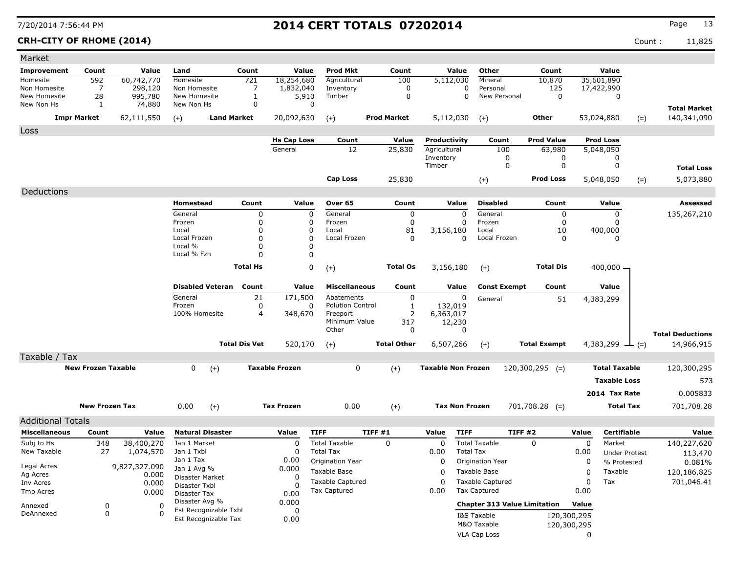## **CRH-CITY OF RHOME (2014)** Count : 11,825

| Market                       |                           |                        |                                  |                      |                       |                         |                    |                           |                                                        |                     |              |                       |                         |
|------------------------------|---------------------------|------------------------|----------------------------------|----------------------|-----------------------|-------------------------|--------------------|---------------------------|--------------------------------------------------------|---------------------|--------------|-----------------------|-------------------------|
| Improvement                  | Count                     | Value                  | Land                             | Count                | Value                 | <b>Prod Mkt</b>         | Count              | Value                     | Other                                                  | Count               |              | Value                 |                         |
| Homesite                     | 592                       | 60,742,770             | Homesite                         | 721                  | 18,254,680            | Agricultural            | 100                | 5,112,030                 | Mineral                                                | 10,870              |              | 35,601,890            |                         |
| Non Homesite<br>New Homesite | 7<br>28                   | 298,120<br>995,780     | Non Homesite<br>New Homesite     | 7<br>$1\,$           | 1,832,040<br>5,910    | Inventory<br>Timber     | 0<br>0             |                           | $\mathbf 0$<br>Personal<br>$\mathbf 0$<br>New Personal | 125<br>$\mathbf 0$  |              | 17,422,990<br>0       |                         |
| New Non Hs                   | $\mathbf{1}$              | 74,880                 | New Non Hs                       | 0                    | 0                     |                         |                    |                           |                                                        |                     |              |                       | <b>Total Market</b>     |
|                              | <b>Impr Market</b>        | 62,111,550             | $(+)$                            | <b>Land Market</b>   | 20,092,630            | $(+)$                   | <b>Prod Market</b> | 5,112,030                 | $(+)$                                                  | Other               |              | 53,024,880<br>$(=)$   | 140,341,090             |
| Loss                         |                           |                        |                                  |                      |                       |                         |                    |                           |                                                        |                     |              |                       |                         |
|                              |                           |                        |                                  |                      | <b>Hs Cap Loss</b>    | Count                   | Value              | Productivity              | Count                                                  | <b>Prod Value</b>   |              | <b>Prod Loss</b>      |                         |
|                              |                           |                        |                                  |                      | General               | 12                      | 25,830             | Agricultural              | 100                                                    | 63,980              |              | 5,048,050             |                         |
|                              |                           |                        |                                  |                      |                       |                         |                    | Inventory<br>Timber       | 0<br>0                                                 | 0<br>0              |              | 0<br>0                | <b>Total Loss</b>       |
|                              |                           |                        |                                  |                      |                       | <b>Cap Loss</b>         | 25,830             |                           |                                                        | <b>Prod Loss</b>    |              | 5,048,050             | 5,073,880               |
|                              |                           |                        |                                  |                      |                       |                         |                    |                           | $(+)$                                                  |                     |              | $(=)$                 |                         |
| Deductions                   |                           |                        | Homestead                        | Count                | Value                 | Over 65                 | Count              | Value                     | <b>Disabled</b>                                        | Count               |              | Value                 | Assessed                |
|                              |                           |                        | General                          | 0                    | 0                     | General                 | 0                  | 0                         | General                                                | 0                   |              | 0                     | 135,267,210             |
|                              |                           |                        | Frozen                           | 0                    | 0                     | Frozen                  | 0                  | 0                         | Frozen                                                 | 0                   |              | 0                     |                         |
|                              |                           |                        | Local                            | 0                    | 0                     | Local                   | 81                 | 3,156,180                 | Local                                                  | 10                  |              | 400,000               |                         |
|                              |                           |                        | Local Frozen                     | $\Omega$             | 0                     | Local Frozen            | 0                  | 0                         | Local Frozen                                           | 0                   |              | 0                     |                         |
|                              |                           |                        | Local %<br>Local % Fzn           | $\Omega$<br>$\Omega$ | 0<br>0                |                         |                    |                           |                                                        |                     |              |                       |                         |
|                              |                           |                        |                                  |                      |                       |                         |                    |                           |                                                        |                     |              |                       |                         |
|                              |                           |                        |                                  | <b>Total Hs</b>      | 0                     | $(+)$                   | <b>Total Os</b>    | 3,156,180                 | $(+)$                                                  | <b>Total Dis</b>    |              | $400,000 -$           |                         |
|                              |                           |                        | <b>Disabled Veteran</b>          | Count                | Value                 | <b>Miscellaneous</b>    | Count              | Value                     | <b>Const Exempt</b>                                    | Count               |              | Value                 |                         |
|                              |                           |                        | General                          | 21                   | 171,500               | Abatements              | 0                  | 0                         | General                                                | 51                  |              | 4,383,299             |                         |
|                              |                           |                        | Frozen                           | 0                    | 0                     | <b>Polution Control</b> | $\mathbf{1}$       | 132,019                   |                                                        |                     |              |                       |                         |
|                              |                           |                        | 100% Homesite                    | $\overline{4}$       | 348,670               | Freeport                | $\overline{2}$     | 6,363,017                 |                                                        |                     |              |                       |                         |
|                              |                           |                        |                                  |                      |                       | Minimum Value<br>Other  | 317<br>0           | 12,230<br>0               |                                                        |                     |              |                       |                         |
|                              |                           |                        |                                  |                      |                       |                         |                    |                           |                                                        |                     |              |                       | <b>Total Deductions</b> |
|                              |                           |                        |                                  | <b>Total Dis Vet</b> | 520,170               | $(+)$                   | <b>Total Other</b> | 6,507,266                 | $(+)$                                                  | <b>Total Exempt</b> |              | 4,383,299 $\perp$ (=) | 14,966,915              |
| Taxable / Tax                |                           |                        |                                  |                      |                       |                         |                    |                           |                                                        |                     |              |                       |                         |
|                              | <b>New Frozen Taxable</b> |                        | 0<br>$(+)$                       |                      | <b>Taxable Frozen</b> | 0                       | $(+)$              | <b>Taxable Non Frozen</b> |                                                        | $120,300,295$ (=)   |              | <b>Total Taxable</b>  | 120,300,295             |
|                              |                           |                        |                                  |                      |                       |                         |                    |                           |                                                        |                     |              | <b>Taxable Loss</b>   | 573                     |
|                              |                           |                        |                                  |                      |                       |                         |                    |                           |                                                        |                     |              | 2014 Tax Rate         | 0.005833                |
|                              | <b>New Frozen Tax</b>     |                        | 0.00<br>$(+)$                    |                      | <b>Tax Frozen</b>     | 0.00                    | $(+)$              | <b>Tax Non Frozen</b>     |                                                        | $701,708.28$ (=)    |              | <b>Total Tax</b>      | 701,708.28              |
| <b>Additional Totals</b>     |                           |                        |                                  |                      |                       |                         |                    |                           |                                                        |                     |              |                       |                         |
| <b>Miscellaneous</b>         | Count                     | Value                  | <b>Natural Disaster</b>          |                      | Value                 | <b>TIFF</b>             | TIFF #1            | <b>TIFF</b><br>Value      |                                                        | <b>TIFF #2</b>      | Value        | <b>Certifiable</b>    | Value                   |
| Subj to Hs                   | 348                       | 38,400,270             | Jan 1 Market                     |                      | 0                     | <b>Total Taxable</b>    | $\Omega$           | 0                         | <b>Total Taxable</b>                                   | 0                   | $\mathbf{0}$ | Market                | 140,227,620             |
| New Taxable                  | 27                        | 1,074,570              | Jan 1 Txbl                       |                      | 0                     | <b>Total Tax</b>        |                    | 0.00                      | <b>Total Tax</b>                                       |                     | 0.00         | <b>Under Protest</b>  | 113,470                 |
| Legal Acres                  |                           |                        | Jan 1 Tax                        |                      | 0.00                  | <b>Origination Year</b> |                    | $\Omega$                  | Origination Year                                       |                     | 0            | % Protested           | 0.081%                  |
| Ag Acres                     |                           | 9,827,327.090<br>0.000 | Jan 1 Avg %                      |                      | 0.000                 | Taxable Base            |                    | 0                         | Taxable Base                                           |                     | $\mathbf 0$  | Taxable               | 120,186,825             |
| Inv Acres                    |                           | 0.000                  | Disaster Market<br>Disaster Txbl |                      | 0<br>0                | <b>Taxable Captured</b> |                    | 0                         | <b>Taxable Captured</b>                                |                     | 0            | Tax                   | 701,046.41              |
| Tmb Acres                    |                           | 0.000                  | Disaster Tax                     |                      | 0.00                  | Tax Captured            |                    | 0.00                      | <b>Tax Captured</b>                                    |                     | 0.00         |                       |                         |
| Annexed                      | 0                         | 0                      | Disaster Avg %                   |                      | 0.000                 |                         |                    |                           | <b>Chapter 313 Value Limitation</b>                    |                     | Value        |                       |                         |
| DeAnnexed                    | 0                         | $\Omega$               | Est Recognizable Txbl            |                      | 0                     |                         |                    |                           | I&S Taxable                                            |                     | 120,300,295  |                       |                         |
|                              |                           |                        | Est Recognizable Tax             |                      | 0.00                  |                         |                    |                           | M&O Taxable                                            |                     | 120,300,295  |                       |                         |
|                              |                           |                        |                                  |                      |                       |                         |                    |                           | VLA Cap Loss                                           |                     | 0            |                       |                         |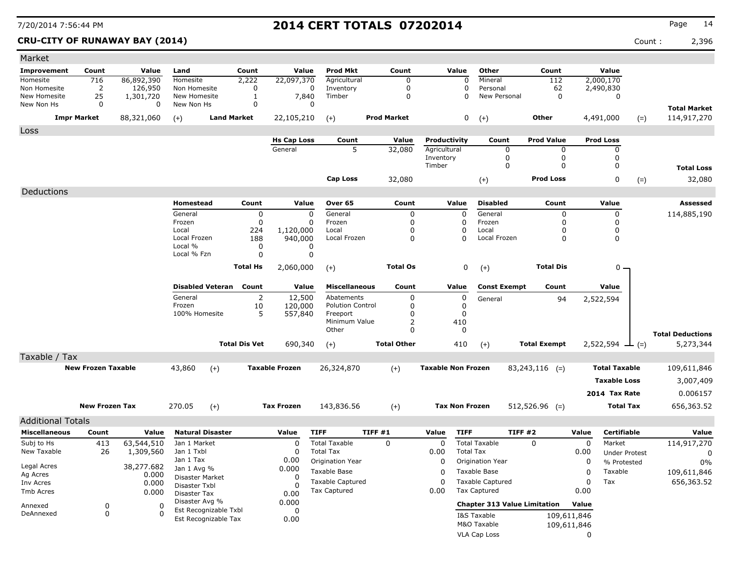**CRU-CITY OF RUNAWAY BAY (2014)** Count : 2,396

| <b>Prod Mkt</b><br>Other<br>Value<br>Land<br>Count<br>Value<br>Count<br>Value<br>Count<br><b>Improvement</b><br>Count<br>Value<br>716<br>86,892,390<br>Homesite<br>22,097,370<br>Agricultural<br>$\pmb{0}$<br>Mineral<br>2,000,170<br>Homesite<br>$\mathbf 0$<br>112<br>2,222<br>$\overline{2}$<br>$\mathbf 0$<br>$\mathbf 0$<br>62<br>Non Homesite<br>126,950<br>Non Homesite<br>0<br>Inventory<br>Personal<br>2,490,830<br>0<br>25<br>$\mathbf 0$<br>$\mathbf 0$<br>New Homesite<br>1,301,720<br>New Homesite<br>1<br>7,840<br>Timber<br>0<br>New Personal<br>0<br>New Non Hs<br>0<br>New Non Hs<br>0<br>0<br>$\Omega$<br><b>Land Market</b><br>0<br>114,917,270<br><b>Impr Market</b><br>88,321,060<br>22,105,210<br><b>Prod Market</b><br>Other<br>4,491,000<br>$(+)$<br>$(+)$<br>$(+)$<br>$(=)$<br>Loss<br><b>Prod Value</b><br><b>Prod Loss</b><br><b>Hs Cap Loss</b><br>Count<br>Value<br>Productivity<br>Count<br>General<br>5<br>32,080<br>Agricultural<br>0<br>0<br>0<br>Inventory<br>0<br>0<br>0<br>0<br>0<br>0<br>Timber<br><b>Total Loss</b><br>0<br>Cap Loss<br><b>Prod Loss</b><br>32,080<br>32,080<br>$(+)$<br>$(=)$<br>Deductions<br>Count<br><b>Disabled</b><br>Value<br>Homestead<br>Value<br>Over 65<br>Count<br>Value<br>Count<br>Assessed<br>$\mathbf 0$<br>General<br>0<br>General<br>0<br>0<br>General<br>0<br>0<br>114,885,190<br>$\mathbf 0$<br>Frozen<br>0<br>Frozen<br>0<br>Frozen<br>0<br>0<br>0<br>0<br>224<br>0<br>Local<br>1,120,000<br>Local<br>0<br>Local<br>0<br>188<br>940,000<br>$\mathbf{0}$<br>0<br>0<br>Local Frozen<br>Local Frozen<br>0<br>Local Frozen<br>Local %<br>0<br>0<br>Local % Fzn<br>0<br>0<br><b>Total Os</b><br>0<br><b>Total Dis</b><br><b>Total Hs</b><br>2,060,000<br>$0 -$<br>$(+)$<br>$(+)$<br><b>Disabled Veteran</b><br>Count<br><b>Miscellaneous</b><br>Count<br>Value<br><b>Const Exempt</b><br>Count<br>Value<br>Value |  |         |   |        |            |   |             |  |  |                     |
|----------------------------------------------------------------------------------------------------------------------------------------------------------------------------------------------------------------------------------------------------------------------------------------------------------------------------------------------------------------------------------------------------------------------------------------------------------------------------------------------------------------------------------------------------------------------------------------------------------------------------------------------------------------------------------------------------------------------------------------------------------------------------------------------------------------------------------------------------------------------------------------------------------------------------------------------------------------------------------------------------------------------------------------------------------------------------------------------------------------------------------------------------------------------------------------------------------------------------------------------------------------------------------------------------------------------------------------------------------------------------------------------------------------------------------------------------------------------------------------------------------------------------------------------------------------------------------------------------------------------------------------------------------------------------------------------------------------------------------------------------------------------------------------------------------------------------------------------------------------------------------------|--|---------|---|--------|------------|---|-------------|--|--|---------------------|
|                                                                                                                                                                                                                                                                                                                                                                                                                                                                                                                                                                                                                                                                                                                                                                                                                                                                                                                                                                                                                                                                                                                                                                                                                                                                                                                                                                                                                                                                                                                                                                                                                                                                                                                                                                                                                                                                                        |  |         |   |        |            |   |             |  |  |                     |
|                                                                                                                                                                                                                                                                                                                                                                                                                                                                                                                                                                                                                                                                                                                                                                                                                                                                                                                                                                                                                                                                                                                                                                                                                                                                                                                                                                                                                                                                                                                                                                                                                                                                                                                                                                                                                                                                                        |  |         |   |        |            |   |             |  |  |                     |
|                                                                                                                                                                                                                                                                                                                                                                                                                                                                                                                                                                                                                                                                                                                                                                                                                                                                                                                                                                                                                                                                                                                                                                                                                                                                                                                                                                                                                                                                                                                                                                                                                                                                                                                                                                                                                                                                                        |  |         |   |        |            |   |             |  |  |                     |
|                                                                                                                                                                                                                                                                                                                                                                                                                                                                                                                                                                                                                                                                                                                                                                                                                                                                                                                                                                                                                                                                                                                                                                                                                                                                                                                                                                                                                                                                                                                                                                                                                                                                                                                                                                                                                                                                                        |  |         |   |        |            |   |             |  |  |                     |
|                                                                                                                                                                                                                                                                                                                                                                                                                                                                                                                                                                                                                                                                                                                                                                                                                                                                                                                                                                                                                                                                                                                                                                                                                                                                                                                                                                                                                                                                                                                                                                                                                                                                                                                                                                                                                                                                                        |  |         |   |        |            |   |             |  |  | <b>Total Market</b> |
|                                                                                                                                                                                                                                                                                                                                                                                                                                                                                                                                                                                                                                                                                                                                                                                                                                                                                                                                                                                                                                                                                                                                                                                                                                                                                                                                                                                                                                                                                                                                                                                                                                                                                                                                                                                                                                                                                        |  |         |   |        |            |   |             |  |  |                     |
|                                                                                                                                                                                                                                                                                                                                                                                                                                                                                                                                                                                                                                                                                                                                                                                                                                                                                                                                                                                                                                                                                                                                                                                                                                                                                                                                                                                                                                                                                                                                                                                                                                                                                                                                                                                                                                                                                        |  |         |   |        |            |   |             |  |  |                     |
|                                                                                                                                                                                                                                                                                                                                                                                                                                                                                                                                                                                                                                                                                                                                                                                                                                                                                                                                                                                                                                                                                                                                                                                                                                                                                                                                                                                                                                                                                                                                                                                                                                                                                                                                                                                                                                                                                        |  |         |   |        |            |   |             |  |  |                     |
|                                                                                                                                                                                                                                                                                                                                                                                                                                                                                                                                                                                                                                                                                                                                                                                                                                                                                                                                                                                                                                                                                                                                                                                                                                                                                                                                                                                                                                                                                                                                                                                                                                                                                                                                                                                                                                                                                        |  |         |   |        |            |   |             |  |  |                     |
|                                                                                                                                                                                                                                                                                                                                                                                                                                                                                                                                                                                                                                                                                                                                                                                                                                                                                                                                                                                                                                                                                                                                                                                                                                                                                                                                                                                                                                                                                                                                                                                                                                                                                                                                                                                                                                                                                        |  |         |   |        |            |   |             |  |  |                     |
|                                                                                                                                                                                                                                                                                                                                                                                                                                                                                                                                                                                                                                                                                                                                                                                                                                                                                                                                                                                                                                                                                                                                                                                                                                                                                                                                                                                                                                                                                                                                                                                                                                                                                                                                                                                                                                                                                        |  |         |   |        |            |   |             |  |  |                     |
|                                                                                                                                                                                                                                                                                                                                                                                                                                                                                                                                                                                                                                                                                                                                                                                                                                                                                                                                                                                                                                                                                                                                                                                                                                                                                                                                                                                                                                                                                                                                                                                                                                                                                                                                                                                                                                                                                        |  |         |   |        |            |   |             |  |  |                     |
|                                                                                                                                                                                                                                                                                                                                                                                                                                                                                                                                                                                                                                                                                                                                                                                                                                                                                                                                                                                                                                                                                                                                                                                                                                                                                                                                                                                                                                                                                                                                                                                                                                                                                                                                                                                                                                                                                        |  |         |   |        |            |   |             |  |  |                     |
|                                                                                                                                                                                                                                                                                                                                                                                                                                                                                                                                                                                                                                                                                                                                                                                                                                                                                                                                                                                                                                                                                                                                                                                                                                                                                                                                                                                                                                                                                                                                                                                                                                                                                                                                                                                                                                                                                        |  |         |   |        |            |   |             |  |  |                     |
|                                                                                                                                                                                                                                                                                                                                                                                                                                                                                                                                                                                                                                                                                                                                                                                                                                                                                                                                                                                                                                                                                                                                                                                                                                                                                                                                                                                                                                                                                                                                                                                                                                                                                                                                                                                                                                                                                        |  |         |   |        |            |   |             |  |  |                     |
|                                                                                                                                                                                                                                                                                                                                                                                                                                                                                                                                                                                                                                                                                                                                                                                                                                                                                                                                                                                                                                                                                                                                                                                                                                                                                                                                                                                                                                                                                                                                                                                                                                                                                                                                                                                                                                                                                        |  |         |   |        |            |   |             |  |  |                     |
|                                                                                                                                                                                                                                                                                                                                                                                                                                                                                                                                                                                                                                                                                                                                                                                                                                                                                                                                                                                                                                                                                                                                                                                                                                                                                                                                                                                                                                                                                                                                                                                                                                                                                                                                                                                                                                                                                        |  |         |   |        |            |   |             |  |  |                     |
|                                                                                                                                                                                                                                                                                                                                                                                                                                                                                                                                                                                                                                                                                                                                                                                                                                                                                                                                                                                                                                                                                                                                                                                                                                                                                                                                                                                                                                                                                                                                                                                                                                                                                                                                                                                                                                                                                        |  |         |   |        |            |   |             |  |  |                     |
|                                                                                                                                                                                                                                                                                                                                                                                                                                                                                                                                                                                                                                                                                                                                                                                                                                                                                                                                                                                                                                                                                                                                                                                                                                                                                                                                                                                                                                                                                                                                                                                                                                                                                                                                                                                                                                                                                        |  |         |   |        |            |   |             |  |  |                     |
|                                                                                                                                                                                                                                                                                                                                                                                                                                                                                                                                                                                                                                                                                                                                                                                                                                                                                                                                                                                                                                                                                                                                                                                                                                                                                                                                                                                                                                                                                                                                                                                                                                                                                                                                                                                                                                                                                        |  |         |   |        |            |   |             |  |  |                     |
|                                                                                                                                                                                                                                                                                                                                                                                                                                                                                                                                                                                                                                                                                                                                                                                                                                                                                                                                                                                                                                                                                                                                                                                                                                                                                                                                                                                                                                                                                                                                                                                                                                                                                                                                                                                                                                                                                        |  |         |   |        |            |   |             |  |  |                     |
|                                                                                                                                                                                                                                                                                                                                                                                                                                                                                                                                                                                                                                                                                                                                                                                                                                                                                                                                                                                                                                                                                                                                                                                                                                                                                                                                                                                                                                                                                                                                                                                                                                                                                                                                                                                                                                                                                        |  |         |   |        |            |   |             |  |  |                     |
|                                                                                                                                                                                                                                                                                                                                                                                                                                                                                                                                                                                                                                                                                                                                                                                                                                                                                                                                                                                                                                                                                                                                                                                                                                                                                                                                                                                                                                                                                                                                                                                                                                                                                                                                                                                                                                                                                        |  |         |   |        |            |   |             |  |  |                     |
| General<br>94<br>2,522,594                                                                                                                                                                                                                                                                                                                                                                                                                                                                                                                                                                                                                                                                                                                                                                                                                                                                                                                                                                                                                                                                                                                                                                                                                                                                                                                                                                                                                                                                                                                                                                                                                                                                                                                                                                                                                                                             |  | General | 2 | 12,500 | Abatements | 0 | $\mathbf 0$ |  |  |                     |
| Frozen<br>10<br>120,000<br><b>Polution Control</b><br>0<br>0                                                                                                                                                                                                                                                                                                                                                                                                                                                                                                                                                                                                                                                                                                                                                                                                                                                                                                                                                                                                                                                                                                                                                                                                                                                                                                                                                                                                                                                                                                                                                                                                                                                                                                                                                                                                                           |  |         |   |        |            |   |             |  |  |                     |
| $\mathbf 0$<br>100% Homesite<br>5<br>557,840<br>Freeport<br>0                                                                                                                                                                                                                                                                                                                                                                                                                                                                                                                                                                                                                                                                                                                                                                                                                                                                                                                                                                                                                                                                                                                                                                                                                                                                                                                                                                                                                                                                                                                                                                                                                                                                                                                                                                                                                          |  |         |   |        |            |   |             |  |  |                     |
| Minimum Value<br>2<br>410<br>0<br>0                                                                                                                                                                                                                                                                                                                                                                                                                                                                                                                                                                                                                                                                                                                                                                                                                                                                                                                                                                                                                                                                                                                                                                                                                                                                                                                                                                                                                                                                                                                                                                                                                                                                                                                                                                                                                                                    |  |         |   |        |            |   |             |  |  |                     |
| Other<br><b>Total Deductions</b>                                                                                                                                                                                                                                                                                                                                                                                                                                                                                                                                                                                                                                                                                                                                                                                                                                                                                                                                                                                                                                                                                                                                                                                                                                                                                                                                                                                                                                                                                                                                                                                                                                                                                                                                                                                                                                                       |  |         |   |        |            |   |             |  |  |                     |
| <b>Total Dis Vet</b><br><b>Total Other</b><br><b>Total Exempt</b><br>690,340<br>410<br>2,522,594 $\perp$ (=)<br>5,273,344<br>$(+)$<br>$(+)$                                                                                                                                                                                                                                                                                                                                                                                                                                                                                                                                                                                                                                                                                                                                                                                                                                                                                                                                                                                                                                                                                                                                                                                                                                                                                                                                                                                                                                                                                                                                                                                                                                                                                                                                            |  |         |   |        |            |   |             |  |  |                     |
| Taxable / Tax                                                                                                                                                                                                                                                                                                                                                                                                                                                                                                                                                                                                                                                                                                                                                                                                                                                                                                                                                                                                                                                                                                                                                                                                                                                                                                                                                                                                                                                                                                                                                                                                                                                                                                                                                                                                                                                                          |  |         |   |        |            |   |             |  |  |                     |
| 43,860<br><b>Taxable Frozen</b><br><b>New Frozen Taxable</b><br>26,324,870<br><b>Taxable Non Frozen</b><br>$83,243,116$ (=)<br><b>Total Taxable</b><br>109,611,846<br>$(+)$<br>$(+)$                                                                                                                                                                                                                                                                                                                                                                                                                                                                                                                                                                                                                                                                                                                                                                                                                                                                                                                                                                                                                                                                                                                                                                                                                                                                                                                                                                                                                                                                                                                                                                                                                                                                                                   |  |         |   |        |            |   |             |  |  |                     |
| <b>Taxable Loss</b>                                                                                                                                                                                                                                                                                                                                                                                                                                                                                                                                                                                                                                                                                                                                                                                                                                                                                                                                                                                                                                                                                                                                                                                                                                                                                                                                                                                                                                                                                                                                                                                                                                                                                                                                                                                                                                                                    |  |         |   |        |            |   |             |  |  | 3,007,409           |
|                                                                                                                                                                                                                                                                                                                                                                                                                                                                                                                                                                                                                                                                                                                                                                                                                                                                                                                                                                                                                                                                                                                                                                                                                                                                                                                                                                                                                                                                                                                                                                                                                                                                                                                                                                                                                                                                                        |  |         |   |        |            |   |             |  |  |                     |
| 0.006157<br>2014 Tax Rate                                                                                                                                                                                                                                                                                                                                                                                                                                                                                                                                                                                                                                                                                                                                                                                                                                                                                                                                                                                                                                                                                                                                                                                                                                                                                                                                                                                                                                                                                                                                                                                                                                                                                                                                                                                                                                                              |  |         |   |        |            |   |             |  |  |                     |
| <b>New Frozen Tax</b><br>270.05<br><b>Tax Frozen</b><br>143,836.56<br><b>Tax Non Frozen</b><br><b>Total Tax</b><br>656,363.52<br>$(+)$<br>$(+)$<br>$512,526.96$ (=)                                                                                                                                                                                                                                                                                                                                                                                                                                                                                                                                                                                                                                                                                                                                                                                                                                                                                                                                                                                                                                                                                                                                                                                                                                                                                                                                                                                                                                                                                                                                                                                                                                                                                                                    |  |         |   |        |            |   |             |  |  |                     |
| <b>Additional Totals</b>                                                                                                                                                                                                                                                                                                                                                                                                                                                                                                                                                                                                                                                                                                                                                                                                                                                                                                                                                                                                                                                                                                                                                                                                                                                                                                                                                                                                                                                                                                                                                                                                                                                                                                                                                                                                                                                               |  |         |   |        |            |   |             |  |  |                     |
|                                                                                                                                                                                                                                                                                                                                                                                                                                                                                                                                                                                                                                                                                                                                                                                                                                                                                                                                                                                                                                                                                                                                                                                                                                                                                                                                                                                                                                                                                                                                                                                                                                                                                                                                                                                                                                                                                        |  |         |   |        |            |   |             |  |  |                     |
| <b>Miscellaneous</b><br><b>Natural Disaster</b><br><b>TIFF</b><br>TIFF #1<br><b>TIFF</b><br><b>TIFF #2</b><br><b>Certifiable</b><br>Value<br>Count<br>Value<br>Value<br>Value<br>Value                                                                                                                                                                                                                                                                                                                                                                                                                                                                                                                                                                                                                                                                                                                                                                                                                                                                                                                                                                                                                                                                                                                                                                                                                                                                                                                                                                                                                                                                                                                                                                                                                                                                                                 |  |         |   |        |            |   |             |  |  |                     |
| <b>Total Taxable</b><br><b>Total Taxable</b><br>Subj to Hs<br>63,544,510<br>Jan 1 Market<br>0<br>0<br>0<br>0<br>0<br>Market<br>114,917,270<br>413<br><b>Total Tax</b>                                                                                                                                                                                                                                                                                                                                                                                                                                                                                                                                                                                                                                                                                                                                                                                                                                                                                                                                                                                                                                                                                                                                                                                                                                                                                                                                                                                                                                                                                                                                                                                                                                                                                                                  |  |         |   |        |            |   |             |  |  |                     |
| New Taxable<br>26<br>Jan 1 Txbl<br>0<br><b>Total Tax</b><br>1,309,560<br>0.00<br>0.00<br><b>Under Protest</b><br>0<br>0.00<br>Jan 1 Tax                                                                                                                                                                                                                                                                                                                                                                                                                                                                                                                                                                                                                                                                                                                                                                                                                                                                                                                                                                                                                                                                                                                                                                                                                                                                                                                                                                                                                                                                                                                                                                                                                                                                                                                                                |  |         |   |        |            |   |             |  |  |                     |
| Origination Year<br>0<br>Origination Year<br>0<br>% Protested<br>$0\%$<br>Legal Acres<br>38,277.682<br>0.000<br>Jan 1 Avg %                                                                                                                                                                                                                                                                                                                                                                                                                                                                                                                                                                                                                                                                                                                                                                                                                                                                                                                                                                                                                                                                                                                                                                                                                                                                                                                                                                                                                                                                                                                                                                                                                                                                                                                                                            |  |         |   |        |            |   |             |  |  |                     |
| Taxable Base<br>0<br>Taxable Base<br>0<br>Taxable<br>Ag Acres<br>0.000<br>Disaster Market<br>0                                                                                                                                                                                                                                                                                                                                                                                                                                                                                                                                                                                                                                                                                                                                                                                                                                                                                                                                                                                                                                                                                                                                                                                                                                                                                                                                                                                                                                                                                                                                                                                                                                                                                                                                                                                         |  |         |   |        |            |   |             |  |  | 109,611,846         |
| <b>Taxable Captured</b><br>0<br><b>Taxable Captured</b><br>0<br>Tax<br>0.000<br>Inv Acres<br>Disaster Txbl<br>$\Omega$                                                                                                                                                                                                                                                                                                                                                                                                                                                                                                                                                                                                                                                                                                                                                                                                                                                                                                                                                                                                                                                                                                                                                                                                                                                                                                                                                                                                                                                                                                                                                                                                                                                                                                                                                                 |  |         |   |        |            |   |             |  |  | 656,363.52          |
| Tax Captured<br>Tax Captured<br>0.00<br>0.00<br>Tmb Acres<br>0.000<br>0.00<br>Disaster Tax                                                                                                                                                                                                                                                                                                                                                                                                                                                                                                                                                                                                                                                                                                                                                                                                                                                                                                                                                                                                                                                                                                                                                                                                                                                                                                                                                                                                                                                                                                                                                                                                                                                                                                                                                                                             |  |         |   |        |            |   |             |  |  |                     |
| Disaster Avg %<br>0.000<br><b>Chapter 313 Value Limitation</b><br>Value<br>Annexed<br>0<br>0                                                                                                                                                                                                                                                                                                                                                                                                                                                                                                                                                                                                                                                                                                                                                                                                                                                                                                                                                                                                                                                                                                                                                                                                                                                                                                                                                                                                                                                                                                                                                                                                                                                                                                                                                                                           |  |         |   |        |            |   |             |  |  |                     |
| Est Recognizable Txbl<br>0<br>DeAnnexed<br>0<br>$\Omega$<br>I&S Taxable<br>109,611,846                                                                                                                                                                                                                                                                                                                                                                                                                                                                                                                                                                                                                                                                                                                                                                                                                                                                                                                                                                                                                                                                                                                                                                                                                                                                                                                                                                                                                                                                                                                                                                                                                                                                                                                                                                                                 |  |         |   |        |            |   |             |  |  |                     |
| Est Recognizable Tax<br>0.00<br>M&O Taxable<br>109,611,846                                                                                                                                                                                                                                                                                                                                                                                                                                                                                                                                                                                                                                                                                                                                                                                                                                                                                                                                                                                                                                                                                                                                                                                                                                                                                                                                                                                                                                                                                                                                                                                                                                                                                                                                                                                                                             |  |         |   |        |            |   |             |  |  |                     |
| <b>VLA Cap Loss</b><br>0                                                                                                                                                                                                                                                                                                                                                                                                                                                                                                                                                                                                                                                                                                                                                                                                                                                                                                                                                                                                                                                                                                                                                                                                                                                                                                                                                                                                                                                                                                                                                                                                                                                                                                                                                                                                                                                               |  |         |   |        |            |   |             |  |  |                     |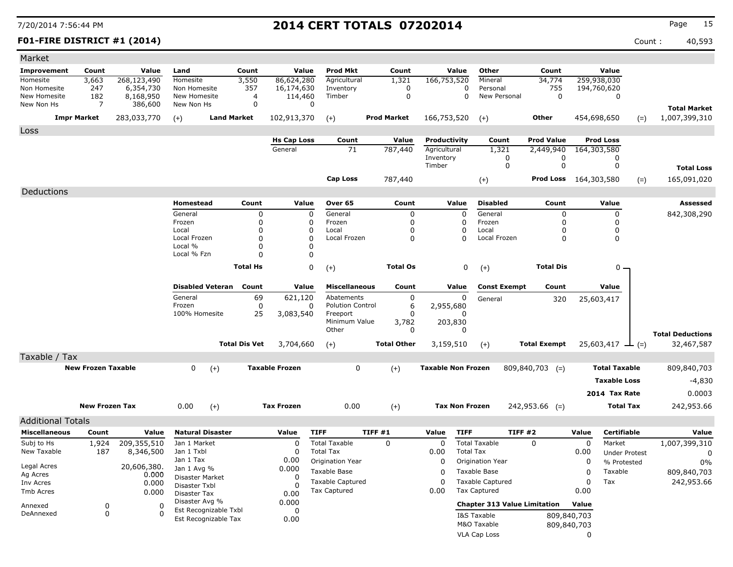## **F01-FIRE DISTRICT #1 (2014)** Count : 40,593

| Market                     |                           |                      |                                |                      |                                          |                           |                    |                           |                                     |                              |             |                          |                         |
|----------------------------|---------------------------|----------------------|--------------------------------|----------------------|------------------------------------------|---------------------------|--------------------|---------------------------|-------------------------------------|------------------------------|-------------|--------------------------|-------------------------|
| Improvement                | Count                     | Value                | Land                           | Count                | Value                                    | <b>Prod Mkt</b>           | Count              | Value                     | Other                               | Count                        |             | Value                    |                         |
| Homesite                   | 3,663                     | 268,123,490          | Homesite                       | 3,550                | 86,624,280                               | Agricultural              | 1,321              | 166,753,520               | Mineral                             | 34,774                       |             | 259,938,030              |                         |
| Non Homesite               | 247                       | 6,354,730            | Non Homesite                   | 357                  | 16,174,630                               | Inventory                 | 0                  | 0                         | Personal                            | 755                          |             | 194,760,620              |                         |
| New Homesite<br>New Non Hs | 182<br>7                  | 8,168,950<br>386,600 | New Homesite<br>New Non Hs     | 4<br>$\mathbf 0$     | 114,460<br>$\Omega$                      | Timber                    | 0                  |                           | 0<br>New Personal                   | $\mathbf 0$                  |             | 0                        |                         |
|                            |                           |                      |                                |                      |                                          |                           |                    |                           |                                     |                              |             |                          | <b>Total Market</b>     |
|                            | <b>Impr Market</b>        | 283,033,770          | $(+)$                          | <b>Land Market</b>   | 102,913,370                              | $(+)$                     | <b>Prod Market</b> | 166,753,520               | $(+)$                               | Other                        |             | 454,698,650<br>$(=)$     | 1,007,399,310           |
| Loss                       |                           |                      |                                |                      |                                          |                           |                    |                           |                                     |                              |             |                          |                         |
|                            |                           |                      |                                |                      | <b>Hs Cap Loss</b>                       | Count                     | Value              | Productivity              | Count                               | <b>Prod Value</b>            |             | <b>Prod Loss</b>         |                         |
|                            |                           |                      |                                |                      | General                                  | 71                        | 787,440            | Agricultural              | 1,321                               | 2,449,940                    |             | 164,303,580              |                         |
|                            |                           |                      |                                |                      |                                          |                           |                    | Inventory<br>Timber       | 0<br>0                              | 0<br>0                       |             | 0<br>0                   |                         |
|                            |                           |                      |                                |                      |                                          |                           |                    |                           |                                     |                              |             |                          | <b>Total Loss</b>       |
|                            |                           |                      |                                |                      |                                          | Cap Loss                  | 787,440            |                           | $(+)$                               | <b>Prod Loss</b> 164,303,580 |             | $(=)$                    | 165,091,020             |
| Deductions                 |                           |                      |                                |                      |                                          |                           |                    |                           |                                     |                              |             |                          |                         |
|                            |                           |                      | Homestead                      | Count                | Value                                    | Over 65                   | Count              | Value                     | <b>Disabled</b>                     | Count                        |             | Value                    | Assessed                |
|                            |                           |                      | General                        |                      | 0<br>0                                   | General                   | 0                  | 0                         | General                             | 0                            |             | 0                        | 842,308,290             |
|                            |                           |                      | Frozen                         |                      | 0<br>0                                   | Frozen                    | 0                  | 0                         | Frozen                              | 0                            |             | 0                        |                         |
|                            |                           |                      | Local                          |                      | 0<br>0                                   | Local                     | 0                  | 0                         | Local                               | 0                            |             | 0                        |                         |
|                            |                           |                      | Local Frozen<br>Local %        |                      | $\mathbf 0$<br>$\Omega$<br>0<br>$\Omega$ | Local Frozen              | 0                  | $\Omega$                  | Local Frozen                        | 0                            |             | 0                        |                         |
|                            |                           |                      | Local % Fzn                    |                      | $\Omega$<br>0                            |                           |                    |                           |                                     |                              |             |                          |                         |
|                            |                           |                      |                                | <b>Total Hs</b>      | 0                                        |                           | <b>Total Os</b>    | 0                         |                                     | <b>Total Dis</b>             |             | $0 -$                    |                         |
|                            |                           |                      |                                |                      |                                          | $(+)$                     |                    |                           | $(+)$                               |                              |             |                          |                         |
|                            |                           |                      | <b>Disabled Veteran</b>        | Count                | Value                                    | <b>Miscellaneous</b>      | Count              | Value                     | <b>Const Exempt</b>                 | Count                        |             | Value                    |                         |
|                            |                           |                      | General                        | 69                   | 621,120                                  | Abatements                | 0                  | 0                         | General                             | 320                          |             | 25,603,417               |                         |
|                            |                           |                      | Frozen                         |                      | 0<br>0                                   | <b>Polution Control</b>   | 6                  | 2,955,680                 |                                     |                              |             |                          |                         |
|                            |                           |                      | 100% Homesite                  | 25                   | 3,083,540                                | Freeport<br>Minimum Value | 0                  | 0                         |                                     |                              |             |                          |                         |
|                            |                           |                      |                                |                      |                                          | Other                     | 3,782<br>0         | 203,830<br>0              |                                     |                              |             |                          |                         |
|                            |                           |                      |                                |                      |                                          |                           |                    |                           |                                     |                              |             |                          | <b>Total Deductions</b> |
|                            |                           |                      |                                | <b>Total Dis Vet</b> | 3,704,660                                | $(+)$                     | <b>Total Other</b> | 3,159,510                 | $(+)$                               | <b>Total Exempt</b>          |             | $25,603,417$ $\perp$ (=) | 32,467,587              |
| Taxable / Tax              |                           |                      |                                |                      |                                          |                           |                    |                           |                                     |                              |             |                          |                         |
|                            | <b>New Frozen Taxable</b> |                      | 0                              | $(+)$                | <b>Taxable Frozen</b>                    | 0                         | $(+)$              | <b>Taxable Non Frozen</b> |                                     | $809,840,703$ (=)            |             | <b>Total Taxable</b>     | 809,840,703             |
|                            |                           |                      |                                |                      |                                          |                           |                    |                           |                                     |                              |             | <b>Taxable Loss</b>      | $-4,830$                |
|                            |                           |                      |                                |                      |                                          |                           |                    |                           |                                     |                              |             | 2014 Tax Rate            | 0.0003                  |
|                            | <b>New Frozen Tax</b>     |                      | 0.00                           |                      | <b>Tax Frozen</b>                        | 0.00                      |                    | <b>Tax Non Frozen</b>     |                                     | $242,953.66$ (=)             |             | <b>Total Tax</b>         | 242,953.66              |
|                            |                           |                      |                                | $(+)$                |                                          |                           | $(+)$              |                           |                                     |                              |             |                          |                         |
| <b>Additional Totals</b>   |                           |                      |                                |                      |                                          |                           |                    |                           |                                     |                              |             |                          |                         |
| <b>Miscellaneous</b>       | Count                     | Value                | <b>Natural Disaster</b>        |                      | Value                                    | <b>TIFF</b>               | <b>TIFF #1</b>     | <b>TIFF</b><br>Value      |                                     | TIFF #2                      | Value       | <b>Certifiable</b>       | Value                   |
| Subj to Hs                 | 1,924                     | 209,355,510          | Jan 1 Market                   |                      | 0                                        | <b>Total Taxable</b>      | 0                  | 0                         | <b>Total Taxable</b>                | $\Omega$                     | 0           | Market                   | 1,007,399,310           |
| New Taxable                | 187                       | 8,346,500            | Jan 1 Txbl                     |                      | 0                                        | <b>Total Tax</b>          |                    | 0.00                      | <b>Total Tax</b>                    |                              | 0.00        | <b>Under Protest</b>     | 0                       |
| Legal Acres                |                           | 20,606,380.          | Jan 1 Tax                      |                      | 0.00                                     | Origination Year          |                    | 0                         | <b>Origination Year</b>             |                              | 0           | % Protested              | 0%                      |
| Ag Acres                   |                           | 0.000                | Jan 1 Avg %<br>Disaster Market |                      | 0.000<br>0                               | Taxable Base              |                    | 0                         | Taxable Base                        |                              | 0           | Taxable                  | 809,840,703             |
| Inv Acres                  |                           | 0.000                | Disaster Txbl                  |                      | 0                                        | <b>Taxable Captured</b>   |                    | 0                         | <b>Taxable Captured</b>             |                              | 0           | Tax                      | 242,953.66              |
| Tmb Acres                  |                           | 0.000                | Disaster Tax                   |                      | 0.00                                     | Tax Captured              |                    | 0.00                      | <b>Tax Captured</b>                 |                              | 0.00        |                          |                         |
| Annexed                    | 0                         | 0                    | Disaster Avg %                 |                      | 0.000                                    |                           |                    |                           | <b>Chapter 313 Value Limitation</b> |                              | Value       |                          |                         |
| DeAnnexed                  | $\mathbf 0$               | $\Omega$             | Est Recognizable Txbl          |                      | 0                                        |                           |                    |                           | I&S Taxable                         |                              | 809,840,703 |                          |                         |
|                            |                           |                      | Est Recognizable Tax           |                      | 0.00                                     |                           |                    |                           | M&O Taxable                         |                              | 809,840,703 |                          |                         |
|                            |                           |                      |                                |                      |                                          |                           |                    |                           | VLA Cap Loss                        |                              | 0           |                          |                         |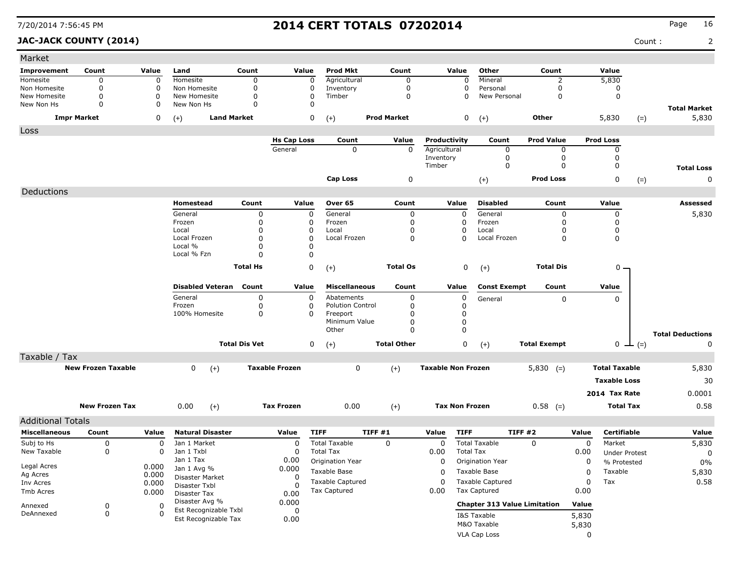**JAC-JACK COUNTY (2014)** Count : 2

| Market                     |                           |                |                                |                      |                               |                           |                    |                              |                                     |                        |                |                       |       |                              |
|----------------------------|---------------------------|----------------|--------------------------------|----------------------|-------------------------------|---------------------------|--------------------|------------------------------|-------------------------------------|------------------------|----------------|-----------------------|-------|------------------------------|
| Improvement                | Count                     | Value          | Land                           | Count                | Value                         | <b>Prod Mkt</b>           | Count              | Value                        | Other                               | Count                  |                | Value                 |       |                              |
| Homesite                   | 0                         | 0              | Homesite                       | 0                    | $\mathbf 0$                   | Agricultural              | 0                  |                              | Mineral<br>$\Omega$                 | 2                      |                | 5,830                 |       |                              |
| Non Homesite               | 0                         | $\mathbf 0$    | Non Homesite                   | 0                    | 0                             | Inventory                 | 0                  |                              | Personal<br>0                       | 0                      |                | 0                     |       |                              |
| New Homesite<br>New Non Hs | 0<br>0                    | 0<br>0         | New Homesite<br>New Non Hs     | 0<br>0               | $\Omega$<br>$\Omega$          | Timber                    | $\mathbf 0$        |                              | New Personal<br><sup>0</sup>        | 0                      |                | $\mathbf 0$           |       |                              |
|                            |                           |                |                                |                      |                               |                           |                    |                              |                                     |                        |                |                       |       | <b>Total Market</b>          |
|                            | <b>Impr Market</b>        | 0              | <b>Land Market</b><br>$(+)$    |                      | 0                             | $(+)$                     | <b>Prod Market</b> |                              | 0<br>$(+)$                          | Other                  |                | 5,830                 | $(=)$ | 5,830                        |
| Loss                       |                           |                |                                |                      |                               |                           |                    |                              |                                     |                        |                |                       |       |                              |
|                            |                           |                |                                |                      | <b>Hs Cap Loss</b><br>General | Count<br>$\Omega$         | Value<br>$\Omega$  | Productivity<br>Agricultural | Count<br>0                          | <b>Prod Value</b><br>0 |                | <b>Prod Loss</b><br>0 |       |                              |
|                            |                           |                |                                |                      |                               |                           |                    | Inventory                    | 0                                   | 0                      |                | 0                     |       |                              |
|                            |                           |                |                                |                      |                               |                           |                    | Timber                       | $\mathbf 0$                         | $\Omega$               |                | 0                     |       | <b>Total Loss</b>            |
|                            |                           |                |                                |                      |                               | Cap Loss                  | 0                  |                              | $(+)$                               | <b>Prod Loss</b>       |                | 0                     | $(=)$ | 0                            |
| Deductions                 |                           |                |                                |                      |                               |                           |                    |                              |                                     |                        |                |                       |       |                              |
|                            |                           |                | Homestead                      | Count                | Value                         | Over 65                   | Count              | Value                        | <b>Disabled</b>                     | Count                  |                | Value                 |       | Assessed                     |
|                            |                           |                | General                        | 0                    | 0                             | General                   | 0                  | 0                            | General                             | 0                      |                | 0                     |       | 5,830                        |
|                            |                           |                | Frozen                         | 0                    | 0                             | Frozen                    | 0                  | 0                            | Frozen                              | 0                      |                | 0                     |       |                              |
|                            |                           |                | Local                          | 0                    | 0                             | Local                     | 0                  | 0                            | Local                               | 0                      |                | 0                     |       |                              |
|                            |                           |                | Local Frozen<br>Local %        | 0<br>0               | 0<br>0                        | Local Frozen              | $\Omega$           | 0                            | Local Frozen                        | 0                      |                | 0                     |       |                              |
|                            |                           |                | Local % Fzn                    | 0                    | 0                             |                           |                    |                              |                                     |                        |                |                       |       |                              |
|                            |                           |                |                                | <b>Total Hs</b>      | 0                             | $(+)$                     | <b>Total Os</b>    |                              | 0<br>$(+)$                          | <b>Total Dis</b>       |                | $0 -$                 |       |                              |
|                            |                           |                |                                |                      |                               |                           |                    |                              |                                     |                        |                |                       |       |                              |
|                            |                           |                | <b>Disabled Veteran</b>        | Count                | Value                         | <b>Miscellaneous</b>      | Count              | Value                        | <b>Const Exempt</b>                 | Count                  |                | Value                 |       |                              |
|                            |                           |                | General                        | 0                    | 0                             | Abatements                | 0                  | $\pmb{0}$                    | General                             | 0                      |                | 0                     |       |                              |
|                            |                           |                | Frozen                         | 0                    | 0                             | <b>Polution Control</b>   | 0                  | 0                            |                                     |                        |                |                       |       |                              |
|                            |                           |                | 100% Homesite                  | 0                    | 0                             | Freeport<br>Minimum Value | 0<br>0             | 0<br>0                       |                                     |                        |                |                       |       |                              |
|                            |                           |                |                                |                      |                               | Other                     | $\Omega$           | $\Omega$                     |                                     |                        |                |                       |       |                              |
|                            |                           |                |                                | <b>Total Dis Vet</b> | 0                             | $(+)$                     | <b>Total Other</b> |                              | 0                                   | <b>Total Exempt</b>    |                | $0 \perp (=)$         |       | <b>Total Deductions</b><br>0 |
| Taxable / Tax              |                           |                |                                |                      |                               |                           |                    |                              | $(+)$                               |                        |                |                       |       |                              |
|                            | <b>New Frozen Taxable</b> |                | 0                              |                      | <b>Taxable Frozen</b>         | 0                         |                    | <b>Taxable Non Frozen</b>    |                                     | $5,830$ (=)            |                | <b>Total Taxable</b>  |       | 5,830                        |
|                            |                           |                | $(+)$                          |                      |                               |                           | $(+)$              |                              |                                     |                        |                |                       |       |                              |
|                            |                           |                |                                |                      |                               |                           |                    |                              |                                     |                        |                | <b>Taxable Loss</b>   |       | 30                           |
|                            |                           |                |                                |                      |                               |                           |                    |                              |                                     |                        |                | 2014 Tax Rate         |       | 0.0001                       |
|                            | <b>New Frozen Tax</b>     |                | 0.00<br>$(+)$                  |                      | <b>Tax Frozen</b>             | 0.00                      | $(+)$              | <b>Tax Non Frozen</b>        |                                     | $0.58$ (=)             |                | <b>Total Tax</b>      |       | 0.58                         |
| <b>Additional Totals</b>   |                           |                |                                |                      |                               |                           |                    |                              |                                     |                        |                |                       |       |                              |
| <b>Miscellaneous</b>       | Count                     | Value          | <b>Natural Disaster</b>        |                      | Value                         | <b>TIFF</b>               | TIFF#1             | <b>TIFF</b><br>Value         |                                     | <b>TIFF #2</b>         | Value          | <b>Certifiable</b>    |       | Value                        |
| Subj to Hs                 | 0                         | $\Omega$       | Jan 1 Market                   |                      | 0                             | <b>Total Taxable</b>      | $\mathbf 0$        | 0                            | <b>Total Taxable</b>                | $\mathbf 0$            | 0              | Market                |       | 5,830                        |
| New Taxable                | 0                         | 0              | Jan 1 Txbl                     |                      | 0                             | <b>Total Tax</b>          |                    | 0.00                         | <b>Total Tax</b>                    |                        | 0.00           | <b>Under Protest</b>  |       | 0                            |
| Legal Acres                |                           |                | Jan 1 Tax                      |                      | 0.00                          | Origination Year          |                    | $\overline{0}$               | <b>Origination Year</b>             |                        | $\overline{0}$ | % Protested           |       | $0\%$                        |
| Ag Acres                   |                           | 0.000<br>0.000 | Jan 1 Avg %<br>Disaster Market |                      | 0.000<br>0                    | Taxable Base              |                    | 0                            | Taxable Base                        |                        | 0              | Taxable               |       | 5,830                        |
| Inv Acres                  |                           | 0.000          | Disaster Txbl                  |                      | 0                             | <b>Taxable Captured</b>   |                    | 0                            | <b>Taxable Captured</b>             |                        | 0              | Tax                   |       | 0.58                         |
| Tmb Acres                  |                           | 0.000          | Disaster Tax                   |                      | 0.00                          | Tax Captured              |                    | 0.00                         | <b>Tax Captured</b>                 |                        | 0.00           |                       |       |                              |
| Annexed                    | 0                         | 0              | Disaster Avg %                 |                      | 0.000                         |                           |                    |                              | <b>Chapter 313 Value Limitation</b> |                        | Value          |                       |       |                              |
| DeAnnexed                  | 0                         | $\Omega$       | Est Recognizable Txbl          |                      | 0                             |                           |                    |                              | I&S Taxable                         |                        | 5,830          |                       |       |                              |
|                            |                           |                | Est Recognizable Tax           |                      | 0.00                          |                           |                    |                              | M&O Taxable                         |                        | 5,830          |                       |       |                              |
|                            |                           |                |                                |                      |                               |                           |                    |                              | VLA Cap Loss                        |                        | 0              |                       |       |                              |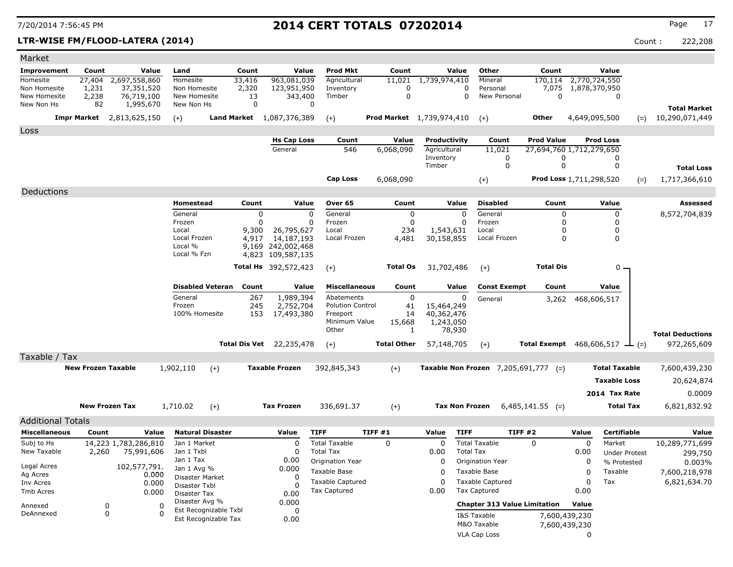## **LTR-WISE FM/FLOOD-LATERA (2014)** 222,208

| Market                       |                           |                                  |             |                              |                                               |             |                                  |                                           |          |                    |                                               |                                       |                     |                                      |               |                      |       |                         |
|------------------------------|---------------------------|----------------------------------|-------------|------------------------------|-----------------------------------------------|-------------|----------------------------------|-------------------------------------------|----------|--------------------|-----------------------------------------------|---------------------------------------|---------------------|--------------------------------------|---------------|----------------------|-------|-------------------------|
| Improvement                  | Count                     | Value                            |             | Land                         |                                               | Count       | Value                            | <b>Prod Mkt</b>                           |          | Count              | Value                                         | Other                                 |                     | Count                                |               | Value                |       |                         |
| Homesite                     | 27,404                    | 2,697,558,860                    |             | Homesite                     |                                               | 33,416      | 963,081,039                      | Agricultural                              |          | 11,021             | 1,739,974,410                                 | Mineral                               |                     | 170,114                              | 2,770,724,550 |                      |       |                         |
| Non Homesite<br>New Homesite | 1,231<br>2,238            | 37,351,520<br>76,719,100         |             | Non Homesite<br>New Homesite |                                               | 2,320<br>13 | 123,951,950<br>343,400           | Inventory<br>Timber                       |          | 0<br>$\mathbf 0$   |                                               | Personal<br>0<br>$\mathbf 0$          | New Personal        | 7,075<br>$\Omega$                    | 1,878,370,950 | $\mathbf 0$          |       |                         |
| New Non Hs                   | 82                        | 1,995,670                        |             | New Non Hs                   |                                               | $\mathbf 0$ |                                  | 0                                         |          |                    |                                               |                                       |                     |                                      |               |                      |       | <b>Total Market</b>     |
|                              |                           | <b>Impr Market</b> 2,813,625,150 |             | $(+)$                        |                                               |             | <b>Land Market</b> 1,087,376,389 | $(+)$                                     |          |                    | <b>Prod Market</b> 1,739,974,410              | $(+)$                                 |                     | Other                                | 4,649,095,500 |                      | $(=)$ | 10,290,071,449          |
| Loss                         |                           |                                  |             |                              |                                               |             |                                  |                                           |          |                    |                                               |                                       |                     |                                      |               |                      |       |                         |
|                              |                           |                                  |             |                              |                                               |             | <b>Hs Cap Loss</b>               | Count                                     |          | Value              | Productivity                                  |                                       | Count               | <b>Prod Value</b>                    |               | <b>Prod Loss</b>     |       |                         |
|                              |                           |                                  |             |                              |                                               |             | General                          | 546                                       |          | 6,068,090          | Agricultural                                  |                                       | 11,021              | 27,694,760 1,712,279,650             |               |                      |       |                         |
|                              |                           |                                  |             |                              |                                               |             |                                  |                                           |          |                    | Inventory<br>Timber                           |                                       | 0<br>$\Omega$       | 0<br>$\Omega$                        |               | 0<br>$\mathbf 0$     |       |                         |
|                              |                           |                                  |             |                              |                                               |             |                                  |                                           |          |                    |                                               |                                       |                     |                                      |               |                      |       | <b>Total Loss</b>       |
|                              |                           |                                  |             |                              |                                               |             |                                  | <b>Cap Loss</b>                           |          | 6,068,090          |                                               | $(+)$                                 |                     | <b>Prod Loss 1,711,298,520</b>       |               |                      | $(=)$ | 1,717,366,610           |
| Deductions                   |                           |                                  |             |                              |                                               |             |                                  |                                           |          |                    |                                               |                                       |                     |                                      |               |                      |       |                         |
|                              |                           |                                  |             | <b>Homestead</b>             |                                               | Count       | Value                            | Over 65                                   |          | Count              | Value                                         | <b>Disabled</b>                       |                     | Count                                |               | Value                |       | <b>Assessed</b>         |
|                              |                           |                                  |             | General<br>Frozen            |                                               | 0<br>0      |                                  | $\Omega$<br>General<br>$\Omega$<br>Frozen |          | 0<br>0             |                                               | General<br>$\mathbf 0$<br>0<br>Frozen |                     | 0<br>0                               |               | 0<br>0               |       | 8,572,704,839           |
|                              |                           |                                  |             | Local                        |                                               | 9,300       | 26,795,627                       | Local                                     |          | 234                | 1,543,631                                     | Local                                 |                     | $\Omega$                             |               | 0                    |       |                         |
|                              |                           |                                  |             | Local Frozen                 |                                               | 4,917       | 14,187,193                       | Local Frozen                              |          | 4,481              | 30,158,855                                    |                                       | Local Frozen        | 0                                    |               | 0                    |       |                         |
|                              |                           |                                  |             | Local %                      |                                               |             | 9,169 242,002,468                |                                           |          |                    |                                               |                                       |                     |                                      |               |                      |       |                         |
|                              |                           |                                  |             | Local % Fzn                  |                                               |             | 4,823 109,587,135                |                                           |          |                    |                                               |                                       |                     |                                      |               |                      |       |                         |
|                              |                           |                                  |             |                              |                                               |             | Total Hs 392,572,423             | $(+)$                                     |          | <b>Total Os</b>    | 31,702,486                                    | $(+)$                                 |                     | <b>Total Dis</b>                     |               | $0 -$                |       |                         |
|                              |                           |                                  |             |                              | <b>Disabled Veteran</b>                       | Count       | Value                            | <b>Miscellaneous</b>                      |          | Count              | Value                                         |                                       | <b>Const Exempt</b> | Count                                |               | Value                |       |                         |
|                              |                           |                                  |             | General                      |                                               | 267         | 1,989,394                        | Abatements                                |          | 0                  |                                               | $\mathbf 0$<br>General                |                     | 3,262                                |               | 468,606,517          |       |                         |
|                              |                           |                                  |             | Frozen                       |                                               | 245         | 2,752,704                        | <b>Polution Control</b>                   |          | 41                 | 15,464,249                                    |                                       |                     |                                      |               |                      |       |                         |
|                              |                           |                                  |             | 100% Homesite                |                                               | 153         | 17,493,380                       | Freeport<br>Minimum Value                 |          | 14<br>15,668       | 40,362,476<br>1,243,050                       |                                       |                     |                                      |               |                      |       |                         |
|                              |                           |                                  |             |                              |                                               |             |                                  | Other                                     |          | 1                  | 78,930                                        |                                       |                     |                                      |               |                      |       |                         |
|                              |                           |                                  |             |                              |                                               |             | <b>Total Dis Vet</b> 22,235,478  |                                           |          | <b>Total Other</b> | 57,148,705                                    |                                       |                     | Total Exempt $468,606,517 \perp (=)$ |               |                      |       | <b>Total Deductions</b> |
|                              |                           |                                  |             |                              |                                               |             |                                  | $(+)$                                     |          |                    |                                               | $(+)$                                 |                     |                                      |               |                      |       | 972,265,609             |
| Taxable / Tax                | <b>New Frozen Taxable</b> |                                  |             | 1,902,110                    | $(+)$                                         |             | <b>Taxable Frozen</b>            | 392,845,343                               |          | $(+)$              | <b>Taxable Non Frozen</b> $7,205,691,777$ (=) |                                       |                     |                                      |               | <b>Total Taxable</b> |       | 7,600,439,230           |
|                              |                           |                                  |             |                              |                                               |             |                                  |                                           |          |                    |                                               |                                       |                     |                                      |               |                      |       |                         |
|                              |                           |                                  |             |                              |                                               |             |                                  |                                           |          |                    |                                               |                                       |                     |                                      |               | <b>Taxable Loss</b>  |       | 20,624,874              |
|                              |                           |                                  |             |                              |                                               |             |                                  |                                           |          |                    |                                               |                                       |                     |                                      |               | 2014 Tax Rate        |       | 0.0009                  |
|                              |                           | <b>New Frozen Tax</b>            |             | 1,710.02                     | $(+)$                                         |             | <b>Tax Frozen</b>                | 336,691.37                                |          | $(+)$              |                                               | <b>Tax Non Frozen</b>                 |                     | $6,485,141.55$ (=)                   |               | <b>Total Tax</b>     |       | 6,821,832.92            |
| <b>Additional Totals</b>     |                           |                                  |             |                              |                                               |             |                                  |                                           |          |                    |                                               |                                       |                     |                                      |               |                      |       |                         |
| <b>Miscellaneous</b>         | Count                     |                                  | Value       | <b>Natural Disaster</b>      |                                               |             | Value                            | <b>TIFF</b>                               | TIFF#1   |                    | Value                                         | <b>TIFF</b>                           | TIFF#2              |                                      | Value         | <b>Certifiable</b>   |       | Value                   |
| Subj to Hs                   |                           | 14,223 1,783,286,810             |             | Jan 1 Market                 |                                               |             | $\mathbf 0$                      | <b>Total Taxable</b>                      | $\Omega$ |                    | $\Omega$                                      | <b>Total Taxable</b>                  |                     | $\Omega$                             | $\mathbf 0$   | Market               |       | 10,289,771,699          |
| New Taxable                  | 2,260                     | 75,991,606                       |             | Jan 1 Txbl                   |                                               |             | $\Omega$                         | <b>Total Tax</b>                          |          |                    | 0.00                                          | <b>Total Tax</b>                      |                     |                                      | 0.00          | <b>Under Protest</b> |       | 299,750                 |
| Legal Acres                  |                           | 102,577,791.                     |             | Jan 1 Tax<br>Jan 1 Avg %     |                                               |             | 0.00<br>0.000                    | Origination Year                          |          |                    | $\Omega$                                      | Origination Year                      |                     |                                      | $\Omega$      | % Protested          |       | 0.003%                  |
| Ag Acres                     |                           |                                  | 0.000       | Disaster Market              |                                               |             | 0                                | <b>Taxable Base</b>                       |          |                    | $\Omega$                                      | Taxable Base                          |                     |                                      | $\mathbf 0$   | Taxable              |       | 7,600,218,978           |
| Inv Acres                    |                           |                                  | 0.000       | Disaster Txbl                |                                               |             | 0                                | <b>Taxable Captured</b>                   |          |                    | $\Omega$                                      | <b>Taxable Captured</b>               |                     |                                      | $\mathbf 0$   | Tax                  |       | 6,821,634.70            |
| Tmb Acres                    |                           |                                  | 0.000       | Disaster Tax                 |                                               |             | 0.00                             | <b>Tax Captured</b>                       |          |                    | 0.00                                          | Tax Captured                          |                     |                                      | 0.00          |                      |       |                         |
| Annexed                      |                           | 0                                | $\mathbf 0$ | Disaster Avg %               |                                               |             | 0.000                            |                                           |          |                    |                                               |                                       |                     | <b>Chapter 313 Value Limitation</b>  | Value         |                      |       |                         |
| DeAnnexed                    |                           | 0                                | $\Omega$    |                              | Est Recognizable Txbl<br>Est Recognizable Tax |             | 0<br>0.00                        |                                           |          |                    |                                               | I&S Taxable                           |                     |                                      | 7,600,439,230 |                      |       |                         |
|                              |                           |                                  |             |                              |                                               |             |                                  |                                           |          |                    |                                               | M&O Taxable                           |                     |                                      | 7.600.439.230 |                      |       |                         |

VLA Cap Loss 0 7,600,439,230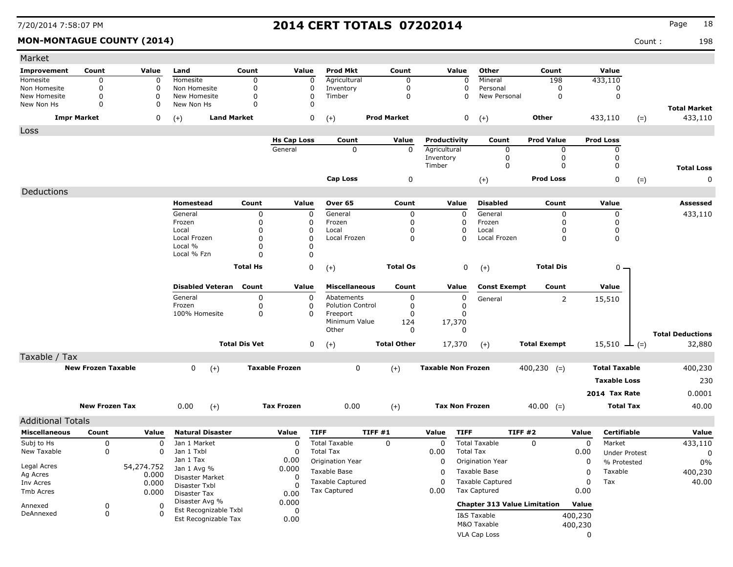### **MON-MONTAGUE COUNTY (2014)** Count : 198

| Market                   |                           |                     |                                  |                      |                       |                         |                    |                           |                                     |                     |              |                      |       |                         |
|--------------------------|---------------------------|---------------------|----------------------------------|----------------------|-----------------------|-------------------------|--------------------|---------------------------|-------------------------------------|---------------------|--------------|----------------------|-------|-------------------------|
| Improvement              | Count                     | Value               | Land                             | Count                | Value                 | <b>Prod Mkt</b>         | Count              | Value                     | Other                               | Count               |              | Value                |       |                         |
| Homesite                 | 0                         | 0                   | Homesite                         | 0                    | $\mathbf 0$           | Agricultural            | 0                  | 0                         | Mineral                             | 198                 |              | 433,110              |       |                         |
| Non Homesite             | $\mathbf 0$               | 0                   | Non Homesite                     | 0                    | 0                     | Inventory               | 0                  | 0                         | Personal                            | O                   |              | 0                    |       |                         |
| New Homesite             | $\mathbf 0$               | 0                   | New Homesite                     | 0                    | 0                     | Timber                  | 0                  | $\Omega$                  | New Personal                        | $\mathbf 0$         |              | 0                    |       |                         |
| New Non Hs               | $\mathbf 0$               | 0                   | New Non Hs                       | $\mathbf 0$          | $\Omega$              |                         |                    |                           |                                     |                     |              |                      |       | <b>Total Market</b>     |
|                          | <b>Impr Market</b>        | 0                   | $(+)$                            | <b>Land Market</b>   | $\pmb{0}$             | $(+)$                   | <b>Prod Market</b> | 0                         | $(+)$                               | Other               |              | 433,110              | $(=)$ | 433,110                 |
| Loss                     |                           |                     |                                  |                      |                       |                         |                    |                           |                                     |                     |              |                      |       |                         |
|                          |                           |                     |                                  |                      | <b>Hs Cap Loss</b>    | Count                   | Value              | Productivity              | Count                               | <b>Prod Value</b>   |              | <b>Prod Loss</b>     |       |                         |
|                          |                           |                     |                                  |                      | General               | 0                       | $\mathbf 0$        | Agricultural              | 0                                   | 0                   |              | 0                    |       |                         |
|                          |                           |                     |                                  |                      |                       |                         |                    | Inventory<br>Timber       | 0<br>0                              | 0<br>0              |              | 0<br>0               |       |                         |
|                          |                           |                     |                                  |                      |                       |                         |                    |                           |                                     |                     |              |                      |       | <b>Total Loss</b>       |
|                          |                           |                     |                                  |                      |                       | <b>Cap Loss</b>         | 0                  |                           | $(+)$                               | <b>Prod Loss</b>    |              | 0                    | $(=)$ | 0                       |
| Deductions               |                           |                     |                                  |                      |                       |                         |                    |                           |                                     |                     |              |                      |       |                         |
|                          |                           |                     | Homestead                        | Count                | Value                 | Over 65                 | Count              | Value                     | <b>Disabled</b>                     | Count               |              | Value                |       | Assessed                |
|                          |                           |                     | General                          | 0                    | 0                     | General                 | 0                  | $\mathbf 0$               | General                             | 0                   |              | 0                    |       | 433,110                 |
|                          |                           |                     | Frozen                           | $\Omega$<br>O        | 0                     | Frozen                  | 0                  | 0<br>0                    | Frozen                              | 0                   |              | 0                    |       |                         |
|                          |                           |                     | Local<br>Local Frozen            | $\Omega$             | 0<br>$\Omega$         | Local<br>Local Frozen   | 0<br>0             | $\mathbf 0$               | Local<br>Local Frozen               | 0<br>0              |              | 0<br>0               |       |                         |
|                          |                           |                     | Local %                          | $\Omega$             | 0                     |                         |                    |                           |                                     |                     |              |                      |       |                         |
|                          |                           |                     | Local % Fzn                      | $\Omega$             | 0                     |                         |                    |                           |                                     |                     |              |                      |       |                         |
|                          |                           |                     |                                  | <b>Total Hs</b>      | 0                     | $(+)$                   | <b>Total Os</b>    | 0                         | $(+)$                               | <b>Total Dis</b>    |              | $0 -$                |       |                         |
|                          |                           |                     |                                  |                      |                       |                         |                    |                           |                                     |                     |              |                      |       |                         |
|                          |                           |                     | <b>Disabled Veteran</b>          | Count                | Value                 | <b>Miscellaneous</b>    | Count              | Value                     | <b>Const Exempt</b>                 | Count               |              | Value                |       |                         |
|                          |                           |                     | General                          | 0                    | 0                     | Abatements              | 0                  | 0                         | General                             | $\overline{2}$      |              | 15,510               |       |                         |
|                          |                           |                     | Frozen                           | 0                    | 0                     | <b>Polution Control</b> | $\mathbf 0$        | 0                         |                                     |                     |              |                      |       |                         |
|                          |                           |                     | 100% Homesite                    | 0                    | 0                     | Freeport                | 0                  | $\Omega$                  |                                     |                     |              |                      |       |                         |
|                          |                           |                     |                                  |                      |                       | Minimum Value<br>Other  | 124<br>0           | 17,370<br>0               |                                     |                     |              |                      |       |                         |
|                          |                           |                     |                                  |                      |                       |                         |                    |                           |                                     |                     |              |                      |       | <b>Total Deductions</b> |
|                          |                           |                     |                                  | <b>Total Dis Vet</b> | 0                     | $(+)$                   | <b>Total Other</b> | 17,370                    | $(+)$                               | <b>Total Exempt</b> |              | $15,510 \perp (=)$   |       | 32,880                  |
| Taxable / Tax            |                           |                     |                                  |                      |                       |                         |                    |                           |                                     |                     |              |                      |       |                         |
|                          | <b>New Frozen Taxable</b> |                     | 0<br>$(+)$                       |                      | <b>Taxable Frozen</b> | 0                       | $(+)$              | <b>Taxable Non Frozen</b> |                                     | $400,230$ (=)       |              | <b>Total Taxable</b> |       | 400,230                 |
|                          |                           |                     |                                  |                      |                       |                         |                    |                           |                                     |                     |              | <b>Taxable Loss</b>  |       | 230                     |
|                          |                           |                     |                                  |                      |                       |                         |                    |                           |                                     |                     |              | 2014 Tax Rate        |       | 0.0001                  |
|                          |                           |                     |                                  |                      |                       |                         |                    |                           |                                     |                     |              |                      |       |                         |
|                          | <b>New Frozen Tax</b>     |                     | 0.00<br>$(+)$                    |                      | <b>Tax Frozen</b>     | 0.00                    | $(+)$              | <b>Tax Non Frozen</b>     |                                     | $40.00 (=)$         |              | <b>Total Tax</b>     |       | 40.00                   |
| <b>Additional Totals</b> |                           |                     |                                  |                      |                       |                         |                    |                           |                                     |                     |              |                      |       |                         |
| <b>Miscellaneous</b>     | Count                     | Value               | <b>Natural Disaster</b>          |                      | Value                 | <b>TIFF</b>             | TIFF#1             | <b>TIFF</b><br>Value      |                                     | TIFF#2              | Value        | <b>Certifiable</b>   |       | Value                   |
| Subj to Hs               | 0                         | $\Omega$            | Jan 1 Market                     |                      | 0                     | <b>Total Taxable</b>    | 0                  | 0                         | <b>Total Taxable</b>                | 0                   | $\Omega$     | Market               |       | 433,110                 |
| New Taxable              | 0                         | 0                   | Jan 1 Txbl                       |                      | 0                     | <b>Total Tax</b>        |                    | 0.00                      | <b>Total Tax</b>                    |                     | 0.00         | <b>Under Protest</b> |       | 0                       |
|                          |                           |                     | Jan 1 Tax                        |                      | 0.00                  | Origination Year        |                    | $\mathbf{0}$              | <b>Origination Year</b>             |                     | $\mathbf{0}$ | % Protested          |       | $0\%$                   |
| Legal Acres<br>Ag Acres  |                           | 54,274.752<br>0.000 | Jan 1 Avg %                      |                      | 0.000                 | Taxable Base            |                    | 0                         | Taxable Base                        |                     | 0            | Taxable              |       | 400,230                 |
| Inv Acres                |                           | 0.000               | Disaster Market<br>Disaster Txbl |                      | O<br>$\Omega$         | <b>Taxable Captured</b> |                    | 0                         | <b>Taxable Captured</b>             |                     | 0            | Tax                  |       | 40.00                   |
| Tmb Acres                |                           | 0.000               | Disaster Tax                     |                      | 0.00                  | Tax Captured            |                    | 0.00                      | <b>Tax Captured</b>                 |                     | 0.00         |                      |       |                         |
| Annexed                  | 0                         | 0                   | Disaster Avg %                   |                      | 0.000                 |                         |                    |                           | <b>Chapter 313 Value Limitation</b> |                     | Value        |                      |       |                         |
| DeAnnexed                | 0                         | $\Omega$            | Est Recognizable Txbl            |                      | 0                     |                         |                    |                           | I&S Taxable                         |                     | 400,230      |                      |       |                         |
|                          |                           |                     | Est Recognizable Tax             |                      | 0.00                  |                         |                    |                           | M&O Taxable                         |                     | 400,230      |                      |       |                         |
|                          |                           |                     |                                  |                      |                       |                         |                    |                           | VLA Cap Loss                        |                     | 0            |                      |       |                         |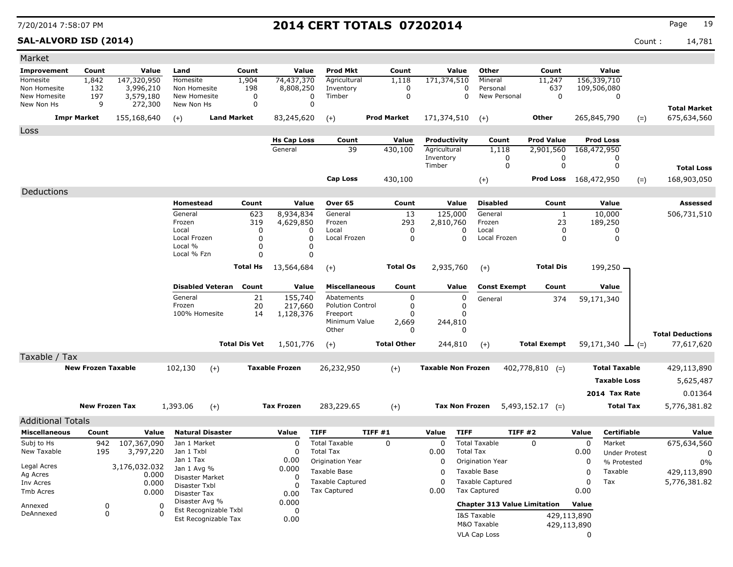**SAL-ALVORD ISD (2014)** Count : 14,781

| Market                       |                           |                        |                                  |                                               |                             |                               |                           |                    |                         |                              |                  |                                     |                       |             |                              |       |                         |
|------------------------------|---------------------------|------------------------|----------------------------------|-----------------------------------------------|-----------------------------|-------------------------------|---------------------------|--------------------|-------------------------|------------------------------|------------------|-------------------------------------|-----------------------|-------------|------------------------------|-------|-------------------------|
| Improvement                  | Count                     | Value                  | Land                             |                                               | Count                       | Value                         | <b>Prod Mkt</b>           |                    | Count                   |                              | Value            | Other                               | Count                 |             | Value                        |       |                         |
| Homesite                     | 1,842                     | 147,320,950            | Homesite                         |                                               | 1,904                       | 74,437,370                    | Agricultural              |                    | 1,118                   | 171,374,510                  |                  | Mineral                             | 11,247                |             | 156,339,710                  |       |                         |
| Non Homesite<br>New Homesite | 132<br>197                | 3,996,210<br>3,579,180 | Non Homesite<br>New Homesite     |                                               | 198<br>0                    | 8,808,250                     | Inventory<br>0<br>Timber  |                    | $\Omega$<br>$\mathbf 0$ |                              | 0<br>0           | Personal<br>New Personal            | 637<br>$\mathbf 0$    |             | 109,506,080<br>$\Omega$      |       |                         |
| New Non Hs                   | 9                         | 272,300                | New Non Hs                       |                                               | $\mathbf 0$                 |                               | $\mathbf 0$               |                    |                         |                              |                  |                                     |                       |             |                              |       |                         |
|                              |                           |                        |                                  | <b>Land Market</b>                            |                             |                               |                           | <b>Prod Market</b> |                         |                              |                  |                                     | Other                 |             |                              |       | <b>Total Market</b>     |
|                              | <b>Impr Market</b>        | 155,168,640            | $(+)$                            |                                               |                             | 83,245,620                    | $(+)$                     |                    |                         | 171,374,510                  |                  | $(+)$                               |                       |             | 265,845,790                  | $(=)$ | 675,634,560             |
| Loss                         |                           |                        |                                  |                                               |                             |                               |                           |                    |                         |                              |                  |                                     |                       |             |                              |       |                         |
|                              |                           |                        |                                  |                                               |                             | <b>Hs Cap Loss</b><br>General | Count<br>39               |                    | Value                   | Productivity<br>Agricultural |                  | Count                               | <b>Prod Value</b>     |             | <b>Prod Loss</b>             |       |                         |
|                              |                           |                        |                                  |                                               |                             |                               |                           |                    | 430,100                 | Inventory                    |                  | 1,118<br>0                          | 2,901,560<br>0        |             | 168,472,950<br>0             |       |                         |
|                              |                           |                        |                                  |                                               |                             |                               |                           |                    |                         | Timber                       |                  | $\mathbf 0$                         | $\mathbf 0$           |             | $\mathbf 0$                  |       | <b>Total Loss</b>       |
|                              |                           |                        |                                  |                                               |                             |                               | <b>Cap Loss</b>           |                    | 430,100                 |                              |                  | $^{(+)}$                            | Prod Loss 168,472,950 |             |                              | $(=)$ | 168,903,050             |
| Deductions                   |                           |                        |                                  |                                               |                             |                               |                           |                    |                         |                              |                  |                                     |                       |             |                              |       |                         |
|                              |                           |                        | <b>Homestead</b>                 |                                               | Count                       | Value                         | Over 65                   |                    | Count                   |                              | Value            | <b>Disabled</b>                     | Count                 |             |                              |       | <b>Assessed</b>         |
|                              |                           |                        |                                  |                                               |                             |                               |                           |                    |                         |                              |                  |                                     |                       |             | Value                        |       |                         |
|                              |                           |                        | General<br>Frozen                |                                               | 623<br>319                  | 8,934,834<br>4,629,850        | General<br>Frozen         |                    | 13<br>293               | 125,000<br>2,810,760         |                  | General<br>Frozen                   | $\mathbf{1}$<br>23    |             | 10,000<br>189,250            |       | 506,731,510             |
|                              |                           |                        | Local                            |                                               | $\Omega$                    | 0                             | Local                     |                    | $\mathbf 0$             |                              | $\mathbf{0}$     | Local                               | 0                     |             | 0                            |       |                         |
|                              |                           |                        | Local Frozen                     |                                               | $\mathbf 0$                 | $\mathbf 0$                   | Local Frozen              |                    | $\overline{0}$          |                              | $\mathbf 0$      | Local Frozen                        | $\mathbf 0$           |             | $\mathbf 0$                  |       |                         |
|                              |                           |                        | Local %<br>Local % Fzn           |                                               | $\mathbf 0$<br>$\mathbf{0}$ | $\mathbf 0$<br>0              |                           |                    |                         |                              |                  |                                     |                       |             |                              |       |                         |
|                              |                           |                        |                                  |                                               |                             |                               |                           |                    |                         |                              |                  |                                     |                       |             |                              |       |                         |
|                              |                           |                        |                                  |                                               | <b>Total Hs</b>             | 13,564,684                    | $(+)$                     |                    | <b>Total Os</b>         | 2,935,760                    |                  | $(+)$                               | <b>Total Dis</b>      |             | 199,250 -                    |       |                         |
|                              |                           |                        |                                  | <b>Disabled Veteran</b>                       | Count                       | Value                         | <b>Miscellaneous</b>      |                    | Count                   |                              | Value            | <b>Const Exempt</b>                 | Count                 |             | Value                        |       |                         |
|                              |                           |                        | General                          |                                               | 21                          | 155,740                       | Abatements                |                    | $\Omega$                |                              | 0                | General                             | 374                   |             | 59,171,340                   |       |                         |
|                              |                           |                        | Frozen                           |                                               | 20                          | 217,660                       | <b>Polution Control</b>   |                    | 0                       |                              | 0                |                                     |                       |             |                              |       |                         |
|                              |                           |                        | 100% Homesite                    |                                               | 14                          | 1,128,376                     | Freeport<br>Minimum Value |                    | $\Omega$<br>2,669       | 244,810                      | $\Omega$         |                                     |                       |             |                              |       |                         |
|                              |                           |                        |                                  |                                               |                             |                               | Other                     |                    | $\mathbf{0}$            |                              | 0                |                                     |                       |             |                              |       | <b>Total Deductions</b> |
|                              |                           |                        |                                  |                                               | <b>Total Dis Vet</b>        | 1,501,776                     | $(+)$                     |                    | <b>Total Other</b>      | 244,810                      |                  | $(+)$                               | <b>Total Exempt</b>   |             | $59,171,340 \rightarrow (=)$ |       | 77,617,620              |
|                              |                           |                        |                                  |                                               |                             |                               |                           |                    |                         |                              |                  |                                     |                       |             |                              |       |                         |
| Taxable / Tax                | <b>New Frozen Taxable</b> |                        | 102,130                          | $(+)$                                         |                             | <b>Taxable Frozen</b>         | 26,232,950                |                    |                         | <b>Taxable Non Frozen</b>    |                  |                                     | $402,778,810$ (=)     |             | <b>Total Taxable</b>         |       | 429,113,890             |
|                              |                           |                        |                                  |                                               |                             |                               |                           |                    | $(+)$                   |                              |                  |                                     |                       |             |                              |       |                         |
|                              |                           |                        |                                  |                                               |                             |                               |                           |                    |                         |                              |                  |                                     |                       |             | <b>Taxable Loss</b>          |       | 5,625,487               |
|                              |                           |                        |                                  |                                               |                             |                               |                           |                    |                         |                              |                  |                                     |                       |             | 2014 Tax Rate                |       | 0.01364                 |
|                              | <b>New Frozen Tax</b>     |                        | 1,393.06                         | $(+)$                                         |                             | <b>Tax Frozen</b>             | 283,229.65                |                    | $(+)$                   | <b>Tax Non Frozen</b>        |                  |                                     | $5,493,152.17$ (=)    |             | <b>Total Tax</b>             |       | 5,776,381.82            |
| <b>Additional Totals</b>     |                           |                        |                                  |                                               |                             |                               |                           |                    |                         |                              |                  |                                     |                       |             |                              |       |                         |
| <b>Miscellaneous</b>         | Count                     | Value                  |                                  | <b>Natural Disaster</b>                       |                             | Value                         | <b>TIFF</b>               | TIFF #1            |                         | Value                        | <b>TIFF</b>      | <b>TIFF #2</b>                      |                       | Value       | <b>Certifiable</b>           |       | Value                   |
| Subj to Hs                   | 942                       | 107,367,090            | Jan 1 Market                     |                                               |                             | $\mathbf 0$                   | <b>Total Taxable</b>      | $\mathbf 0$        |                         | $\Omega$                     |                  | <b>Total Taxable</b>                | $\Omega$              | 0           | Market                       |       | 675,634,560             |
| New Taxable                  | 195                       | 3,797,220              | Jan 1 Txbl                       |                                               |                             | $\mathbf 0$                   | <b>Total Tax</b>          |                    |                         | 0.00                         | <b>Total Tax</b> |                                     |                       | 0.00        | <b>Under Protest</b>         |       | $\mathbf 0$             |
| Legal Acres                  |                           |                        | Jan 1 Tax                        |                                               |                             | 0.00                          | Origination Year          |                    |                         | $\Omega$                     |                  | Origination Year                    |                       | 0           | % Protested                  |       | 0%                      |
| Ag Acres                     |                           | 3,176,032.032<br>0.000 | Jan 1 Avg %                      |                                               |                             | 0.000                         | Taxable Base              |                    |                         | $\Omega$                     |                  | Taxable Base                        |                       | 0           | Taxable                      |       | 429,113,890             |
| Inv Acres                    |                           | 0.000                  | Disaster Market<br>Disaster Txbl |                                               |                             | $\Omega$<br>$\Omega$          | <b>Taxable Captured</b>   |                    |                         | $\mathbf 0$                  |                  | <b>Taxable Captured</b>             |                       | 0           | Tax                          |       | 5,776,381.82            |
| Tmb Acres                    |                           | 0.000                  | <b>Disaster Tax</b>              |                                               |                             | 0.00                          | <b>Tax Captured</b>       |                    |                         | 0.00                         |                  | <b>Tax Captured</b>                 |                       | 0.00        |                              |       |                         |
| Annexed                      | $\mathbf 0$               | $\Omega$               | Disaster Avg %                   |                                               |                             | 0.000                         |                           |                    |                         |                              |                  | <b>Chapter 313 Value Limitation</b> |                       | Value       |                              |       |                         |
| DeAnnexed                    | $\mathbf 0$               | $\Omega$               |                                  | Est Recognizable Txbl<br>Est Recognizable Tax |                             | $\mathbf 0$                   |                           |                    |                         |                              |                  | I&S Taxable                         |                       | 429,113,890 |                              |       |                         |
|                              |                           |                        |                                  |                                               |                             | 0.00                          |                           |                    |                         |                              |                  | M&O Taxable                         |                       | 429,113,890 |                              |       |                         |
|                              |                           |                        |                                  |                                               |                             |                               |                           |                    |                         |                              |                  | VLA Cap Loss                        |                       | $\Omega$    |                              |       |                         |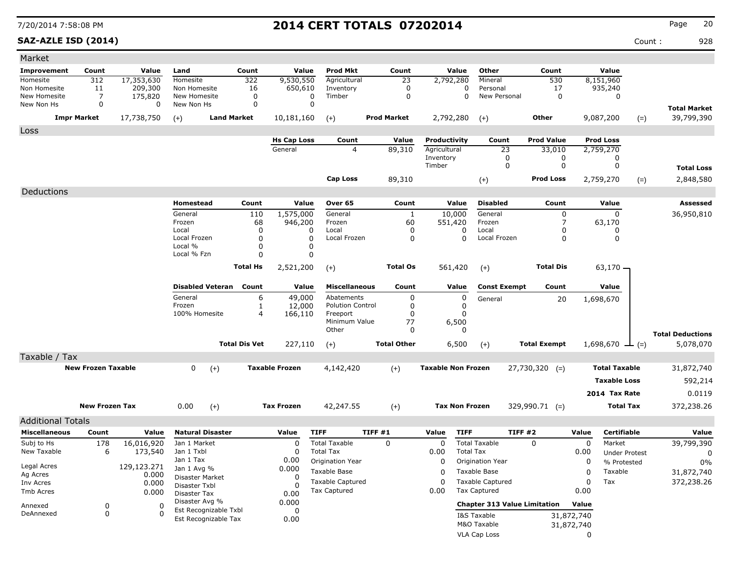## **SAZ-AZLE ISD (2014)** Count : 928

| <b>Prod Mkt</b><br>Other<br>Value<br>Count<br>Value<br>Count<br>Value<br>Count<br>Count<br>Value<br>Land<br>312<br>322<br>9,530,550<br>Mineral<br>530<br>8,151,960<br>17,353,630<br>Homesite<br>Agricultural<br>23<br>2,792,280<br>209,300<br>11<br>Non Homesite<br>16<br>650,610<br>Inventory<br>0<br>0<br>Personal<br>17<br>935,240<br>175,820<br>$\mathbf 0$<br>7<br>New Homesite<br>0<br>Timber<br>0<br>New Personal<br>0<br>0<br>0<br>0<br>0<br>New Non Hs<br>0<br>$\Omega$<br><b>Total Market</b><br>17,738,750<br><b>Land Market</b><br><b>Prod Market</b><br>2,792,280<br>Other<br>9,087,200<br>39,799,390<br><b>Impr Market</b><br>10,181,160<br>$(+)$<br>$(+)$<br>$(+)$<br>$(=)$<br><b>Prod Value</b><br><b>Prod Loss</b><br><b>Hs Cap Loss</b><br>Count<br>Value<br>Productivity<br>Count<br>General<br>Agricultural<br>23<br>4<br>89,310<br>33,010<br>2,759,270<br>Inventory<br>0<br>0<br>0<br>0<br>0<br>Timber<br><b>Total Loss</b><br><b>Cap Loss</b><br>89,310<br><b>Prod Loss</b><br>2,759,270<br>2,848,580<br>$(+)$<br>$(=)$<br>Deductions<br>Homestead<br>Count<br>Value<br>Over 65<br>Count<br>Value<br><b>Disabled</b><br>Count<br>Value<br>Assessed<br>1,575,000<br>General<br>10,000<br>General<br>$\mathbf 0$<br>36,950,810<br>General<br>110<br>$\mathbf{1}$<br>0<br>Frozen<br>946,200<br>Frozen<br>60<br>551,420<br>Frozen<br>7<br>68<br>63,170<br>0<br>0<br>Local<br>0<br>Local<br>Local<br>0<br>0<br>0<br>0<br>0<br>0<br>Local Frozen<br>$\Omega$<br>0<br>Local Frozen<br>Local Frozen<br>Local %<br><sup>0</sup><br>0<br>$\Omega$<br>Local % Fzn<br>$\Omega$<br><b>Total Hs</b><br>2,521,200<br><b>Total Os</b><br>561,420<br><b>Total Dis</b><br>63,170 —<br>$(+)$<br>$(+)$<br><b>Disabled Veteran</b><br>Count<br><b>Miscellaneous</b><br>Count<br>Value<br><b>Const Exempt</b><br>Count<br>Value<br>Value<br>6<br>0<br>49,000<br>0<br>General<br>Abatements<br>20<br>General<br>1,698,670<br>Frozen<br><b>Polution Control</b><br>12,000<br>0<br>0<br>1<br>100% Homesite<br>4<br>0<br>0<br>166,110<br>Freeport<br>Minimum Value<br>77<br>6,500<br>Other<br>0<br>0<br><b>Total Deductions</b><br><b>Total Dis Vet</b><br><b>Total Other</b><br>227,110<br>6,500<br><b>Total Exempt</b><br>5,078,070<br>$(+)$<br>$1,698,670$ $\rightarrow$ (=)<br>$(+)$<br><b>New Frozen Taxable</b><br>0<br><b>Taxable Frozen</b><br><b>Taxable Non Frozen</b><br>$27,730,320$ (=)<br><b>Total Taxable</b><br>31,872,740<br>$(+)$<br>4,142,420<br>$(+)$<br><b>Taxable Loss</b><br>592,214<br>0.0119<br>2014 Tax Rate<br><b>New Frozen Tax</b><br>0.00<br>$(+)$<br><b>Tax Frozen</b><br>42,247.55<br><b>Tax Non Frozen</b><br><b>Total Tax</b><br>372,238.26<br>$(+)$<br>$329,990.71$ (=)<br><b>Natural Disaster</b><br><b>TIFF</b><br>TIFF#1<br><b>TIFF</b><br><b>TIFF #2</b><br>Certifiable<br><b>Miscellaneous</b><br>Count<br>Value<br>Value<br>Value<br>Value<br>Value<br><b>Total Taxable</b><br>$\mathbf 0$<br>0<br>39,799,390<br>Subj to Hs<br>16,016,920<br>Jan 1 Market<br>$\mathbf 0$<br>0<br><b>Total Taxable</b><br>0<br>Market<br>178<br>New Taxable<br>$\Omega$<br><b>Total Tax</b><br><b>Total Tax</b><br>6<br>173,540<br>Jan 1 Txbl<br>0.00<br>0.00<br><b>Under Protest</b><br>0<br>Jan 1 Tax<br>0.00<br>Origination Year<br>0<br>Origination Year<br>0<br>% Protested<br>0%<br>129,123.271<br>Jan 1 Avg %<br>0.000<br>Taxable Base<br>31,872,740<br>Taxable Base<br>0<br>Taxable<br>0<br>Ag Acres<br>0.000<br>Disaster Market<br>$\Omega$<br>Tax<br>372,238.26<br><b>Taxable Captured</b><br><b>Taxable Captured</b><br>0<br>0.000<br><sup>0</sup><br>Inv Acres<br>Disaster Txbl<br>$\Omega$<br><b>Tax Captured</b><br><b>Tax Captured</b><br>0.00<br>0.00<br>Tmb Acres<br>0.000<br>Disaster Tax<br>0.00<br>Disaster Avg %<br>0.000 | Improvement<br>Homesite<br>Non Homesite<br>New Homesite<br>New Non Hs<br>Loss<br>Taxable / Tax<br><b>Additional Totals</b><br>Legal Acres<br><b>Chapter 313 Value Limitation</b><br>Value<br>Annexed<br>0<br>0<br>Est Recognizable Txbl<br>0<br>DeAnnexed<br>0<br>$\Omega$<br>I&S Taxable<br>31,872,740<br>Est Recognizable Tax<br>0.00<br>M&O Taxable<br>31,872,740 | Market |  |  |  |  |  |  |  |  |
|--------------------------------------------------------------------------------------------------------------------------------------------------------------------------------------------------------------------------------------------------------------------------------------------------------------------------------------------------------------------------------------------------------------------------------------------------------------------------------------------------------------------------------------------------------------------------------------------------------------------------------------------------------------------------------------------------------------------------------------------------------------------------------------------------------------------------------------------------------------------------------------------------------------------------------------------------------------------------------------------------------------------------------------------------------------------------------------------------------------------------------------------------------------------------------------------------------------------------------------------------------------------------------------------------------------------------------------------------------------------------------------------------------------------------------------------------------------------------------------------------------------------------------------------------------------------------------------------------------------------------------------------------------------------------------------------------------------------------------------------------------------------------------------------------------------------------------------------------------------------------------------------------------------------------------------------------------------------------------------------------------------------------------------------------------------------------------------------------------------------------------------------------------------------------------------------------------------------------------------------------------------------------------------------------------------------------------------------------------------------------------------------------------------------------------------------------------------------------------------------------------------------------------------------------------------------------------------------------------------------------------------------------------------------------------------------------------------------------------------------------------------------------------------------------------------------------------------------------------------------------------------------------------------------------------------------------------------------------------------------------------------------------------------------------------------------------------------------------------------------------------------------------------------------------------------------------------------------------------------------------------------------------------------------------------------------------------------------------------------------------------------------------------------------------------------------------------------------------------------------------------------------------------------------------------------------------------------------------------------------------------------------------------------------------------------------------------------------------------------------------------------------|----------------------------------------------------------------------------------------------------------------------------------------------------------------------------------------------------------------------------------------------------------------------------------------------------------------------------------------------------------------------|--------|--|--|--|--|--|--|--|--|
|                                                                                                                                                                                                                                                                                                                                                                                                                                                                                                                                                                                                                                                                                                                                                                                                                                                                                                                                                                                                                                                                                                                                                                                                                                                                                                                                                                                                                                                                                                                                                                                                                                                                                                                                                                                                                                                                                                                                                                                                                                                                                                                                                                                                                                                                                                                                                                                                                                                                                                                                                                                                                                                                                                                                                                                                                                                                                                                                                                                                                                                                                                                                                                                                                                                                                                                                                                                                                                                                                                                                                                                                                                                                                                                                                                    |                                                                                                                                                                                                                                                                                                                                                                      |        |  |  |  |  |  |  |  |  |
|                                                                                                                                                                                                                                                                                                                                                                                                                                                                                                                                                                                                                                                                                                                                                                                                                                                                                                                                                                                                                                                                                                                                                                                                                                                                                                                                                                                                                                                                                                                                                                                                                                                                                                                                                                                                                                                                                                                                                                                                                                                                                                                                                                                                                                                                                                                                                                                                                                                                                                                                                                                                                                                                                                                                                                                                                                                                                                                                                                                                                                                                                                                                                                                                                                                                                                                                                                                                                                                                                                                                                                                                                                                                                                                                                                    |                                                                                                                                                                                                                                                                                                                                                                      |        |  |  |  |  |  |  |  |  |
|                                                                                                                                                                                                                                                                                                                                                                                                                                                                                                                                                                                                                                                                                                                                                                                                                                                                                                                                                                                                                                                                                                                                                                                                                                                                                                                                                                                                                                                                                                                                                                                                                                                                                                                                                                                                                                                                                                                                                                                                                                                                                                                                                                                                                                                                                                                                                                                                                                                                                                                                                                                                                                                                                                                                                                                                                                                                                                                                                                                                                                                                                                                                                                                                                                                                                                                                                                                                                                                                                                                                                                                                                                                                                                                                                                    |                                                                                                                                                                                                                                                                                                                                                                      |        |  |  |  |  |  |  |  |  |
|                                                                                                                                                                                                                                                                                                                                                                                                                                                                                                                                                                                                                                                                                                                                                                                                                                                                                                                                                                                                                                                                                                                                                                                                                                                                                                                                                                                                                                                                                                                                                                                                                                                                                                                                                                                                                                                                                                                                                                                                                                                                                                                                                                                                                                                                                                                                                                                                                                                                                                                                                                                                                                                                                                                                                                                                                                                                                                                                                                                                                                                                                                                                                                                                                                                                                                                                                                                                                                                                                                                                                                                                                                                                                                                                                                    |                                                                                                                                                                                                                                                                                                                                                                      |        |  |  |  |  |  |  |  |  |
|                                                                                                                                                                                                                                                                                                                                                                                                                                                                                                                                                                                                                                                                                                                                                                                                                                                                                                                                                                                                                                                                                                                                                                                                                                                                                                                                                                                                                                                                                                                                                                                                                                                                                                                                                                                                                                                                                                                                                                                                                                                                                                                                                                                                                                                                                                                                                                                                                                                                                                                                                                                                                                                                                                                                                                                                                                                                                                                                                                                                                                                                                                                                                                                                                                                                                                                                                                                                                                                                                                                                                                                                                                                                                                                                                                    |                                                                                                                                                                                                                                                                                                                                                                      |        |  |  |  |  |  |  |  |  |
|                                                                                                                                                                                                                                                                                                                                                                                                                                                                                                                                                                                                                                                                                                                                                                                                                                                                                                                                                                                                                                                                                                                                                                                                                                                                                                                                                                                                                                                                                                                                                                                                                                                                                                                                                                                                                                                                                                                                                                                                                                                                                                                                                                                                                                                                                                                                                                                                                                                                                                                                                                                                                                                                                                                                                                                                                                                                                                                                                                                                                                                                                                                                                                                                                                                                                                                                                                                                                                                                                                                                                                                                                                                                                                                                                                    |                                                                                                                                                                                                                                                                                                                                                                      |        |  |  |  |  |  |  |  |  |
|                                                                                                                                                                                                                                                                                                                                                                                                                                                                                                                                                                                                                                                                                                                                                                                                                                                                                                                                                                                                                                                                                                                                                                                                                                                                                                                                                                                                                                                                                                                                                                                                                                                                                                                                                                                                                                                                                                                                                                                                                                                                                                                                                                                                                                                                                                                                                                                                                                                                                                                                                                                                                                                                                                                                                                                                                                                                                                                                                                                                                                                                                                                                                                                                                                                                                                                                                                                                                                                                                                                                                                                                                                                                                                                                                                    |                                                                                                                                                                                                                                                                                                                                                                      |        |  |  |  |  |  |  |  |  |
|                                                                                                                                                                                                                                                                                                                                                                                                                                                                                                                                                                                                                                                                                                                                                                                                                                                                                                                                                                                                                                                                                                                                                                                                                                                                                                                                                                                                                                                                                                                                                                                                                                                                                                                                                                                                                                                                                                                                                                                                                                                                                                                                                                                                                                                                                                                                                                                                                                                                                                                                                                                                                                                                                                                                                                                                                                                                                                                                                                                                                                                                                                                                                                                                                                                                                                                                                                                                                                                                                                                                                                                                                                                                                                                                                                    |                                                                                                                                                                                                                                                                                                                                                                      |        |  |  |  |  |  |  |  |  |
|                                                                                                                                                                                                                                                                                                                                                                                                                                                                                                                                                                                                                                                                                                                                                                                                                                                                                                                                                                                                                                                                                                                                                                                                                                                                                                                                                                                                                                                                                                                                                                                                                                                                                                                                                                                                                                                                                                                                                                                                                                                                                                                                                                                                                                                                                                                                                                                                                                                                                                                                                                                                                                                                                                                                                                                                                                                                                                                                                                                                                                                                                                                                                                                                                                                                                                                                                                                                                                                                                                                                                                                                                                                                                                                                                                    |                                                                                                                                                                                                                                                                                                                                                                      |        |  |  |  |  |  |  |  |  |
|                                                                                                                                                                                                                                                                                                                                                                                                                                                                                                                                                                                                                                                                                                                                                                                                                                                                                                                                                                                                                                                                                                                                                                                                                                                                                                                                                                                                                                                                                                                                                                                                                                                                                                                                                                                                                                                                                                                                                                                                                                                                                                                                                                                                                                                                                                                                                                                                                                                                                                                                                                                                                                                                                                                                                                                                                                                                                                                                                                                                                                                                                                                                                                                                                                                                                                                                                                                                                                                                                                                                                                                                                                                                                                                                                                    |                                                                                                                                                                                                                                                                                                                                                                      |        |  |  |  |  |  |  |  |  |
|                                                                                                                                                                                                                                                                                                                                                                                                                                                                                                                                                                                                                                                                                                                                                                                                                                                                                                                                                                                                                                                                                                                                                                                                                                                                                                                                                                                                                                                                                                                                                                                                                                                                                                                                                                                                                                                                                                                                                                                                                                                                                                                                                                                                                                                                                                                                                                                                                                                                                                                                                                                                                                                                                                                                                                                                                                                                                                                                                                                                                                                                                                                                                                                                                                                                                                                                                                                                                                                                                                                                                                                                                                                                                                                                                                    |                                                                                                                                                                                                                                                                                                                                                                      |        |  |  |  |  |  |  |  |  |
|                                                                                                                                                                                                                                                                                                                                                                                                                                                                                                                                                                                                                                                                                                                                                                                                                                                                                                                                                                                                                                                                                                                                                                                                                                                                                                                                                                                                                                                                                                                                                                                                                                                                                                                                                                                                                                                                                                                                                                                                                                                                                                                                                                                                                                                                                                                                                                                                                                                                                                                                                                                                                                                                                                                                                                                                                                                                                                                                                                                                                                                                                                                                                                                                                                                                                                                                                                                                                                                                                                                                                                                                                                                                                                                                                                    |                                                                                                                                                                                                                                                                                                                                                                      |        |  |  |  |  |  |  |  |  |
|                                                                                                                                                                                                                                                                                                                                                                                                                                                                                                                                                                                                                                                                                                                                                                                                                                                                                                                                                                                                                                                                                                                                                                                                                                                                                                                                                                                                                                                                                                                                                                                                                                                                                                                                                                                                                                                                                                                                                                                                                                                                                                                                                                                                                                                                                                                                                                                                                                                                                                                                                                                                                                                                                                                                                                                                                                                                                                                                                                                                                                                                                                                                                                                                                                                                                                                                                                                                                                                                                                                                                                                                                                                                                                                                                                    |                                                                                                                                                                                                                                                                                                                                                                      |        |  |  |  |  |  |  |  |  |
|                                                                                                                                                                                                                                                                                                                                                                                                                                                                                                                                                                                                                                                                                                                                                                                                                                                                                                                                                                                                                                                                                                                                                                                                                                                                                                                                                                                                                                                                                                                                                                                                                                                                                                                                                                                                                                                                                                                                                                                                                                                                                                                                                                                                                                                                                                                                                                                                                                                                                                                                                                                                                                                                                                                                                                                                                                                                                                                                                                                                                                                                                                                                                                                                                                                                                                                                                                                                                                                                                                                                                                                                                                                                                                                                                                    |                                                                                                                                                                                                                                                                                                                                                                      |        |  |  |  |  |  |  |  |  |
|                                                                                                                                                                                                                                                                                                                                                                                                                                                                                                                                                                                                                                                                                                                                                                                                                                                                                                                                                                                                                                                                                                                                                                                                                                                                                                                                                                                                                                                                                                                                                                                                                                                                                                                                                                                                                                                                                                                                                                                                                                                                                                                                                                                                                                                                                                                                                                                                                                                                                                                                                                                                                                                                                                                                                                                                                                                                                                                                                                                                                                                                                                                                                                                                                                                                                                                                                                                                                                                                                                                                                                                                                                                                                                                                                                    |                                                                                                                                                                                                                                                                                                                                                                      |        |  |  |  |  |  |  |  |  |
|                                                                                                                                                                                                                                                                                                                                                                                                                                                                                                                                                                                                                                                                                                                                                                                                                                                                                                                                                                                                                                                                                                                                                                                                                                                                                                                                                                                                                                                                                                                                                                                                                                                                                                                                                                                                                                                                                                                                                                                                                                                                                                                                                                                                                                                                                                                                                                                                                                                                                                                                                                                                                                                                                                                                                                                                                                                                                                                                                                                                                                                                                                                                                                                                                                                                                                                                                                                                                                                                                                                                                                                                                                                                                                                                                                    |                                                                                                                                                                                                                                                                                                                                                                      |        |  |  |  |  |  |  |  |  |
|                                                                                                                                                                                                                                                                                                                                                                                                                                                                                                                                                                                                                                                                                                                                                                                                                                                                                                                                                                                                                                                                                                                                                                                                                                                                                                                                                                                                                                                                                                                                                                                                                                                                                                                                                                                                                                                                                                                                                                                                                                                                                                                                                                                                                                                                                                                                                                                                                                                                                                                                                                                                                                                                                                                                                                                                                                                                                                                                                                                                                                                                                                                                                                                                                                                                                                                                                                                                                                                                                                                                                                                                                                                                                                                                                                    |                                                                                                                                                                                                                                                                                                                                                                      |        |  |  |  |  |  |  |  |  |
|                                                                                                                                                                                                                                                                                                                                                                                                                                                                                                                                                                                                                                                                                                                                                                                                                                                                                                                                                                                                                                                                                                                                                                                                                                                                                                                                                                                                                                                                                                                                                                                                                                                                                                                                                                                                                                                                                                                                                                                                                                                                                                                                                                                                                                                                                                                                                                                                                                                                                                                                                                                                                                                                                                                                                                                                                                                                                                                                                                                                                                                                                                                                                                                                                                                                                                                                                                                                                                                                                                                                                                                                                                                                                                                                                                    |                                                                                                                                                                                                                                                                                                                                                                      |        |  |  |  |  |  |  |  |  |
|                                                                                                                                                                                                                                                                                                                                                                                                                                                                                                                                                                                                                                                                                                                                                                                                                                                                                                                                                                                                                                                                                                                                                                                                                                                                                                                                                                                                                                                                                                                                                                                                                                                                                                                                                                                                                                                                                                                                                                                                                                                                                                                                                                                                                                                                                                                                                                                                                                                                                                                                                                                                                                                                                                                                                                                                                                                                                                                                                                                                                                                                                                                                                                                                                                                                                                                                                                                                                                                                                                                                                                                                                                                                                                                                                                    |                                                                                                                                                                                                                                                                                                                                                                      |        |  |  |  |  |  |  |  |  |
|                                                                                                                                                                                                                                                                                                                                                                                                                                                                                                                                                                                                                                                                                                                                                                                                                                                                                                                                                                                                                                                                                                                                                                                                                                                                                                                                                                                                                                                                                                                                                                                                                                                                                                                                                                                                                                                                                                                                                                                                                                                                                                                                                                                                                                                                                                                                                                                                                                                                                                                                                                                                                                                                                                                                                                                                                                                                                                                                                                                                                                                                                                                                                                                                                                                                                                                                                                                                                                                                                                                                                                                                                                                                                                                                                                    |                                                                                                                                                                                                                                                                                                                                                                      |        |  |  |  |  |  |  |  |  |
|                                                                                                                                                                                                                                                                                                                                                                                                                                                                                                                                                                                                                                                                                                                                                                                                                                                                                                                                                                                                                                                                                                                                                                                                                                                                                                                                                                                                                                                                                                                                                                                                                                                                                                                                                                                                                                                                                                                                                                                                                                                                                                                                                                                                                                                                                                                                                                                                                                                                                                                                                                                                                                                                                                                                                                                                                                                                                                                                                                                                                                                                                                                                                                                                                                                                                                                                                                                                                                                                                                                                                                                                                                                                                                                                                                    |                                                                                                                                                                                                                                                                                                                                                                      |        |  |  |  |  |  |  |  |  |
|                                                                                                                                                                                                                                                                                                                                                                                                                                                                                                                                                                                                                                                                                                                                                                                                                                                                                                                                                                                                                                                                                                                                                                                                                                                                                                                                                                                                                                                                                                                                                                                                                                                                                                                                                                                                                                                                                                                                                                                                                                                                                                                                                                                                                                                                                                                                                                                                                                                                                                                                                                                                                                                                                                                                                                                                                                                                                                                                                                                                                                                                                                                                                                                                                                                                                                                                                                                                                                                                                                                                                                                                                                                                                                                                                                    |                                                                                                                                                                                                                                                                                                                                                                      |        |  |  |  |  |  |  |  |  |
|                                                                                                                                                                                                                                                                                                                                                                                                                                                                                                                                                                                                                                                                                                                                                                                                                                                                                                                                                                                                                                                                                                                                                                                                                                                                                                                                                                                                                                                                                                                                                                                                                                                                                                                                                                                                                                                                                                                                                                                                                                                                                                                                                                                                                                                                                                                                                                                                                                                                                                                                                                                                                                                                                                                                                                                                                                                                                                                                                                                                                                                                                                                                                                                                                                                                                                                                                                                                                                                                                                                                                                                                                                                                                                                                                                    |                                                                                                                                                                                                                                                                                                                                                                      |        |  |  |  |  |  |  |  |  |
|                                                                                                                                                                                                                                                                                                                                                                                                                                                                                                                                                                                                                                                                                                                                                                                                                                                                                                                                                                                                                                                                                                                                                                                                                                                                                                                                                                                                                                                                                                                                                                                                                                                                                                                                                                                                                                                                                                                                                                                                                                                                                                                                                                                                                                                                                                                                                                                                                                                                                                                                                                                                                                                                                                                                                                                                                                                                                                                                                                                                                                                                                                                                                                                                                                                                                                                                                                                                                                                                                                                                                                                                                                                                                                                                                                    |                                                                                                                                                                                                                                                                                                                                                                      |        |  |  |  |  |  |  |  |  |
|                                                                                                                                                                                                                                                                                                                                                                                                                                                                                                                                                                                                                                                                                                                                                                                                                                                                                                                                                                                                                                                                                                                                                                                                                                                                                                                                                                                                                                                                                                                                                                                                                                                                                                                                                                                                                                                                                                                                                                                                                                                                                                                                                                                                                                                                                                                                                                                                                                                                                                                                                                                                                                                                                                                                                                                                                                                                                                                                                                                                                                                                                                                                                                                                                                                                                                                                                                                                                                                                                                                                                                                                                                                                                                                                                                    |                                                                                                                                                                                                                                                                                                                                                                      |        |  |  |  |  |  |  |  |  |
|                                                                                                                                                                                                                                                                                                                                                                                                                                                                                                                                                                                                                                                                                                                                                                                                                                                                                                                                                                                                                                                                                                                                                                                                                                                                                                                                                                                                                                                                                                                                                                                                                                                                                                                                                                                                                                                                                                                                                                                                                                                                                                                                                                                                                                                                                                                                                                                                                                                                                                                                                                                                                                                                                                                                                                                                                                                                                                                                                                                                                                                                                                                                                                                                                                                                                                                                                                                                                                                                                                                                                                                                                                                                                                                                                                    |                                                                                                                                                                                                                                                                                                                                                                      |        |  |  |  |  |  |  |  |  |
|                                                                                                                                                                                                                                                                                                                                                                                                                                                                                                                                                                                                                                                                                                                                                                                                                                                                                                                                                                                                                                                                                                                                                                                                                                                                                                                                                                                                                                                                                                                                                                                                                                                                                                                                                                                                                                                                                                                                                                                                                                                                                                                                                                                                                                                                                                                                                                                                                                                                                                                                                                                                                                                                                                                                                                                                                                                                                                                                                                                                                                                                                                                                                                                                                                                                                                                                                                                                                                                                                                                                                                                                                                                                                                                                                                    |                                                                                                                                                                                                                                                                                                                                                                      |        |  |  |  |  |  |  |  |  |
|                                                                                                                                                                                                                                                                                                                                                                                                                                                                                                                                                                                                                                                                                                                                                                                                                                                                                                                                                                                                                                                                                                                                                                                                                                                                                                                                                                                                                                                                                                                                                                                                                                                                                                                                                                                                                                                                                                                                                                                                                                                                                                                                                                                                                                                                                                                                                                                                                                                                                                                                                                                                                                                                                                                                                                                                                                                                                                                                                                                                                                                                                                                                                                                                                                                                                                                                                                                                                                                                                                                                                                                                                                                                                                                                                                    |                                                                                                                                                                                                                                                                                                                                                                      |        |  |  |  |  |  |  |  |  |
|                                                                                                                                                                                                                                                                                                                                                                                                                                                                                                                                                                                                                                                                                                                                                                                                                                                                                                                                                                                                                                                                                                                                                                                                                                                                                                                                                                                                                                                                                                                                                                                                                                                                                                                                                                                                                                                                                                                                                                                                                                                                                                                                                                                                                                                                                                                                                                                                                                                                                                                                                                                                                                                                                                                                                                                                                                                                                                                                                                                                                                                                                                                                                                                                                                                                                                                                                                                                                                                                                                                                                                                                                                                                                                                                                                    |                                                                                                                                                                                                                                                                                                                                                                      |        |  |  |  |  |  |  |  |  |
|                                                                                                                                                                                                                                                                                                                                                                                                                                                                                                                                                                                                                                                                                                                                                                                                                                                                                                                                                                                                                                                                                                                                                                                                                                                                                                                                                                                                                                                                                                                                                                                                                                                                                                                                                                                                                                                                                                                                                                                                                                                                                                                                                                                                                                                                                                                                                                                                                                                                                                                                                                                                                                                                                                                                                                                                                                                                                                                                                                                                                                                                                                                                                                                                                                                                                                                                                                                                                                                                                                                                                                                                                                                                                                                                                                    |                                                                                                                                                                                                                                                                                                                                                                      |        |  |  |  |  |  |  |  |  |
|                                                                                                                                                                                                                                                                                                                                                                                                                                                                                                                                                                                                                                                                                                                                                                                                                                                                                                                                                                                                                                                                                                                                                                                                                                                                                                                                                                                                                                                                                                                                                                                                                                                                                                                                                                                                                                                                                                                                                                                                                                                                                                                                                                                                                                                                                                                                                                                                                                                                                                                                                                                                                                                                                                                                                                                                                                                                                                                                                                                                                                                                                                                                                                                                                                                                                                                                                                                                                                                                                                                                                                                                                                                                                                                                                                    |                                                                                                                                                                                                                                                                                                                                                                      |        |  |  |  |  |  |  |  |  |
|                                                                                                                                                                                                                                                                                                                                                                                                                                                                                                                                                                                                                                                                                                                                                                                                                                                                                                                                                                                                                                                                                                                                                                                                                                                                                                                                                                                                                                                                                                                                                                                                                                                                                                                                                                                                                                                                                                                                                                                                                                                                                                                                                                                                                                                                                                                                                                                                                                                                                                                                                                                                                                                                                                                                                                                                                                                                                                                                                                                                                                                                                                                                                                                                                                                                                                                                                                                                                                                                                                                                                                                                                                                                                                                                                                    |                                                                                                                                                                                                                                                                                                                                                                      |        |  |  |  |  |  |  |  |  |
|                                                                                                                                                                                                                                                                                                                                                                                                                                                                                                                                                                                                                                                                                                                                                                                                                                                                                                                                                                                                                                                                                                                                                                                                                                                                                                                                                                                                                                                                                                                                                                                                                                                                                                                                                                                                                                                                                                                                                                                                                                                                                                                                                                                                                                                                                                                                                                                                                                                                                                                                                                                                                                                                                                                                                                                                                                                                                                                                                                                                                                                                                                                                                                                                                                                                                                                                                                                                                                                                                                                                                                                                                                                                                                                                                                    |                                                                                                                                                                                                                                                                                                                                                                      |        |  |  |  |  |  |  |  |  |
|                                                                                                                                                                                                                                                                                                                                                                                                                                                                                                                                                                                                                                                                                                                                                                                                                                                                                                                                                                                                                                                                                                                                                                                                                                                                                                                                                                                                                                                                                                                                                                                                                                                                                                                                                                                                                                                                                                                                                                                                                                                                                                                                                                                                                                                                                                                                                                                                                                                                                                                                                                                                                                                                                                                                                                                                                                                                                                                                                                                                                                                                                                                                                                                                                                                                                                                                                                                                                                                                                                                                                                                                                                                                                                                                                                    |                                                                                                                                                                                                                                                                                                                                                                      |        |  |  |  |  |  |  |  |  |
|                                                                                                                                                                                                                                                                                                                                                                                                                                                                                                                                                                                                                                                                                                                                                                                                                                                                                                                                                                                                                                                                                                                                                                                                                                                                                                                                                                                                                                                                                                                                                                                                                                                                                                                                                                                                                                                                                                                                                                                                                                                                                                                                                                                                                                                                                                                                                                                                                                                                                                                                                                                                                                                                                                                                                                                                                                                                                                                                                                                                                                                                                                                                                                                                                                                                                                                                                                                                                                                                                                                                                                                                                                                                                                                                                                    |                                                                                                                                                                                                                                                                                                                                                                      |        |  |  |  |  |  |  |  |  |
|                                                                                                                                                                                                                                                                                                                                                                                                                                                                                                                                                                                                                                                                                                                                                                                                                                                                                                                                                                                                                                                                                                                                                                                                                                                                                                                                                                                                                                                                                                                                                                                                                                                                                                                                                                                                                                                                                                                                                                                                                                                                                                                                                                                                                                                                                                                                                                                                                                                                                                                                                                                                                                                                                                                                                                                                                                                                                                                                                                                                                                                                                                                                                                                                                                                                                                                                                                                                                                                                                                                                                                                                                                                                                                                                                                    |                                                                                                                                                                                                                                                                                                                                                                      |        |  |  |  |  |  |  |  |  |
|                                                                                                                                                                                                                                                                                                                                                                                                                                                                                                                                                                                                                                                                                                                                                                                                                                                                                                                                                                                                                                                                                                                                                                                                                                                                                                                                                                                                                                                                                                                                                                                                                                                                                                                                                                                                                                                                                                                                                                                                                                                                                                                                                                                                                                                                                                                                                                                                                                                                                                                                                                                                                                                                                                                                                                                                                                                                                                                                                                                                                                                                                                                                                                                                                                                                                                                                                                                                                                                                                                                                                                                                                                                                                                                                                                    |                                                                                                                                                                                                                                                                                                                                                                      |        |  |  |  |  |  |  |  |  |
|                                                                                                                                                                                                                                                                                                                                                                                                                                                                                                                                                                                                                                                                                                                                                                                                                                                                                                                                                                                                                                                                                                                                                                                                                                                                                                                                                                                                                                                                                                                                                                                                                                                                                                                                                                                                                                                                                                                                                                                                                                                                                                                                                                                                                                                                                                                                                                                                                                                                                                                                                                                                                                                                                                                                                                                                                                                                                                                                                                                                                                                                                                                                                                                                                                                                                                                                                                                                                                                                                                                                                                                                                                                                                                                                                                    |                                                                                                                                                                                                                                                                                                                                                                      |        |  |  |  |  |  |  |  |  |
|                                                                                                                                                                                                                                                                                                                                                                                                                                                                                                                                                                                                                                                                                                                                                                                                                                                                                                                                                                                                                                                                                                                                                                                                                                                                                                                                                                                                                                                                                                                                                                                                                                                                                                                                                                                                                                                                                                                                                                                                                                                                                                                                                                                                                                                                                                                                                                                                                                                                                                                                                                                                                                                                                                                                                                                                                                                                                                                                                                                                                                                                                                                                                                                                                                                                                                                                                                                                                                                                                                                                                                                                                                                                                                                                                                    |                                                                                                                                                                                                                                                                                                                                                                      |        |  |  |  |  |  |  |  |  |
|                                                                                                                                                                                                                                                                                                                                                                                                                                                                                                                                                                                                                                                                                                                                                                                                                                                                                                                                                                                                                                                                                                                                                                                                                                                                                                                                                                                                                                                                                                                                                                                                                                                                                                                                                                                                                                                                                                                                                                                                                                                                                                                                                                                                                                                                                                                                                                                                                                                                                                                                                                                                                                                                                                                                                                                                                                                                                                                                                                                                                                                                                                                                                                                                                                                                                                                                                                                                                                                                                                                                                                                                                                                                                                                                                                    |                                                                                                                                                                                                                                                                                                                                                                      |        |  |  |  |  |  |  |  |  |
|                                                                                                                                                                                                                                                                                                                                                                                                                                                                                                                                                                                                                                                                                                                                                                                                                                                                                                                                                                                                                                                                                                                                                                                                                                                                                                                                                                                                                                                                                                                                                                                                                                                                                                                                                                                                                                                                                                                                                                                                                                                                                                                                                                                                                                                                                                                                                                                                                                                                                                                                                                                                                                                                                                                                                                                                                                                                                                                                                                                                                                                                                                                                                                                                                                                                                                                                                                                                                                                                                                                                                                                                                                                                                                                                                                    |                                                                                                                                                                                                                                                                                                                                                                      |        |  |  |  |  |  |  |  |  |
|                                                                                                                                                                                                                                                                                                                                                                                                                                                                                                                                                                                                                                                                                                                                                                                                                                                                                                                                                                                                                                                                                                                                                                                                                                                                                                                                                                                                                                                                                                                                                                                                                                                                                                                                                                                                                                                                                                                                                                                                                                                                                                                                                                                                                                                                                                                                                                                                                                                                                                                                                                                                                                                                                                                                                                                                                                                                                                                                                                                                                                                                                                                                                                                                                                                                                                                                                                                                                                                                                                                                                                                                                                                                                                                                                                    |                                                                                                                                                                                                                                                                                                                                                                      |        |  |  |  |  |  |  |  |  |
|                                                                                                                                                                                                                                                                                                                                                                                                                                                                                                                                                                                                                                                                                                                                                                                                                                                                                                                                                                                                                                                                                                                                                                                                                                                                                                                                                                                                                                                                                                                                                                                                                                                                                                                                                                                                                                                                                                                                                                                                                                                                                                                                                                                                                                                                                                                                                                                                                                                                                                                                                                                                                                                                                                                                                                                                                                                                                                                                                                                                                                                                                                                                                                                                                                                                                                                                                                                                                                                                                                                                                                                                                                                                                                                                                                    |                                                                                                                                                                                                                                                                                                                                                                      |        |  |  |  |  |  |  |  |  |
|                                                                                                                                                                                                                                                                                                                                                                                                                                                                                                                                                                                                                                                                                                                                                                                                                                                                                                                                                                                                                                                                                                                                                                                                                                                                                                                                                                                                                                                                                                                                                                                                                                                                                                                                                                                                                                                                                                                                                                                                                                                                                                                                                                                                                                                                                                                                                                                                                                                                                                                                                                                                                                                                                                                                                                                                                                                                                                                                                                                                                                                                                                                                                                                                                                                                                                                                                                                                                                                                                                                                                                                                                                                                                                                                                                    |                                                                                                                                                                                                                                                                                                                                                                      |        |  |  |  |  |  |  |  |  |
|                                                                                                                                                                                                                                                                                                                                                                                                                                                                                                                                                                                                                                                                                                                                                                                                                                                                                                                                                                                                                                                                                                                                                                                                                                                                                                                                                                                                                                                                                                                                                                                                                                                                                                                                                                                                                                                                                                                                                                                                                                                                                                                                                                                                                                                                                                                                                                                                                                                                                                                                                                                                                                                                                                                                                                                                                                                                                                                                                                                                                                                                                                                                                                                                                                                                                                                                                                                                                                                                                                                                                                                                                                                                                                                                                                    |                                                                                                                                                                                                                                                                                                                                                                      |        |  |  |  |  |  |  |  |  |
|                                                                                                                                                                                                                                                                                                                                                                                                                                                                                                                                                                                                                                                                                                                                                                                                                                                                                                                                                                                                                                                                                                                                                                                                                                                                                                                                                                                                                                                                                                                                                                                                                                                                                                                                                                                                                                                                                                                                                                                                                                                                                                                                                                                                                                                                                                                                                                                                                                                                                                                                                                                                                                                                                                                                                                                                                                                                                                                                                                                                                                                                                                                                                                                                                                                                                                                                                                                                                                                                                                                                                                                                                                                                                                                                                                    | VLA Cap Loss<br>0                                                                                                                                                                                                                                                                                                                                                    |        |  |  |  |  |  |  |  |  |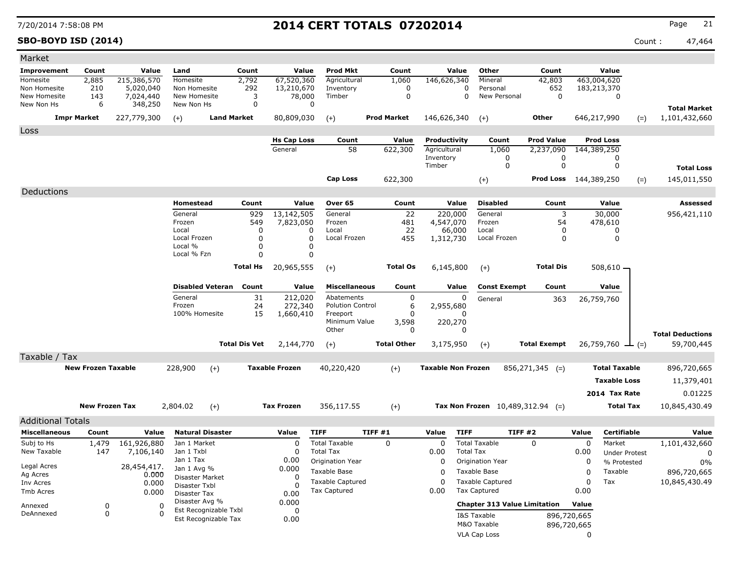## **SBO-BOYD ISD (2014)** Count : 47,464

| Market                              |                       |                                |                      |                         |                                       |                    |                           |                                     |                     |                            |                      |                         |
|-------------------------------------|-----------------------|--------------------------------|----------------------|-------------------------|---------------------------------------|--------------------|---------------------------|-------------------------------------|---------------------|----------------------------|----------------------|-------------------------|
| <b>Improvement</b><br>Count         | Value                 | Land                           | Count                | Value                   | <b>Prod Mkt</b>                       | Count              | Value                     | Other                               | Count               |                            | Value                |                         |
| 2,885<br>Homesite                   | 215,386,570           | Homesite                       | 2,792                | 67,520,360              | Agricultural                          | 1,060              | 146,626,340               | Mineral                             | 42,803              |                            | 463,004,620          |                         |
| Non Homesite<br>210<br>New Homesite | 5,020,040             | Non Homesite                   | 292                  | 13,210,670              | Inventory                             | 0<br>0             | 0                         | Personal                            | 652<br>$\mathbf 0$  |                            | 183,213,370          |                         |
| 143<br>New Non Hs<br>6              | 7,024,440<br>348,250  | New Homesite<br>New Non Hs     | 3<br>0               | 78,000                  | Timber<br>$\Omega$                    |                    | 0                         | New Personal                        |                     |                            | 0                    |                         |
|                                     |                       |                                |                      |                         |                                       |                    |                           |                                     |                     |                            |                      | <b>Total Market</b>     |
| <b>Impr Market</b>                  | 227,779,300           | $(+)$                          | <b>Land Market</b>   | 80,809,030              | $(+)$                                 | <b>Prod Market</b> | 146,626,340               | $(+)$                               | Other               | 646,217,990                | $(=)$                | 1,101,432,660           |
| Loss                                |                       |                                |                      |                         |                                       |                    |                           |                                     |                     |                            |                      |                         |
|                                     |                       |                                |                      | <b>Hs Cap Loss</b>      | Count                                 | Value              | Productivity              | Count                               | <b>Prod Value</b>   |                            | <b>Prod Loss</b>     |                         |
|                                     |                       |                                |                      | General                 | 58                                    | 622,300            | Agricultural<br>Inventory | 1,060<br>0                          | 2,237,090<br>0      | 144,389,250                | 0                    |                         |
|                                     |                       |                                |                      |                         |                                       |                    | Timber                    | 0                                   | 0                   |                            | 0                    | <b>Total Loss</b>       |
|                                     |                       |                                |                      |                         | <b>Cap Loss</b>                       | 622,300            |                           |                                     | Prod Loss           | 144,389,250                | $(=)$                | 145,011,550             |
|                                     |                       |                                |                      |                         |                                       |                    |                           | $(+)$                               |                     |                            |                      |                         |
| Deductions                          |                       |                                |                      |                         |                                       |                    |                           |                                     |                     |                            |                      |                         |
|                                     |                       | Homestead                      | Count                | Value                   | Over 65                               | Count              | Value                     | <b>Disabled</b>                     | Count               |                            | Value                | Assessed                |
|                                     |                       | General<br>Frozen              | 929<br>549           | 13,142,505<br>7,823,050 | General<br>Frozen                     | 22<br>481          | 220,000<br>4,547,070      | General<br>Frozen                   | 3<br>54             |                            | 30,000               | 956,421,110             |
|                                     |                       | Local                          | 0                    | 0                       | Local                                 | 22                 | 66,000                    | Local                               | 0                   |                            | 478,610<br>0         |                         |
|                                     |                       | Local Frozen                   | 0                    | $\Omega$                | Local Frozen                          | 455                | 1,312,730                 | Local Frozen                        | 0                   |                            | 0                    |                         |
|                                     |                       | Local %                        | 0                    |                         | 0                                     |                    |                           |                                     |                     |                            |                      |                         |
|                                     |                       | Local % Fzn                    | $\Omega$             |                         | 0                                     |                    |                           |                                     |                     |                            |                      |                         |
|                                     |                       |                                | <b>Total Hs</b>      | 20,965,555              | $(+)$                                 | <b>Total Os</b>    | 6,145,800                 | $(+)$                               | <b>Total Dis</b>    |                            | 508,610 –            |                         |
|                                     |                       |                                |                      |                         |                                       |                    |                           |                                     |                     |                            |                      |                         |
|                                     |                       | <b>Disabled Veteran</b>        | Count                | Value                   | <b>Miscellaneous</b>                  | Count              | Value                     | <b>Const Exempt</b>                 | Count               |                            | Value                |                         |
|                                     |                       | General<br>Frozen              | 31<br>24             | 212,020<br>272,340      | Abatements<br><b>Polution Control</b> | 0<br>6             | 0<br>2,955,680            | General                             | 363                 |                            | 26,759,760           |                         |
|                                     |                       | 100% Homesite                  | 15                   | 1,660,410               | Freeport                              | 0                  | 0                         |                                     |                     |                            |                      |                         |
|                                     |                       |                                |                      |                         | Minimum Value                         | 3,598              | 220,270                   |                                     |                     |                            |                      |                         |
|                                     |                       |                                |                      |                         | Other                                 | 0                  | 0                         |                                     |                     |                            |                      | <b>Total Deductions</b> |
|                                     |                       |                                | <b>Total Dis Vet</b> | 2,144,770               | $(+)$                                 | <b>Total Other</b> | 3,175,950                 | $(+)$                               | <b>Total Exempt</b> |                            | 26,759,760<br>$ (=)$ | 59,700,445              |
| Taxable / Tax                       |                       |                                |                      |                         |                                       |                    |                           |                                     |                     |                            |                      |                         |
| <b>New Frozen Taxable</b>           |                       | 228,900<br>$(+)$               |                      | <b>Taxable Frozen</b>   | 40,220,420                            | $(+)$              | <b>Taxable Non Frozen</b> |                                     | $856,271,345$ (=)   |                            | <b>Total Taxable</b> | 896,720,665             |
|                                     |                       |                                |                      |                         |                                       |                    |                           |                                     |                     |                            | <b>Taxable Loss</b>  | 11,379,401              |
|                                     |                       |                                |                      |                         |                                       |                    |                           |                                     |                     |                            |                      | 0.01225                 |
|                                     |                       |                                |                      |                         |                                       |                    |                           |                                     |                     |                            | 2014 Tax Rate        |                         |
|                                     | <b>New Frozen Tax</b> | 2,804.02<br>$(+)$              |                      | <b>Tax Frozen</b>       | 356,117.55                            | $(+)$              |                           | Tax Non Frozen $10,489,312.94$ (=)  |                     |                            | <b>Total Tax</b>     | 10,845,430.49           |
| <b>Additional Totals</b>            |                       |                                |                      |                         |                                       |                    |                           |                                     |                     |                            |                      |                         |
| <b>Miscellaneous</b><br>Count       | Value                 | <b>Natural Disaster</b>        |                      | Value                   | <b>TIFF</b>                           | TIFF #1            | Value<br><b>TIFF</b>      | TIFF #2                             |                     | Value                      | <b>Certifiable</b>   | Value                   |
| Subj to Hs<br>1,479                 | 161,926,880           | Jan 1 Market                   |                      | 0                       | <b>Total Taxable</b>                  | 0                  | 0                         | <b>Total Taxable</b>                | 0                   | 0                          | Market               | 1,101,432,660           |
| New Taxable<br>147                  | 7,106,140             | Jan 1 Txbl                     |                      | 0                       | Total Tax                             |                    | 0.00                      | <b>Total Tax</b>                    |                     | 0.00                       | <b>Under Protest</b> | 0                       |
| Legal Acres                         |                       | Jan 1 Tax                      |                      | 0.00                    | Origination Year                      |                    | 0                         | Origination Year                    |                     | 0                          | % Protested          | 0%                      |
| Ag Acres                            | 28,454,417.<br>0.000  | Jan 1 Avg %<br>Disaster Market |                      | 0.000<br>0              | Taxable Base                          |                    | 0                         | Taxable Base                        |                     | 0                          | Taxable              | 896,720,665             |
| Inv Acres                           | 0.000                 | Disaster Txbl                  |                      |                         | <b>Taxable Captured</b>               |                    | 0                         | <b>Taxable Captured</b>             |                     | 0                          | Tax                  | 10,845,430.49           |
| Tmb Acres                           | 0.000                 | Disaster Tax                   |                      | 0.00                    | Tax Captured                          |                    | 0.00                      | <b>Tax Captured</b>                 |                     | 0.00                       |                      |                         |
| Annexed<br>0                        | 0                     | Disaster Avg %                 |                      | 0.000                   |                                       |                    |                           | <b>Chapter 313 Value Limitation</b> |                     | Value                      |                      |                         |
| DeAnnexed                           |                       | Est Recognizable Txbl          |                      | 0                       |                                       |                    |                           |                                     |                     |                            |                      |                         |
|                                     | 0<br>$\Omega$         |                                |                      |                         |                                       |                    |                           |                                     |                     |                            |                      |                         |
|                                     |                       | Est Recognizable Tax           |                      | 0.00                    |                                       |                    |                           | I&S Taxable<br>M&O Taxable          |                     | 896,720,665<br>896,720,665 |                      |                         |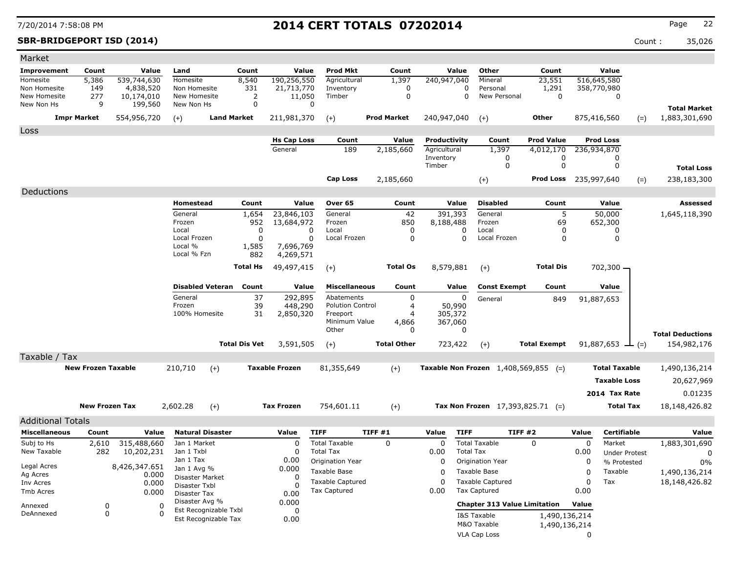## **SBR-BRIDGEPORT ISD (2014)** Count : 35,026

| Improvement<br>Count<br>Value<br><b>Prod Mkt</b><br>Count<br>Value<br>Other<br>Count<br>Value<br>Count<br>Value<br>Land<br>539,744,630<br>190,256,550<br>240,947,040<br>Homesite<br>5,386<br>Homesite<br>8,540<br>Agricultural<br>1,397<br>Mineral<br>23,551<br>516,645,580<br>1,291<br>Non Homesite<br>149<br>4,838,520<br>Non Homesite<br>331<br>21,713,770<br>0<br>0<br>Personal<br>358,770,980<br>Inventory<br>10,174,010<br>$\overline{2}$<br>$\mathbf 0$<br>0<br>$\mathbf 0$<br>New Homesite<br>277<br>New Homesite<br>11,050<br>New Personal<br>Timber<br>0<br>199,560<br>$\mathbf 0$<br>$\Omega$<br>New Non Hs<br>9<br>New Non Hs<br><b>Total Market</b><br>240,947,040<br>1,883,301,690<br><b>Impr Market</b><br>554,956,720<br><b>Land Market</b><br>211,981,370<br><b>Prod Market</b><br>Other<br>875,416,560<br>$(+)$<br>$(+)$<br>$(+)$<br>$(=)$<br>Loss<br><b>Prod Loss</b><br><b>Hs Cap Loss</b><br>Value<br>Productivity<br><b>Prod Value</b><br>Count<br>Count<br>General<br>189<br>Agricultural<br>1,397<br>4,012,170<br>2,185,660<br>236,934,870<br>Inventory<br>0<br>0<br>0<br>$\mathbf 0$<br>0<br>0<br>Timber<br><b>Total Loss</b><br><b>Cap Loss</b><br>2,185,660<br><b>Prod Loss</b> 235,997,640<br>$(=)$<br>238,183,300<br>$(+)$<br>Deductions<br>Over 65<br><b>Disabled</b><br>Value<br>Homestead<br>Count<br>Value<br>Count<br>Value<br>Count<br>Assessed<br>23,846,103<br>42<br>391,393<br>5<br>50,000<br>General<br>1,654<br>General<br>General<br>1,645,118,390<br>Frozen<br>952<br>13,684,972<br>Frozen<br>850<br>8,188,488<br>Frozen<br>69<br>652,300<br>Local<br>0<br>0<br>Local<br>0<br>0<br>0<br>0<br>Local<br>0<br>0<br>0<br>0<br>0<br>Local Frozen<br>Local Frozen<br>$\Omega$<br>Local Frozen<br>Local %<br>1,585<br>7,696,769<br>Local % Fzn<br>882<br>4,269,571<br>49,497,415<br><b>Total Hs</b><br><b>Total Os</b><br>8,579,881<br><b>Total Dis</b><br>702,300 -<br>$(+)$<br>$(+)$<br><b>Disabled Veteran</b><br>Count<br>Value<br><b>Miscellaneous</b><br>Count<br><b>Const Exempt</b><br>Count<br>Value<br>Value<br>37<br>292,895<br>0<br>0<br>General<br>Abatements<br>849<br>91,887,653<br>General<br>Frozen<br>39<br>50,990<br>448,290<br><b>Polution Control</b><br>4<br>100% Homesite<br>31<br>305,372<br>2,850,320<br>Freeport<br>4<br>Minimum Value<br>4,866<br>367,060<br>Other<br>0<br>0<br><b>Total Deductions</b><br><b>Total Dis Vet</b><br>3,591,505<br><b>Total Other</b><br>723,422<br><b>Total Exempt</b><br>$(+)$<br>$(+)$<br>91,887,653<br>154,982,176<br>$ (=)$<br>Taxable / Tax<br><b>New Frozen Taxable</b><br>210,710<br><b>Taxable Frozen</b><br><b>Total Taxable</b><br>81,355,649<br><b>Taxable Non Frozen</b> $1,408,569,855$ (=)<br>1,490,136,214<br>$(+)$<br>$(+)$<br><b>Taxable Loss</b><br>20,627,969<br>0.01235<br>2014 Tax Rate<br><b>New Frozen Tax</b><br><b>Tax Frozen</b><br>Tax Non Frozen $17,393,825.71$ (=)<br><b>Total Tax</b><br>2,602.28<br>$(+)$<br>754,601.11<br>$(+)$<br>18, 148, 426.82<br><b>Additional Totals</b><br><b>Natural Disaster</b><br>TIFF #1<br><b>TIFF</b><br>TIFF #2<br><b>Certifiable</b><br><b>Miscellaneous</b><br>Value<br><b>TIFF</b><br>Value<br>Value<br>Count<br>Value<br>Value<br><b>Total Taxable</b><br>0<br><b>Total Taxable</b><br>0<br>Market<br>1,883,301,690<br>Subj to Hs<br>315,488,660<br>Jan 1 Market<br>0<br>$\mathbf{0}$<br>$\Omega$<br>2,610<br>New Taxable<br>282<br>Jan 1 Txbl<br>$\Omega$<br><b>Total Tax</b><br>0.00<br><b>Total Tax</b><br>10,202,231<br>0.00<br><b>Under Protest</b><br>0<br>Jan 1 Tax<br>0.00<br>Origination Year<br>0<br>Origination Year<br>0<br>% Protested<br>0%<br>Legal Acres<br>8,426,347.651<br>0.000<br>Jan 1 Avg %<br>Taxable Base<br>Taxable Base<br>1,490,136,214<br>0<br>0<br>Taxable<br>Ag Acres<br>0.000<br>Disaster Market<br>0<br><b>Taxable Captured</b><br><b>Taxable Captured</b><br>0<br>0<br>Tax<br>18,148,426.82<br>0.000<br>Inv Acres<br>Disaster Txbl<br>0<br>Tax Captured<br>Tax Captured<br>0.00<br>0.00<br>Tmb Acres<br>0.000<br>Disaster Tax<br>0.00<br>Disaster Avg %<br>0.000<br><b>Chapter 313 Value Limitation</b><br>Value<br>Annexed<br>0<br>$\mathbf 0$<br>Est Recognizable Txbl<br>0<br>DeAnnexed<br>0<br>ſ<br>I&S Taxable<br>1,490,136,214<br>Est Recognizable Tax<br>0.00<br>M&O Taxable<br>1,490,136,214<br>VLA Cap Loss | Market |  |  |  |  |  |  |   |  |  |
|-----------------------------------------------------------------------------------------------------------------------------------------------------------------------------------------------------------------------------------------------------------------------------------------------------------------------------------------------------------------------------------------------------------------------------------------------------------------------------------------------------------------------------------------------------------------------------------------------------------------------------------------------------------------------------------------------------------------------------------------------------------------------------------------------------------------------------------------------------------------------------------------------------------------------------------------------------------------------------------------------------------------------------------------------------------------------------------------------------------------------------------------------------------------------------------------------------------------------------------------------------------------------------------------------------------------------------------------------------------------------------------------------------------------------------------------------------------------------------------------------------------------------------------------------------------------------------------------------------------------------------------------------------------------------------------------------------------------------------------------------------------------------------------------------------------------------------------------------------------------------------------------------------------------------------------------------------------------------------------------------------------------------------------------------------------------------------------------------------------------------------------------------------------------------------------------------------------------------------------------------------------------------------------------------------------------------------------------------------------------------------------------------------------------------------------------------------------------------------------------------------------------------------------------------------------------------------------------------------------------------------------------------------------------------------------------------------------------------------------------------------------------------------------------------------------------------------------------------------------------------------------------------------------------------------------------------------------------------------------------------------------------------------------------------------------------------------------------------------------------------------------------------------------------------------------------------------------------------------------------------------------------------------------------------------------------------------------------------------------------------------------------------------------------------------------------------------------------------------------------------------------------------------------------------------------------------------------------------------------------------------------------------------------------------------------------------------------------------------------------------------------------------------------------------------------------------------------------------------------------------------------------------------------------------------------------------------------------------------------------------------------------------------------------------------------------------------------------------------------------------------------------------------------------------------------------------------------------------------------------------------------------------------------------------------------------------|--------|--|--|--|--|--|--|---|--|--|
|                                                                                                                                                                                                                                                                                                                                                                                                                                                                                                                                                                                                                                                                                                                                                                                                                                                                                                                                                                                                                                                                                                                                                                                                                                                                                                                                                                                                                                                                                                                                                                                                                                                                                                                                                                                                                                                                                                                                                                                                                                                                                                                                                                                                                                                                                                                                                                                                                                                                                                                                                                                                                                                                                                                                                                                                                                                                                                                                                                                                                                                                                                                                                                                                                                                                                                                                                                                                                                                                                                                                                                                                                                                                                                                                                                                                                                                                                                                                                                                                                                                                                                                                                                                                                                                                                                                       |        |  |  |  |  |  |  |   |  |  |
|                                                                                                                                                                                                                                                                                                                                                                                                                                                                                                                                                                                                                                                                                                                                                                                                                                                                                                                                                                                                                                                                                                                                                                                                                                                                                                                                                                                                                                                                                                                                                                                                                                                                                                                                                                                                                                                                                                                                                                                                                                                                                                                                                                                                                                                                                                                                                                                                                                                                                                                                                                                                                                                                                                                                                                                                                                                                                                                                                                                                                                                                                                                                                                                                                                                                                                                                                                                                                                                                                                                                                                                                                                                                                                                                                                                                                                                                                                                                                                                                                                                                                                                                                                                                                                                                                                                       |        |  |  |  |  |  |  |   |  |  |
|                                                                                                                                                                                                                                                                                                                                                                                                                                                                                                                                                                                                                                                                                                                                                                                                                                                                                                                                                                                                                                                                                                                                                                                                                                                                                                                                                                                                                                                                                                                                                                                                                                                                                                                                                                                                                                                                                                                                                                                                                                                                                                                                                                                                                                                                                                                                                                                                                                                                                                                                                                                                                                                                                                                                                                                                                                                                                                                                                                                                                                                                                                                                                                                                                                                                                                                                                                                                                                                                                                                                                                                                                                                                                                                                                                                                                                                                                                                                                                                                                                                                                                                                                                                                                                                                                                                       |        |  |  |  |  |  |  |   |  |  |
|                                                                                                                                                                                                                                                                                                                                                                                                                                                                                                                                                                                                                                                                                                                                                                                                                                                                                                                                                                                                                                                                                                                                                                                                                                                                                                                                                                                                                                                                                                                                                                                                                                                                                                                                                                                                                                                                                                                                                                                                                                                                                                                                                                                                                                                                                                                                                                                                                                                                                                                                                                                                                                                                                                                                                                                                                                                                                                                                                                                                                                                                                                                                                                                                                                                                                                                                                                                                                                                                                                                                                                                                                                                                                                                                                                                                                                                                                                                                                                                                                                                                                                                                                                                                                                                                                                                       |        |  |  |  |  |  |  |   |  |  |
|                                                                                                                                                                                                                                                                                                                                                                                                                                                                                                                                                                                                                                                                                                                                                                                                                                                                                                                                                                                                                                                                                                                                                                                                                                                                                                                                                                                                                                                                                                                                                                                                                                                                                                                                                                                                                                                                                                                                                                                                                                                                                                                                                                                                                                                                                                                                                                                                                                                                                                                                                                                                                                                                                                                                                                                                                                                                                                                                                                                                                                                                                                                                                                                                                                                                                                                                                                                                                                                                                                                                                                                                                                                                                                                                                                                                                                                                                                                                                                                                                                                                                                                                                                                                                                                                                                                       |        |  |  |  |  |  |  |   |  |  |
|                                                                                                                                                                                                                                                                                                                                                                                                                                                                                                                                                                                                                                                                                                                                                                                                                                                                                                                                                                                                                                                                                                                                                                                                                                                                                                                                                                                                                                                                                                                                                                                                                                                                                                                                                                                                                                                                                                                                                                                                                                                                                                                                                                                                                                                                                                                                                                                                                                                                                                                                                                                                                                                                                                                                                                                                                                                                                                                                                                                                                                                                                                                                                                                                                                                                                                                                                                                                                                                                                                                                                                                                                                                                                                                                                                                                                                                                                                                                                                                                                                                                                                                                                                                                                                                                                                                       |        |  |  |  |  |  |  |   |  |  |
|                                                                                                                                                                                                                                                                                                                                                                                                                                                                                                                                                                                                                                                                                                                                                                                                                                                                                                                                                                                                                                                                                                                                                                                                                                                                                                                                                                                                                                                                                                                                                                                                                                                                                                                                                                                                                                                                                                                                                                                                                                                                                                                                                                                                                                                                                                                                                                                                                                                                                                                                                                                                                                                                                                                                                                                                                                                                                                                                                                                                                                                                                                                                                                                                                                                                                                                                                                                                                                                                                                                                                                                                                                                                                                                                                                                                                                                                                                                                                                                                                                                                                                                                                                                                                                                                                                                       |        |  |  |  |  |  |  |   |  |  |
|                                                                                                                                                                                                                                                                                                                                                                                                                                                                                                                                                                                                                                                                                                                                                                                                                                                                                                                                                                                                                                                                                                                                                                                                                                                                                                                                                                                                                                                                                                                                                                                                                                                                                                                                                                                                                                                                                                                                                                                                                                                                                                                                                                                                                                                                                                                                                                                                                                                                                                                                                                                                                                                                                                                                                                                                                                                                                                                                                                                                                                                                                                                                                                                                                                                                                                                                                                                                                                                                                                                                                                                                                                                                                                                                                                                                                                                                                                                                                                                                                                                                                                                                                                                                                                                                                                                       |        |  |  |  |  |  |  |   |  |  |
|                                                                                                                                                                                                                                                                                                                                                                                                                                                                                                                                                                                                                                                                                                                                                                                                                                                                                                                                                                                                                                                                                                                                                                                                                                                                                                                                                                                                                                                                                                                                                                                                                                                                                                                                                                                                                                                                                                                                                                                                                                                                                                                                                                                                                                                                                                                                                                                                                                                                                                                                                                                                                                                                                                                                                                                                                                                                                                                                                                                                                                                                                                                                                                                                                                                                                                                                                                                                                                                                                                                                                                                                                                                                                                                                                                                                                                                                                                                                                                                                                                                                                                                                                                                                                                                                                                                       |        |  |  |  |  |  |  |   |  |  |
|                                                                                                                                                                                                                                                                                                                                                                                                                                                                                                                                                                                                                                                                                                                                                                                                                                                                                                                                                                                                                                                                                                                                                                                                                                                                                                                                                                                                                                                                                                                                                                                                                                                                                                                                                                                                                                                                                                                                                                                                                                                                                                                                                                                                                                                                                                                                                                                                                                                                                                                                                                                                                                                                                                                                                                                                                                                                                                                                                                                                                                                                                                                                                                                                                                                                                                                                                                                                                                                                                                                                                                                                                                                                                                                                                                                                                                                                                                                                                                                                                                                                                                                                                                                                                                                                                                                       |        |  |  |  |  |  |  |   |  |  |
|                                                                                                                                                                                                                                                                                                                                                                                                                                                                                                                                                                                                                                                                                                                                                                                                                                                                                                                                                                                                                                                                                                                                                                                                                                                                                                                                                                                                                                                                                                                                                                                                                                                                                                                                                                                                                                                                                                                                                                                                                                                                                                                                                                                                                                                                                                                                                                                                                                                                                                                                                                                                                                                                                                                                                                                                                                                                                                                                                                                                                                                                                                                                                                                                                                                                                                                                                                                                                                                                                                                                                                                                                                                                                                                                                                                                                                                                                                                                                                                                                                                                                                                                                                                                                                                                                                                       |        |  |  |  |  |  |  |   |  |  |
|                                                                                                                                                                                                                                                                                                                                                                                                                                                                                                                                                                                                                                                                                                                                                                                                                                                                                                                                                                                                                                                                                                                                                                                                                                                                                                                                                                                                                                                                                                                                                                                                                                                                                                                                                                                                                                                                                                                                                                                                                                                                                                                                                                                                                                                                                                                                                                                                                                                                                                                                                                                                                                                                                                                                                                                                                                                                                                                                                                                                                                                                                                                                                                                                                                                                                                                                                                                                                                                                                                                                                                                                                                                                                                                                                                                                                                                                                                                                                                                                                                                                                                                                                                                                                                                                                                                       |        |  |  |  |  |  |  |   |  |  |
|                                                                                                                                                                                                                                                                                                                                                                                                                                                                                                                                                                                                                                                                                                                                                                                                                                                                                                                                                                                                                                                                                                                                                                                                                                                                                                                                                                                                                                                                                                                                                                                                                                                                                                                                                                                                                                                                                                                                                                                                                                                                                                                                                                                                                                                                                                                                                                                                                                                                                                                                                                                                                                                                                                                                                                                                                                                                                                                                                                                                                                                                                                                                                                                                                                                                                                                                                                                                                                                                                                                                                                                                                                                                                                                                                                                                                                                                                                                                                                                                                                                                                                                                                                                                                                                                                                                       |        |  |  |  |  |  |  |   |  |  |
|                                                                                                                                                                                                                                                                                                                                                                                                                                                                                                                                                                                                                                                                                                                                                                                                                                                                                                                                                                                                                                                                                                                                                                                                                                                                                                                                                                                                                                                                                                                                                                                                                                                                                                                                                                                                                                                                                                                                                                                                                                                                                                                                                                                                                                                                                                                                                                                                                                                                                                                                                                                                                                                                                                                                                                                                                                                                                                                                                                                                                                                                                                                                                                                                                                                                                                                                                                                                                                                                                                                                                                                                                                                                                                                                                                                                                                                                                                                                                                                                                                                                                                                                                                                                                                                                                                                       |        |  |  |  |  |  |  |   |  |  |
|                                                                                                                                                                                                                                                                                                                                                                                                                                                                                                                                                                                                                                                                                                                                                                                                                                                                                                                                                                                                                                                                                                                                                                                                                                                                                                                                                                                                                                                                                                                                                                                                                                                                                                                                                                                                                                                                                                                                                                                                                                                                                                                                                                                                                                                                                                                                                                                                                                                                                                                                                                                                                                                                                                                                                                                                                                                                                                                                                                                                                                                                                                                                                                                                                                                                                                                                                                                                                                                                                                                                                                                                                                                                                                                                                                                                                                                                                                                                                                                                                                                                                                                                                                                                                                                                                                                       |        |  |  |  |  |  |  |   |  |  |
|                                                                                                                                                                                                                                                                                                                                                                                                                                                                                                                                                                                                                                                                                                                                                                                                                                                                                                                                                                                                                                                                                                                                                                                                                                                                                                                                                                                                                                                                                                                                                                                                                                                                                                                                                                                                                                                                                                                                                                                                                                                                                                                                                                                                                                                                                                                                                                                                                                                                                                                                                                                                                                                                                                                                                                                                                                                                                                                                                                                                                                                                                                                                                                                                                                                                                                                                                                                                                                                                                                                                                                                                                                                                                                                                                                                                                                                                                                                                                                                                                                                                                                                                                                                                                                                                                                                       |        |  |  |  |  |  |  |   |  |  |
|                                                                                                                                                                                                                                                                                                                                                                                                                                                                                                                                                                                                                                                                                                                                                                                                                                                                                                                                                                                                                                                                                                                                                                                                                                                                                                                                                                                                                                                                                                                                                                                                                                                                                                                                                                                                                                                                                                                                                                                                                                                                                                                                                                                                                                                                                                                                                                                                                                                                                                                                                                                                                                                                                                                                                                                                                                                                                                                                                                                                                                                                                                                                                                                                                                                                                                                                                                                                                                                                                                                                                                                                                                                                                                                                                                                                                                                                                                                                                                                                                                                                                                                                                                                                                                                                                                                       |        |  |  |  |  |  |  |   |  |  |
|                                                                                                                                                                                                                                                                                                                                                                                                                                                                                                                                                                                                                                                                                                                                                                                                                                                                                                                                                                                                                                                                                                                                                                                                                                                                                                                                                                                                                                                                                                                                                                                                                                                                                                                                                                                                                                                                                                                                                                                                                                                                                                                                                                                                                                                                                                                                                                                                                                                                                                                                                                                                                                                                                                                                                                                                                                                                                                                                                                                                                                                                                                                                                                                                                                                                                                                                                                                                                                                                                                                                                                                                                                                                                                                                                                                                                                                                                                                                                                                                                                                                                                                                                                                                                                                                                                                       |        |  |  |  |  |  |  |   |  |  |
|                                                                                                                                                                                                                                                                                                                                                                                                                                                                                                                                                                                                                                                                                                                                                                                                                                                                                                                                                                                                                                                                                                                                                                                                                                                                                                                                                                                                                                                                                                                                                                                                                                                                                                                                                                                                                                                                                                                                                                                                                                                                                                                                                                                                                                                                                                                                                                                                                                                                                                                                                                                                                                                                                                                                                                                                                                                                                                                                                                                                                                                                                                                                                                                                                                                                                                                                                                                                                                                                                                                                                                                                                                                                                                                                                                                                                                                                                                                                                                                                                                                                                                                                                                                                                                                                                                                       |        |  |  |  |  |  |  |   |  |  |
|                                                                                                                                                                                                                                                                                                                                                                                                                                                                                                                                                                                                                                                                                                                                                                                                                                                                                                                                                                                                                                                                                                                                                                                                                                                                                                                                                                                                                                                                                                                                                                                                                                                                                                                                                                                                                                                                                                                                                                                                                                                                                                                                                                                                                                                                                                                                                                                                                                                                                                                                                                                                                                                                                                                                                                                                                                                                                                                                                                                                                                                                                                                                                                                                                                                                                                                                                                                                                                                                                                                                                                                                                                                                                                                                                                                                                                                                                                                                                                                                                                                                                                                                                                                                                                                                                                                       |        |  |  |  |  |  |  |   |  |  |
|                                                                                                                                                                                                                                                                                                                                                                                                                                                                                                                                                                                                                                                                                                                                                                                                                                                                                                                                                                                                                                                                                                                                                                                                                                                                                                                                                                                                                                                                                                                                                                                                                                                                                                                                                                                                                                                                                                                                                                                                                                                                                                                                                                                                                                                                                                                                                                                                                                                                                                                                                                                                                                                                                                                                                                                                                                                                                                                                                                                                                                                                                                                                                                                                                                                                                                                                                                                                                                                                                                                                                                                                                                                                                                                                                                                                                                                                                                                                                                                                                                                                                                                                                                                                                                                                                                                       |        |  |  |  |  |  |  |   |  |  |
|                                                                                                                                                                                                                                                                                                                                                                                                                                                                                                                                                                                                                                                                                                                                                                                                                                                                                                                                                                                                                                                                                                                                                                                                                                                                                                                                                                                                                                                                                                                                                                                                                                                                                                                                                                                                                                                                                                                                                                                                                                                                                                                                                                                                                                                                                                                                                                                                                                                                                                                                                                                                                                                                                                                                                                                                                                                                                                                                                                                                                                                                                                                                                                                                                                                                                                                                                                                                                                                                                                                                                                                                                                                                                                                                                                                                                                                                                                                                                                                                                                                                                                                                                                                                                                                                                                                       |        |  |  |  |  |  |  |   |  |  |
|                                                                                                                                                                                                                                                                                                                                                                                                                                                                                                                                                                                                                                                                                                                                                                                                                                                                                                                                                                                                                                                                                                                                                                                                                                                                                                                                                                                                                                                                                                                                                                                                                                                                                                                                                                                                                                                                                                                                                                                                                                                                                                                                                                                                                                                                                                                                                                                                                                                                                                                                                                                                                                                                                                                                                                                                                                                                                                                                                                                                                                                                                                                                                                                                                                                                                                                                                                                                                                                                                                                                                                                                                                                                                                                                                                                                                                                                                                                                                                                                                                                                                                                                                                                                                                                                                                                       |        |  |  |  |  |  |  |   |  |  |
|                                                                                                                                                                                                                                                                                                                                                                                                                                                                                                                                                                                                                                                                                                                                                                                                                                                                                                                                                                                                                                                                                                                                                                                                                                                                                                                                                                                                                                                                                                                                                                                                                                                                                                                                                                                                                                                                                                                                                                                                                                                                                                                                                                                                                                                                                                                                                                                                                                                                                                                                                                                                                                                                                                                                                                                                                                                                                                                                                                                                                                                                                                                                                                                                                                                                                                                                                                                                                                                                                                                                                                                                                                                                                                                                                                                                                                                                                                                                                                                                                                                                                                                                                                                                                                                                                                                       |        |  |  |  |  |  |  |   |  |  |
|                                                                                                                                                                                                                                                                                                                                                                                                                                                                                                                                                                                                                                                                                                                                                                                                                                                                                                                                                                                                                                                                                                                                                                                                                                                                                                                                                                                                                                                                                                                                                                                                                                                                                                                                                                                                                                                                                                                                                                                                                                                                                                                                                                                                                                                                                                                                                                                                                                                                                                                                                                                                                                                                                                                                                                                                                                                                                                                                                                                                                                                                                                                                                                                                                                                                                                                                                                                                                                                                                                                                                                                                                                                                                                                                                                                                                                                                                                                                                                                                                                                                                                                                                                                                                                                                                                                       |        |  |  |  |  |  |  |   |  |  |
|                                                                                                                                                                                                                                                                                                                                                                                                                                                                                                                                                                                                                                                                                                                                                                                                                                                                                                                                                                                                                                                                                                                                                                                                                                                                                                                                                                                                                                                                                                                                                                                                                                                                                                                                                                                                                                                                                                                                                                                                                                                                                                                                                                                                                                                                                                                                                                                                                                                                                                                                                                                                                                                                                                                                                                                                                                                                                                                                                                                                                                                                                                                                                                                                                                                                                                                                                                                                                                                                                                                                                                                                                                                                                                                                                                                                                                                                                                                                                                                                                                                                                                                                                                                                                                                                                                                       |        |  |  |  |  |  |  |   |  |  |
|                                                                                                                                                                                                                                                                                                                                                                                                                                                                                                                                                                                                                                                                                                                                                                                                                                                                                                                                                                                                                                                                                                                                                                                                                                                                                                                                                                                                                                                                                                                                                                                                                                                                                                                                                                                                                                                                                                                                                                                                                                                                                                                                                                                                                                                                                                                                                                                                                                                                                                                                                                                                                                                                                                                                                                                                                                                                                                                                                                                                                                                                                                                                                                                                                                                                                                                                                                                                                                                                                                                                                                                                                                                                                                                                                                                                                                                                                                                                                                                                                                                                                                                                                                                                                                                                                                                       |        |  |  |  |  |  |  |   |  |  |
|                                                                                                                                                                                                                                                                                                                                                                                                                                                                                                                                                                                                                                                                                                                                                                                                                                                                                                                                                                                                                                                                                                                                                                                                                                                                                                                                                                                                                                                                                                                                                                                                                                                                                                                                                                                                                                                                                                                                                                                                                                                                                                                                                                                                                                                                                                                                                                                                                                                                                                                                                                                                                                                                                                                                                                                                                                                                                                                                                                                                                                                                                                                                                                                                                                                                                                                                                                                                                                                                                                                                                                                                                                                                                                                                                                                                                                                                                                                                                                                                                                                                                                                                                                                                                                                                                                                       |        |  |  |  |  |  |  |   |  |  |
|                                                                                                                                                                                                                                                                                                                                                                                                                                                                                                                                                                                                                                                                                                                                                                                                                                                                                                                                                                                                                                                                                                                                                                                                                                                                                                                                                                                                                                                                                                                                                                                                                                                                                                                                                                                                                                                                                                                                                                                                                                                                                                                                                                                                                                                                                                                                                                                                                                                                                                                                                                                                                                                                                                                                                                                                                                                                                                                                                                                                                                                                                                                                                                                                                                                                                                                                                                                                                                                                                                                                                                                                                                                                                                                                                                                                                                                                                                                                                                                                                                                                                                                                                                                                                                                                                                                       |        |  |  |  |  |  |  |   |  |  |
|                                                                                                                                                                                                                                                                                                                                                                                                                                                                                                                                                                                                                                                                                                                                                                                                                                                                                                                                                                                                                                                                                                                                                                                                                                                                                                                                                                                                                                                                                                                                                                                                                                                                                                                                                                                                                                                                                                                                                                                                                                                                                                                                                                                                                                                                                                                                                                                                                                                                                                                                                                                                                                                                                                                                                                                                                                                                                                                                                                                                                                                                                                                                                                                                                                                                                                                                                                                                                                                                                                                                                                                                                                                                                                                                                                                                                                                                                                                                                                                                                                                                                                                                                                                                                                                                                                                       |        |  |  |  |  |  |  |   |  |  |
|                                                                                                                                                                                                                                                                                                                                                                                                                                                                                                                                                                                                                                                                                                                                                                                                                                                                                                                                                                                                                                                                                                                                                                                                                                                                                                                                                                                                                                                                                                                                                                                                                                                                                                                                                                                                                                                                                                                                                                                                                                                                                                                                                                                                                                                                                                                                                                                                                                                                                                                                                                                                                                                                                                                                                                                                                                                                                                                                                                                                                                                                                                                                                                                                                                                                                                                                                                                                                                                                                                                                                                                                                                                                                                                                                                                                                                                                                                                                                                                                                                                                                                                                                                                                                                                                                                                       |        |  |  |  |  |  |  |   |  |  |
|                                                                                                                                                                                                                                                                                                                                                                                                                                                                                                                                                                                                                                                                                                                                                                                                                                                                                                                                                                                                                                                                                                                                                                                                                                                                                                                                                                                                                                                                                                                                                                                                                                                                                                                                                                                                                                                                                                                                                                                                                                                                                                                                                                                                                                                                                                                                                                                                                                                                                                                                                                                                                                                                                                                                                                                                                                                                                                                                                                                                                                                                                                                                                                                                                                                                                                                                                                                                                                                                                                                                                                                                                                                                                                                                                                                                                                                                                                                                                                                                                                                                                                                                                                                                                                                                                                                       |        |  |  |  |  |  |  |   |  |  |
|                                                                                                                                                                                                                                                                                                                                                                                                                                                                                                                                                                                                                                                                                                                                                                                                                                                                                                                                                                                                                                                                                                                                                                                                                                                                                                                                                                                                                                                                                                                                                                                                                                                                                                                                                                                                                                                                                                                                                                                                                                                                                                                                                                                                                                                                                                                                                                                                                                                                                                                                                                                                                                                                                                                                                                                                                                                                                                                                                                                                                                                                                                                                                                                                                                                                                                                                                                                                                                                                                                                                                                                                                                                                                                                                                                                                                                                                                                                                                                                                                                                                                                                                                                                                                                                                                                                       |        |  |  |  |  |  |  |   |  |  |
|                                                                                                                                                                                                                                                                                                                                                                                                                                                                                                                                                                                                                                                                                                                                                                                                                                                                                                                                                                                                                                                                                                                                                                                                                                                                                                                                                                                                                                                                                                                                                                                                                                                                                                                                                                                                                                                                                                                                                                                                                                                                                                                                                                                                                                                                                                                                                                                                                                                                                                                                                                                                                                                                                                                                                                                                                                                                                                                                                                                                                                                                                                                                                                                                                                                                                                                                                                                                                                                                                                                                                                                                                                                                                                                                                                                                                                                                                                                                                                                                                                                                                                                                                                                                                                                                                                                       |        |  |  |  |  |  |  |   |  |  |
|                                                                                                                                                                                                                                                                                                                                                                                                                                                                                                                                                                                                                                                                                                                                                                                                                                                                                                                                                                                                                                                                                                                                                                                                                                                                                                                                                                                                                                                                                                                                                                                                                                                                                                                                                                                                                                                                                                                                                                                                                                                                                                                                                                                                                                                                                                                                                                                                                                                                                                                                                                                                                                                                                                                                                                                                                                                                                                                                                                                                                                                                                                                                                                                                                                                                                                                                                                                                                                                                                                                                                                                                                                                                                                                                                                                                                                                                                                                                                                                                                                                                                                                                                                                                                                                                                                                       |        |  |  |  |  |  |  |   |  |  |
|                                                                                                                                                                                                                                                                                                                                                                                                                                                                                                                                                                                                                                                                                                                                                                                                                                                                                                                                                                                                                                                                                                                                                                                                                                                                                                                                                                                                                                                                                                                                                                                                                                                                                                                                                                                                                                                                                                                                                                                                                                                                                                                                                                                                                                                                                                                                                                                                                                                                                                                                                                                                                                                                                                                                                                                                                                                                                                                                                                                                                                                                                                                                                                                                                                                                                                                                                                                                                                                                                                                                                                                                                                                                                                                                                                                                                                                                                                                                                                                                                                                                                                                                                                                                                                                                                                                       |        |  |  |  |  |  |  |   |  |  |
|                                                                                                                                                                                                                                                                                                                                                                                                                                                                                                                                                                                                                                                                                                                                                                                                                                                                                                                                                                                                                                                                                                                                                                                                                                                                                                                                                                                                                                                                                                                                                                                                                                                                                                                                                                                                                                                                                                                                                                                                                                                                                                                                                                                                                                                                                                                                                                                                                                                                                                                                                                                                                                                                                                                                                                                                                                                                                                                                                                                                                                                                                                                                                                                                                                                                                                                                                                                                                                                                                                                                                                                                                                                                                                                                                                                                                                                                                                                                                                                                                                                                                                                                                                                                                                                                                                                       |        |  |  |  |  |  |  |   |  |  |
|                                                                                                                                                                                                                                                                                                                                                                                                                                                                                                                                                                                                                                                                                                                                                                                                                                                                                                                                                                                                                                                                                                                                                                                                                                                                                                                                                                                                                                                                                                                                                                                                                                                                                                                                                                                                                                                                                                                                                                                                                                                                                                                                                                                                                                                                                                                                                                                                                                                                                                                                                                                                                                                                                                                                                                                                                                                                                                                                                                                                                                                                                                                                                                                                                                                                                                                                                                                                                                                                                                                                                                                                                                                                                                                                                                                                                                                                                                                                                                                                                                                                                                                                                                                                                                                                                                                       |        |  |  |  |  |  |  |   |  |  |
|                                                                                                                                                                                                                                                                                                                                                                                                                                                                                                                                                                                                                                                                                                                                                                                                                                                                                                                                                                                                                                                                                                                                                                                                                                                                                                                                                                                                                                                                                                                                                                                                                                                                                                                                                                                                                                                                                                                                                                                                                                                                                                                                                                                                                                                                                                                                                                                                                                                                                                                                                                                                                                                                                                                                                                                                                                                                                                                                                                                                                                                                                                                                                                                                                                                                                                                                                                                                                                                                                                                                                                                                                                                                                                                                                                                                                                                                                                                                                                                                                                                                                                                                                                                                                                                                                                                       |        |  |  |  |  |  |  |   |  |  |
|                                                                                                                                                                                                                                                                                                                                                                                                                                                                                                                                                                                                                                                                                                                                                                                                                                                                                                                                                                                                                                                                                                                                                                                                                                                                                                                                                                                                                                                                                                                                                                                                                                                                                                                                                                                                                                                                                                                                                                                                                                                                                                                                                                                                                                                                                                                                                                                                                                                                                                                                                                                                                                                                                                                                                                                                                                                                                                                                                                                                                                                                                                                                                                                                                                                                                                                                                                                                                                                                                                                                                                                                                                                                                                                                                                                                                                                                                                                                                                                                                                                                                                                                                                                                                                                                                                                       |        |  |  |  |  |  |  |   |  |  |
|                                                                                                                                                                                                                                                                                                                                                                                                                                                                                                                                                                                                                                                                                                                                                                                                                                                                                                                                                                                                                                                                                                                                                                                                                                                                                                                                                                                                                                                                                                                                                                                                                                                                                                                                                                                                                                                                                                                                                                                                                                                                                                                                                                                                                                                                                                                                                                                                                                                                                                                                                                                                                                                                                                                                                                                                                                                                                                                                                                                                                                                                                                                                                                                                                                                                                                                                                                                                                                                                                                                                                                                                                                                                                                                                                                                                                                                                                                                                                                                                                                                                                                                                                                                                                                                                                                                       |        |  |  |  |  |  |  |   |  |  |
|                                                                                                                                                                                                                                                                                                                                                                                                                                                                                                                                                                                                                                                                                                                                                                                                                                                                                                                                                                                                                                                                                                                                                                                                                                                                                                                                                                                                                                                                                                                                                                                                                                                                                                                                                                                                                                                                                                                                                                                                                                                                                                                                                                                                                                                                                                                                                                                                                                                                                                                                                                                                                                                                                                                                                                                                                                                                                                                                                                                                                                                                                                                                                                                                                                                                                                                                                                                                                                                                                                                                                                                                                                                                                                                                                                                                                                                                                                                                                                                                                                                                                                                                                                                                                                                                                                                       |        |  |  |  |  |  |  |   |  |  |
|                                                                                                                                                                                                                                                                                                                                                                                                                                                                                                                                                                                                                                                                                                                                                                                                                                                                                                                                                                                                                                                                                                                                                                                                                                                                                                                                                                                                                                                                                                                                                                                                                                                                                                                                                                                                                                                                                                                                                                                                                                                                                                                                                                                                                                                                                                                                                                                                                                                                                                                                                                                                                                                                                                                                                                                                                                                                                                                                                                                                                                                                                                                                                                                                                                                                                                                                                                                                                                                                                                                                                                                                                                                                                                                                                                                                                                                                                                                                                                                                                                                                                                                                                                                                                                                                                                                       |        |  |  |  |  |  |  |   |  |  |
|                                                                                                                                                                                                                                                                                                                                                                                                                                                                                                                                                                                                                                                                                                                                                                                                                                                                                                                                                                                                                                                                                                                                                                                                                                                                                                                                                                                                                                                                                                                                                                                                                                                                                                                                                                                                                                                                                                                                                                                                                                                                                                                                                                                                                                                                                                                                                                                                                                                                                                                                                                                                                                                                                                                                                                                                                                                                                                                                                                                                                                                                                                                                                                                                                                                                                                                                                                                                                                                                                                                                                                                                                                                                                                                                                                                                                                                                                                                                                                                                                                                                                                                                                                                                                                                                                                                       |        |  |  |  |  |  |  |   |  |  |
|                                                                                                                                                                                                                                                                                                                                                                                                                                                                                                                                                                                                                                                                                                                                                                                                                                                                                                                                                                                                                                                                                                                                                                                                                                                                                                                                                                                                                                                                                                                                                                                                                                                                                                                                                                                                                                                                                                                                                                                                                                                                                                                                                                                                                                                                                                                                                                                                                                                                                                                                                                                                                                                                                                                                                                                                                                                                                                                                                                                                                                                                                                                                                                                                                                                                                                                                                                                                                                                                                                                                                                                                                                                                                                                                                                                                                                                                                                                                                                                                                                                                                                                                                                                                                                                                                                                       |        |  |  |  |  |  |  |   |  |  |
|                                                                                                                                                                                                                                                                                                                                                                                                                                                                                                                                                                                                                                                                                                                                                                                                                                                                                                                                                                                                                                                                                                                                                                                                                                                                                                                                                                                                                                                                                                                                                                                                                                                                                                                                                                                                                                                                                                                                                                                                                                                                                                                                                                                                                                                                                                                                                                                                                                                                                                                                                                                                                                                                                                                                                                                                                                                                                                                                                                                                                                                                                                                                                                                                                                                                                                                                                                                                                                                                                                                                                                                                                                                                                                                                                                                                                                                                                                                                                                                                                                                                                                                                                                                                                                                                                                                       |        |  |  |  |  |  |  |   |  |  |
|                                                                                                                                                                                                                                                                                                                                                                                                                                                                                                                                                                                                                                                                                                                                                                                                                                                                                                                                                                                                                                                                                                                                                                                                                                                                                                                                                                                                                                                                                                                                                                                                                                                                                                                                                                                                                                                                                                                                                                                                                                                                                                                                                                                                                                                                                                                                                                                                                                                                                                                                                                                                                                                                                                                                                                                                                                                                                                                                                                                                                                                                                                                                                                                                                                                                                                                                                                                                                                                                                                                                                                                                                                                                                                                                                                                                                                                                                                                                                                                                                                                                                                                                                                                                                                                                                                                       |        |  |  |  |  |  |  | 0 |  |  |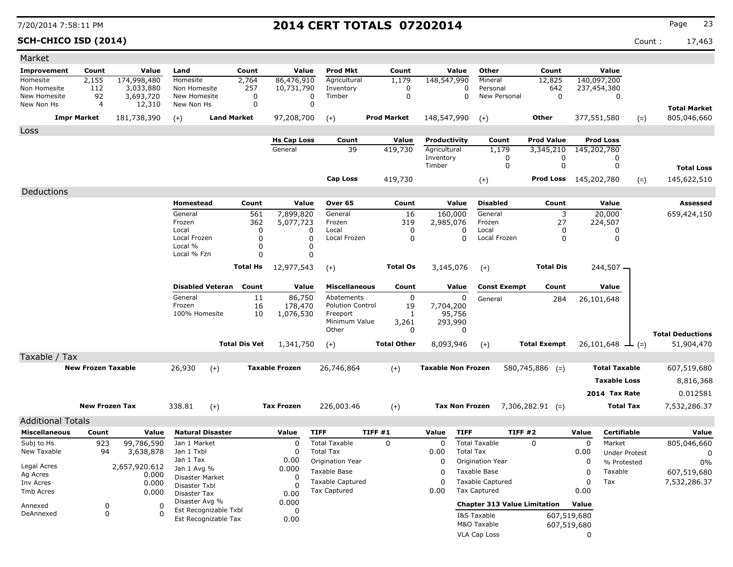**SCH-CHICO ISD (2014)** Count : 17,463

| Market                     |                           |                     |                            |                                               |                         |                       |                           |                    |                         |                           |                             |                                     |                              |             |                        |       |                         |
|----------------------------|---------------------------|---------------------|----------------------------|-----------------------------------------------|-------------------------|-----------------------|---------------------------|--------------------|-------------------------|---------------------------|-----------------------------|-------------------------------------|------------------------------|-------------|------------------------|-------|-------------------------|
| Improvement                | Count                     | Value               | Land                       |                                               | Count                   | Value                 | <b>Prod Mkt</b>           |                    | Count                   | Value                     |                             | Other                               | Count                        |             | Value                  |       |                         |
| Homesite                   | 2,155                     | 174,998,480         | Homesite                   |                                               | 2,764                   | 86,476,910            | Agricultural              |                    | 1,179                   | 148,547,990               |                             | Mineral                             | 12,825                       |             | 140,097,200            |       |                         |
| Non Homesite               | 112                       | 3,033,880           | Non Homesite               |                                               | 257                     | 10,731,790            | Inventory                 |                    | 0                       |                           | 0                           | Personal                            | 642                          |             | 237,454,380            |       |                         |
| New Homesite<br>New Non Hs | 92<br>$\overline{4}$      | 3,693,720<br>12,310 | New Homesite<br>New Non Hs |                                               | 0<br>$\mathbf 0$        | $\Omega$              | Timber<br>$\mathbf 0$     |                    | 0                       |                           | 0                           | New Personal                        | $\Omega$                     |             | $\Omega$               |       |                         |
|                            |                           |                     |                            |                                               |                         |                       |                           |                    |                         |                           |                             |                                     |                              |             |                        |       | <b>Total Market</b>     |
|                            | <b>Impr Market</b>        | 181,738,390         | $(+)$                      | <b>Land Market</b>                            |                         | 97,208,700            | $(+)$                     | <b>Prod Market</b> |                         | 148,547,990               |                             | $(+)$                               | Other                        |             | 377,551,580            | $(=)$ | 805,046,660             |
| <b>Loss</b>                |                           |                     |                            |                                               |                         |                       |                           |                    |                         |                           |                             |                                     |                              |             |                        |       |                         |
|                            |                           |                     |                            |                                               |                         | <b>Hs Cap Loss</b>    | Count                     |                    | Value                   | Productivity              |                             | Count                               | <b>Prod Value</b>            |             | <b>Prod Loss</b>       |       |                         |
|                            |                           |                     |                            |                                               |                         | General               | 39                        |                    | 419,730                 | Agricultural              |                             | 1,179                               | 3,345,210                    |             | 145,202,780            |       |                         |
|                            |                           |                     |                            |                                               |                         |                       |                           |                    |                         | Inventory                 |                             | 0<br>$\Omega$                       | 0                            |             | 0<br>$\mathbf 0$       |       |                         |
|                            |                           |                     |                            |                                               |                         |                       |                           |                    |                         | Timber                    |                             |                                     | $\mathbf 0$                  |             |                        |       | <b>Total Loss</b>       |
|                            |                           |                     |                            |                                               |                         |                       | <b>Cap Loss</b>           |                    | 419,730                 |                           |                             | $^{(+)}$                            | <b>Prod Loss</b> 145,202,780 |             |                        | $(=)$ | 145,622,510             |
| Deductions                 |                           |                     |                            |                                               |                         |                       |                           |                    |                         |                           |                             |                                     |                              |             |                        |       |                         |
|                            |                           |                     | <b>Homestead</b>           |                                               | Count                   | Value                 | Over 65                   |                    | Count                   | Value                     |                             | <b>Disabled</b>                     | Count                        |             | Value                  |       | <b>Assessed</b>         |
|                            |                           |                     | General                    |                                               | 561                     | 7,899,820             | General                   |                    | 16                      | 160,000                   |                             | General                             | 3                            |             | 20,000                 |       | 659,424,150             |
|                            |                           |                     | Frozen                     |                                               | 362                     | 5,077,723             | Frozen                    |                    | 319                     | 2,985,076                 |                             | Frozen                              | 27                           |             | 224,507                |       |                         |
|                            |                           |                     | Local<br>Local Frozen      |                                               | $\Omega$<br>$\mathbf 0$ | 0<br>$\mathbf 0$      | Local<br>Local Frozen     |                    | $\Omega$<br>$\mathbf 0$ |                           | $\mathbf{0}$<br>$\mathbf 0$ | Local<br>Local Frozen               | 0<br>$\mathbf 0$             |             | 0<br>0                 |       |                         |
|                            |                           |                     | Local %                    |                                               | $\Omega$                | 0                     |                           |                    |                         |                           |                             |                                     |                              |             |                        |       |                         |
|                            |                           |                     | Local % Fzn                |                                               | $\Omega$                | 0                     |                           |                    |                         |                           |                             |                                     |                              |             |                        |       |                         |
|                            |                           |                     |                            |                                               | <b>Total Hs</b>         | 12,977,543            | $(+)$                     |                    | <b>Total Os</b>         | 3,145,076                 |                             | $(+)$                               | <b>Total Dis</b>             |             | 244,507 -              |       |                         |
|                            |                           |                     |                            |                                               |                         |                       |                           |                    |                         |                           |                             |                                     |                              |             |                        |       |                         |
|                            |                           |                     |                            | <b>Disabled Veteran</b>                       | Count                   | Value                 | <b>Miscellaneous</b>      |                    | Count                   | Value                     |                             | <b>Const Exempt</b>                 | Count                        |             | Value                  |       |                         |
|                            |                           |                     | General                    |                                               | 11                      | 86,750                | Abatements                |                    | $\Omega$                |                           | $\Omega$                    | General                             | 284                          |             | 26,101,648             |       |                         |
|                            |                           |                     | Frozen                     |                                               | 16                      | 178,470               | <b>Polution Control</b>   |                    | 19                      | 7,704,200                 |                             |                                     |                              |             |                        |       |                         |
|                            |                           |                     | 100% Homesite              |                                               | 10                      | 1,076,530             | Freeport<br>Minimum Value |                    | 1<br>3,261              | 95,756<br>293,990         |                             |                                     |                              |             |                        |       |                         |
|                            |                           |                     |                            |                                               |                         |                       | Other                     |                    | $\Omega$                |                           | $\mathbf{0}$                |                                     |                              |             |                        |       |                         |
|                            |                           |                     |                            |                                               | <b>Total Dis Vet</b>    |                       |                           |                    | <b>Total Other</b>      |                           |                             |                                     | <b>Total Exempt</b>          |             |                        |       | <b>Total Deductions</b> |
|                            |                           |                     |                            |                                               |                         | 1,341,750             | $(+)$                     |                    |                         | 8,093,946                 |                             | $(+)$                               |                              |             | 26,101,648 $\perp$ (=) |       | 51,904,470              |
| Taxable / Tax              |                           |                     |                            |                                               |                         |                       |                           |                    |                         |                           |                             |                                     |                              |             |                        |       |                         |
|                            | <b>New Frozen Taxable</b> |                     | 26,930                     | $(+)$                                         |                         | <b>Taxable Frozen</b> | 26,746,864                |                    | $(+)$                   | <b>Taxable Non Frozen</b> |                             |                                     | $580,745,886$ (=)            |             | <b>Total Taxable</b>   |       | 607,519,680             |
|                            |                           |                     |                            |                                               |                         |                       |                           |                    |                         |                           |                             |                                     |                              |             | <b>Taxable Loss</b>    |       | 8,816,368               |
|                            |                           |                     |                            |                                               |                         |                       |                           |                    |                         |                           |                             |                                     |                              |             | 2014 Tax Rate          |       | 0.012581                |
|                            | <b>New Frozen Tax</b>     |                     | 338.81                     | $(+)$                                         |                         | <b>Tax Frozen</b>     | 226,003.46                |                    | $(+)$                   | <b>Tax Non Frozen</b>     |                             |                                     | $7,306,282.91$ (=)           |             | <b>Total Tax</b>       |       | 7,532,286.37            |
|                            |                           |                     |                            |                                               |                         |                       |                           |                    |                         |                           |                             |                                     |                              |             |                        |       |                         |
| <b>Additional Totals</b>   |                           |                     |                            |                                               |                         |                       |                           |                    |                         |                           |                             |                                     |                              |             |                        |       |                         |
| <b>Miscellaneous</b>       | Count                     | Value               |                            | <b>Natural Disaster</b>                       |                         | Value                 | <b>TIFF</b>               | TIFF#1             |                         | Value                     | <b>TIFF</b>                 | <b>TIFF #2</b>                      |                              | Value       | <b>Certifiable</b>     |       | Value                   |
| Subj to Hs                 | 923                       | 99,786,590          | Jan 1 Market               |                                               |                         | $\mathbf 0$           | <b>Total Taxable</b>      | $\Omega$           |                         | $\Omega$                  | <b>Total Taxable</b>        |                                     | $\mathbf{0}$                 | $\mathbf 0$ | Market                 |       | 805,046,660             |
| New Taxable                | 94                        | 3,638,878           | Jan 1 Txbl<br>Jan 1 Tax    |                                               |                         | $\mathbf 0$           | <b>Total Tax</b>          |                    |                         | 0.00                      | <b>Total Tax</b>            |                                     |                              | 0.00        | <b>Under Protest</b>   |       | $\mathbf{0}$            |
| Legal Acres                |                           | 2,657,920.612       | Jan 1 Avg %                |                                               |                         | 0.00<br>0.000         | Origination Year          |                    |                         | $\Omega$                  |                             | Origination Year                    |                              | 0           | % Protested            |       | 0%                      |
| Ag Acres                   |                           | 0.000               | Disaster Market            |                                               |                         | 0                     | Taxable Base              |                    |                         | 0                         | Taxable Base                |                                     |                              | 0           | Taxable                |       | 607,519,680             |
| Inv Acres                  |                           | 0.000               | Disaster Txbl              |                                               |                         | $\Omega$              | <b>Taxable Captured</b>   |                    |                         | 0                         |                             | <b>Taxable Captured</b>             |                              | $\mathbf 0$ | Tax                    |       | 7,532,286.37            |
| Tmb Acres                  |                           | 0.000               | <b>Disaster Tax</b>        |                                               |                         | 0.00                  | <b>Tax Captured</b>       |                    |                         | 0.00                      | <b>Tax Captured</b>         |                                     |                              | 0.00        |                        |       |                         |
| Annexed                    | 0                         | $\Omega$            | Disaster Avg %             |                                               |                         | 0.000                 |                           |                    |                         |                           |                             | <b>Chapter 313 Value Limitation</b> |                              | Value       |                        |       |                         |
| DeAnnexed                  | $\mathbf 0$               | $\Omega$            |                            | Est Recognizable Txbl<br>Est Recognizable Tax |                         | $\mathbf 0$<br>0.00   |                           |                    |                         |                           | I&S Taxable                 |                                     |                              | 607,519,680 |                        |       |                         |
|                            |                           |                     |                            |                                               |                         |                       |                           |                    |                         |                           | M&O Taxable                 |                                     |                              | 607,519,680 |                        |       |                         |
|                            |                           |                     |                            |                                               |                         |                       |                           |                    |                         |                           | VLA Cap Loss                |                                     |                              | 0           |                        |       |                         |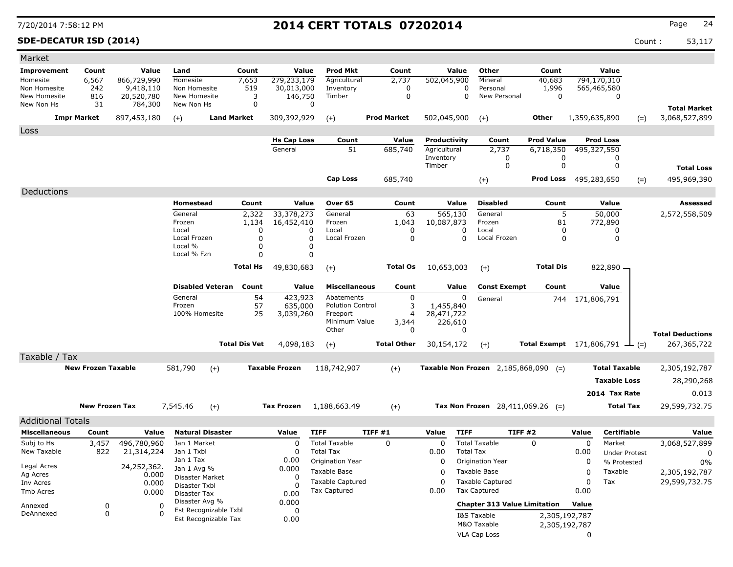### **SDE-DECATUR ISD (2014)** Count : 53,117

| Value<br>Improvement<br>Count<br>Value<br>Count<br>Value<br><b>Prod Mkt</b><br>Count<br>Value<br>Other<br>Count<br>Land<br>Agricultural<br>Mineral<br>Homesite<br>6,567<br>866,729,990<br>Homesite<br>7,653<br>279,233,179<br>2,737<br>502,045,900<br>40,683<br>794,170,310<br>1,996<br>Non Homesite<br>242<br>9,418,110<br>Non Homesite<br>519<br>30,013,000<br>Inventory<br>$\mathbf 0$<br>Personal<br>565,465,580<br>$\Omega$<br>816<br>20,520,780<br>3<br>146,750<br>$\mathbf 0$<br>New Personal<br>$\mathbf 0$<br>New Homesite<br>New Homesite<br>Timber<br>$\Omega$<br>0<br>31<br>784,300<br>$\mathbf 0$<br>New Non Hs<br>New Non Hs<br>0<br><b>Total Market</b><br>897,453,180<br>309,392,929<br>3,068,527,899<br><b>Impr Market</b><br><b>Land Market</b><br><b>Prod Market</b><br>502,045,900<br>Other<br>1,359,635,890<br>$(+)$<br>$(+)$<br>$(+)$<br>$(=)$<br>Loss<br>Value<br><b>Prod Value</b><br><b>Prod Loss</b><br><b>Hs Cap Loss</b><br>Count<br>Productivity<br>Count<br>General<br>51<br>685,740<br>Agricultural<br>2,737<br>495,327,550<br>6,718,350<br>Inventory<br>0<br>0<br>0<br>$\mathbf 0$<br>Timber<br>0<br>0<br><b>Total Loss</b><br><b>Cap Loss</b><br>685,740<br>495,283,650<br>495,969,390<br>Prod Loss<br>$(+)$<br>$(=)$<br>Deductions<br>Value<br>Homestead<br>Count<br>Value<br>Over 65<br>Count<br>Value<br><b>Disabled</b><br>Count<br><b>Assessed</b><br>5<br>General<br>33,378,273<br>565,130<br>2,322<br>General<br>63<br>General<br>50,000<br>2,572,558,509<br>Frozen<br>Frozen<br>1,134<br>16,452,410<br>Frozen<br>1,043<br>10,087,873<br>81<br>772,890<br>Local<br>0<br>Local<br>$\Omega$<br>0<br>0<br>Local<br>O<br>$\mathbf 0$<br>0<br>0<br>$\mathbf 0$<br>Local Frozen<br>$\Omega$<br>Local Frozen<br>Local Frozen<br>0<br>Local %<br>0<br>$\Omega$<br>Local % Fzn<br>0<br>$\Omega$<br>49,830,683<br><b>Total Dis</b><br>822,890 -<br><b>Total Hs</b><br><b>Total Os</b><br>10,653,003<br>$(+)$<br>$(+)$<br><b>Disabled Veteran</b><br>Count<br><b>Miscellaneous</b><br>Count<br>Value<br><b>Const Exempt</b><br>Count<br>Value<br>Value<br>54<br>423,923<br>0<br>$\mathbf 0$<br>General<br>Abatements<br>744 171,806,791<br>General<br>57<br>3<br>Frozen<br>635,000<br><b>Polution Control</b><br>1,455,840<br>25<br>100% Homesite<br>3,039,260<br>Freeport<br>$\overline{a}$<br>28,471,722<br>Minimum Value<br>3,344<br>226,610<br>$\mathbf 0$<br>$\mathbf 0$<br>Other<br><b>Total Deductions</b><br><b>Total Dis Vet</b><br>4,098,183<br><b>Total Other</b><br>30,154,172<br><b>Total Exempt</b> $171,806,791$ $\perp$ (=)<br>267,365,722<br>$(+)$<br>$(+)$<br>Taxable / Tax<br><b>Taxable Frozen</b><br><b>New Frozen Taxable</b><br>581,790<br>118,742,907<br>$(+)$<br>Taxable Non Frozen 2,185,868,090<br><b>Total Taxable</b><br>2,305,192,787<br>$(+)$<br>$(=)$<br><b>Taxable Loss</b><br>28,290,268<br>2014 Tax Rate<br>0.013<br><b>New Frozen Tax</b><br>7,545.46<br><b>Tax Frozen</b><br>Tax Non Frozen $28,411,069.26$ (=)<br><b>Total Tax</b><br>29,599,732.75<br>$(+)$<br>1,188,663.49<br>$(+)$<br><b>Additional Totals</b><br><b>Miscellaneous</b><br><b>TIFF</b><br>TIFF #1<br><b>TIFF</b><br><b>TIFF #2</b><br><b>Certifiable</b><br>Count<br>Value<br><b>Natural Disaster</b><br>Value<br>Value<br>Value<br>Value<br><b>Total Taxable</b><br>$\Omega$<br><b>Total Taxable</b><br>Subj to Hs<br>496,780,960<br>$\Omega$<br>$\mathbf 0$<br>$\Omega$<br>Market<br>3,457<br>Jan 1 Market<br>0<br>3,068,527,899<br>New Taxable<br>Jan 1 Txbl<br><b>Total Tax</b><br>822<br>21,314,224<br>$\Omega$<br><b>Total Tax</b><br>0.00<br>0.00<br><b>Under Protest</b><br>0<br>Jan 1 Tax<br>0.00<br>Origination Year<br>0<br>$\Omega$<br>Origination Year<br>% Protested<br>0%<br>Legal Acres<br>24,252,362.<br>0.000<br>Jan 1 Avg %<br>Taxable Base<br>Taxable Base<br>$\Omega$<br>$\Omega$<br>Taxable<br>2,305,192,787<br>Ag Acres<br>0.000<br>Disaster Market<br>0<br><b>Taxable Captured</b><br>0<br><b>Taxable Captured</b><br>$\mathbf 0$<br>Tax<br>29,599,732.75<br>0.000<br>Inv Acres<br>Disaster Txbl<br>n<br>Tax Captured<br><b>Tax Captured</b><br>0.00<br>0.00<br>Tmb Acres<br>0.000<br>0.00<br>Disaster Tax<br>Disaster Avg %<br>0.000<br><b>Chapter 313 Value Limitation</b><br>Value<br>$\mathbf 0$<br>$\Omega$<br>Annexed<br>Est Recognizable Txbl<br>$\mathbf 0$<br>DeAnnexed<br>$\Omega$<br>$\Omega$<br>I&S Taxable<br>2,305,192,787<br>Est Recognizable Tax<br>0.00<br>M&O Taxable<br>2,305,192,787 | Market |  |  |  |  |                     |          |  |  |
|-----------------------------------------------------------------------------------------------------------------------------------------------------------------------------------------------------------------------------------------------------------------------------------------------------------------------------------------------------------------------------------------------------------------------------------------------------------------------------------------------------------------------------------------------------------------------------------------------------------------------------------------------------------------------------------------------------------------------------------------------------------------------------------------------------------------------------------------------------------------------------------------------------------------------------------------------------------------------------------------------------------------------------------------------------------------------------------------------------------------------------------------------------------------------------------------------------------------------------------------------------------------------------------------------------------------------------------------------------------------------------------------------------------------------------------------------------------------------------------------------------------------------------------------------------------------------------------------------------------------------------------------------------------------------------------------------------------------------------------------------------------------------------------------------------------------------------------------------------------------------------------------------------------------------------------------------------------------------------------------------------------------------------------------------------------------------------------------------------------------------------------------------------------------------------------------------------------------------------------------------------------------------------------------------------------------------------------------------------------------------------------------------------------------------------------------------------------------------------------------------------------------------------------------------------------------------------------------------------------------------------------------------------------------------------------------------------------------------------------------------------------------------------------------------------------------------------------------------------------------------------------------------------------------------------------------------------------------------------------------------------------------------------------------------------------------------------------------------------------------------------------------------------------------------------------------------------------------------------------------------------------------------------------------------------------------------------------------------------------------------------------------------------------------------------------------------------------------------------------------------------------------------------------------------------------------------------------------------------------------------------------------------------------------------------------------------------------------------------------------------------------------------------------------------------------------------------------------------------------------------------------------------------------------------------------------------------------------------------------------------------------------------------------------------------------------------------------------------------------------------------------------------------------------------------------------------------------------------------------------------------------------------------------------------------------------------------------------------------------------------------------------------------------------------------------------------------------------------|--------|--|--|--|--|---------------------|----------|--|--|
|                                                                                                                                                                                                                                                                                                                                                                                                                                                                                                                                                                                                                                                                                                                                                                                                                                                                                                                                                                                                                                                                                                                                                                                                                                                                                                                                                                                                                                                                                                                                                                                                                                                                                                                                                                                                                                                                                                                                                                                                                                                                                                                                                                                                                                                                                                                                                                                                                                                                                                                                                                                                                                                                                                                                                                                                                                                                                                                                                                                                                                                                                                                                                                                                                                                                                                                                                                                                                                                                                                                                                                                                                                                                                                                                                                                                                                                                                                                                                                                                                                                                                                                                                                                                                                                                                                                                                                                                                                                                       |        |  |  |  |  |                     |          |  |  |
|                                                                                                                                                                                                                                                                                                                                                                                                                                                                                                                                                                                                                                                                                                                                                                                                                                                                                                                                                                                                                                                                                                                                                                                                                                                                                                                                                                                                                                                                                                                                                                                                                                                                                                                                                                                                                                                                                                                                                                                                                                                                                                                                                                                                                                                                                                                                                                                                                                                                                                                                                                                                                                                                                                                                                                                                                                                                                                                                                                                                                                                                                                                                                                                                                                                                                                                                                                                                                                                                                                                                                                                                                                                                                                                                                                                                                                                                                                                                                                                                                                                                                                                                                                                                                                                                                                                                                                                                                                                                       |        |  |  |  |  |                     |          |  |  |
|                                                                                                                                                                                                                                                                                                                                                                                                                                                                                                                                                                                                                                                                                                                                                                                                                                                                                                                                                                                                                                                                                                                                                                                                                                                                                                                                                                                                                                                                                                                                                                                                                                                                                                                                                                                                                                                                                                                                                                                                                                                                                                                                                                                                                                                                                                                                                                                                                                                                                                                                                                                                                                                                                                                                                                                                                                                                                                                                                                                                                                                                                                                                                                                                                                                                                                                                                                                                                                                                                                                                                                                                                                                                                                                                                                                                                                                                                                                                                                                                                                                                                                                                                                                                                                                                                                                                                                                                                                                                       |        |  |  |  |  |                     |          |  |  |
|                                                                                                                                                                                                                                                                                                                                                                                                                                                                                                                                                                                                                                                                                                                                                                                                                                                                                                                                                                                                                                                                                                                                                                                                                                                                                                                                                                                                                                                                                                                                                                                                                                                                                                                                                                                                                                                                                                                                                                                                                                                                                                                                                                                                                                                                                                                                                                                                                                                                                                                                                                                                                                                                                                                                                                                                                                                                                                                                                                                                                                                                                                                                                                                                                                                                                                                                                                                                                                                                                                                                                                                                                                                                                                                                                                                                                                                                                                                                                                                                                                                                                                                                                                                                                                                                                                                                                                                                                                                                       |        |  |  |  |  |                     |          |  |  |
|                                                                                                                                                                                                                                                                                                                                                                                                                                                                                                                                                                                                                                                                                                                                                                                                                                                                                                                                                                                                                                                                                                                                                                                                                                                                                                                                                                                                                                                                                                                                                                                                                                                                                                                                                                                                                                                                                                                                                                                                                                                                                                                                                                                                                                                                                                                                                                                                                                                                                                                                                                                                                                                                                                                                                                                                                                                                                                                                                                                                                                                                                                                                                                                                                                                                                                                                                                                                                                                                                                                                                                                                                                                                                                                                                                                                                                                                                                                                                                                                                                                                                                                                                                                                                                                                                                                                                                                                                                                                       |        |  |  |  |  |                     |          |  |  |
|                                                                                                                                                                                                                                                                                                                                                                                                                                                                                                                                                                                                                                                                                                                                                                                                                                                                                                                                                                                                                                                                                                                                                                                                                                                                                                                                                                                                                                                                                                                                                                                                                                                                                                                                                                                                                                                                                                                                                                                                                                                                                                                                                                                                                                                                                                                                                                                                                                                                                                                                                                                                                                                                                                                                                                                                                                                                                                                                                                                                                                                                                                                                                                                                                                                                                                                                                                                                                                                                                                                                                                                                                                                                                                                                                                                                                                                                                                                                                                                                                                                                                                                                                                                                                                                                                                                                                                                                                                                                       |        |  |  |  |  |                     |          |  |  |
|                                                                                                                                                                                                                                                                                                                                                                                                                                                                                                                                                                                                                                                                                                                                                                                                                                                                                                                                                                                                                                                                                                                                                                                                                                                                                                                                                                                                                                                                                                                                                                                                                                                                                                                                                                                                                                                                                                                                                                                                                                                                                                                                                                                                                                                                                                                                                                                                                                                                                                                                                                                                                                                                                                                                                                                                                                                                                                                                                                                                                                                                                                                                                                                                                                                                                                                                                                                                                                                                                                                                                                                                                                                                                                                                                                                                                                                                                                                                                                                                                                                                                                                                                                                                                                                                                                                                                                                                                                                                       |        |  |  |  |  |                     |          |  |  |
|                                                                                                                                                                                                                                                                                                                                                                                                                                                                                                                                                                                                                                                                                                                                                                                                                                                                                                                                                                                                                                                                                                                                                                                                                                                                                                                                                                                                                                                                                                                                                                                                                                                                                                                                                                                                                                                                                                                                                                                                                                                                                                                                                                                                                                                                                                                                                                                                                                                                                                                                                                                                                                                                                                                                                                                                                                                                                                                                                                                                                                                                                                                                                                                                                                                                                                                                                                                                                                                                                                                                                                                                                                                                                                                                                                                                                                                                                                                                                                                                                                                                                                                                                                                                                                                                                                                                                                                                                                                                       |        |  |  |  |  |                     |          |  |  |
|                                                                                                                                                                                                                                                                                                                                                                                                                                                                                                                                                                                                                                                                                                                                                                                                                                                                                                                                                                                                                                                                                                                                                                                                                                                                                                                                                                                                                                                                                                                                                                                                                                                                                                                                                                                                                                                                                                                                                                                                                                                                                                                                                                                                                                                                                                                                                                                                                                                                                                                                                                                                                                                                                                                                                                                                                                                                                                                                                                                                                                                                                                                                                                                                                                                                                                                                                                                                                                                                                                                                                                                                                                                                                                                                                                                                                                                                                                                                                                                                                                                                                                                                                                                                                                                                                                                                                                                                                                                                       |        |  |  |  |  |                     |          |  |  |
|                                                                                                                                                                                                                                                                                                                                                                                                                                                                                                                                                                                                                                                                                                                                                                                                                                                                                                                                                                                                                                                                                                                                                                                                                                                                                                                                                                                                                                                                                                                                                                                                                                                                                                                                                                                                                                                                                                                                                                                                                                                                                                                                                                                                                                                                                                                                                                                                                                                                                                                                                                                                                                                                                                                                                                                                                                                                                                                                                                                                                                                                                                                                                                                                                                                                                                                                                                                                                                                                                                                                                                                                                                                                                                                                                                                                                                                                                                                                                                                                                                                                                                                                                                                                                                                                                                                                                                                                                                                                       |        |  |  |  |  |                     |          |  |  |
|                                                                                                                                                                                                                                                                                                                                                                                                                                                                                                                                                                                                                                                                                                                                                                                                                                                                                                                                                                                                                                                                                                                                                                                                                                                                                                                                                                                                                                                                                                                                                                                                                                                                                                                                                                                                                                                                                                                                                                                                                                                                                                                                                                                                                                                                                                                                                                                                                                                                                                                                                                                                                                                                                                                                                                                                                                                                                                                                                                                                                                                                                                                                                                                                                                                                                                                                                                                                                                                                                                                                                                                                                                                                                                                                                                                                                                                                                                                                                                                                                                                                                                                                                                                                                                                                                                                                                                                                                                                                       |        |  |  |  |  |                     |          |  |  |
|                                                                                                                                                                                                                                                                                                                                                                                                                                                                                                                                                                                                                                                                                                                                                                                                                                                                                                                                                                                                                                                                                                                                                                                                                                                                                                                                                                                                                                                                                                                                                                                                                                                                                                                                                                                                                                                                                                                                                                                                                                                                                                                                                                                                                                                                                                                                                                                                                                                                                                                                                                                                                                                                                                                                                                                                                                                                                                                                                                                                                                                                                                                                                                                                                                                                                                                                                                                                                                                                                                                                                                                                                                                                                                                                                                                                                                                                                                                                                                                                                                                                                                                                                                                                                                                                                                                                                                                                                                                                       |        |  |  |  |  |                     |          |  |  |
|                                                                                                                                                                                                                                                                                                                                                                                                                                                                                                                                                                                                                                                                                                                                                                                                                                                                                                                                                                                                                                                                                                                                                                                                                                                                                                                                                                                                                                                                                                                                                                                                                                                                                                                                                                                                                                                                                                                                                                                                                                                                                                                                                                                                                                                                                                                                                                                                                                                                                                                                                                                                                                                                                                                                                                                                                                                                                                                                                                                                                                                                                                                                                                                                                                                                                                                                                                                                                                                                                                                                                                                                                                                                                                                                                                                                                                                                                                                                                                                                                                                                                                                                                                                                                                                                                                                                                                                                                                                                       |        |  |  |  |  |                     |          |  |  |
|                                                                                                                                                                                                                                                                                                                                                                                                                                                                                                                                                                                                                                                                                                                                                                                                                                                                                                                                                                                                                                                                                                                                                                                                                                                                                                                                                                                                                                                                                                                                                                                                                                                                                                                                                                                                                                                                                                                                                                                                                                                                                                                                                                                                                                                                                                                                                                                                                                                                                                                                                                                                                                                                                                                                                                                                                                                                                                                                                                                                                                                                                                                                                                                                                                                                                                                                                                                                                                                                                                                                                                                                                                                                                                                                                                                                                                                                                                                                                                                                                                                                                                                                                                                                                                                                                                                                                                                                                                                                       |        |  |  |  |  |                     |          |  |  |
|                                                                                                                                                                                                                                                                                                                                                                                                                                                                                                                                                                                                                                                                                                                                                                                                                                                                                                                                                                                                                                                                                                                                                                                                                                                                                                                                                                                                                                                                                                                                                                                                                                                                                                                                                                                                                                                                                                                                                                                                                                                                                                                                                                                                                                                                                                                                                                                                                                                                                                                                                                                                                                                                                                                                                                                                                                                                                                                                                                                                                                                                                                                                                                                                                                                                                                                                                                                                                                                                                                                                                                                                                                                                                                                                                                                                                                                                                                                                                                                                                                                                                                                                                                                                                                                                                                                                                                                                                                                                       |        |  |  |  |  |                     |          |  |  |
|                                                                                                                                                                                                                                                                                                                                                                                                                                                                                                                                                                                                                                                                                                                                                                                                                                                                                                                                                                                                                                                                                                                                                                                                                                                                                                                                                                                                                                                                                                                                                                                                                                                                                                                                                                                                                                                                                                                                                                                                                                                                                                                                                                                                                                                                                                                                                                                                                                                                                                                                                                                                                                                                                                                                                                                                                                                                                                                                                                                                                                                                                                                                                                                                                                                                                                                                                                                                                                                                                                                                                                                                                                                                                                                                                                                                                                                                                                                                                                                                                                                                                                                                                                                                                                                                                                                                                                                                                                                                       |        |  |  |  |  |                     |          |  |  |
|                                                                                                                                                                                                                                                                                                                                                                                                                                                                                                                                                                                                                                                                                                                                                                                                                                                                                                                                                                                                                                                                                                                                                                                                                                                                                                                                                                                                                                                                                                                                                                                                                                                                                                                                                                                                                                                                                                                                                                                                                                                                                                                                                                                                                                                                                                                                                                                                                                                                                                                                                                                                                                                                                                                                                                                                                                                                                                                                                                                                                                                                                                                                                                                                                                                                                                                                                                                                                                                                                                                                                                                                                                                                                                                                                                                                                                                                                                                                                                                                                                                                                                                                                                                                                                                                                                                                                                                                                                                                       |        |  |  |  |  |                     |          |  |  |
|                                                                                                                                                                                                                                                                                                                                                                                                                                                                                                                                                                                                                                                                                                                                                                                                                                                                                                                                                                                                                                                                                                                                                                                                                                                                                                                                                                                                                                                                                                                                                                                                                                                                                                                                                                                                                                                                                                                                                                                                                                                                                                                                                                                                                                                                                                                                                                                                                                                                                                                                                                                                                                                                                                                                                                                                                                                                                                                                                                                                                                                                                                                                                                                                                                                                                                                                                                                                                                                                                                                                                                                                                                                                                                                                                                                                                                                                                                                                                                                                                                                                                                                                                                                                                                                                                                                                                                                                                                                                       |        |  |  |  |  |                     |          |  |  |
|                                                                                                                                                                                                                                                                                                                                                                                                                                                                                                                                                                                                                                                                                                                                                                                                                                                                                                                                                                                                                                                                                                                                                                                                                                                                                                                                                                                                                                                                                                                                                                                                                                                                                                                                                                                                                                                                                                                                                                                                                                                                                                                                                                                                                                                                                                                                                                                                                                                                                                                                                                                                                                                                                                                                                                                                                                                                                                                                                                                                                                                                                                                                                                                                                                                                                                                                                                                                                                                                                                                                                                                                                                                                                                                                                                                                                                                                                                                                                                                                                                                                                                                                                                                                                                                                                                                                                                                                                                                                       |        |  |  |  |  |                     |          |  |  |
|                                                                                                                                                                                                                                                                                                                                                                                                                                                                                                                                                                                                                                                                                                                                                                                                                                                                                                                                                                                                                                                                                                                                                                                                                                                                                                                                                                                                                                                                                                                                                                                                                                                                                                                                                                                                                                                                                                                                                                                                                                                                                                                                                                                                                                                                                                                                                                                                                                                                                                                                                                                                                                                                                                                                                                                                                                                                                                                                                                                                                                                                                                                                                                                                                                                                                                                                                                                                                                                                                                                                                                                                                                                                                                                                                                                                                                                                                                                                                                                                                                                                                                                                                                                                                                                                                                                                                                                                                                                                       |        |  |  |  |  |                     |          |  |  |
|                                                                                                                                                                                                                                                                                                                                                                                                                                                                                                                                                                                                                                                                                                                                                                                                                                                                                                                                                                                                                                                                                                                                                                                                                                                                                                                                                                                                                                                                                                                                                                                                                                                                                                                                                                                                                                                                                                                                                                                                                                                                                                                                                                                                                                                                                                                                                                                                                                                                                                                                                                                                                                                                                                                                                                                                                                                                                                                                                                                                                                                                                                                                                                                                                                                                                                                                                                                                                                                                                                                                                                                                                                                                                                                                                                                                                                                                                                                                                                                                                                                                                                                                                                                                                                                                                                                                                                                                                                                                       |        |  |  |  |  |                     |          |  |  |
|                                                                                                                                                                                                                                                                                                                                                                                                                                                                                                                                                                                                                                                                                                                                                                                                                                                                                                                                                                                                                                                                                                                                                                                                                                                                                                                                                                                                                                                                                                                                                                                                                                                                                                                                                                                                                                                                                                                                                                                                                                                                                                                                                                                                                                                                                                                                                                                                                                                                                                                                                                                                                                                                                                                                                                                                                                                                                                                                                                                                                                                                                                                                                                                                                                                                                                                                                                                                                                                                                                                                                                                                                                                                                                                                                                                                                                                                                                                                                                                                                                                                                                                                                                                                                                                                                                                                                                                                                                                                       |        |  |  |  |  |                     |          |  |  |
|                                                                                                                                                                                                                                                                                                                                                                                                                                                                                                                                                                                                                                                                                                                                                                                                                                                                                                                                                                                                                                                                                                                                                                                                                                                                                                                                                                                                                                                                                                                                                                                                                                                                                                                                                                                                                                                                                                                                                                                                                                                                                                                                                                                                                                                                                                                                                                                                                                                                                                                                                                                                                                                                                                                                                                                                                                                                                                                                                                                                                                                                                                                                                                                                                                                                                                                                                                                                                                                                                                                                                                                                                                                                                                                                                                                                                                                                                                                                                                                                                                                                                                                                                                                                                                                                                                                                                                                                                                                                       |        |  |  |  |  |                     |          |  |  |
|                                                                                                                                                                                                                                                                                                                                                                                                                                                                                                                                                                                                                                                                                                                                                                                                                                                                                                                                                                                                                                                                                                                                                                                                                                                                                                                                                                                                                                                                                                                                                                                                                                                                                                                                                                                                                                                                                                                                                                                                                                                                                                                                                                                                                                                                                                                                                                                                                                                                                                                                                                                                                                                                                                                                                                                                                                                                                                                                                                                                                                                                                                                                                                                                                                                                                                                                                                                                                                                                                                                                                                                                                                                                                                                                                                                                                                                                                                                                                                                                                                                                                                                                                                                                                                                                                                                                                                                                                                                                       |        |  |  |  |  |                     |          |  |  |
|                                                                                                                                                                                                                                                                                                                                                                                                                                                                                                                                                                                                                                                                                                                                                                                                                                                                                                                                                                                                                                                                                                                                                                                                                                                                                                                                                                                                                                                                                                                                                                                                                                                                                                                                                                                                                                                                                                                                                                                                                                                                                                                                                                                                                                                                                                                                                                                                                                                                                                                                                                                                                                                                                                                                                                                                                                                                                                                                                                                                                                                                                                                                                                                                                                                                                                                                                                                                                                                                                                                                                                                                                                                                                                                                                                                                                                                                                                                                                                                                                                                                                                                                                                                                                                                                                                                                                                                                                                                                       |        |  |  |  |  |                     |          |  |  |
|                                                                                                                                                                                                                                                                                                                                                                                                                                                                                                                                                                                                                                                                                                                                                                                                                                                                                                                                                                                                                                                                                                                                                                                                                                                                                                                                                                                                                                                                                                                                                                                                                                                                                                                                                                                                                                                                                                                                                                                                                                                                                                                                                                                                                                                                                                                                                                                                                                                                                                                                                                                                                                                                                                                                                                                                                                                                                                                                                                                                                                                                                                                                                                                                                                                                                                                                                                                                                                                                                                                                                                                                                                                                                                                                                                                                                                                                                                                                                                                                                                                                                                                                                                                                                                                                                                                                                                                                                                                                       |        |  |  |  |  |                     |          |  |  |
|                                                                                                                                                                                                                                                                                                                                                                                                                                                                                                                                                                                                                                                                                                                                                                                                                                                                                                                                                                                                                                                                                                                                                                                                                                                                                                                                                                                                                                                                                                                                                                                                                                                                                                                                                                                                                                                                                                                                                                                                                                                                                                                                                                                                                                                                                                                                                                                                                                                                                                                                                                                                                                                                                                                                                                                                                                                                                                                                                                                                                                                                                                                                                                                                                                                                                                                                                                                                                                                                                                                                                                                                                                                                                                                                                                                                                                                                                                                                                                                                                                                                                                                                                                                                                                                                                                                                                                                                                                                                       |        |  |  |  |  |                     |          |  |  |
|                                                                                                                                                                                                                                                                                                                                                                                                                                                                                                                                                                                                                                                                                                                                                                                                                                                                                                                                                                                                                                                                                                                                                                                                                                                                                                                                                                                                                                                                                                                                                                                                                                                                                                                                                                                                                                                                                                                                                                                                                                                                                                                                                                                                                                                                                                                                                                                                                                                                                                                                                                                                                                                                                                                                                                                                                                                                                                                                                                                                                                                                                                                                                                                                                                                                                                                                                                                                                                                                                                                                                                                                                                                                                                                                                                                                                                                                                                                                                                                                                                                                                                                                                                                                                                                                                                                                                                                                                                                                       |        |  |  |  |  |                     |          |  |  |
|                                                                                                                                                                                                                                                                                                                                                                                                                                                                                                                                                                                                                                                                                                                                                                                                                                                                                                                                                                                                                                                                                                                                                                                                                                                                                                                                                                                                                                                                                                                                                                                                                                                                                                                                                                                                                                                                                                                                                                                                                                                                                                                                                                                                                                                                                                                                                                                                                                                                                                                                                                                                                                                                                                                                                                                                                                                                                                                                                                                                                                                                                                                                                                                                                                                                                                                                                                                                                                                                                                                                                                                                                                                                                                                                                                                                                                                                                                                                                                                                                                                                                                                                                                                                                                                                                                                                                                                                                                                                       |        |  |  |  |  |                     |          |  |  |
|                                                                                                                                                                                                                                                                                                                                                                                                                                                                                                                                                                                                                                                                                                                                                                                                                                                                                                                                                                                                                                                                                                                                                                                                                                                                                                                                                                                                                                                                                                                                                                                                                                                                                                                                                                                                                                                                                                                                                                                                                                                                                                                                                                                                                                                                                                                                                                                                                                                                                                                                                                                                                                                                                                                                                                                                                                                                                                                                                                                                                                                                                                                                                                                                                                                                                                                                                                                                                                                                                                                                                                                                                                                                                                                                                                                                                                                                                                                                                                                                                                                                                                                                                                                                                                                                                                                                                                                                                                                                       |        |  |  |  |  |                     |          |  |  |
|                                                                                                                                                                                                                                                                                                                                                                                                                                                                                                                                                                                                                                                                                                                                                                                                                                                                                                                                                                                                                                                                                                                                                                                                                                                                                                                                                                                                                                                                                                                                                                                                                                                                                                                                                                                                                                                                                                                                                                                                                                                                                                                                                                                                                                                                                                                                                                                                                                                                                                                                                                                                                                                                                                                                                                                                                                                                                                                                                                                                                                                                                                                                                                                                                                                                                                                                                                                                                                                                                                                                                                                                                                                                                                                                                                                                                                                                                                                                                                                                                                                                                                                                                                                                                                                                                                                                                                                                                                                                       |        |  |  |  |  |                     |          |  |  |
|                                                                                                                                                                                                                                                                                                                                                                                                                                                                                                                                                                                                                                                                                                                                                                                                                                                                                                                                                                                                                                                                                                                                                                                                                                                                                                                                                                                                                                                                                                                                                                                                                                                                                                                                                                                                                                                                                                                                                                                                                                                                                                                                                                                                                                                                                                                                                                                                                                                                                                                                                                                                                                                                                                                                                                                                                                                                                                                                                                                                                                                                                                                                                                                                                                                                                                                                                                                                                                                                                                                                                                                                                                                                                                                                                                                                                                                                                                                                                                                                                                                                                                                                                                                                                                                                                                                                                                                                                                                                       |        |  |  |  |  |                     |          |  |  |
|                                                                                                                                                                                                                                                                                                                                                                                                                                                                                                                                                                                                                                                                                                                                                                                                                                                                                                                                                                                                                                                                                                                                                                                                                                                                                                                                                                                                                                                                                                                                                                                                                                                                                                                                                                                                                                                                                                                                                                                                                                                                                                                                                                                                                                                                                                                                                                                                                                                                                                                                                                                                                                                                                                                                                                                                                                                                                                                                                                                                                                                                                                                                                                                                                                                                                                                                                                                                                                                                                                                                                                                                                                                                                                                                                                                                                                                                                                                                                                                                                                                                                                                                                                                                                                                                                                                                                                                                                                                                       |        |  |  |  |  |                     |          |  |  |
|                                                                                                                                                                                                                                                                                                                                                                                                                                                                                                                                                                                                                                                                                                                                                                                                                                                                                                                                                                                                                                                                                                                                                                                                                                                                                                                                                                                                                                                                                                                                                                                                                                                                                                                                                                                                                                                                                                                                                                                                                                                                                                                                                                                                                                                                                                                                                                                                                                                                                                                                                                                                                                                                                                                                                                                                                                                                                                                                                                                                                                                                                                                                                                                                                                                                                                                                                                                                                                                                                                                                                                                                                                                                                                                                                                                                                                                                                                                                                                                                                                                                                                                                                                                                                                                                                                                                                                                                                                                                       |        |  |  |  |  |                     |          |  |  |
|                                                                                                                                                                                                                                                                                                                                                                                                                                                                                                                                                                                                                                                                                                                                                                                                                                                                                                                                                                                                                                                                                                                                                                                                                                                                                                                                                                                                                                                                                                                                                                                                                                                                                                                                                                                                                                                                                                                                                                                                                                                                                                                                                                                                                                                                                                                                                                                                                                                                                                                                                                                                                                                                                                                                                                                                                                                                                                                                                                                                                                                                                                                                                                                                                                                                                                                                                                                                                                                                                                                                                                                                                                                                                                                                                                                                                                                                                                                                                                                                                                                                                                                                                                                                                                                                                                                                                                                                                                                                       |        |  |  |  |  |                     |          |  |  |
|                                                                                                                                                                                                                                                                                                                                                                                                                                                                                                                                                                                                                                                                                                                                                                                                                                                                                                                                                                                                                                                                                                                                                                                                                                                                                                                                                                                                                                                                                                                                                                                                                                                                                                                                                                                                                                                                                                                                                                                                                                                                                                                                                                                                                                                                                                                                                                                                                                                                                                                                                                                                                                                                                                                                                                                                                                                                                                                                                                                                                                                                                                                                                                                                                                                                                                                                                                                                                                                                                                                                                                                                                                                                                                                                                                                                                                                                                                                                                                                                                                                                                                                                                                                                                                                                                                                                                                                                                                                                       |        |  |  |  |  |                     |          |  |  |
|                                                                                                                                                                                                                                                                                                                                                                                                                                                                                                                                                                                                                                                                                                                                                                                                                                                                                                                                                                                                                                                                                                                                                                                                                                                                                                                                                                                                                                                                                                                                                                                                                                                                                                                                                                                                                                                                                                                                                                                                                                                                                                                                                                                                                                                                                                                                                                                                                                                                                                                                                                                                                                                                                                                                                                                                                                                                                                                                                                                                                                                                                                                                                                                                                                                                                                                                                                                                                                                                                                                                                                                                                                                                                                                                                                                                                                                                                                                                                                                                                                                                                                                                                                                                                                                                                                                                                                                                                                                                       |        |  |  |  |  |                     |          |  |  |
|                                                                                                                                                                                                                                                                                                                                                                                                                                                                                                                                                                                                                                                                                                                                                                                                                                                                                                                                                                                                                                                                                                                                                                                                                                                                                                                                                                                                                                                                                                                                                                                                                                                                                                                                                                                                                                                                                                                                                                                                                                                                                                                                                                                                                                                                                                                                                                                                                                                                                                                                                                                                                                                                                                                                                                                                                                                                                                                                                                                                                                                                                                                                                                                                                                                                                                                                                                                                                                                                                                                                                                                                                                                                                                                                                                                                                                                                                                                                                                                                                                                                                                                                                                                                                                                                                                                                                                                                                                                                       |        |  |  |  |  |                     |          |  |  |
|                                                                                                                                                                                                                                                                                                                                                                                                                                                                                                                                                                                                                                                                                                                                                                                                                                                                                                                                                                                                                                                                                                                                                                                                                                                                                                                                                                                                                                                                                                                                                                                                                                                                                                                                                                                                                                                                                                                                                                                                                                                                                                                                                                                                                                                                                                                                                                                                                                                                                                                                                                                                                                                                                                                                                                                                                                                                                                                                                                                                                                                                                                                                                                                                                                                                                                                                                                                                                                                                                                                                                                                                                                                                                                                                                                                                                                                                                                                                                                                                                                                                                                                                                                                                                                                                                                                                                                                                                                                                       |        |  |  |  |  |                     |          |  |  |
|                                                                                                                                                                                                                                                                                                                                                                                                                                                                                                                                                                                                                                                                                                                                                                                                                                                                                                                                                                                                                                                                                                                                                                                                                                                                                                                                                                                                                                                                                                                                                                                                                                                                                                                                                                                                                                                                                                                                                                                                                                                                                                                                                                                                                                                                                                                                                                                                                                                                                                                                                                                                                                                                                                                                                                                                                                                                                                                                                                                                                                                                                                                                                                                                                                                                                                                                                                                                                                                                                                                                                                                                                                                                                                                                                                                                                                                                                                                                                                                                                                                                                                                                                                                                                                                                                                                                                                                                                                                                       |        |  |  |  |  |                     |          |  |  |
|                                                                                                                                                                                                                                                                                                                                                                                                                                                                                                                                                                                                                                                                                                                                                                                                                                                                                                                                                                                                                                                                                                                                                                                                                                                                                                                                                                                                                                                                                                                                                                                                                                                                                                                                                                                                                                                                                                                                                                                                                                                                                                                                                                                                                                                                                                                                                                                                                                                                                                                                                                                                                                                                                                                                                                                                                                                                                                                                                                                                                                                                                                                                                                                                                                                                                                                                                                                                                                                                                                                                                                                                                                                                                                                                                                                                                                                                                                                                                                                                                                                                                                                                                                                                                                                                                                                                                                                                                                                                       |        |  |  |  |  |                     |          |  |  |
|                                                                                                                                                                                                                                                                                                                                                                                                                                                                                                                                                                                                                                                                                                                                                                                                                                                                                                                                                                                                                                                                                                                                                                                                                                                                                                                                                                                                                                                                                                                                                                                                                                                                                                                                                                                                                                                                                                                                                                                                                                                                                                                                                                                                                                                                                                                                                                                                                                                                                                                                                                                                                                                                                                                                                                                                                                                                                                                                                                                                                                                                                                                                                                                                                                                                                                                                                                                                                                                                                                                                                                                                                                                                                                                                                                                                                                                                                                                                                                                                                                                                                                                                                                                                                                                                                                                                                                                                                                                                       |        |  |  |  |  |                     |          |  |  |
|                                                                                                                                                                                                                                                                                                                                                                                                                                                                                                                                                                                                                                                                                                                                                                                                                                                                                                                                                                                                                                                                                                                                                                                                                                                                                                                                                                                                                                                                                                                                                                                                                                                                                                                                                                                                                                                                                                                                                                                                                                                                                                                                                                                                                                                                                                                                                                                                                                                                                                                                                                                                                                                                                                                                                                                                                                                                                                                                                                                                                                                                                                                                                                                                                                                                                                                                                                                                                                                                                                                                                                                                                                                                                                                                                                                                                                                                                                                                                                                                                                                                                                                                                                                                                                                                                                                                                                                                                                                                       |        |  |  |  |  |                     |          |  |  |
|                                                                                                                                                                                                                                                                                                                                                                                                                                                                                                                                                                                                                                                                                                                                                                                                                                                                                                                                                                                                                                                                                                                                                                                                                                                                                                                                                                                                                                                                                                                                                                                                                                                                                                                                                                                                                                                                                                                                                                                                                                                                                                                                                                                                                                                                                                                                                                                                                                                                                                                                                                                                                                                                                                                                                                                                                                                                                                                                                                                                                                                                                                                                                                                                                                                                                                                                                                                                                                                                                                                                                                                                                                                                                                                                                                                                                                                                                                                                                                                                                                                                                                                                                                                                                                                                                                                                                                                                                                                                       |        |  |  |  |  | <b>VLA Cap Loss</b> | $\Omega$ |  |  |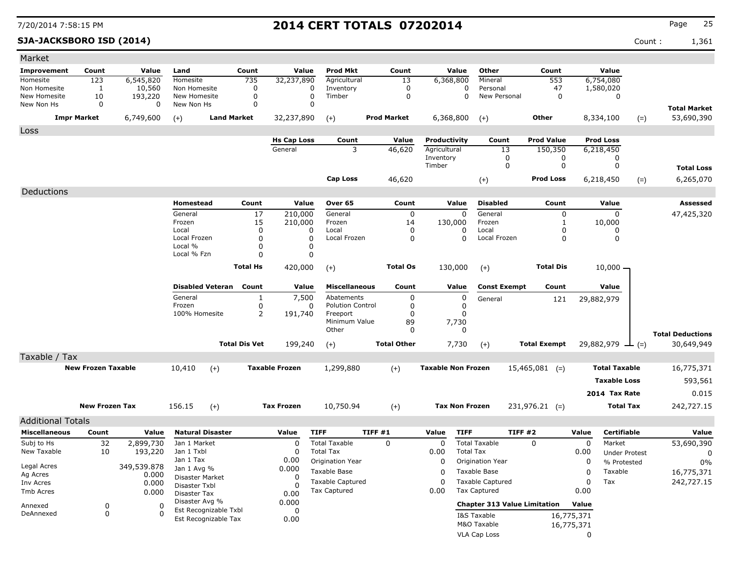## **SJA-JACKSBORO ISD (2014)** Count : 1,361

| Other<br>Count<br>Land<br>Count<br>Value<br><b>Prod Mkt</b><br>Count<br>Value<br>Count<br>Value<br>Improvement<br>Value<br>123<br>Agricultural<br>Homesite<br>6,545,820<br>Homesite<br>735<br>32,237,890<br>13<br>6,368,800<br>Mineral<br>553<br>6,754,080<br>10,560<br>0<br>47<br>Non Homesite<br>Non Homesite<br>0<br>Inventory<br>Personal<br>1,580,020<br>1<br>0<br>0<br>193,220<br>$\mathbf 0$<br>New Homesite<br>10<br>New Homesite<br>0<br>0<br>Timber<br>$\Omega$<br>New Personal<br>0<br>0<br>New Non Hs<br>0<br>0<br>New Non Hs<br>$\Omega$<br>$\Omega$<br><b>Total Market</b><br><b>Land Market</b><br>32,237,890<br>6,368,800<br>53,690,390<br><b>Impr Market</b><br>6,749,600<br><b>Prod Market</b><br>Other<br>8,334,100<br>$(+)$<br>$(+)$<br>$(+)$<br>$(=)$<br>Loss<br><b>Prod Value</b><br><b>Hs Cap Loss</b><br>Count<br>Value<br>Productivity<br><b>Prod Loss</b><br>Count<br>General<br>3<br>Agricultural<br>13<br>46,620<br>150,350<br>6,218,450<br>Inventory<br>0<br>0<br>0<br>0<br>0<br>0<br>Timber<br><b>Total Loss</b><br><b>Prod Loss</b><br>Cap Loss<br>46,620<br>$(+)$<br>6,218,450<br>6,265,070<br>$(=)$<br>Deductions<br>Homestead<br>Count<br>Value<br>Over 65<br>Count<br>Value<br><b>Disabled</b><br>Count<br>Value<br>Assessed<br>47,425,320<br>General<br>17<br>210,000<br>General<br>0<br>$\Omega$<br>General<br>0<br>$\Omega$<br>Frozen<br>15<br>210,000<br>Frozen<br>14<br>130,000<br>Frozen<br>1<br>10,000<br>0<br>Local<br>0<br>Local<br>Local<br>0<br>0<br>0<br>0<br>0<br>0<br>$\Omega$<br>0<br>0<br>Local Frozen<br>$\Omega$<br>Local Frozen<br>Local Frozen<br>Local %<br>0<br>0<br>Local % Fzn<br>0<br>$\Omega$<br>130,000<br>$10,000$ -<br><b>Total Hs</b><br>420,000<br><b>Total Os</b><br><b>Total Dis</b><br>$(+)$<br>$(+)$<br>Count<br><b>Disabled Veteran</b><br>Value<br><b>Miscellaneous</b><br>Count<br>Value<br><b>Const Exempt</b><br>Count<br>Value<br>7,500<br>$\Omega$<br>General<br>Abatements<br>0<br>1<br>121<br>29,882,979<br>General<br>Frozen<br>0<br><b>Polution Control</b><br>0<br>0<br>$\Omega$<br>100% Homesite<br>2<br>191,740<br>Freeport<br>0<br>$\Omega$<br>Minimum Value<br>89<br>7,730<br>$\Omega$<br>$\Omega$<br>Other<br><b>Total Deductions</b><br><b>Total Dis Vet</b><br><b>Total Other</b><br>199,240<br>7,730<br><b>Total Exempt</b><br>30,649,949<br>$(+)$<br>$(+)$<br>29,882,979<br>$ (=)$<br>Taxable / Tax<br><b>New Frozen Taxable</b><br><b>Taxable Frozen</b><br><b>Taxable Non Frozen</b><br>10,410<br>1,299,880<br>$15,465,081$ (=)<br><b>Total Taxable</b><br>16,775,371<br>$(+)$<br>$(+)$<br><b>Taxable Loss</b><br>593,561<br>0.015<br>2014 Tax Rate |
|--------------------------------------------------------------------------------------------------------------------------------------------------------------------------------------------------------------------------------------------------------------------------------------------------------------------------------------------------------------------------------------------------------------------------------------------------------------------------------------------------------------------------------------------------------------------------------------------------------------------------------------------------------------------------------------------------------------------------------------------------------------------------------------------------------------------------------------------------------------------------------------------------------------------------------------------------------------------------------------------------------------------------------------------------------------------------------------------------------------------------------------------------------------------------------------------------------------------------------------------------------------------------------------------------------------------------------------------------------------------------------------------------------------------------------------------------------------------------------------------------------------------------------------------------------------------------------------------------------------------------------------------------------------------------------------------------------------------------------------------------------------------------------------------------------------------------------------------------------------------------------------------------------------------------------------------------------------------------------------------------------------------------------------------------------------------------------------------------------------------------------------------------------------------------------------------------------------------------------------------------------------------------------------------------------------------------------------------------------------------------------------------------------------------------------------------------------------------------------------------------------------------------------------------------------------------------------------------------------------------------------------------------|
|                                                                                                                                                                                                                                                                                                                                                                                                                                                                                                                                                                                                                                                                                                                                                                                                                                                                                                                                                                                                                                                                                                                                                                                                                                                                                                                                                                                                                                                                                                                                                                                                                                                                                                                                                                                                                                                                                                                                                                                                                                                                                                                                                                                                                                                                                                                                                                                                                                                                                                                                                                                                                                                  |
|                                                                                                                                                                                                                                                                                                                                                                                                                                                                                                                                                                                                                                                                                                                                                                                                                                                                                                                                                                                                                                                                                                                                                                                                                                                                                                                                                                                                                                                                                                                                                                                                                                                                                                                                                                                                                                                                                                                                                                                                                                                                                                                                                                                                                                                                                                                                                                                                                                                                                                                                                                                                                                                  |
|                                                                                                                                                                                                                                                                                                                                                                                                                                                                                                                                                                                                                                                                                                                                                                                                                                                                                                                                                                                                                                                                                                                                                                                                                                                                                                                                                                                                                                                                                                                                                                                                                                                                                                                                                                                                                                                                                                                                                                                                                                                                                                                                                                                                                                                                                                                                                                                                                                                                                                                                                                                                                                                  |
|                                                                                                                                                                                                                                                                                                                                                                                                                                                                                                                                                                                                                                                                                                                                                                                                                                                                                                                                                                                                                                                                                                                                                                                                                                                                                                                                                                                                                                                                                                                                                                                                                                                                                                                                                                                                                                                                                                                                                                                                                                                                                                                                                                                                                                                                                                                                                                                                                                                                                                                                                                                                                                                  |
|                                                                                                                                                                                                                                                                                                                                                                                                                                                                                                                                                                                                                                                                                                                                                                                                                                                                                                                                                                                                                                                                                                                                                                                                                                                                                                                                                                                                                                                                                                                                                                                                                                                                                                                                                                                                                                                                                                                                                                                                                                                                                                                                                                                                                                                                                                                                                                                                                                                                                                                                                                                                                                                  |
|                                                                                                                                                                                                                                                                                                                                                                                                                                                                                                                                                                                                                                                                                                                                                                                                                                                                                                                                                                                                                                                                                                                                                                                                                                                                                                                                                                                                                                                                                                                                                                                                                                                                                                                                                                                                                                                                                                                                                                                                                                                                                                                                                                                                                                                                                                                                                                                                                                                                                                                                                                                                                                                  |
|                                                                                                                                                                                                                                                                                                                                                                                                                                                                                                                                                                                                                                                                                                                                                                                                                                                                                                                                                                                                                                                                                                                                                                                                                                                                                                                                                                                                                                                                                                                                                                                                                                                                                                                                                                                                                                                                                                                                                                                                                                                                                                                                                                                                                                                                                                                                                                                                                                                                                                                                                                                                                                                  |
|                                                                                                                                                                                                                                                                                                                                                                                                                                                                                                                                                                                                                                                                                                                                                                                                                                                                                                                                                                                                                                                                                                                                                                                                                                                                                                                                                                                                                                                                                                                                                                                                                                                                                                                                                                                                                                                                                                                                                                                                                                                                                                                                                                                                                                                                                                                                                                                                                                                                                                                                                                                                                                                  |
|                                                                                                                                                                                                                                                                                                                                                                                                                                                                                                                                                                                                                                                                                                                                                                                                                                                                                                                                                                                                                                                                                                                                                                                                                                                                                                                                                                                                                                                                                                                                                                                                                                                                                                                                                                                                                                                                                                                                                                                                                                                                                                                                                                                                                                                                                                                                                                                                                                                                                                                                                                                                                                                  |
|                                                                                                                                                                                                                                                                                                                                                                                                                                                                                                                                                                                                                                                                                                                                                                                                                                                                                                                                                                                                                                                                                                                                                                                                                                                                                                                                                                                                                                                                                                                                                                                                                                                                                                                                                                                                                                                                                                                                                                                                                                                                                                                                                                                                                                                                                                                                                                                                                                                                                                                                                                                                                                                  |
|                                                                                                                                                                                                                                                                                                                                                                                                                                                                                                                                                                                                                                                                                                                                                                                                                                                                                                                                                                                                                                                                                                                                                                                                                                                                                                                                                                                                                                                                                                                                                                                                                                                                                                                                                                                                                                                                                                                                                                                                                                                                                                                                                                                                                                                                                                                                                                                                                                                                                                                                                                                                                                                  |
|                                                                                                                                                                                                                                                                                                                                                                                                                                                                                                                                                                                                                                                                                                                                                                                                                                                                                                                                                                                                                                                                                                                                                                                                                                                                                                                                                                                                                                                                                                                                                                                                                                                                                                                                                                                                                                                                                                                                                                                                                                                                                                                                                                                                                                                                                                                                                                                                                                                                                                                                                                                                                                                  |
|                                                                                                                                                                                                                                                                                                                                                                                                                                                                                                                                                                                                                                                                                                                                                                                                                                                                                                                                                                                                                                                                                                                                                                                                                                                                                                                                                                                                                                                                                                                                                                                                                                                                                                                                                                                                                                                                                                                                                                                                                                                                                                                                                                                                                                                                                                                                                                                                                                                                                                                                                                                                                                                  |
|                                                                                                                                                                                                                                                                                                                                                                                                                                                                                                                                                                                                                                                                                                                                                                                                                                                                                                                                                                                                                                                                                                                                                                                                                                                                                                                                                                                                                                                                                                                                                                                                                                                                                                                                                                                                                                                                                                                                                                                                                                                                                                                                                                                                                                                                                                                                                                                                                                                                                                                                                                                                                                                  |
|                                                                                                                                                                                                                                                                                                                                                                                                                                                                                                                                                                                                                                                                                                                                                                                                                                                                                                                                                                                                                                                                                                                                                                                                                                                                                                                                                                                                                                                                                                                                                                                                                                                                                                                                                                                                                                                                                                                                                                                                                                                                                                                                                                                                                                                                                                                                                                                                                                                                                                                                                                                                                                                  |
|                                                                                                                                                                                                                                                                                                                                                                                                                                                                                                                                                                                                                                                                                                                                                                                                                                                                                                                                                                                                                                                                                                                                                                                                                                                                                                                                                                                                                                                                                                                                                                                                                                                                                                                                                                                                                                                                                                                                                                                                                                                                                                                                                                                                                                                                                                                                                                                                                                                                                                                                                                                                                                                  |
|                                                                                                                                                                                                                                                                                                                                                                                                                                                                                                                                                                                                                                                                                                                                                                                                                                                                                                                                                                                                                                                                                                                                                                                                                                                                                                                                                                                                                                                                                                                                                                                                                                                                                                                                                                                                                                                                                                                                                                                                                                                                                                                                                                                                                                                                                                                                                                                                                                                                                                                                                                                                                                                  |
|                                                                                                                                                                                                                                                                                                                                                                                                                                                                                                                                                                                                                                                                                                                                                                                                                                                                                                                                                                                                                                                                                                                                                                                                                                                                                                                                                                                                                                                                                                                                                                                                                                                                                                                                                                                                                                                                                                                                                                                                                                                                                                                                                                                                                                                                                                                                                                                                                                                                                                                                                                                                                                                  |
|                                                                                                                                                                                                                                                                                                                                                                                                                                                                                                                                                                                                                                                                                                                                                                                                                                                                                                                                                                                                                                                                                                                                                                                                                                                                                                                                                                                                                                                                                                                                                                                                                                                                                                                                                                                                                                                                                                                                                                                                                                                                                                                                                                                                                                                                                                                                                                                                                                                                                                                                                                                                                                                  |
|                                                                                                                                                                                                                                                                                                                                                                                                                                                                                                                                                                                                                                                                                                                                                                                                                                                                                                                                                                                                                                                                                                                                                                                                                                                                                                                                                                                                                                                                                                                                                                                                                                                                                                                                                                                                                                                                                                                                                                                                                                                                                                                                                                                                                                                                                                                                                                                                                                                                                                                                                                                                                                                  |
|                                                                                                                                                                                                                                                                                                                                                                                                                                                                                                                                                                                                                                                                                                                                                                                                                                                                                                                                                                                                                                                                                                                                                                                                                                                                                                                                                                                                                                                                                                                                                                                                                                                                                                                                                                                                                                                                                                                                                                                                                                                                                                                                                                                                                                                                                                                                                                                                                                                                                                                                                                                                                                                  |
|                                                                                                                                                                                                                                                                                                                                                                                                                                                                                                                                                                                                                                                                                                                                                                                                                                                                                                                                                                                                                                                                                                                                                                                                                                                                                                                                                                                                                                                                                                                                                                                                                                                                                                                                                                                                                                                                                                                                                                                                                                                                                                                                                                                                                                                                                                                                                                                                                                                                                                                                                                                                                                                  |
|                                                                                                                                                                                                                                                                                                                                                                                                                                                                                                                                                                                                                                                                                                                                                                                                                                                                                                                                                                                                                                                                                                                                                                                                                                                                                                                                                                                                                                                                                                                                                                                                                                                                                                                                                                                                                                                                                                                                                                                                                                                                                                                                                                                                                                                                                                                                                                                                                                                                                                                                                                                                                                                  |
|                                                                                                                                                                                                                                                                                                                                                                                                                                                                                                                                                                                                                                                                                                                                                                                                                                                                                                                                                                                                                                                                                                                                                                                                                                                                                                                                                                                                                                                                                                                                                                                                                                                                                                                                                                                                                                                                                                                                                                                                                                                                                                                                                                                                                                                                                                                                                                                                                                                                                                                                                                                                                                                  |
|                                                                                                                                                                                                                                                                                                                                                                                                                                                                                                                                                                                                                                                                                                                                                                                                                                                                                                                                                                                                                                                                                                                                                                                                                                                                                                                                                                                                                                                                                                                                                                                                                                                                                                                                                                                                                                                                                                                                                                                                                                                                                                                                                                                                                                                                                                                                                                                                                                                                                                                                                                                                                                                  |
|                                                                                                                                                                                                                                                                                                                                                                                                                                                                                                                                                                                                                                                                                                                                                                                                                                                                                                                                                                                                                                                                                                                                                                                                                                                                                                                                                                                                                                                                                                                                                                                                                                                                                                                                                                                                                                                                                                                                                                                                                                                                                                                                                                                                                                                                                                                                                                                                                                                                                                                                                                                                                                                  |
|                                                                                                                                                                                                                                                                                                                                                                                                                                                                                                                                                                                                                                                                                                                                                                                                                                                                                                                                                                                                                                                                                                                                                                                                                                                                                                                                                                                                                                                                                                                                                                                                                                                                                                                                                                                                                                                                                                                                                                                                                                                                                                                                                                                                                                                                                                                                                                                                                                                                                                                                                                                                                                                  |
|                                                                                                                                                                                                                                                                                                                                                                                                                                                                                                                                                                                                                                                                                                                                                                                                                                                                                                                                                                                                                                                                                                                                                                                                                                                                                                                                                                                                                                                                                                                                                                                                                                                                                                                                                                                                                                                                                                                                                                                                                                                                                                                                                                                                                                                                                                                                                                                                                                                                                                                                                                                                                                                  |
|                                                                                                                                                                                                                                                                                                                                                                                                                                                                                                                                                                                                                                                                                                                                                                                                                                                                                                                                                                                                                                                                                                                                                                                                                                                                                                                                                                                                                                                                                                                                                                                                                                                                                                                                                                                                                                                                                                                                                                                                                                                                                                                                                                                                                                                                                                                                                                                                                                                                                                                                                                                                                                                  |
|                                                                                                                                                                                                                                                                                                                                                                                                                                                                                                                                                                                                                                                                                                                                                                                                                                                                                                                                                                                                                                                                                                                                                                                                                                                                                                                                                                                                                                                                                                                                                                                                                                                                                                                                                                                                                                                                                                                                                                                                                                                                                                                                                                                                                                                                                                                                                                                                                                                                                                                                                                                                                                                  |
| <b>New Frozen Tax</b><br>156.15<br><b>Tax Frozen</b><br>10,750.94<br><b>Tax Non Frozen</b><br><b>Total Tax</b><br>242,727.15<br>$(+)$<br>$(+)$<br>$231,976.21$ (=)                                                                                                                                                                                                                                                                                                                                                                                                                                                                                                                                                                                                                                                                                                                                                                                                                                                                                                                                                                                                                                                                                                                                                                                                                                                                                                                                                                                                                                                                                                                                                                                                                                                                                                                                                                                                                                                                                                                                                                                                                                                                                                                                                                                                                                                                                                                                                                                                                                                                               |
| <b>Additional Totals</b>                                                                                                                                                                                                                                                                                                                                                                                                                                                                                                                                                                                                                                                                                                                                                                                                                                                                                                                                                                                                                                                                                                                                                                                                                                                                                                                                                                                                                                                                                                                                                                                                                                                                                                                                                                                                                                                                                                                                                                                                                                                                                                                                                                                                                                                                                                                                                                                                                                                                                                                                                                                                                         |
| <b>Miscellaneous</b><br><b>Natural Disaster</b><br><b>TIFF</b><br>TIFF #1<br><b>TIFF</b><br>TIFF #2<br><b>Certifiable</b><br>Count<br>Value<br>Value<br>Value<br>Value<br>Value                                                                                                                                                                                                                                                                                                                                                                                                                                                                                                                                                                                                                                                                                                                                                                                                                                                                                                                                                                                                                                                                                                                                                                                                                                                                                                                                                                                                                                                                                                                                                                                                                                                                                                                                                                                                                                                                                                                                                                                                                                                                                                                                                                                                                                                                                                                                                                                                                                                                  |
| Subj to Hs<br>32<br>2,899,730<br><b>Total Taxable</b><br>$\mathbf 0$<br><b>Total Taxable</b><br>Market<br>53,690,390<br>Jan 1 Market<br>0<br>0<br>0<br>0                                                                                                                                                                                                                                                                                                                                                                                                                                                                                                                                                                                                                                                                                                                                                                                                                                                                                                                                                                                                                                                                                                                                                                                                                                                                                                                                                                                                                                                                                                                                                                                                                                                                                                                                                                                                                                                                                                                                                                                                                                                                                                                                                                                                                                                                                                                                                                                                                                                                                         |
| New Taxable<br>Jan 1 Txbl<br><b>Total Tax</b><br>0.00<br><b>Total Tax</b><br>10<br>193,220<br>$\Omega$<br>0.00<br><b>Under Protest</b><br>0<br>Jan 1 Tax<br>0.00                                                                                                                                                                                                                                                                                                                                                                                                                                                                                                                                                                                                                                                                                                                                                                                                                                                                                                                                                                                                                                                                                                                                                                                                                                                                                                                                                                                                                                                                                                                                                                                                                                                                                                                                                                                                                                                                                                                                                                                                                                                                                                                                                                                                                                                                                                                                                                                                                                                                                 |
| Origination Year<br>Origination Year<br>0<br>0<br>% Protested<br>0%<br>349,539.878<br>Legal Acres<br>0.000<br>Jan 1 Avg %                                                                                                                                                                                                                                                                                                                                                                                                                                                                                                                                                                                                                                                                                                                                                                                                                                                                                                                                                                                                                                                                                                                                                                                                                                                                                                                                                                                                                                                                                                                                                                                                                                                                                                                                                                                                                                                                                                                                                                                                                                                                                                                                                                                                                                                                                                                                                                                                                                                                                                                        |
| 16,775,371<br>Taxable Base<br>Taxable<br>0<br>Taxable Base<br>0<br>Ag Acres<br>0.000<br>Disaster Market<br>0<br>242,727.15<br>0<br>0                                                                                                                                                                                                                                                                                                                                                                                                                                                                                                                                                                                                                                                                                                                                                                                                                                                                                                                                                                                                                                                                                                                                                                                                                                                                                                                                                                                                                                                                                                                                                                                                                                                                                                                                                                                                                                                                                                                                                                                                                                                                                                                                                                                                                                                                                                                                                                                                                                                                                                             |
| <b>Taxable Captured</b><br><b>Taxable Captured</b><br>Tax<br>0.000<br>Inv Acres<br>Disaster Txbl<br>$\Omega$<br>Tax Captured<br><b>Tax Captured</b><br>0.00<br>0.00<br>Tmb Acres<br>0.000                                                                                                                                                                                                                                                                                                                                                                                                                                                                                                                                                                                                                                                                                                                                                                                                                                                                                                                                                                                                                                                                                                                                                                                                                                                                                                                                                                                                                                                                                                                                                                                                                                                                                                                                                                                                                                                                                                                                                                                                                                                                                                                                                                                                                                                                                                                                                                                                                                                        |
| 0.00<br>Disaster Tax<br>Disaster Avg %<br>0.000                                                                                                                                                                                                                                                                                                                                                                                                                                                                                                                                                                                                                                                                                                                                                                                                                                                                                                                                                                                                                                                                                                                                                                                                                                                                                                                                                                                                                                                                                                                                                                                                                                                                                                                                                                                                                                                                                                                                                                                                                                                                                                                                                                                                                                                                                                                                                                                                                                                                                                                                                                                                  |
| <b>Chapter 313 Value Limitation</b><br>Value<br>Annexed<br>0<br>0<br>Est Recognizable Txbl<br>0                                                                                                                                                                                                                                                                                                                                                                                                                                                                                                                                                                                                                                                                                                                                                                                                                                                                                                                                                                                                                                                                                                                                                                                                                                                                                                                                                                                                                                                                                                                                                                                                                                                                                                                                                                                                                                                                                                                                                                                                                                                                                                                                                                                                                                                                                                                                                                                                                                                                                                                                                  |
|                                                                                                                                                                                                                                                                                                                                                                                                                                                                                                                                                                                                                                                                                                                                                                                                                                                                                                                                                                                                                                                                                                                                                                                                                                                                                                                                                                                                                                                                                                                                                                                                                                                                                                                                                                                                                                                                                                                                                                                                                                                                                                                                                                                                                                                                                                                                                                                                                                                                                                                                                                                                                                                  |
| 0<br>DeAnnexed<br>$\Omega$<br>I&S Taxable<br>16,775,371<br>Est Recognizable Tax<br>0.00<br>M&O Taxable<br>16,775,371                                                                                                                                                                                                                                                                                                                                                                                                                                                                                                                                                                                                                                                                                                                                                                                                                                                                                                                                                                                                                                                                                                                                                                                                                                                                                                                                                                                                                                                                                                                                                                                                                                                                                                                                                                                                                                                                                                                                                                                                                                                                                                                                                                                                                                                                                                                                                                                                                                                                                                                             |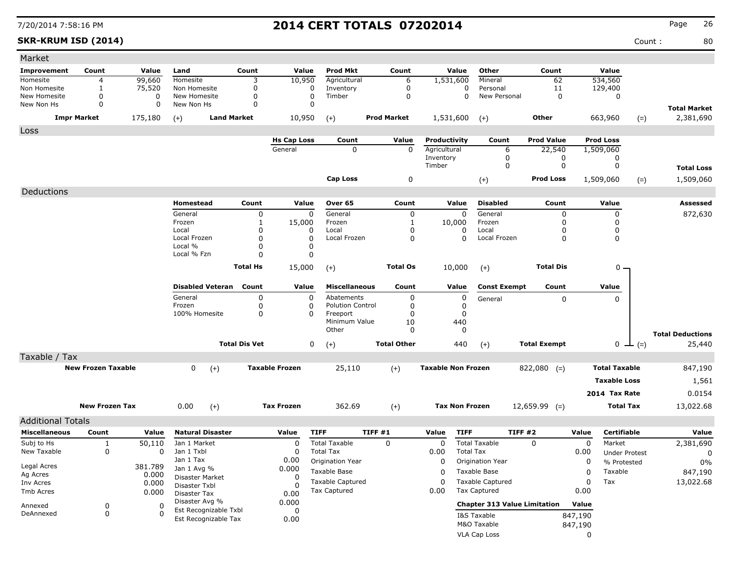## **SKR-KRUM ISD (2014)** Count : 80

| Market                     |                           |              |                                       |                      |                       |                         |                    |                           |                       |                         |                                     |             |                      |                      |                                  |
|----------------------------|---------------------------|--------------|---------------------------------------|----------------------|-----------------------|-------------------------|--------------------|---------------------------|-----------------------|-------------------------|-------------------------------------|-------------|----------------------|----------------------|----------------------------------|
| Improvement                | Count                     | Value        | Land                                  | Count                | Value                 | <b>Prod Mkt</b>         | Count              | Value                     |                       | Other                   | Count                               |             | Value                |                      |                                  |
| Homesite                   | 4                         | 99,660       | Homesite                              | 3                    | 10,950                | Agricultural            | 6                  | 1,531,600                 |                       | Mineral                 |                                     | 62          | 534,560              |                      |                                  |
| Non Homesite               | 1                         | 75,520       | Non Homesite                          | 0                    | 0                     | Inventory               | 0                  |                           | 0                     | Personal                |                                     | 11          | 129,400              |                      |                                  |
| New Homesite<br>New Non Hs | 0<br>0                    | 0<br>0       | New Homesite<br>New Non Hs            | 0<br>0               | 0<br>0                | Timber                  | 0                  |                           | 0                     | New Personal            |                                     | 0           | 0                    |                      |                                  |
|                            | <b>Impr Market</b>        | 175,180      | <b>Land Market</b><br>$(+)$           |                      | 10,950                | $(+)$                   | <b>Prod Market</b> | 1,531,600                 |                       | $(+)$                   | Other                               |             | 663,960              | $(=)$                | <b>Total Market</b><br>2,381,690 |
| Loss                       |                           |              |                                       |                      |                       |                         |                    |                           |                       |                         |                                     |             |                      |                      |                                  |
|                            |                           |              |                                       |                      | <b>Hs Cap Loss</b>    | Count                   | Value              | Productivity              |                       | Count                   | <b>Prod Value</b>                   |             | <b>Prod Loss</b>     |                      |                                  |
|                            |                           |              |                                       |                      | General               | 0                       | 0                  | Agricultural              |                       | 6                       | 22,540                              |             | 1,509,060            |                      |                                  |
|                            |                           |              |                                       |                      |                       |                         |                    | Inventory                 |                       | 0                       |                                     | 0           | 0                    |                      |                                  |
|                            |                           |              |                                       |                      |                       |                         |                    | Timber                    |                       | 0                       |                                     | 0           | 0                    |                      | <b>Total Loss</b>                |
|                            |                           |              |                                       |                      |                       | <b>Cap Loss</b>         | 0                  |                           |                       | $(+)$                   | <b>Prod Loss</b>                    |             | 1,509,060            | $(=)$                | 1,509,060                        |
| Deductions                 |                           |              |                                       |                      |                       |                         |                    |                           |                       |                         |                                     |             |                      |                      |                                  |
|                            |                           |              | Homestead                             | Count                | Value                 | Over 65                 | Count              | Value                     |                       | <b>Disabled</b>         |                                     | Count       | Value                |                      | Assessed                         |
|                            |                           |              | General                               | 0                    | 0                     | General                 | 0                  |                           | 0                     | General                 |                                     | 0           | 0                    |                      | 872,630                          |
|                            |                           |              | Frozen                                | $\mathbf{1}$         | 15,000                | Frozen                  | $\mathbf{1}$       | 10,000                    |                       | Frozen                  |                                     | $\Omega$    | 0                    |                      |                                  |
|                            |                           |              | Local                                 | 0                    | 0                     | Local                   | 0                  |                           | 0                     | Local                   |                                     | O           | 0                    |                      |                                  |
|                            |                           |              | Local Frozen<br>Local %               | 0<br>0               | 0<br>0                | Local Frozen            | 0                  |                           | 0                     | Local Frozen            |                                     | 0           | 0                    |                      |                                  |
|                            |                           |              | Local % Fzn                           | 0                    | 0                     |                         |                    |                           |                       |                         |                                     |             |                      |                      |                                  |
|                            |                           |              |                                       | <b>Total Hs</b>      | 15,000                |                         | <b>Total Os</b>    | 10,000                    |                       |                         | <b>Total Dis</b>                    |             | $0$ .                |                      |                                  |
|                            |                           |              |                                       |                      |                       | $(+)$                   |                    |                           |                       | $(+)$                   |                                     |             |                      |                      |                                  |
|                            |                           |              | <b>Disabled Veteran</b>               | Count                | Value                 | <b>Miscellaneous</b>    | Count              | Value                     |                       | <b>Const Exempt</b>     |                                     | Count       | Value                |                      |                                  |
|                            |                           |              | General                               | 0                    | 0                     | Abatements              | 0                  |                           | 0                     | General                 |                                     | $\mathbf 0$ | 0                    |                      |                                  |
|                            |                           |              | Frozen                                | 0                    | 0                     | <b>Polution Control</b> | 0                  |                           | 0                     |                         |                                     |             |                      |                      |                                  |
|                            |                           |              | 100% Homesite                         | 0                    | 0                     | Freeport                | 0                  |                           | 0                     |                         |                                     |             |                      |                      |                                  |
|                            |                           |              |                                       |                      |                       | Minimum Value<br>Other  | 10<br>0            |                           | 440<br>0              |                         |                                     |             |                      |                      |                                  |
|                            |                           |              |                                       |                      |                       |                         |                    |                           |                       |                         |                                     |             |                      |                      | <b>Total Deductions</b>          |
|                            |                           |              |                                       | <b>Total Dis Vet</b> | 0                     | $(+)$                   | <b>Total Other</b> |                           | 440                   | $(+)$                   | <b>Total Exempt</b>                 |             |                      | $0 \perp (=)$        | 25,440                           |
| Taxable / Tax              |                           |              |                                       |                      |                       |                         |                    |                           |                       |                         |                                     |             |                      |                      |                                  |
|                            | <b>New Frozen Taxable</b> |              | 0<br>$(+)$                            |                      | <b>Taxable Frozen</b> | 25,110                  | $(+)$              | <b>Taxable Non Frozen</b> |                       |                         | $822,080$ (=)                       |             | <b>Total Taxable</b> |                      | 847,190                          |
|                            |                           |              |                                       |                      |                       |                         |                    |                           |                       |                         |                                     |             | <b>Taxable Loss</b>  |                      | 1,561                            |
|                            |                           |              |                                       |                      |                       |                         |                    |                           |                       |                         |                                     |             | 2014 Tax Rate        |                      | 0.0154                           |
|                            | <b>New Frozen Tax</b>     |              | 0.00<br>$(+)$                         |                      | <b>Tax Frozen</b>     | 362.69                  | $(+)$              |                           | <b>Tax Non Frozen</b> |                         | $12,659.99$ (=)                     |             | <b>Total Tax</b>     |                      | 13,022.68                        |
| <b>Additional Totals</b>   |                           |              |                                       |                      |                       |                         |                    |                           |                       |                         |                                     |             |                      |                      |                                  |
| <b>Miscellaneous</b>       | Count                     | Value        | <b>Natural Disaster</b>               |                      | <b>TIFF</b><br>Value  |                         | TIFF#1             | Value                     | <b>TIFF</b>           |                         | <b>TIFF #2</b>                      | Value       | Certifiable          |                      | Value                            |
| Subj to Hs                 |                           |              | Jan 1 Market                          |                      | $\Omega$              | <b>Total Taxable</b>    | 0                  | $\mathbf 0$               | <b>Total Taxable</b>  |                         | $\Omega$                            |             | Market<br>0          |                      |                                  |
| New Taxable                | 1<br>0                    | 50,110<br>0  | Jan 1 Txbl                            |                      | $\Omega$              | <b>Total Tax</b>        |                    | 0.00                      | <b>Total Tax</b>      |                         |                                     |             | 0.00                 | <b>Under Protest</b> | 2,381,690<br>0                   |
|                            |                           |              | Jan 1 Tax                             |                      | 0.00                  | Origination Year        |                    | 0                         |                       | Origination Year        |                                     |             | 0<br>% Protested     |                      | 0%                               |
| Legal Acres                |                           | 381.789      | Jan 1 Avg %                           |                      | 0.000                 | Taxable Base            |                    | 0                         | Taxable Base          |                         |                                     |             | Taxable<br>0         |                      | 847,190                          |
| Ag Acres                   |                           | 0.000        | Disaster Market                       |                      | $\Omega$              | <b>Taxable Captured</b> |                    | 0                         |                       | <b>Taxable Captured</b> |                                     |             | Tax<br>0             |                      | 13,022.68                        |
| Inv Acres<br>Tmb Acres     |                           | 0.000        | Disaster Txbl                         |                      |                       | <b>Tax Captured</b>     |                    | 0.00                      | <b>Tax Captured</b>   |                         |                                     |             | 0.00                 |                      |                                  |
|                            |                           | 0.000        | <b>Disaster Tax</b><br>Disaster Avg % |                      | 0.00                  |                         |                    |                           |                       |                         |                                     |             |                      |                      |                                  |
| Annexed                    | 0                         | 0            | Est Recognizable Txbl                 |                      | 0.000<br>0            |                         |                    |                           |                       |                         | <b>Chapter 313 Value Limitation</b> |             | Value                |                      |                                  |
| DeAnnexed                  | 0                         | $\mathbf{0}$ | Est Recognizable Tax                  |                      | 0.00                  |                         |                    |                           | I&S Taxable           |                         |                                     | 847,190     |                      |                      |                                  |
|                            |                           |              |                                       |                      |                       |                         |                    |                           | M&O Taxable           |                         |                                     | 847,190     |                      |                      |                                  |
|                            |                           |              |                                       |                      |                       |                         |                    |                           | VLA Cap Loss          |                         |                                     |             | 0                    |                      |                                  |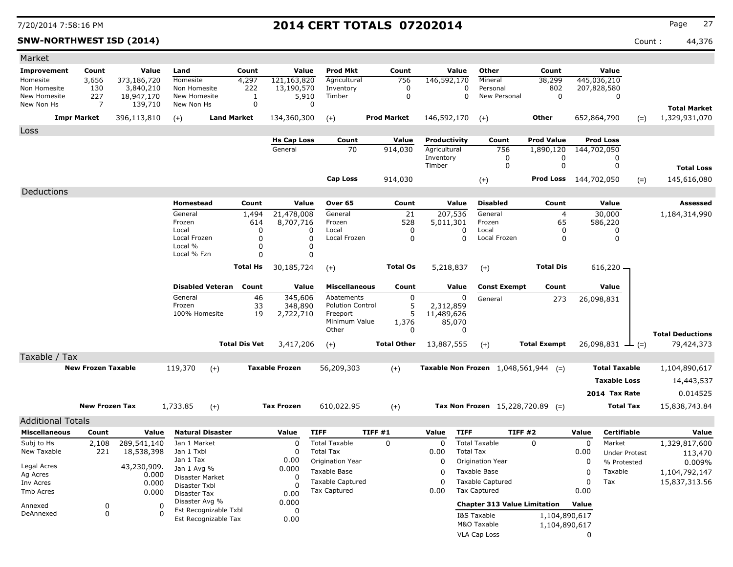## **SNW-NORTHWEST ISD (2014)** Count : 44,376

| <b>Prod Mkt</b><br>Value<br><b>Other</b><br>Value<br>Improvement<br>Count<br>Value<br>Land<br>Count<br>Value<br>Count<br>Count<br>Homesite<br>3,656<br>Homesite<br>4,297<br>Agricultural<br>Mineral<br>38,299<br>445,036,210<br>373,186,720<br>121,163,820<br>756<br>146,592,170<br>130<br>3,840,210<br>Non Homesite<br>222<br>13,190,570<br>0<br>Personal<br>802<br>207,828,580<br>Non Homesite<br>Inventory<br>0<br>New Homesite<br>227<br>18,947,170<br>5,910<br>Timber<br>$\mathbf 0$<br>0<br>New Personal<br>$\mathbf 0$<br>New Homesite<br>$\mathbf{1}$<br>0<br>$\mathbf 0$<br>New Non Hs<br>7<br>139,710<br>New Non Hs<br>0<br><b>Total Market</b><br>1,329,931,070<br>396,113,810<br>134,360,300<br>146,592,170<br><b>Other</b><br>652,864,790<br><b>Impr Market</b><br><b>Land Market</b><br><b>Prod Market</b><br>$(+)$<br>$(+)$<br>$(=)$<br>$(+)$<br>Loss<br><b>Hs Cap Loss</b><br>Count<br>Value<br>Productivity<br>Count<br><b>Prod Value</b><br><b>Prod Loss</b><br>General<br>70<br>914,030<br>Agricultural<br>756<br>1,890,120<br>144,702,050<br>Inventory<br>0<br>0<br>0<br>Timber<br>0<br>0<br>0<br><b>Total Loss</b><br><b>Cap Loss</b><br>914,030<br><b>Prod Loss</b> 144,702,050<br>145,616,080<br>$(+)$<br>$(=)$ |
|----------------------------------------------------------------------------------------------------------------------------------------------------------------------------------------------------------------------------------------------------------------------------------------------------------------------------------------------------------------------------------------------------------------------------------------------------------------------------------------------------------------------------------------------------------------------------------------------------------------------------------------------------------------------------------------------------------------------------------------------------------------------------------------------------------------------------------------------------------------------------------------------------------------------------------------------------------------------------------------------------------------------------------------------------------------------------------------------------------------------------------------------------------------------------------------------------------------------------------------|
|                                                                                                                                                                                                                                                                                                                                                                                                                                                                                                                                                                                                                                                                                                                                                                                                                                                                                                                                                                                                                                                                                                                                                                                                                                        |
|                                                                                                                                                                                                                                                                                                                                                                                                                                                                                                                                                                                                                                                                                                                                                                                                                                                                                                                                                                                                                                                                                                                                                                                                                                        |
|                                                                                                                                                                                                                                                                                                                                                                                                                                                                                                                                                                                                                                                                                                                                                                                                                                                                                                                                                                                                                                                                                                                                                                                                                                        |
|                                                                                                                                                                                                                                                                                                                                                                                                                                                                                                                                                                                                                                                                                                                                                                                                                                                                                                                                                                                                                                                                                                                                                                                                                                        |
|                                                                                                                                                                                                                                                                                                                                                                                                                                                                                                                                                                                                                                                                                                                                                                                                                                                                                                                                                                                                                                                                                                                                                                                                                                        |
|                                                                                                                                                                                                                                                                                                                                                                                                                                                                                                                                                                                                                                                                                                                                                                                                                                                                                                                                                                                                                                                                                                                                                                                                                                        |
|                                                                                                                                                                                                                                                                                                                                                                                                                                                                                                                                                                                                                                                                                                                                                                                                                                                                                                                                                                                                                                                                                                                                                                                                                                        |
|                                                                                                                                                                                                                                                                                                                                                                                                                                                                                                                                                                                                                                                                                                                                                                                                                                                                                                                                                                                                                                                                                                                                                                                                                                        |
|                                                                                                                                                                                                                                                                                                                                                                                                                                                                                                                                                                                                                                                                                                                                                                                                                                                                                                                                                                                                                                                                                                                                                                                                                                        |
|                                                                                                                                                                                                                                                                                                                                                                                                                                                                                                                                                                                                                                                                                                                                                                                                                                                                                                                                                                                                                                                                                                                                                                                                                                        |
|                                                                                                                                                                                                                                                                                                                                                                                                                                                                                                                                                                                                                                                                                                                                                                                                                                                                                                                                                                                                                                                                                                                                                                                                                                        |
|                                                                                                                                                                                                                                                                                                                                                                                                                                                                                                                                                                                                                                                                                                                                                                                                                                                                                                                                                                                                                                                                                                                                                                                                                                        |
| Deductions<br>Homestead<br>Over <sub>65</sub>                                                                                                                                                                                                                                                                                                                                                                                                                                                                                                                                                                                                                                                                                                                                                                                                                                                                                                                                                                                                                                                                                                                                                                                          |
| Count<br>Value<br>Count<br>Value<br><b>Disabled</b><br>Count<br>Value<br><b>Assessed</b>                                                                                                                                                                                                                                                                                                                                                                                                                                                                                                                                                                                                                                                                                                                                                                                                                                                                                                                                                                                                                                                                                                                                               |
| 21,478,008<br>General<br>$\overline{4}$<br>General<br>1,494<br>General<br>21<br>207,536<br>30,000<br>1,184,314,990<br>Frozen<br>528<br>65<br>Frozen<br>614<br>8,707,716<br>5,011,301<br>Frozen<br>586,220                                                                                                                                                                                                                                                                                                                                                                                                                                                                                                                                                                                                                                                                                                                                                                                                                                                                                                                                                                                                                              |
| Local<br>0<br>Local<br>0<br>0<br>Local<br>0<br>0<br>0                                                                                                                                                                                                                                                                                                                                                                                                                                                                                                                                                                                                                                                                                                                                                                                                                                                                                                                                                                                                                                                                                                                                                                                  |
| $\mathbf 0$<br>$\mathbf 0$<br>$\mathbf 0$<br>$\mathbf 0$<br>0<br>Local Frozen<br>Local Frozen<br>Local Frozen<br>0                                                                                                                                                                                                                                                                                                                                                                                                                                                                                                                                                                                                                                                                                                                                                                                                                                                                                                                                                                                                                                                                                                                     |
| Local %<br>0<br>0                                                                                                                                                                                                                                                                                                                                                                                                                                                                                                                                                                                                                                                                                                                                                                                                                                                                                                                                                                                                                                                                                                                                                                                                                      |
| Local % Fzn<br>$\Omega$<br>$\Omega$                                                                                                                                                                                                                                                                                                                                                                                                                                                                                                                                                                                                                                                                                                                                                                                                                                                                                                                                                                                                                                                                                                                                                                                                    |
| <b>Total Hs</b><br>30,185,724<br><b>Total Os</b><br>5,218,837<br><b>Total Dis</b><br>616,220 -<br>$(+)$<br>$(+)$                                                                                                                                                                                                                                                                                                                                                                                                                                                                                                                                                                                                                                                                                                                                                                                                                                                                                                                                                                                                                                                                                                                       |
|                                                                                                                                                                                                                                                                                                                                                                                                                                                                                                                                                                                                                                                                                                                                                                                                                                                                                                                                                                                                                                                                                                                                                                                                                                        |
| <b>Disabled Veteran</b><br>Count<br>Value<br><b>Miscellaneous</b><br>Count<br>Value<br><b>Const Exempt</b><br>Count<br>Value<br>46<br>$\mathbf 0$<br>$\mathbf 0$                                                                                                                                                                                                                                                                                                                                                                                                                                                                                                                                                                                                                                                                                                                                                                                                                                                                                                                                                                                                                                                                       |
| General<br>345,606<br>Abatements<br>General<br>273<br>26,098,831<br>33<br>5<br>Frozen<br><b>Polution Control</b><br>348,890<br>2,312,859                                                                                                                                                                                                                                                                                                                                                                                                                                                                                                                                                                                                                                                                                                                                                                                                                                                                                                                                                                                                                                                                                               |
| 5<br>100% Homesite<br>19<br>Freeport<br>11,489,626<br>2,722,710                                                                                                                                                                                                                                                                                                                                                                                                                                                                                                                                                                                                                                                                                                                                                                                                                                                                                                                                                                                                                                                                                                                                                                        |
| 85,070<br>Minimum Value<br>1,376                                                                                                                                                                                                                                                                                                                                                                                                                                                                                                                                                                                                                                                                                                                                                                                                                                                                                                                                                                                                                                                                                                                                                                                                       |
| $\Omega$<br>$\Omega$<br>Other<br><b>Total Deductions</b>                                                                                                                                                                                                                                                                                                                                                                                                                                                                                                                                                                                                                                                                                                                                                                                                                                                                                                                                                                                                                                                                                                                                                                               |
| <b>Total Dis Vet</b><br><b>Total Other</b><br><b>Total Exempt</b><br>79,424,373<br>3,417,206<br>13,887,555<br>$26,098,831 \perp (=)$<br>$(+)$<br>$(+)$                                                                                                                                                                                                                                                                                                                                                                                                                                                                                                                                                                                                                                                                                                                                                                                                                                                                                                                                                                                                                                                                                 |
| Taxable / Tax                                                                                                                                                                                                                                                                                                                                                                                                                                                                                                                                                                                                                                                                                                                                                                                                                                                                                                                                                                                                                                                                                                                                                                                                                          |
| <b>New Frozen Taxable</b><br>119,370<br><b>Taxable Frozen</b><br>56,209,303<br><b>Taxable Non Frozen</b> $1,048,561,944$ (=)<br><b>Total Taxable</b><br>1,104,890,617<br>$(+)$<br>$(+)$                                                                                                                                                                                                                                                                                                                                                                                                                                                                                                                                                                                                                                                                                                                                                                                                                                                                                                                                                                                                                                                |
| <b>Taxable Loss</b><br>14,443,537                                                                                                                                                                                                                                                                                                                                                                                                                                                                                                                                                                                                                                                                                                                                                                                                                                                                                                                                                                                                                                                                                                                                                                                                      |
| 2014 Tax Rate<br>0.014525                                                                                                                                                                                                                                                                                                                                                                                                                                                                                                                                                                                                                                                                                                                                                                                                                                                                                                                                                                                                                                                                                                                                                                                                              |
|                                                                                                                                                                                                                                                                                                                                                                                                                                                                                                                                                                                                                                                                                                                                                                                                                                                                                                                                                                                                                                                                                                                                                                                                                                        |
| <b>New Frozen Tax</b><br>1,733.85<br>$(+)$<br><b>Tax Frozen</b><br>610,022.95<br>$(+)$<br>Tax Non Frozen $15,228,720.89$ (=)<br><b>Total Tax</b><br>15,838,743.84                                                                                                                                                                                                                                                                                                                                                                                                                                                                                                                                                                                                                                                                                                                                                                                                                                                                                                                                                                                                                                                                      |
| <b>Additional Totals</b>                                                                                                                                                                                                                                                                                                                                                                                                                                                                                                                                                                                                                                                                                                                                                                                                                                                                                                                                                                                                                                                                                                                                                                                                               |
| TIFF#1<br><b>Miscellaneous</b><br>Value<br><b>TIFF</b><br>Value<br><b>TIFF</b><br><b>TIFF #2</b><br><b>Certifiable</b><br>Count<br>Value<br><b>Natural Disaster</b><br>Value<br>Value                                                                                                                                                                                                                                                                                                                                                                                                                                                                                                                                                                                                                                                                                                                                                                                                                                                                                                                                                                                                                                                  |
| <b>Total Taxable</b><br><b>Total Taxable</b><br>Subj to Hs<br>289,541,140<br>Jan 1 Market<br>$\mathbf 0$<br>$\mathbf 0$<br>$\mathbf 0$<br>$\Omega$<br>$\mathbf 0$<br>Market<br>1,329,817,600<br>2,108                                                                                                                                                                                                                                                                                                                                                                                                                                                                                                                                                                                                                                                                                                                                                                                                                                                                                                                                                                                                                                  |
| New Taxable<br>221<br>18,538,398<br>Jan 1 Txbl<br>$\mathbf 0$<br><b>Total Tax</b><br>0.00<br><b>Total Tax</b><br>0.00<br><b>Under Protest</b><br>113,470                                                                                                                                                                                                                                                                                                                                                                                                                                                                                                                                                                                                                                                                                                                                                                                                                                                                                                                                                                                                                                                                               |
| Jan 1 Tax<br>0.00<br>Origination Year<br>$\mathbf 0$<br>Origination Year<br>$\Omega$<br>% Protested<br>0.009%<br>Legal Acres<br>43,230,909.                                                                                                                                                                                                                                                                                                                                                                                                                                                                                                                                                                                                                                                                                                                                                                                                                                                                                                                                                                                                                                                                                            |
| 0.000<br>Jan 1 Avg %<br><b>Taxable Base</b><br>$\Omega$<br>Taxable Base<br>0<br>Taxable<br>1,104,792,147<br>Ag Acres<br>0.000<br>Disaster Market<br>$\Omega$                                                                                                                                                                                                                                                                                                                                                                                                                                                                                                                                                                                                                                                                                                                                                                                                                                                                                                                                                                                                                                                                           |
| 0<br><b>Taxable Captured</b><br>0<br><b>Taxable Captured</b><br>Tax<br>15,837,313.56<br>0.000<br>Inv Acres<br>Disaster Txbl                                                                                                                                                                                                                                                                                                                                                                                                                                                                                                                                                                                                                                                                                                                                                                                                                                                                                                                                                                                                                                                                                                            |
| <b>Tax Captured</b><br><b>Tax Captured</b><br>0.00<br>0.00<br>Tmb Acres<br>0.000<br>0.00<br>Disaster Tax                                                                                                                                                                                                                                                                                                                                                                                                                                                                                                                                                                                                                                                                                                                                                                                                                                                                                                                                                                                                                                                                                                                               |
| Disaster Avg %<br>0.000<br><b>Chapter 313 Value Limitation</b><br>Value<br>0<br>0<br>Annexed                                                                                                                                                                                                                                                                                                                                                                                                                                                                                                                                                                                                                                                                                                                                                                                                                                                                                                                                                                                                                                                                                                                                           |
| Est Recognizable Txbl<br>0<br>$\Omega$<br>DeAnnexed<br>$\Omega$<br>I&S Taxable<br>1,104,890,617                                                                                                                                                                                                                                                                                                                                                                                                                                                                                                                                                                                                                                                                                                                                                                                                                                                                                                                                                                                                                                                                                                                                        |
| 0.00<br>Est Recognizable Tax<br>M&O Taxable<br>1,104,890,617                                                                                                                                                                                                                                                                                                                                                                                                                                                                                                                                                                                                                                                                                                                                                                                                                                                                                                                                                                                                                                                                                                                                                                           |
| VLA Cap Loss<br>$\Omega$                                                                                                                                                                                                                                                                                                                                                                                                                                                                                                                                                                                                                                                                                                                                                                                                                                                                                                                                                                                                                                                                                                                                                                                                               |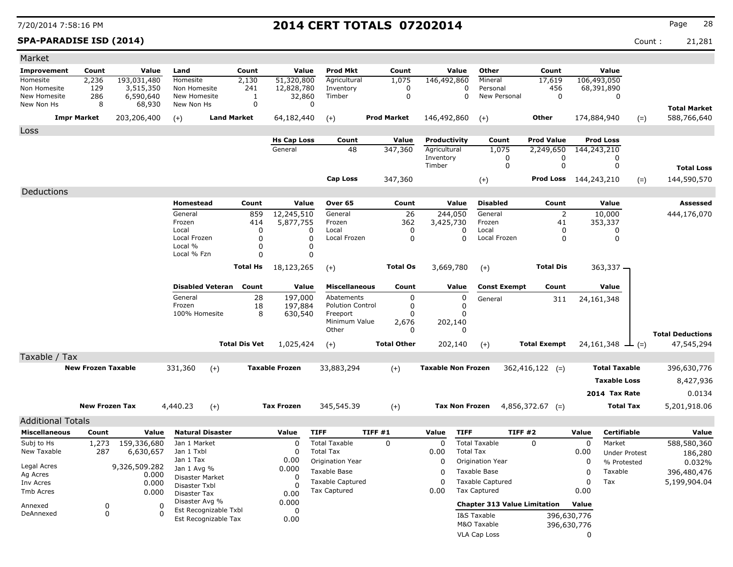### **SPA-PARADISE ISD (2014)** Count : 21,281

| Value<br>Improvement<br>Count<br>Value<br>Land<br>Count<br>Value<br><b>Prod Mkt</b><br>Count<br>Value<br><b>Other</b><br>Count<br>Agricultural<br>Mineral<br>Homesite<br>2,236<br>193,031,480<br>Homesite<br>2,130<br>51,320,800<br>1,075<br>146,492,860<br>17,619<br>106,493,050<br>129<br>12,828,780<br>456<br>68,391,890<br>Non Homesite<br>3,515,350<br>Non Homesite<br>241<br>Inventory<br>0<br>0<br>Personal<br>286<br>6,590,640<br>32,860<br>Timber<br>$\mathbf 0$<br>$\mathbf 0$<br>New Personal<br>$\mathbf 0$<br>$\mathbf 0$<br>New Homesite<br>New Homesite<br>1<br>New Non Hs<br>8<br>68,930<br>New Non Hs<br>$\mathbf 0$<br>$\Omega$<br><b>Total Market</b><br>203,206,400<br><b>Land Market</b><br>64,182,440<br><b>Prod Market</b><br>146,492,860<br><b>Other</b><br>174,884,940<br>588,766,640<br><b>Impr Market</b><br>$(+)$<br>$(+)$<br>$(+)$<br>$(=)$<br>Loss<br><b>Hs Cap Loss</b><br>Count<br><b>Value</b><br>Productivity<br>Count<br><b>Prod Value</b><br><b>Prod Loss</b><br>Agricultural<br>General<br>48<br>347,360<br>1,075<br>2,249,650<br>144,243,210<br>Inventory<br>0<br>0<br>0<br>0<br>0<br>$\mathbf 0$<br>Timber<br><b>Total Loss</b><br>144,590,570<br><b>Cap Loss</b><br>347,360<br><b>Prod Loss</b> 144,243,210<br>$(+)$<br>$(=)$<br>Deductions<br><b>Homestead</b><br>Count<br>Value<br>Over 65<br>Count<br>Value<br><b>Disabled</b><br>Count<br>Value<br>Assessed<br>$\overline{2}$<br>General<br>859<br>12,245,510<br>General<br>26<br>244,050<br>General<br>10,000<br>444,176,070<br>Frozen<br>Frozen<br>362<br>Frozen<br>41<br>414<br>5,877,755<br>3,425,730<br>353,337<br>$\Omega$<br>0<br>0<br>Local<br>0<br>Local<br>0<br>Local<br>0<br>$\Omega$<br>$\mathbf 0$<br>$\mathbf 0$<br>$\Omega$<br>Local Frozen<br>0<br>0<br>Local Frozen<br>Local Frozen<br>Local %<br>$\mathbf 0$<br>0<br>$\Omega$<br>Local % Fzn<br>0<br>3,669,780<br><b>Total Dis</b><br>363,337 -<br><b>Total Hs</b><br>18,123,265<br><b>Total Os</b><br>$(+)$<br>$(+)$<br>Value<br><b>Disabled Veteran</b><br>Count<br>Value<br><b>Miscellaneous</b><br>Count<br>Value<br><b>Const Exempt</b><br>Count<br>197,000<br>General<br>28<br>$\Omega$<br>$\mathbf 0$<br>Abatements<br>General<br>311<br>24,161,348<br>Frozen<br>197,884<br>18<br><b>Polution Control</b><br>0<br>0<br>100% Homesite<br>8<br>$\Omega$<br>630,540<br>Freeport<br>$\Omega$<br>Minimum Value<br>2,676<br>202,140<br>$\mathbf 0$<br>$\Omega$<br>Other<br><b>Total Deductions</b><br><b>Total Other</b><br><b>Total Dis Vet</b><br>1,025,424<br><b>Total Exempt</b><br>47,545,294<br>202,140<br>$24,161,348$ — (=)<br>$(+)$<br>$(+)$<br>Taxable / Tax<br><b>New Frozen Taxable</b><br>331,360<br><b>Taxable Frozen</b><br>33,883,294<br><b>Taxable Non Frozen</b><br>$362,416,122$ (=)<br><b>Total Taxable</b><br>396,630,776<br>$(+)$<br>$(+)$<br><b>Taxable Loss</b><br>8,427,936<br>2014 Tax Rate<br>0.0134<br><b>New Frozen Tax</b><br><b>Total Tax</b><br>4,440.23<br>$(+)$<br><b>Tax Frozen</b><br>345,545.39<br><b>Tax Non Frozen</b><br>5,201,918.06<br>$(+)$<br>$4,856,372.67$ (=)<br><b>Additional Totals</b><br>TIFF#1<br><b>TIFF</b><br><b>TIFF #2</b><br><b>Miscellaneous</b><br><b>Natural Disaster</b><br>Value<br><b>TIFF</b><br>Value<br>Value<br><b>Certifiable</b><br>Value<br>Count<br>Value<br><b>Total Taxable</b><br>Subj to Hs<br>159,336,680<br>$\mathbf 0$<br><b>Total Taxable</b><br>$\Omega$<br>$\mathbf 0$<br>Market<br>1,273<br>Jan 1 Market<br>$\mathbf 0$<br>$\Omega$<br>588,580,360<br>0<br>New Taxable<br>287<br>Jan 1 Txbl<br><b>Total Tax</b><br>0.00<br><b>Total Tax</b><br>6,630,657<br>0.00<br><b>Under Protest</b><br>186,280<br>Jan 1 Tax<br>0.00<br>Origination Year<br>$\Omega$<br>Origination Year<br>$\mathbf 0$<br>% Protested<br>0.032%<br>Legal Acres<br>9,326,509.282<br>Jan 1 Avg %<br>0.000<br><b>Taxable Base</b><br>$\Omega$<br>Taxable Base<br>$\Omega$<br>Taxable<br>396,480,476<br>Ag Acres<br>0.000<br>Disaster Market<br>0<br><b>Taxable Captured</b><br>$\mathbf 0$<br>$\Omega$<br><b>Taxable Captured</b><br>Tax<br>5,199,904.04<br>0.000<br>Inv Acres<br>Disaster Txbl<br>0<br><b>Tax Captured</b><br><b>Tax Captured</b><br>0.00<br>0.00<br>Tmb Acres<br>0.000<br>0.00<br>Disaster Tax<br>Disaster Avg %<br>0.000<br><b>Chapter 313 Value Limitation</b><br>Value<br>Annexed<br>0<br>$\Omega$<br>Est Recognizable Txbl<br>0<br>$\Omega$<br>DeAnnexed<br>$\Omega$<br>I&S Taxable<br>396,630,776<br>Est Recognizable Tax<br>0.00<br>M&O Taxable<br>396,630,776<br><b>VLA Cap Loss</b> | Market |  |  |  |  |  |  |          |  |
|-----------------------------------------------------------------------------------------------------------------------------------------------------------------------------------------------------------------------------------------------------------------------------------------------------------------------------------------------------------------------------------------------------------------------------------------------------------------------------------------------------------------------------------------------------------------------------------------------------------------------------------------------------------------------------------------------------------------------------------------------------------------------------------------------------------------------------------------------------------------------------------------------------------------------------------------------------------------------------------------------------------------------------------------------------------------------------------------------------------------------------------------------------------------------------------------------------------------------------------------------------------------------------------------------------------------------------------------------------------------------------------------------------------------------------------------------------------------------------------------------------------------------------------------------------------------------------------------------------------------------------------------------------------------------------------------------------------------------------------------------------------------------------------------------------------------------------------------------------------------------------------------------------------------------------------------------------------------------------------------------------------------------------------------------------------------------------------------------------------------------------------------------------------------------------------------------------------------------------------------------------------------------------------------------------------------------------------------------------------------------------------------------------------------------------------------------------------------------------------------------------------------------------------------------------------------------------------------------------------------------------------------------------------------------------------------------------------------------------------------------------------------------------------------------------------------------------------------------------------------------------------------------------------------------------------------------------------------------------------------------------------------------------------------------------------------------------------------------------------------------------------------------------------------------------------------------------------------------------------------------------------------------------------------------------------------------------------------------------------------------------------------------------------------------------------------------------------------------------------------------------------------------------------------------------------------------------------------------------------------------------------------------------------------------------------------------------------------------------------------------------------------------------------------------------------------------------------------------------------------------------------------------------------------------------------------------------------------------------------------------------------------------------------------------------------------------------------------------------------------------------------------------------------------------------------------------------------------------------------------------------------------------------------------------------------------------------------------------------------------------------------------------------------------------------------------------------------------------------------------------------------------------------------|--------|--|--|--|--|--|--|----------|--|
|                                                                                                                                                                                                                                                                                                                                                                                                                                                                                                                                                                                                                                                                                                                                                                                                                                                                                                                                                                                                                                                                                                                                                                                                                                                                                                                                                                                                                                                                                                                                                                                                                                                                                                                                                                                                                                                                                                                                                                                                                                                                                                                                                                                                                                                                                                                                                                                                                                                                                                                                                                                                                                                                                                                                                                                                                                                                                                                                                                                                                                                                                                                                                                                                                                                                                                                                                                                                                                                                                                                                                                                                                                                                                                                                                                                                                                                                                                                                                                                                                                                                                                                                                                                                                                                                                                                                                                                                                                                                                                                                   |        |  |  |  |  |  |  |          |  |
|                                                                                                                                                                                                                                                                                                                                                                                                                                                                                                                                                                                                                                                                                                                                                                                                                                                                                                                                                                                                                                                                                                                                                                                                                                                                                                                                                                                                                                                                                                                                                                                                                                                                                                                                                                                                                                                                                                                                                                                                                                                                                                                                                                                                                                                                                                                                                                                                                                                                                                                                                                                                                                                                                                                                                                                                                                                                                                                                                                                                                                                                                                                                                                                                                                                                                                                                                                                                                                                                                                                                                                                                                                                                                                                                                                                                                                                                                                                                                                                                                                                                                                                                                                                                                                                                                                                                                                                                                                                                                                                                   |        |  |  |  |  |  |  |          |  |
|                                                                                                                                                                                                                                                                                                                                                                                                                                                                                                                                                                                                                                                                                                                                                                                                                                                                                                                                                                                                                                                                                                                                                                                                                                                                                                                                                                                                                                                                                                                                                                                                                                                                                                                                                                                                                                                                                                                                                                                                                                                                                                                                                                                                                                                                                                                                                                                                                                                                                                                                                                                                                                                                                                                                                                                                                                                                                                                                                                                                                                                                                                                                                                                                                                                                                                                                                                                                                                                                                                                                                                                                                                                                                                                                                                                                                                                                                                                                                                                                                                                                                                                                                                                                                                                                                                                                                                                                                                                                                                                                   |        |  |  |  |  |  |  |          |  |
|                                                                                                                                                                                                                                                                                                                                                                                                                                                                                                                                                                                                                                                                                                                                                                                                                                                                                                                                                                                                                                                                                                                                                                                                                                                                                                                                                                                                                                                                                                                                                                                                                                                                                                                                                                                                                                                                                                                                                                                                                                                                                                                                                                                                                                                                                                                                                                                                                                                                                                                                                                                                                                                                                                                                                                                                                                                                                                                                                                                                                                                                                                                                                                                                                                                                                                                                                                                                                                                                                                                                                                                                                                                                                                                                                                                                                                                                                                                                                                                                                                                                                                                                                                                                                                                                                                                                                                                                                                                                                                                                   |        |  |  |  |  |  |  |          |  |
|                                                                                                                                                                                                                                                                                                                                                                                                                                                                                                                                                                                                                                                                                                                                                                                                                                                                                                                                                                                                                                                                                                                                                                                                                                                                                                                                                                                                                                                                                                                                                                                                                                                                                                                                                                                                                                                                                                                                                                                                                                                                                                                                                                                                                                                                                                                                                                                                                                                                                                                                                                                                                                                                                                                                                                                                                                                                                                                                                                                                                                                                                                                                                                                                                                                                                                                                                                                                                                                                                                                                                                                                                                                                                                                                                                                                                                                                                                                                                                                                                                                                                                                                                                                                                                                                                                                                                                                                                                                                                                                                   |        |  |  |  |  |  |  |          |  |
|                                                                                                                                                                                                                                                                                                                                                                                                                                                                                                                                                                                                                                                                                                                                                                                                                                                                                                                                                                                                                                                                                                                                                                                                                                                                                                                                                                                                                                                                                                                                                                                                                                                                                                                                                                                                                                                                                                                                                                                                                                                                                                                                                                                                                                                                                                                                                                                                                                                                                                                                                                                                                                                                                                                                                                                                                                                                                                                                                                                                                                                                                                                                                                                                                                                                                                                                                                                                                                                                                                                                                                                                                                                                                                                                                                                                                                                                                                                                                                                                                                                                                                                                                                                                                                                                                                                                                                                                                                                                                                                                   |        |  |  |  |  |  |  |          |  |
|                                                                                                                                                                                                                                                                                                                                                                                                                                                                                                                                                                                                                                                                                                                                                                                                                                                                                                                                                                                                                                                                                                                                                                                                                                                                                                                                                                                                                                                                                                                                                                                                                                                                                                                                                                                                                                                                                                                                                                                                                                                                                                                                                                                                                                                                                                                                                                                                                                                                                                                                                                                                                                                                                                                                                                                                                                                                                                                                                                                                                                                                                                                                                                                                                                                                                                                                                                                                                                                                                                                                                                                                                                                                                                                                                                                                                                                                                                                                                                                                                                                                                                                                                                                                                                                                                                                                                                                                                                                                                                                                   |        |  |  |  |  |  |  |          |  |
|                                                                                                                                                                                                                                                                                                                                                                                                                                                                                                                                                                                                                                                                                                                                                                                                                                                                                                                                                                                                                                                                                                                                                                                                                                                                                                                                                                                                                                                                                                                                                                                                                                                                                                                                                                                                                                                                                                                                                                                                                                                                                                                                                                                                                                                                                                                                                                                                                                                                                                                                                                                                                                                                                                                                                                                                                                                                                                                                                                                                                                                                                                                                                                                                                                                                                                                                                                                                                                                                                                                                                                                                                                                                                                                                                                                                                                                                                                                                                                                                                                                                                                                                                                                                                                                                                                                                                                                                                                                                                                                                   |        |  |  |  |  |  |  |          |  |
|                                                                                                                                                                                                                                                                                                                                                                                                                                                                                                                                                                                                                                                                                                                                                                                                                                                                                                                                                                                                                                                                                                                                                                                                                                                                                                                                                                                                                                                                                                                                                                                                                                                                                                                                                                                                                                                                                                                                                                                                                                                                                                                                                                                                                                                                                                                                                                                                                                                                                                                                                                                                                                                                                                                                                                                                                                                                                                                                                                                                                                                                                                                                                                                                                                                                                                                                                                                                                                                                                                                                                                                                                                                                                                                                                                                                                                                                                                                                                                                                                                                                                                                                                                                                                                                                                                                                                                                                                                                                                                                                   |        |  |  |  |  |  |  |          |  |
|                                                                                                                                                                                                                                                                                                                                                                                                                                                                                                                                                                                                                                                                                                                                                                                                                                                                                                                                                                                                                                                                                                                                                                                                                                                                                                                                                                                                                                                                                                                                                                                                                                                                                                                                                                                                                                                                                                                                                                                                                                                                                                                                                                                                                                                                                                                                                                                                                                                                                                                                                                                                                                                                                                                                                                                                                                                                                                                                                                                                                                                                                                                                                                                                                                                                                                                                                                                                                                                                                                                                                                                                                                                                                                                                                                                                                                                                                                                                                                                                                                                                                                                                                                                                                                                                                                                                                                                                                                                                                                                                   |        |  |  |  |  |  |  |          |  |
|                                                                                                                                                                                                                                                                                                                                                                                                                                                                                                                                                                                                                                                                                                                                                                                                                                                                                                                                                                                                                                                                                                                                                                                                                                                                                                                                                                                                                                                                                                                                                                                                                                                                                                                                                                                                                                                                                                                                                                                                                                                                                                                                                                                                                                                                                                                                                                                                                                                                                                                                                                                                                                                                                                                                                                                                                                                                                                                                                                                                                                                                                                                                                                                                                                                                                                                                                                                                                                                                                                                                                                                                                                                                                                                                                                                                                                                                                                                                                                                                                                                                                                                                                                                                                                                                                                                                                                                                                                                                                                                                   |        |  |  |  |  |  |  |          |  |
|                                                                                                                                                                                                                                                                                                                                                                                                                                                                                                                                                                                                                                                                                                                                                                                                                                                                                                                                                                                                                                                                                                                                                                                                                                                                                                                                                                                                                                                                                                                                                                                                                                                                                                                                                                                                                                                                                                                                                                                                                                                                                                                                                                                                                                                                                                                                                                                                                                                                                                                                                                                                                                                                                                                                                                                                                                                                                                                                                                                                                                                                                                                                                                                                                                                                                                                                                                                                                                                                                                                                                                                                                                                                                                                                                                                                                                                                                                                                                                                                                                                                                                                                                                                                                                                                                                                                                                                                                                                                                                                                   |        |  |  |  |  |  |  |          |  |
|                                                                                                                                                                                                                                                                                                                                                                                                                                                                                                                                                                                                                                                                                                                                                                                                                                                                                                                                                                                                                                                                                                                                                                                                                                                                                                                                                                                                                                                                                                                                                                                                                                                                                                                                                                                                                                                                                                                                                                                                                                                                                                                                                                                                                                                                                                                                                                                                                                                                                                                                                                                                                                                                                                                                                                                                                                                                                                                                                                                                                                                                                                                                                                                                                                                                                                                                                                                                                                                                                                                                                                                                                                                                                                                                                                                                                                                                                                                                                                                                                                                                                                                                                                                                                                                                                                                                                                                                                                                                                                                                   |        |  |  |  |  |  |  |          |  |
|                                                                                                                                                                                                                                                                                                                                                                                                                                                                                                                                                                                                                                                                                                                                                                                                                                                                                                                                                                                                                                                                                                                                                                                                                                                                                                                                                                                                                                                                                                                                                                                                                                                                                                                                                                                                                                                                                                                                                                                                                                                                                                                                                                                                                                                                                                                                                                                                                                                                                                                                                                                                                                                                                                                                                                                                                                                                                                                                                                                                                                                                                                                                                                                                                                                                                                                                                                                                                                                                                                                                                                                                                                                                                                                                                                                                                                                                                                                                                                                                                                                                                                                                                                                                                                                                                                                                                                                                                                                                                                                                   |        |  |  |  |  |  |  |          |  |
|                                                                                                                                                                                                                                                                                                                                                                                                                                                                                                                                                                                                                                                                                                                                                                                                                                                                                                                                                                                                                                                                                                                                                                                                                                                                                                                                                                                                                                                                                                                                                                                                                                                                                                                                                                                                                                                                                                                                                                                                                                                                                                                                                                                                                                                                                                                                                                                                                                                                                                                                                                                                                                                                                                                                                                                                                                                                                                                                                                                                                                                                                                                                                                                                                                                                                                                                                                                                                                                                                                                                                                                                                                                                                                                                                                                                                                                                                                                                                                                                                                                                                                                                                                                                                                                                                                                                                                                                                                                                                                                                   |        |  |  |  |  |  |  |          |  |
|                                                                                                                                                                                                                                                                                                                                                                                                                                                                                                                                                                                                                                                                                                                                                                                                                                                                                                                                                                                                                                                                                                                                                                                                                                                                                                                                                                                                                                                                                                                                                                                                                                                                                                                                                                                                                                                                                                                                                                                                                                                                                                                                                                                                                                                                                                                                                                                                                                                                                                                                                                                                                                                                                                                                                                                                                                                                                                                                                                                                                                                                                                                                                                                                                                                                                                                                                                                                                                                                                                                                                                                                                                                                                                                                                                                                                                                                                                                                                                                                                                                                                                                                                                                                                                                                                                                                                                                                                                                                                                                                   |        |  |  |  |  |  |  |          |  |
|                                                                                                                                                                                                                                                                                                                                                                                                                                                                                                                                                                                                                                                                                                                                                                                                                                                                                                                                                                                                                                                                                                                                                                                                                                                                                                                                                                                                                                                                                                                                                                                                                                                                                                                                                                                                                                                                                                                                                                                                                                                                                                                                                                                                                                                                                                                                                                                                                                                                                                                                                                                                                                                                                                                                                                                                                                                                                                                                                                                                                                                                                                                                                                                                                                                                                                                                                                                                                                                                                                                                                                                                                                                                                                                                                                                                                                                                                                                                                                                                                                                                                                                                                                                                                                                                                                                                                                                                                                                                                                                                   |        |  |  |  |  |  |  |          |  |
|                                                                                                                                                                                                                                                                                                                                                                                                                                                                                                                                                                                                                                                                                                                                                                                                                                                                                                                                                                                                                                                                                                                                                                                                                                                                                                                                                                                                                                                                                                                                                                                                                                                                                                                                                                                                                                                                                                                                                                                                                                                                                                                                                                                                                                                                                                                                                                                                                                                                                                                                                                                                                                                                                                                                                                                                                                                                                                                                                                                                                                                                                                                                                                                                                                                                                                                                                                                                                                                                                                                                                                                                                                                                                                                                                                                                                                                                                                                                                                                                                                                                                                                                                                                                                                                                                                                                                                                                                                                                                                                                   |        |  |  |  |  |  |  |          |  |
|                                                                                                                                                                                                                                                                                                                                                                                                                                                                                                                                                                                                                                                                                                                                                                                                                                                                                                                                                                                                                                                                                                                                                                                                                                                                                                                                                                                                                                                                                                                                                                                                                                                                                                                                                                                                                                                                                                                                                                                                                                                                                                                                                                                                                                                                                                                                                                                                                                                                                                                                                                                                                                                                                                                                                                                                                                                                                                                                                                                                                                                                                                                                                                                                                                                                                                                                                                                                                                                                                                                                                                                                                                                                                                                                                                                                                                                                                                                                                                                                                                                                                                                                                                                                                                                                                                                                                                                                                                                                                                                                   |        |  |  |  |  |  |  |          |  |
|                                                                                                                                                                                                                                                                                                                                                                                                                                                                                                                                                                                                                                                                                                                                                                                                                                                                                                                                                                                                                                                                                                                                                                                                                                                                                                                                                                                                                                                                                                                                                                                                                                                                                                                                                                                                                                                                                                                                                                                                                                                                                                                                                                                                                                                                                                                                                                                                                                                                                                                                                                                                                                                                                                                                                                                                                                                                                                                                                                                                                                                                                                                                                                                                                                                                                                                                                                                                                                                                                                                                                                                                                                                                                                                                                                                                                                                                                                                                                                                                                                                                                                                                                                                                                                                                                                                                                                                                                                                                                                                                   |        |  |  |  |  |  |  |          |  |
|                                                                                                                                                                                                                                                                                                                                                                                                                                                                                                                                                                                                                                                                                                                                                                                                                                                                                                                                                                                                                                                                                                                                                                                                                                                                                                                                                                                                                                                                                                                                                                                                                                                                                                                                                                                                                                                                                                                                                                                                                                                                                                                                                                                                                                                                                                                                                                                                                                                                                                                                                                                                                                                                                                                                                                                                                                                                                                                                                                                                                                                                                                                                                                                                                                                                                                                                                                                                                                                                                                                                                                                                                                                                                                                                                                                                                                                                                                                                                                                                                                                                                                                                                                                                                                                                                                                                                                                                                                                                                                                                   |        |  |  |  |  |  |  |          |  |
|                                                                                                                                                                                                                                                                                                                                                                                                                                                                                                                                                                                                                                                                                                                                                                                                                                                                                                                                                                                                                                                                                                                                                                                                                                                                                                                                                                                                                                                                                                                                                                                                                                                                                                                                                                                                                                                                                                                                                                                                                                                                                                                                                                                                                                                                                                                                                                                                                                                                                                                                                                                                                                                                                                                                                                                                                                                                                                                                                                                                                                                                                                                                                                                                                                                                                                                                                                                                                                                                                                                                                                                                                                                                                                                                                                                                                                                                                                                                                                                                                                                                                                                                                                                                                                                                                                                                                                                                                                                                                                                                   |        |  |  |  |  |  |  |          |  |
|                                                                                                                                                                                                                                                                                                                                                                                                                                                                                                                                                                                                                                                                                                                                                                                                                                                                                                                                                                                                                                                                                                                                                                                                                                                                                                                                                                                                                                                                                                                                                                                                                                                                                                                                                                                                                                                                                                                                                                                                                                                                                                                                                                                                                                                                                                                                                                                                                                                                                                                                                                                                                                                                                                                                                                                                                                                                                                                                                                                                                                                                                                                                                                                                                                                                                                                                                                                                                                                                                                                                                                                                                                                                                                                                                                                                                                                                                                                                                                                                                                                                                                                                                                                                                                                                                                                                                                                                                                                                                                                                   |        |  |  |  |  |  |  |          |  |
|                                                                                                                                                                                                                                                                                                                                                                                                                                                                                                                                                                                                                                                                                                                                                                                                                                                                                                                                                                                                                                                                                                                                                                                                                                                                                                                                                                                                                                                                                                                                                                                                                                                                                                                                                                                                                                                                                                                                                                                                                                                                                                                                                                                                                                                                                                                                                                                                                                                                                                                                                                                                                                                                                                                                                                                                                                                                                                                                                                                                                                                                                                                                                                                                                                                                                                                                                                                                                                                                                                                                                                                                                                                                                                                                                                                                                                                                                                                                                                                                                                                                                                                                                                                                                                                                                                                                                                                                                                                                                                                                   |        |  |  |  |  |  |  |          |  |
|                                                                                                                                                                                                                                                                                                                                                                                                                                                                                                                                                                                                                                                                                                                                                                                                                                                                                                                                                                                                                                                                                                                                                                                                                                                                                                                                                                                                                                                                                                                                                                                                                                                                                                                                                                                                                                                                                                                                                                                                                                                                                                                                                                                                                                                                                                                                                                                                                                                                                                                                                                                                                                                                                                                                                                                                                                                                                                                                                                                                                                                                                                                                                                                                                                                                                                                                                                                                                                                                                                                                                                                                                                                                                                                                                                                                                                                                                                                                                                                                                                                                                                                                                                                                                                                                                                                                                                                                                                                                                                                                   |        |  |  |  |  |  |  |          |  |
|                                                                                                                                                                                                                                                                                                                                                                                                                                                                                                                                                                                                                                                                                                                                                                                                                                                                                                                                                                                                                                                                                                                                                                                                                                                                                                                                                                                                                                                                                                                                                                                                                                                                                                                                                                                                                                                                                                                                                                                                                                                                                                                                                                                                                                                                                                                                                                                                                                                                                                                                                                                                                                                                                                                                                                                                                                                                                                                                                                                                                                                                                                                                                                                                                                                                                                                                                                                                                                                                                                                                                                                                                                                                                                                                                                                                                                                                                                                                                                                                                                                                                                                                                                                                                                                                                                                                                                                                                                                                                                                                   |        |  |  |  |  |  |  |          |  |
|                                                                                                                                                                                                                                                                                                                                                                                                                                                                                                                                                                                                                                                                                                                                                                                                                                                                                                                                                                                                                                                                                                                                                                                                                                                                                                                                                                                                                                                                                                                                                                                                                                                                                                                                                                                                                                                                                                                                                                                                                                                                                                                                                                                                                                                                                                                                                                                                                                                                                                                                                                                                                                                                                                                                                                                                                                                                                                                                                                                                                                                                                                                                                                                                                                                                                                                                                                                                                                                                                                                                                                                                                                                                                                                                                                                                                                                                                                                                                                                                                                                                                                                                                                                                                                                                                                                                                                                                                                                                                                                                   |        |  |  |  |  |  |  |          |  |
|                                                                                                                                                                                                                                                                                                                                                                                                                                                                                                                                                                                                                                                                                                                                                                                                                                                                                                                                                                                                                                                                                                                                                                                                                                                                                                                                                                                                                                                                                                                                                                                                                                                                                                                                                                                                                                                                                                                                                                                                                                                                                                                                                                                                                                                                                                                                                                                                                                                                                                                                                                                                                                                                                                                                                                                                                                                                                                                                                                                                                                                                                                                                                                                                                                                                                                                                                                                                                                                                                                                                                                                                                                                                                                                                                                                                                                                                                                                                                                                                                                                                                                                                                                                                                                                                                                                                                                                                                                                                                                                                   |        |  |  |  |  |  |  |          |  |
|                                                                                                                                                                                                                                                                                                                                                                                                                                                                                                                                                                                                                                                                                                                                                                                                                                                                                                                                                                                                                                                                                                                                                                                                                                                                                                                                                                                                                                                                                                                                                                                                                                                                                                                                                                                                                                                                                                                                                                                                                                                                                                                                                                                                                                                                                                                                                                                                                                                                                                                                                                                                                                                                                                                                                                                                                                                                                                                                                                                                                                                                                                                                                                                                                                                                                                                                                                                                                                                                                                                                                                                                                                                                                                                                                                                                                                                                                                                                                                                                                                                                                                                                                                                                                                                                                                                                                                                                                                                                                                                                   |        |  |  |  |  |  |  |          |  |
|                                                                                                                                                                                                                                                                                                                                                                                                                                                                                                                                                                                                                                                                                                                                                                                                                                                                                                                                                                                                                                                                                                                                                                                                                                                                                                                                                                                                                                                                                                                                                                                                                                                                                                                                                                                                                                                                                                                                                                                                                                                                                                                                                                                                                                                                                                                                                                                                                                                                                                                                                                                                                                                                                                                                                                                                                                                                                                                                                                                                                                                                                                                                                                                                                                                                                                                                                                                                                                                                                                                                                                                                                                                                                                                                                                                                                                                                                                                                                                                                                                                                                                                                                                                                                                                                                                                                                                                                                                                                                                                                   |        |  |  |  |  |  |  |          |  |
|                                                                                                                                                                                                                                                                                                                                                                                                                                                                                                                                                                                                                                                                                                                                                                                                                                                                                                                                                                                                                                                                                                                                                                                                                                                                                                                                                                                                                                                                                                                                                                                                                                                                                                                                                                                                                                                                                                                                                                                                                                                                                                                                                                                                                                                                                                                                                                                                                                                                                                                                                                                                                                                                                                                                                                                                                                                                                                                                                                                                                                                                                                                                                                                                                                                                                                                                                                                                                                                                                                                                                                                                                                                                                                                                                                                                                                                                                                                                                                                                                                                                                                                                                                                                                                                                                                                                                                                                                                                                                                                                   |        |  |  |  |  |  |  |          |  |
|                                                                                                                                                                                                                                                                                                                                                                                                                                                                                                                                                                                                                                                                                                                                                                                                                                                                                                                                                                                                                                                                                                                                                                                                                                                                                                                                                                                                                                                                                                                                                                                                                                                                                                                                                                                                                                                                                                                                                                                                                                                                                                                                                                                                                                                                                                                                                                                                                                                                                                                                                                                                                                                                                                                                                                                                                                                                                                                                                                                                                                                                                                                                                                                                                                                                                                                                                                                                                                                                                                                                                                                                                                                                                                                                                                                                                                                                                                                                                                                                                                                                                                                                                                                                                                                                                                                                                                                                                                                                                                                                   |        |  |  |  |  |  |  |          |  |
|                                                                                                                                                                                                                                                                                                                                                                                                                                                                                                                                                                                                                                                                                                                                                                                                                                                                                                                                                                                                                                                                                                                                                                                                                                                                                                                                                                                                                                                                                                                                                                                                                                                                                                                                                                                                                                                                                                                                                                                                                                                                                                                                                                                                                                                                                                                                                                                                                                                                                                                                                                                                                                                                                                                                                                                                                                                                                                                                                                                                                                                                                                                                                                                                                                                                                                                                                                                                                                                                                                                                                                                                                                                                                                                                                                                                                                                                                                                                                                                                                                                                                                                                                                                                                                                                                                                                                                                                                                                                                                                                   |        |  |  |  |  |  |  |          |  |
|                                                                                                                                                                                                                                                                                                                                                                                                                                                                                                                                                                                                                                                                                                                                                                                                                                                                                                                                                                                                                                                                                                                                                                                                                                                                                                                                                                                                                                                                                                                                                                                                                                                                                                                                                                                                                                                                                                                                                                                                                                                                                                                                                                                                                                                                                                                                                                                                                                                                                                                                                                                                                                                                                                                                                                                                                                                                                                                                                                                                                                                                                                                                                                                                                                                                                                                                                                                                                                                                                                                                                                                                                                                                                                                                                                                                                                                                                                                                                                                                                                                                                                                                                                                                                                                                                                                                                                                                                                                                                                                                   |        |  |  |  |  |  |  |          |  |
|                                                                                                                                                                                                                                                                                                                                                                                                                                                                                                                                                                                                                                                                                                                                                                                                                                                                                                                                                                                                                                                                                                                                                                                                                                                                                                                                                                                                                                                                                                                                                                                                                                                                                                                                                                                                                                                                                                                                                                                                                                                                                                                                                                                                                                                                                                                                                                                                                                                                                                                                                                                                                                                                                                                                                                                                                                                                                                                                                                                                                                                                                                                                                                                                                                                                                                                                                                                                                                                                                                                                                                                                                                                                                                                                                                                                                                                                                                                                                                                                                                                                                                                                                                                                                                                                                                                                                                                                                                                                                                                                   |        |  |  |  |  |  |  |          |  |
|                                                                                                                                                                                                                                                                                                                                                                                                                                                                                                                                                                                                                                                                                                                                                                                                                                                                                                                                                                                                                                                                                                                                                                                                                                                                                                                                                                                                                                                                                                                                                                                                                                                                                                                                                                                                                                                                                                                                                                                                                                                                                                                                                                                                                                                                                                                                                                                                                                                                                                                                                                                                                                                                                                                                                                                                                                                                                                                                                                                                                                                                                                                                                                                                                                                                                                                                                                                                                                                                                                                                                                                                                                                                                                                                                                                                                                                                                                                                                                                                                                                                                                                                                                                                                                                                                                                                                                                                                                                                                                                                   |        |  |  |  |  |  |  |          |  |
|                                                                                                                                                                                                                                                                                                                                                                                                                                                                                                                                                                                                                                                                                                                                                                                                                                                                                                                                                                                                                                                                                                                                                                                                                                                                                                                                                                                                                                                                                                                                                                                                                                                                                                                                                                                                                                                                                                                                                                                                                                                                                                                                                                                                                                                                                                                                                                                                                                                                                                                                                                                                                                                                                                                                                                                                                                                                                                                                                                                                                                                                                                                                                                                                                                                                                                                                                                                                                                                                                                                                                                                                                                                                                                                                                                                                                                                                                                                                                                                                                                                                                                                                                                                                                                                                                                                                                                                                                                                                                                                                   |        |  |  |  |  |  |  |          |  |
|                                                                                                                                                                                                                                                                                                                                                                                                                                                                                                                                                                                                                                                                                                                                                                                                                                                                                                                                                                                                                                                                                                                                                                                                                                                                                                                                                                                                                                                                                                                                                                                                                                                                                                                                                                                                                                                                                                                                                                                                                                                                                                                                                                                                                                                                                                                                                                                                                                                                                                                                                                                                                                                                                                                                                                                                                                                                                                                                                                                                                                                                                                                                                                                                                                                                                                                                                                                                                                                                                                                                                                                                                                                                                                                                                                                                                                                                                                                                                                                                                                                                                                                                                                                                                                                                                                                                                                                                                                                                                                                                   |        |  |  |  |  |  |  |          |  |
|                                                                                                                                                                                                                                                                                                                                                                                                                                                                                                                                                                                                                                                                                                                                                                                                                                                                                                                                                                                                                                                                                                                                                                                                                                                                                                                                                                                                                                                                                                                                                                                                                                                                                                                                                                                                                                                                                                                                                                                                                                                                                                                                                                                                                                                                                                                                                                                                                                                                                                                                                                                                                                                                                                                                                                                                                                                                                                                                                                                                                                                                                                                                                                                                                                                                                                                                                                                                                                                                                                                                                                                                                                                                                                                                                                                                                                                                                                                                                                                                                                                                                                                                                                                                                                                                                                                                                                                                                                                                                                                                   |        |  |  |  |  |  |  |          |  |
|                                                                                                                                                                                                                                                                                                                                                                                                                                                                                                                                                                                                                                                                                                                                                                                                                                                                                                                                                                                                                                                                                                                                                                                                                                                                                                                                                                                                                                                                                                                                                                                                                                                                                                                                                                                                                                                                                                                                                                                                                                                                                                                                                                                                                                                                                                                                                                                                                                                                                                                                                                                                                                                                                                                                                                                                                                                                                                                                                                                                                                                                                                                                                                                                                                                                                                                                                                                                                                                                                                                                                                                                                                                                                                                                                                                                                                                                                                                                                                                                                                                                                                                                                                                                                                                                                                                                                                                                                                                                                                                                   |        |  |  |  |  |  |  |          |  |
|                                                                                                                                                                                                                                                                                                                                                                                                                                                                                                                                                                                                                                                                                                                                                                                                                                                                                                                                                                                                                                                                                                                                                                                                                                                                                                                                                                                                                                                                                                                                                                                                                                                                                                                                                                                                                                                                                                                                                                                                                                                                                                                                                                                                                                                                                                                                                                                                                                                                                                                                                                                                                                                                                                                                                                                                                                                                                                                                                                                                                                                                                                                                                                                                                                                                                                                                                                                                                                                                                                                                                                                                                                                                                                                                                                                                                                                                                                                                                                                                                                                                                                                                                                                                                                                                                                                                                                                                                                                                                                                                   |        |  |  |  |  |  |  |          |  |
|                                                                                                                                                                                                                                                                                                                                                                                                                                                                                                                                                                                                                                                                                                                                                                                                                                                                                                                                                                                                                                                                                                                                                                                                                                                                                                                                                                                                                                                                                                                                                                                                                                                                                                                                                                                                                                                                                                                                                                                                                                                                                                                                                                                                                                                                                                                                                                                                                                                                                                                                                                                                                                                                                                                                                                                                                                                                                                                                                                                                                                                                                                                                                                                                                                                                                                                                                                                                                                                                                                                                                                                                                                                                                                                                                                                                                                                                                                                                                                                                                                                                                                                                                                                                                                                                                                                                                                                                                                                                                                                                   |        |  |  |  |  |  |  |          |  |
|                                                                                                                                                                                                                                                                                                                                                                                                                                                                                                                                                                                                                                                                                                                                                                                                                                                                                                                                                                                                                                                                                                                                                                                                                                                                                                                                                                                                                                                                                                                                                                                                                                                                                                                                                                                                                                                                                                                                                                                                                                                                                                                                                                                                                                                                                                                                                                                                                                                                                                                                                                                                                                                                                                                                                                                                                                                                                                                                                                                                                                                                                                                                                                                                                                                                                                                                                                                                                                                                                                                                                                                                                                                                                                                                                                                                                                                                                                                                                                                                                                                                                                                                                                                                                                                                                                                                                                                                                                                                                                                                   |        |  |  |  |  |  |  |          |  |
|                                                                                                                                                                                                                                                                                                                                                                                                                                                                                                                                                                                                                                                                                                                                                                                                                                                                                                                                                                                                                                                                                                                                                                                                                                                                                                                                                                                                                                                                                                                                                                                                                                                                                                                                                                                                                                                                                                                                                                                                                                                                                                                                                                                                                                                                                                                                                                                                                                                                                                                                                                                                                                                                                                                                                                                                                                                                                                                                                                                                                                                                                                                                                                                                                                                                                                                                                                                                                                                                                                                                                                                                                                                                                                                                                                                                                                                                                                                                                                                                                                                                                                                                                                                                                                                                                                                                                                                                                                                                                                                                   |        |  |  |  |  |  |  |          |  |
|                                                                                                                                                                                                                                                                                                                                                                                                                                                                                                                                                                                                                                                                                                                                                                                                                                                                                                                                                                                                                                                                                                                                                                                                                                                                                                                                                                                                                                                                                                                                                                                                                                                                                                                                                                                                                                                                                                                                                                                                                                                                                                                                                                                                                                                                                                                                                                                                                                                                                                                                                                                                                                                                                                                                                                                                                                                                                                                                                                                                                                                                                                                                                                                                                                                                                                                                                                                                                                                                                                                                                                                                                                                                                                                                                                                                                                                                                                                                                                                                                                                                                                                                                                                                                                                                                                                                                                                                                                                                                                                                   |        |  |  |  |  |  |  |          |  |
|                                                                                                                                                                                                                                                                                                                                                                                                                                                                                                                                                                                                                                                                                                                                                                                                                                                                                                                                                                                                                                                                                                                                                                                                                                                                                                                                                                                                                                                                                                                                                                                                                                                                                                                                                                                                                                                                                                                                                                                                                                                                                                                                                                                                                                                                                                                                                                                                                                                                                                                                                                                                                                                                                                                                                                                                                                                                                                                                                                                                                                                                                                                                                                                                                                                                                                                                                                                                                                                                                                                                                                                                                                                                                                                                                                                                                                                                                                                                                                                                                                                                                                                                                                                                                                                                                                                                                                                                                                                                                                                                   |        |  |  |  |  |  |  | $\Omega$ |  |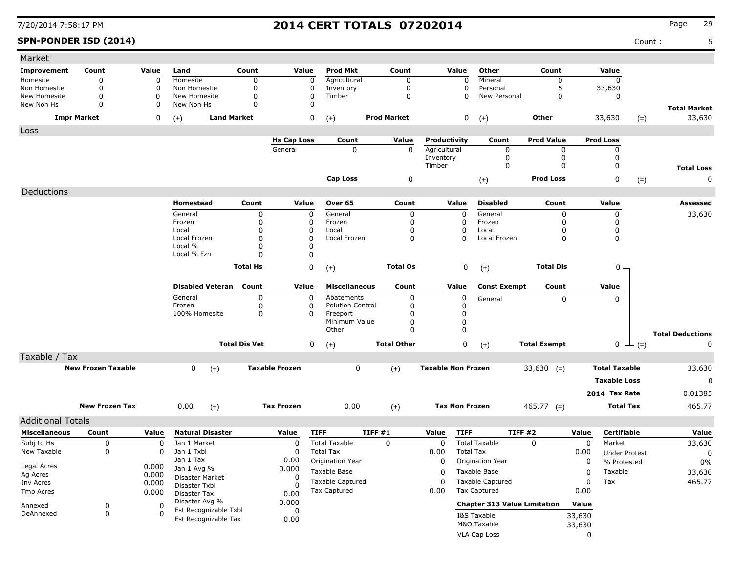**SPN-PONDER ISD (2014)** Count : 5

| Market                     |                           |                |                                |                      |                       |                           |                    |                           |                                     |                      |           |                      |       |                               |
|----------------------------|---------------------------|----------------|--------------------------------|----------------------|-----------------------|---------------------------|--------------------|---------------------------|-------------------------------------|----------------------|-----------|----------------------|-------|-------------------------------|
| Improvement                | Count                     | Value          | Land                           | Count                | Value                 | <b>Prod Mkt</b>           | Count              | Value                     | Other                               | Count                |           | Value                |       |                               |
| Homesite                   | 0                         | $\mathbf 0$    | Homesite                       | $\mathbf 0$          | 0                     | Agricultural              | 0                  | $\Omega$                  | Mineral                             | 0                    |           | $\mathbf 0$          |       |                               |
| Non Homesite               | 0                         | $\Omega$       | Non Homesite                   | 0                    | 0                     | Inventory                 | 0                  | 0                         | Personal                            | 5                    |           | 33,630               |       |                               |
| New Homesite<br>New Non Hs | 0<br>0                    | 0<br>0         | New Homesite<br>New Non Hs     | 0<br>0               | 0<br>O                | Timber                    | $\Omega$           | 0                         | New Personal                        | $\mathbf 0$          |           | 0                    |       |                               |
|                            | <b>Impr Market</b>        | 0              | <b>Land Market</b>             |                      | 0                     |                           | <b>Prod Market</b> | 0                         |                                     | <b>Other</b>         |           | 33,630               |       | <b>Total Market</b><br>33,630 |
| Loss                       |                           |                | $(+)$                          |                      |                       | $(+)$                     |                    |                           | $(+)$                               |                      |           |                      | $(=)$ |                               |
|                            |                           |                |                                |                      | <b>Hs Cap Loss</b>    | Count                     | Value              | Productivity              | Count                               | <b>Prod Value</b>    |           | <b>Prod Loss</b>     |       |                               |
|                            |                           |                |                                |                      | General               | 0                         | $\mathbf 0$        | Agricultural              | 0                                   | 0                    |           | 0                    |       |                               |
|                            |                           |                |                                |                      |                       |                           |                    | Inventory                 | 0                                   | 0                    |           | 0                    |       |                               |
|                            |                           |                |                                |                      |                       |                           |                    | Timber                    | 0                                   | 0                    |           | 0                    |       | <b>Total Loss</b>             |
|                            |                           |                |                                |                      |                       | Cap Loss                  | 0                  |                           | $(+)$                               | <b>Prod Loss</b>     |           | 0                    | $(=)$ | 0                             |
| Deductions                 |                           |                |                                |                      |                       |                           |                    |                           |                                     |                      |           |                      |       |                               |
|                            |                           |                | Homestead                      | Count                | Value                 | Over 65                   | Count              | Value                     | <b>Disabled</b>                     | Count                |           | Value                |       | Assessed                      |
|                            |                           |                | General                        | 0                    | 0                     | General                   | 0                  | 0                         | General                             | $\mathbf 0$          |           | 0                    |       | 33,630                        |
|                            |                           |                | Frozen                         | $\Omega$<br>$\Omega$ | 0                     | Frozen                    | 0                  | 0                         | Frozen                              | $\Omega$<br>$\Omega$ |           | 0                    |       |                               |
|                            |                           |                | Local<br>Local Frozen          | $\Omega$             | 0<br>0                | Local<br>Local Frozen     | 0<br>0             | 0<br>0                    | Local<br>Local Frozen               | 0                    |           | 0<br>0               |       |                               |
|                            |                           |                | Local %                        | 0                    | 0                     |                           |                    |                           |                                     |                      |           |                      |       |                               |
|                            |                           |                | Local % Fzn                    | $\Omega$             | 0                     |                           |                    |                           |                                     |                      |           |                      |       |                               |
|                            |                           |                |                                | <b>Total Hs</b>      | 0                     | $(+)$                     | <b>Total Os</b>    | 0                         | $(+)$                               | <b>Total Dis</b>     |           | $0 -$                |       |                               |
|                            |                           |                |                                |                      |                       |                           |                    |                           |                                     |                      |           |                      |       |                               |
|                            |                           |                | <b>Disabled Veteran</b>        | Count                | Value                 | <b>Miscellaneous</b>      | Count              | Value                     | <b>Const Exempt</b>                 | Count                |           | Value                |       |                               |
|                            |                           |                | General                        | 0                    | 0                     | Abatements                | 0                  | 0                         | General                             | 0                    |           | 0                    |       |                               |
|                            |                           |                | Frozen                         | 0                    | 0                     | <b>Polution Control</b>   | 0                  | 0                         |                                     |                      |           |                      |       |                               |
|                            |                           |                | 100% Homesite                  | 0                    | 0                     | Freeport<br>Minimum Value | 0<br>0             | 0<br>0                    |                                     |                      |           |                      |       |                               |
|                            |                           |                |                                |                      |                       | Other                     | 0                  | 0                         |                                     |                      |           |                      |       |                               |
|                            |                           |                |                                | <b>Total Dis Vet</b> | 0                     | $(+)$                     | <b>Total Other</b> | $\mathbf 0$               | $(+)$                               | <b>Total Exempt</b>  |           | $0 \perp (=)$        |       | <b>Total Deductions</b><br>0  |
| Taxable / Tax              |                           |                |                                |                      |                       |                           |                    |                           |                                     |                      |           |                      |       |                               |
|                            | <b>New Frozen Taxable</b> |                | 0<br>$(+)$                     |                      | <b>Taxable Frozen</b> | 0                         | $(+)$              | <b>Taxable Non Frozen</b> |                                     | $33,630$ (=)         |           | <b>Total Taxable</b> |       | 33,630                        |
|                            |                           |                |                                |                      |                       |                           |                    |                           |                                     |                      |           | <b>Taxable Loss</b>  |       | 0                             |
|                            |                           |                |                                |                      |                       |                           |                    |                           |                                     |                      |           | 2014 Tax Rate        |       | 0.01385                       |
|                            | <b>New Frozen Tax</b>     |                | 0.00<br>$(+)$                  |                      | <b>Tax Frozen</b>     | 0.00                      | $(+)$              | <b>Tax Non Frozen</b>     |                                     | $465.77$ (=)         |           | <b>Total Tax</b>     |       | 465.77                        |
| <b>Additional Totals</b>   |                           |                |                                |                      |                       |                           |                    |                           |                                     |                      |           |                      |       |                               |
| <b>Miscellaneous</b>       | Count                     | Value          | <b>Natural Disaster</b>        |                      | Value                 | <b>TIFF</b>               | TIFF #1            | <b>TIFF</b><br>Value      |                                     | <b>TIFF #2</b>       | Value     | Certifiable          |       | Value                         |
| Subj to Hs                 |                           |                | Jan 1 Market                   |                      |                       | <b>Total Taxable</b>      |                    |                           | <b>Total Taxable</b>                |                      |           | Market               |       |                               |
| New Taxable                | 0<br>0                    | 0<br>0         | Jan 1 Txbl                     |                      | 0<br>0                | <b>Total Tax</b>          | $\mathbf 0$        | 0<br>0.00                 | <b>Total Tax</b>                    | 0                    | 0<br>0.00 | <b>Under Protest</b> |       | 33,630<br>0                   |
|                            |                           |                | Jan 1 Tax                      |                      | 0.00                  | Origination Year          |                    | 0                         | Origination Year                    |                      | 0         | % Protested          |       | $0\%$                         |
| Legal Acres                |                           | 0.000          | Jan 1 Avg %                    |                      | 0.000                 | Taxable Base              |                    | 0                         | Taxable Base                        |                      | 0         | Taxable              |       | 33,630                        |
| Ag Acres                   |                           | 0.000          | Disaster Market                |                      | 0                     | <b>Taxable Captured</b>   |                    | 0                         | <b>Taxable Captured</b>             |                      | 0         | Tax                  |       | 465.77                        |
| Inv Acres<br>Tmb Acres     |                           | 0.000<br>0.000 | Disaster Txbl                  |                      | 0                     | <b>Tax Captured</b>       |                    | 0.00                      | <b>Tax Captured</b>                 |                      | 0.00      |                      |       |                               |
|                            |                           |                | Disaster Tax<br>Disaster Avg % |                      | 0.00<br>0.000         |                           |                    |                           |                                     |                      |           |                      |       |                               |
| Annexed<br>DeAnnexed       | 0                         | 0<br>$\Omega$  | Est Recognizable Txbl          |                      | 0                     |                           |                    |                           | <b>Chapter 313 Value Limitation</b> |                      | Value     |                      |       |                               |
|                            | 0                         |                | Est Recognizable Tax           |                      | 0.00                  |                           |                    |                           | I&S Taxable                         |                      | 33,630    |                      |       |                               |
|                            |                           |                |                                |                      |                       |                           |                    |                           | M&O Taxable                         |                      | 33,630    |                      |       |                               |
|                            |                           |                |                                |                      |                       |                           |                    |                           | VLA Cap Loss                        |                      | 0         |                      |       |                               |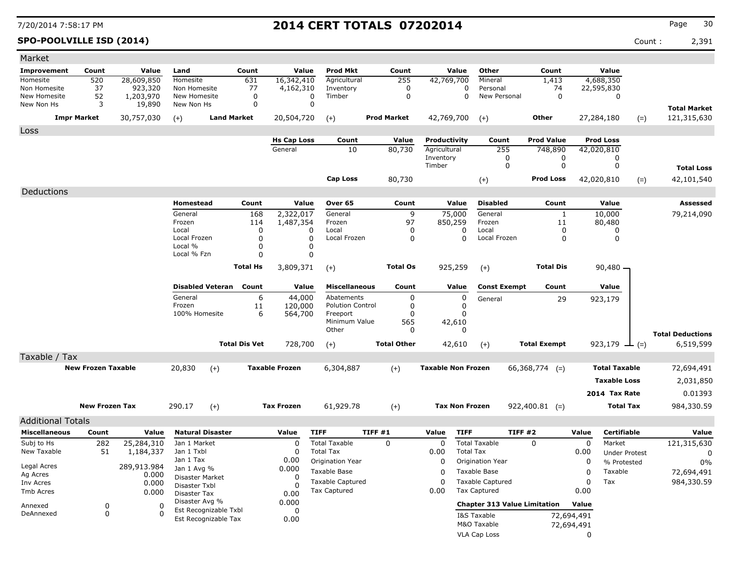**SPO-POOLVILLE ISD (2014)** Count : 2,391

| Market                       |                           |                      |                              |                       |                      |                       |                                                |                    |              |                           |                                     |                     |            |                      |                         |
|------------------------------|---------------------------|----------------------|------------------------------|-----------------------|----------------------|-----------------------|------------------------------------------------|--------------------|--------------|---------------------------|-------------------------------------|---------------------|------------|----------------------|-------------------------|
| <b>Improvement</b>           | Count                     | Value                | Land                         |                       | Count                | Value                 | <b>Prod Mkt</b>                                | Count              |              | Value                     | Other                               | Count               |            | Value                |                         |
| Homesite                     | 520                       | 28,609,850           | Homesite                     |                       | 631                  | 16,342,410            | Agricultural                                   | 255                |              | 42,769,700                | Mineral                             | 1,413               |            | 4,688,350            |                         |
| Non Homesite<br>New Homesite | 37<br>52                  | 923,320<br>1,203,970 | Non Homesite<br>New Homesite |                       | 77<br>0              | 4,162,310             | Inventory<br>0<br>Timber                       | 0<br>0             |              | 0<br>0                    | Personal<br>New Personal            | 74<br>0             |            | 22,595,830<br>0      |                         |
| New Non Hs                   | 3                         | 19,890               | New Non Hs                   |                       | $\mathbf 0$          |                       | $\Omega$                                       |                    |              |                           |                                     |                     |            |                      | <b>Total Market</b>     |
|                              | <b>Impr Market</b>        | 30,757,030           | $(+)$                        | <b>Land Market</b>    |                      | 20,504,720            | $(+)$                                          | <b>Prod Market</b> |              | 42,769,700                | $(+)$                               | <b>Other</b>        |            | 27,284,180           | 121,315,630<br>$(=)$    |
| Loss                         |                           |                      |                              |                       |                      |                       |                                                |                    |              |                           |                                     |                     |            |                      |                         |
|                              |                           |                      |                              |                       |                      | <b>Hs Cap Loss</b>    | Count                                          | Value              |              | Productivity              | Count                               | <b>Prod Value</b>   |            | <b>Prod Loss</b>     |                         |
|                              |                           |                      |                              |                       |                      | General               | 10                                             | 80,730             | Agricultural |                           | 255                                 | 748,890             |            | 42,020,810           |                         |
|                              |                           |                      |                              |                       |                      |                       |                                                |                    | Inventory    |                           | 0                                   | 0                   |            | 0                    |                         |
|                              |                           |                      |                              |                       |                      |                       |                                                |                    | Timber       |                           | 0                                   | 0                   |            | 0                    | <b>Total Loss</b>       |
|                              |                           |                      |                              |                       |                      |                       | <b>Cap Loss</b>                                | 80,730             |              |                           | $(+)$                               | <b>Prod Loss</b>    |            | 42,020,810           | 42,101,540<br>$(=)$     |
| Deductions                   |                           |                      |                              |                       |                      |                       |                                                |                    |              |                           |                                     |                     |            |                      |                         |
|                              |                           |                      | Homestead                    |                       | Count                | Value                 | Over 65                                        | Count              |              | Value                     | <b>Disabled</b>                     | Count               |            | Value                | Assessed                |
|                              |                           |                      | General                      |                       | 168                  | 2,322,017             | General                                        |                    | 9            | 75,000                    | General                             | 1                   |            | 10,000               | 79,214,090              |
|                              |                           |                      | Frozen<br>Local              |                       | 114<br>0             | 1,487,354<br>0        | Frozen<br>Local                                | 97                 | 0            | 850,259<br>0              | Frozen<br>Local                     | 11<br>0             |            | 80,480<br>0          |                         |
|                              |                           |                      | Local Frozen                 |                       | 0                    | 0                     | Local Frozen                                   |                    | 0            | $\Omega$                  | Local Frozen                        | 0                   |            | 0                    |                         |
|                              |                           |                      | Local %                      |                       | $\Omega$             | 0                     |                                                |                    |              |                           |                                     |                     |            |                      |                         |
|                              |                           |                      | Local % Fzn                  |                       | 0                    | 0                     |                                                |                    |              |                           |                                     |                     |            |                      |                         |
|                              |                           |                      |                              |                       | <b>Total Hs</b>      | 3,809,371             | $(+)$                                          | <b>Total Os</b>    |              | 925,259                   | $(+)$                               | <b>Total Dis</b>    |            | $90,480 -$           |                         |
|                              |                           |                      | <b>Disabled Veteran</b>      |                       | Count                | Value                 | <b>Miscellaneous</b>                           | Count              |              | Value                     | <b>Const Exempt</b>                 | Count               |            | Value                |                         |
|                              |                           |                      | General                      |                       | 6                    | 44,000                | Abatements                                     |                    | 0            | $\mathbf 0$               | General                             | 29                  |            | 923,179              |                         |
|                              |                           |                      | Frozen                       |                       | 11                   | 120,000               | <b>Polution Control</b>                        |                    | 0            | 0                         |                                     |                     |            |                      |                         |
|                              |                           |                      | 100% Homesite                |                       | 6                    | 564,700               | Freeport                                       |                    | 0            | 0                         |                                     |                     |            |                      |                         |
|                              |                           |                      |                              |                       |                      |                       | Minimum Value<br>Other                         | 565                | 0            | 42,610<br>$\Omega$        |                                     |                     |            |                      |                         |
|                              |                           |                      |                              |                       |                      |                       |                                                |                    |              |                           |                                     |                     |            |                      | <b>Total Deductions</b> |
|                              |                           |                      |                              |                       | <b>Total Dis Vet</b> | 728,700               | $(+)$                                          | <b>Total Other</b> |              | 42,610                    | $(+)$                               | <b>Total Exempt</b> |            | 923,179 $\perp$ (=)  | 6,519,599               |
| Taxable / Tax                | <b>New Frozen Taxable</b> |                      | 20,830                       | $(+)$                 |                      | <b>Taxable Frozen</b> | 6,304,887                                      | $(+)$              |              | <b>Taxable Non Frozen</b> |                                     | $66,368,774$ (=)    |            | <b>Total Taxable</b> | 72,694,491              |
|                              |                           |                      |                              |                       |                      |                       |                                                |                    |              |                           |                                     |                     |            |                      |                         |
|                              |                           |                      |                              |                       |                      |                       |                                                |                    |              |                           |                                     |                     |            | <b>Taxable Loss</b>  | 2,031,850               |
|                              |                           |                      |                              |                       |                      |                       |                                                |                    |              |                           |                                     |                     |            | 2014 Tax Rate        | 0.01393                 |
|                              | <b>New Frozen Tax</b>     |                      | 290.17                       | $(+)$                 |                      | <b>Tax Frozen</b>     | 61,929.78                                      | $(+)$              |              | <b>Tax Non Frozen</b>     |                                     | $922,400.81$ (=)    |            | <b>Total Tax</b>     | 984,330.59              |
| <b>Additional Totals</b>     |                           |                      |                              |                       |                      |                       |                                                |                    |              |                           |                                     |                     |            |                      |                         |
| <b>Miscellaneous</b>         | Count                     | Value                | <b>Natural Disaster</b>      |                       |                      | Value                 | <b>TIFF</b>                                    | TIFF #1            | Value        | <b>TIFF</b>               |                                     | TIFF #2             | Value      | Certifiable          | Value                   |
| Subj to Hs                   | 282                       | 25,284,310           | Jan 1 Market                 |                       |                      | 0                     | <b>Total Taxable</b>                           | 0                  | 0            |                           | <b>Total Taxable</b>                | 0                   | 0          | Market               | 121,315,630             |
| New Taxable                  | 51                        | 1,184,337            | Jan 1 Txbl                   |                       |                      | 0                     | <b>Total Tax</b>                               |                    | 0.00         | <b>Total Tax</b>          |                                     |                     | 0.00       | <b>Under Protest</b> | 0                       |
| Legal Acres                  |                           | 289,913.984          | Jan 1 Tax<br>Jan 1 Avg %     |                       |                      | 0.00<br>0.000         | Origination Year                               |                    | $\Omega$     |                           | Origination Year                    |                     | 0          | % Protested          | $0\%$                   |
| Ag Acres                     |                           | 0.000                | Disaster Market              |                       |                      | 0                     | Taxable Base                                   |                    | 0            |                           | Taxable Base                        |                     | 0          | Taxable              | 72,694,491              |
| Inv Acres                    |                           | 0.000                | Disaster Txbl                |                       |                      | O                     | <b>Taxable Captured</b><br><b>Tax Captured</b> |                    | 0            |                           | <b>Taxable Captured</b>             |                     | 0          | Tax                  | 984,330.59              |
| Tmb Acres                    |                           | 0.000                | Disaster Tax                 |                       |                      | 0.00                  |                                                |                    | 0.00         |                           | <b>Tax Captured</b>                 |                     | 0.00       |                      |                         |
| Annexed                      | 0                         | 0                    | Disaster Avg %               | Est Recognizable Txbl |                      | 0.000<br>0            |                                                |                    |              |                           | <b>Chapter 313 Value Limitation</b> |                     | Value      |                      |                         |
| DeAnnexed                    | 0                         | $\Omega$             |                              | Est Recognizable Tax  |                      | 0.00                  |                                                |                    |              |                           | I&S Taxable                         |                     | 72,694,491 |                      |                         |
|                              |                           |                      |                              |                       |                      |                       |                                                |                    |              |                           | M&O Taxable                         |                     | 72,694,491 |                      |                         |
|                              |                           |                      |                              |                       |                      |                       |                                                |                    |              |                           | VLA Cap Loss                        |                     | 0          |                      |                         |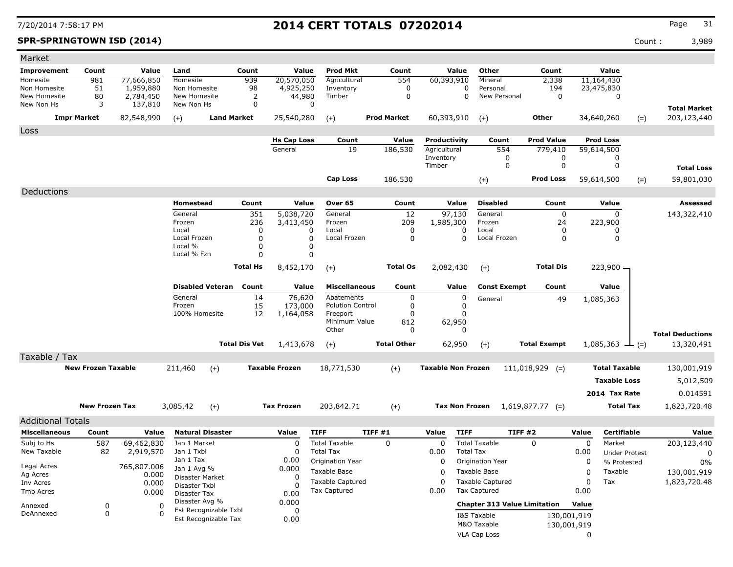## **SPR-SPRINGTOWN ISD (2014)** Count : 3,989

| Market                       |                           |                        |                                |                                               |                      |                       |                                     |         |                            |                           |                         |                                     |                |                     |             |                           |       |                         |
|------------------------------|---------------------------|------------------------|--------------------------------|-----------------------------------------------|----------------------|-----------------------|-------------------------------------|---------|----------------------------|---------------------------|-------------------------|-------------------------------------|----------------|---------------------|-------------|---------------------------|-------|-------------------------|
| Improvement                  | Count                     | Value                  | Land                           | Count                                         |                      | Value                 | <b>Prod Mkt</b>                     |         | Count                      |                           | Value                   | <b>Other</b>                        |                | Count               |             | Value                     |       |                         |
| Homesite                     | 981                       | 77,666,850             | Homesite                       |                                               | 939                  | 20,570,050            | Agricultural                        |         | 554                        | 60,393,910                |                         | Mineral                             |                | 2,338               |             | 11,164,430                |       |                         |
| Non Homesite<br>New Homesite | 51<br>80                  | 1,959,880<br>2,784,450 | Non Homesite<br>New Homesite   |                                               | 98<br>$\overline{2}$ | 4,925,250<br>44,980   | Inventory<br>Timber                 |         | $\mathbf 0$<br>$\mathbf 0$ |                           | 0<br>$\mathbf 0$        | Personal<br>New Personal            |                | 194<br>$\mathbf 0$  |             | 23,475,830<br>$\mathbf 0$ |       |                         |
| New Non Hs                   | 3                         | 137,810                | New Non Hs                     |                                               | $\mathbf 0$          | $\Omega$              |                                     |         |                            |                           |                         |                                     |                |                     |             |                           |       | <b>Total Market</b>     |
|                              | <b>Impr Market</b>        | 82,548,990             | $(+)$                          | <b>Land Market</b>                            |                      | 25,540,280            | $(+)$                               |         | <b>Prod Market</b>         | 60,393,910                |                         | $(+)$                               |                | Other               |             | 34,640,260                | $(=)$ | 203,123,440             |
| Loss                         |                           |                        |                                |                                               |                      |                       |                                     |         |                            |                           |                         |                                     |                |                     |             |                           |       |                         |
|                              |                           |                        |                                |                                               |                      | <b>Hs Cap Loss</b>    | Count                               |         | Value                      | Productivity              |                         | Count                               |                | <b>Prod Value</b>   |             | <b>Prod Loss</b>          |       |                         |
|                              |                           |                        |                                |                                               |                      | General               | 19                                  |         | 186,530                    | Agricultural              |                         | 554                                 |                | 779,410             |             | 59,614,500                |       |                         |
|                              |                           |                        |                                |                                               |                      |                       |                                     |         |                            | Inventory                 |                         |                                     | 0              | 0                   |             | 0                         |       |                         |
|                              |                           |                        |                                |                                               |                      |                       |                                     |         |                            | Timber                    |                         |                                     | $\mathbf 0$    | $\mathbf 0$         |             | 0                         |       | <b>Total Loss</b>       |
|                              |                           |                        |                                |                                               |                      |                       | <b>Cap Loss</b>                     |         | 186,530                    |                           |                         | $(+)$                               |                | <b>Prod Loss</b>    |             | 59,614,500                | $(=)$ | 59,801,030              |
| Deductions                   |                           |                        |                                |                                               |                      |                       |                                     |         |                            |                           |                         |                                     |                |                     |             |                           |       |                         |
|                              |                           |                        | Homestead                      |                                               | Count                | Value                 | Over 65                             |         | Count                      |                           | Value                   | <b>Disabled</b>                     |                | Count               |             | Value                     |       | <b>Assessed</b>         |
|                              |                           |                        | General                        |                                               | 351                  | 5,038,720             | General                             |         | 12                         |                           | 97,130                  | General                             |                | $\Omega$            |             | $\mathbf{0}$              |       | 143,322,410             |
|                              |                           |                        | Frozen                         |                                               | 236                  | 3,413,450             | Frozen                              |         | 209                        | 1,985,300                 |                         | Frozen                              |                | 24                  |             | 223,900                   |       |                         |
|                              |                           |                        | Local<br>Local Frozen          |                                               | 0<br>0               | 0<br>$\Omega$         | Local<br>Local Frozen               |         | 0<br>$\mathbf 0$           |                           | 0<br>$\mathbf 0$        | Local<br>Local Frozen               |                | 0<br>$\mathbf 0$    |             | 0<br>$\mathbf 0$          |       |                         |
|                              |                           |                        | Local %                        |                                               | $\Omega$             | $\Omega$              |                                     |         |                            |                           |                         |                                     |                |                     |             |                           |       |                         |
|                              |                           |                        | Local % Fzn                    |                                               | 0                    | $\mathbf 0$           |                                     |         |                            |                           |                         |                                     |                |                     |             |                           |       |                         |
|                              |                           |                        |                                |                                               | <b>Total Hs</b>      | 8,452,170             | $(+)$                               |         | <b>Total Os</b>            |                           | 2,082,430               | $(+)$                               |                | <b>Total Dis</b>    |             | 223,900.                  |       |                         |
|                              |                           |                        |                                |                                               |                      |                       |                                     |         |                            |                           |                         |                                     |                |                     |             |                           |       |                         |
|                              |                           |                        | <b>Disabled Veteran</b>        |                                               | Count                | Value                 | <b>Miscellaneous</b>                |         | Count                      |                           | Value                   | <b>Const Exempt</b>                 |                | Count               |             | Value                     |       |                         |
|                              |                           |                        | General                        |                                               | 14                   | 76,620                | Abatements                          |         | 0                          |                           | 0                       | General                             |                | 49                  |             | 1,085,363                 |       |                         |
|                              |                           |                        | Frozen<br>100% Homesite        |                                               | 15                   | 173,000               | <b>Polution Control</b><br>Freeport |         | $\mathbf 0$<br>$\Omega$    |                           | $\mathbf 0$<br>$\Omega$ |                                     |                |                     |             |                           |       |                         |
|                              |                           |                        |                                |                                               | 12                   | 1,164,058             | Minimum Value                       |         | 812                        |                           | 62,950                  |                                     |                |                     |             |                           |       |                         |
|                              |                           |                        |                                |                                               |                      |                       | Other                               |         | 0                          |                           | 0                       |                                     |                |                     |             |                           |       | <b>Total Deductions</b> |
|                              |                           |                        |                                | <b>Total Dis Vet</b>                          |                      | 1,413,678             | $(+)$                               |         | <b>Total Other</b>         |                           | 62,950                  | $(+)$                               |                | <b>Total Exempt</b> |             | $1,085,363$ — (=)         |       | 13,320,491              |
| Taxable / Tax                |                           |                        |                                |                                               |                      |                       |                                     |         |                            |                           |                         |                                     |                |                     |             |                           |       |                         |
|                              | <b>New Frozen Taxable</b> |                        | 211,460                        | $(+)$                                         |                      | <b>Taxable Frozen</b> | 18,771,530                          |         | $(+)$                      | <b>Taxable Non Frozen</b> |                         |                                     | 111,018,929    | $(=)$               |             | <b>Total Taxable</b>      |       | 130,001,919             |
|                              |                           |                        |                                |                                               |                      |                       |                                     |         |                            |                           |                         |                                     |                |                     |             |                           |       |                         |
|                              |                           |                        |                                |                                               |                      |                       |                                     |         |                            |                           |                         |                                     |                |                     |             | <b>Taxable Loss</b>       |       | 5,012,509               |
|                              |                           |                        |                                |                                               |                      |                       |                                     |         |                            |                           |                         |                                     |                |                     |             | 2014 Tax Rate             |       | 0.014591                |
|                              | <b>New Frozen Tax</b>     |                        | 3,085.42                       | $(+)$                                         |                      | <b>Tax Frozen</b>     | 203,842.71                          |         | $(+)$                      |                           | <b>Tax Non Frozen</b>   |                                     |                | $1,619,877.77$ (=)  |             | <b>Total Tax</b>          |       | 1,823,720.48            |
| <b>Additional Totals</b>     |                           |                        |                                |                                               |                      |                       |                                     |         |                            |                           |                         |                                     |                |                     |             |                           |       |                         |
| <b>Miscellaneous</b>         | Count                     | Value                  | <b>Natural Disaster</b>        |                                               |                      | Value                 | <b>TIFF</b>                         | TIFF #1 |                            | Value                     | <b>TIFF</b>             |                                     | <b>TIFF #2</b> |                     | Value       | <b>Certifiable</b>        |       | Value                   |
| Subj to Hs                   | 587                       | 69,462,830             | Jan 1 Market                   |                                               |                      | $\Omega$              | <b>Total Taxable</b>                |         | $\Omega$                   | $\Omega$                  |                         | <b>Total Taxable</b>                |                | $\Omega$            | $\Omega$    | Market                    |       | 203,123,440             |
| New Taxable                  | 82                        | 2,919,570              | Jan 1 Txbl                     |                                               |                      | $\Omega$              | <b>Total Tax</b>                    |         |                            | 0.00                      | <b>Total Tax</b>        |                                     |                |                     | 0.00        | <b>Under Protest</b>      |       | $\Omega$                |
| Legal Acres                  |                           | 765,807.006            | Jan 1 Tax                      |                                               |                      | 0.00                  | Origination Year                    |         |                            | 0                         |                         | Origination Year                    |                |                     | $\mathbf 0$ | % Protested               |       | 0%                      |
| Ag Acres                     |                           | 0.000                  | Jan 1 Avg %<br>Disaster Market |                                               |                      | 0.000<br>0            | Taxable Base                        |         |                            | O                         |                         | Taxable Base                        |                |                     | 0           | Taxable                   |       | 130,001,919             |
| Inv Acres                    |                           | 0.000                  | Disaster Txbl                  |                                               |                      |                       | <b>Taxable Captured</b>             |         |                            | 0                         |                         | <b>Taxable Captured</b>             |                |                     | $\mathbf 0$ | Tax                       |       | 1,823,720.48            |
| Tmb Acres                    |                           | 0.000                  | Disaster Tax                   |                                               |                      | 0.00                  | <b>Tax Captured</b>                 |         |                            | 0.00                      |                         | <b>Tax Captured</b>                 |                |                     | 0.00        |                           |       |                         |
| Annexed                      | 0                         | $\Omega$               | Disaster Avg %                 |                                               |                      | 0.000                 |                                     |         |                            |                           |                         | <b>Chapter 313 Value Limitation</b> |                |                     | Value       |                           |       |                         |
| DeAnnexed                    | $\mathbf 0$               | $\Omega$               |                                | Est Recognizable Txbl<br>Est Recognizable Tax |                      | $\mathbf 0$           |                                     |         |                            |                           |                         | I&S Taxable                         |                |                     | 130,001,919 |                           |       |                         |
|                              |                           |                        |                                |                                               |                      | 0.00                  |                                     |         |                            |                           |                         | M&O Taxable                         |                |                     | 130,001,919 |                           |       |                         |
|                              |                           |                        |                                |                                               |                      |                       |                                     |         |                            |                           |                         | VLA Cap Loss                        |                |                     | 0           |                           |       |                         |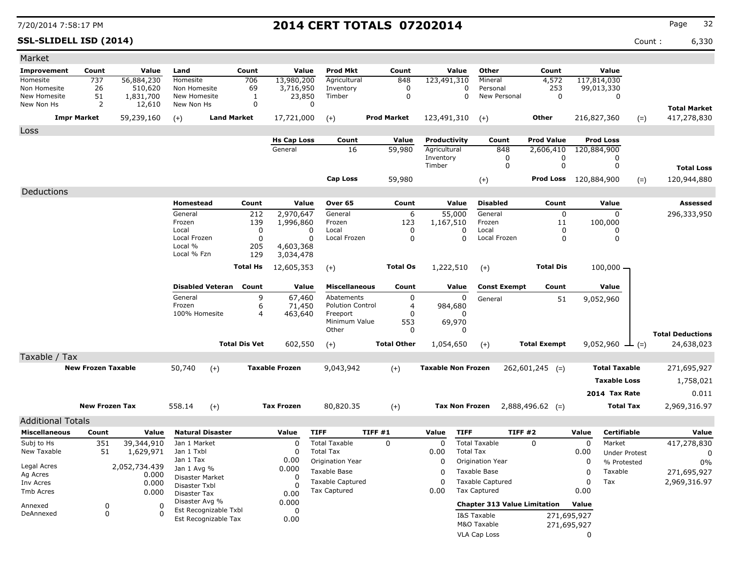**SSL-SLIDELL ISD (2014)** Count : 6,330

| Other<br>Land<br>Count<br><b>Prod Mkt</b><br>Count<br>Value<br>Count<br>Value<br><b>Improvement</b><br>Count<br>Value<br>Value<br>737<br>56,884,230<br>Homesite<br>Mineral<br>Homesite<br>706<br>13,980,200<br>Agricultural<br>848<br>123,491,310<br>4,572<br>117,814,030<br>3,716,950<br>253<br>Non Homesite<br>26<br>510,620<br>Non Homesite<br>69<br>0<br>0<br>Personal<br>99,013,330<br>Inventory<br>1,831,700<br>23,850<br>$\mathbf 0$<br>0<br>New Personal<br>New Homesite<br>51<br>New Homesite<br>1<br>Timber<br>0<br>0<br>New Non Hs<br>2<br>12,610<br>New Non Hs<br>0<br>$\Omega$<br><b>Total Market</b><br>59,239,160<br>417,278,830<br><b>Impr Market</b><br><b>Land Market</b><br>17,721,000<br><b>Prod Market</b><br>123,491,310<br>Other<br>216,827,360<br>$(+)$<br>$(=)$<br>$(+)$<br>$(+)$<br>Loss<br><b>Prod Value</b><br><b>Prod Loss</b><br><b>Hs Cap Loss</b><br>Count<br>Value<br>Productivity<br>Count<br>General<br>Agricultural<br>848<br>16<br>59,980<br>2,606,410<br>120,884,900<br>Inventory<br>0<br>0<br>0<br>0<br>0<br>0<br>Timber<br><b>Total Loss</b><br>Cap Loss<br>59,980<br>$(+)$<br>Prod Loss<br>120,884,900<br>$(=)$<br>120,944,880<br>Deductions<br><b>Disabled</b><br>Homestead<br>Count<br>Value<br>Over 65<br>Count<br>Value<br>Count<br>Value<br>Assessed<br>General<br>212<br>2,970,647<br>General<br>6<br>55,000<br>General<br>0<br>0<br>296,333,950<br>Frozen<br>139<br>Frozen<br>Frozen<br>1,996,860<br>123<br>1,167,510<br>11<br>100,000<br>Local<br>0<br>Local<br>0<br>0<br>Local<br>0<br>0<br>0<br>0<br>0<br>0<br>0<br>0<br>Local Frozen<br>Local Frozen<br>$\Omega$<br>Local Frozen<br>Local %<br>205<br>4,603,368<br>Local % Fzn<br>129<br>3,034,478<br><b>Total Hs</b><br>12,605,353<br><b>Total Os</b><br>1,222,510<br><b>Total Dis</b><br>$100,000 -$<br>$(+)$<br>$(+)$<br><b>Disabled Veteran</b><br>Count<br><b>Miscellaneous</b><br><b>Const Exempt</b><br>Count<br>Value<br>Value<br>Count<br>Value<br>9<br>67,460<br>0<br>General<br>Abatements<br>0<br>General<br>51<br>9,052,960 |
|----------------------------------------------------------------------------------------------------------------------------------------------------------------------------------------------------------------------------------------------------------------------------------------------------------------------------------------------------------------------------------------------------------------------------------------------------------------------------------------------------------------------------------------------------------------------------------------------------------------------------------------------------------------------------------------------------------------------------------------------------------------------------------------------------------------------------------------------------------------------------------------------------------------------------------------------------------------------------------------------------------------------------------------------------------------------------------------------------------------------------------------------------------------------------------------------------------------------------------------------------------------------------------------------------------------------------------------------------------------------------------------------------------------------------------------------------------------------------------------------------------------------------------------------------------------------------------------------------------------------------------------------------------------------------------------------------------------------------------------------------------------------------------------------------------------------------------------------------------------------------------------------------------------------------------------------------------------------------------------------------------------------------------------------|
|                                                                                                                                                                                                                                                                                                                                                                                                                                                                                                                                                                                                                                                                                                                                                                                                                                                                                                                                                                                                                                                                                                                                                                                                                                                                                                                                                                                                                                                                                                                                                                                                                                                                                                                                                                                                                                                                                                                                                                                                                                              |
|                                                                                                                                                                                                                                                                                                                                                                                                                                                                                                                                                                                                                                                                                                                                                                                                                                                                                                                                                                                                                                                                                                                                                                                                                                                                                                                                                                                                                                                                                                                                                                                                                                                                                                                                                                                                                                                                                                                                                                                                                                              |
|                                                                                                                                                                                                                                                                                                                                                                                                                                                                                                                                                                                                                                                                                                                                                                                                                                                                                                                                                                                                                                                                                                                                                                                                                                                                                                                                                                                                                                                                                                                                                                                                                                                                                                                                                                                                                                                                                                                                                                                                                                              |
|                                                                                                                                                                                                                                                                                                                                                                                                                                                                                                                                                                                                                                                                                                                                                                                                                                                                                                                                                                                                                                                                                                                                                                                                                                                                                                                                                                                                                                                                                                                                                                                                                                                                                                                                                                                                                                                                                                                                                                                                                                              |
|                                                                                                                                                                                                                                                                                                                                                                                                                                                                                                                                                                                                                                                                                                                                                                                                                                                                                                                                                                                                                                                                                                                                                                                                                                                                                                                                                                                                                                                                                                                                                                                                                                                                                                                                                                                                                                                                                                                                                                                                                                              |
|                                                                                                                                                                                                                                                                                                                                                                                                                                                                                                                                                                                                                                                                                                                                                                                                                                                                                                                                                                                                                                                                                                                                                                                                                                                                                                                                                                                                                                                                                                                                                                                                                                                                                                                                                                                                                                                                                                                                                                                                                                              |
|                                                                                                                                                                                                                                                                                                                                                                                                                                                                                                                                                                                                                                                                                                                                                                                                                                                                                                                                                                                                                                                                                                                                                                                                                                                                                                                                                                                                                                                                                                                                                                                                                                                                                                                                                                                                                                                                                                                                                                                                                                              |
|                                                                                                                                                                                                                                                                                                                                                                                                                                                                                                                                                                                                                                                                                                                                                                                                                                                                                                                                                                                                                                                                                                                                                                                                                                                                                                                                                                                                                                                                                                                                                                                                                                                                                                                                                                                                                                                                                                                                                                                                                                              |
|                                                                                                                                                                                                                                                                                                                                                                                                                                                                                                                                                                                                                                                                                                                                                                                                                                                                                                                                                                                                                                                                                                                                                                                                                                                                                                                                                                                                                                                                                                                                                                                                                                                                                                                                                                                                                                                                                                                                                                                                                                              |
|                                                                                                                                                                                                                                                                                                                                                                                                                                                                                                                                                                                                                                                                                                                                                                                                                                                                                                                                                                                                                                                                                                                                                                                                                                                                                                                                                                                                                                                                                                                                                                                                                                                                                                                                                                                                                                                                                                                                                                                                                                              |
|                                                                                                                                                                                                                                                                                                                                                                                                                                                                                                                                                                                                                                                                                                                                                                                                                                                                                                                                                                                                                                                                                                                                                                                                                                                                                                                                                                                                                                                                                                                                                                                                                                                                                                                                                                                                                                                                                                                                                                                                                                              |
|                                                                                                                                                                                                                                                                                                                                                                                                                                                                                                                                                                                                                                                                                                                                                                                                                                                                                                                                                                                                                                                                                                                                                                                                                                                                                                                                                                                                                                                                                                                                                                                                                                                                                                                                                                                                                                                                                                                                                                                                                                              |
|                                                                                                                                                                                                                                                                                                                                                                                                                                                                                                                                                                                                                                                                                                                                                                                                                                                                                                                                                                                                                                                                                                                                                                                                                                                                                                                                                                                                                                                                                                                                                                                                                                                                                                                                                                                                                                                                                                                                                                                                                                              |
|                                                                                                                                                                                                                                                                                                                                                                                                                                                                                                                                                                                                                                                                                                                                                                                                                                                                                                                                                                                                                                                                                                                                                                                                                                                                                                                                                                                                                                                                                                                                                                                                                                                                                                                                                                                                                                                                                                                                                                                                                                              |
|                                                                                                                                                                                                                                                                                                                                                                                                                                                                                                                                                                                                                                                                                                                                                                                                                                                                                                                                                                                                                                                                                                                                                                                                                                                                                                                                                                                                                                                                                                                                                                                                                                                                                                                                                                                                                                                                                                                                                                                                                                              |
|                                                                                                                                                                                                                                                                                                                                                                                                                                                                                                                                                                                                                                                                                                                                                                                                                                                                                                                                                                                                                                                                                                                                                                                                                                                                                                                                                                                                                                                                                                                                                                                                                                                                                                                                                                                                                                                                                                                                                                                                                                              |
|                                                                                                                                                                                                                                                                                                                                                                                                                                                                                                                                                                                                                                                                                                                                                                                                                                                                                                                                                                                                                                                                                                                                                                                                                                                                                                                                                                                                                                                                                                                                                                                                                                                                                                                                                                                                                                                                                                                                                                                                                                              |
|                                                                                                                                                                                                                                                                                                                                                                                                                                                                                                                                                                                                                                                                                                                                                                                                                                                                                                                                                                                                                                                                                                                                                                                                                                                                                                                                                                                                                                                                                                                                                                                                                                                                                                                                                                                                                                                                                                                                                                                                                                              |
|                                                                                                                                                                                                                                                                                                                                                                                                                                                                                                                                                                                                                                                                                                                                                                                                                                                                                                                                                                                                                                                                                                                                                                                                                                                                                                                                                                                                                                                                                                                                                                                                                                                                                                                                                                                                                                                                                                                                                                                                                                              |
|                                                                                                                                                                                                                                                                                                                                                                                                                                                                                                                                                                                                                                                                                                                                                                                                                                                                                                                                                                                                                                                                                                                                                                                                                                                                                                                                                                                                                                                                                                                                                                                                                                                                                                                                                                                                                                                                                                                                                                                                                                              |
|                                                                                                                                                                                                                                                                                                                                                                                                                                                                                                                                                                                                                                                                                                                                                                                                                                                                                                                                                                                                                                                                                                                                                                                                                                                                                                                                                                                                                                                                                                                                                                                                                                                                                                                                                                                                                                                                                                                                                                                                                                              |
|                                                                                                                                                                                                                                                                                                                                                                                                                                                                                                                                                                                                                                                                                                                                                                                                                                                                                                                                                                                                                                                                                                                                                                                                                                                                                                                                                                                                                                                                                                                                                                                                                                                                                                                                                                                                                                                                                                                                                                                                                                              |
|                                                                                                                                                                                                                                                                                                                                                                                                                                                                                                                                                                                                                                                                                                                                                                                                                                                                                                                                                                                                                                                                                                                                                                                                                                                                                                                                                                                                                                                                                                                                                                                                                                                                                                                                                                                                                                                                                                                                                                                                                                              |
| Frozen<br>6<br><b>Polution Control</b><br>71,450<br>984,680<br>4                                                                                                                                                                                                                                                                                                                                                                                                                                                                                                                                                                                                                                                                                                                                                                                                                                                                                                                                                                                                                                                                                                                                                                                                                                                                                                                                                                                                                                                                                                                                                                                                                                                                                                                                                                                                                                                                                                                                                                             |
| 100% Homesite<br>4<br>463,640<br>Freeport<br>0<br>0                                                                                                                                                                                                                                                                                                                                                                                                                                                                                                                                                                                                                                                                                                                                                                                                                                                                                                                                                                                                                                                                                                                                                                                                                                                                                                                                                                                                                                                                                                                                                                                                                                                                                                                                                                                                                                                                                                                                                                                          |
| Minimum Value<br>553<br>69,970                                                                                                                                                                                                                                                                                                                                                                                                                                                                                                                                                                                                                                                                                                                                                                                                                                                                                                                                                                                                                                                                                                                                                                                                                                                                                                                                                                                                                                                                                                                                                                                                                                                                                                                                                                                                                                                                                                                                                                                                               |
| Other<br>0<br>0<br><b>Total Deductions</b>                                                                                                                                                                                                                                                                                                                                                                                                                                                                                                                                                                                                                                                                                                                                                                                                                                                                                                                                                                                                                                                                                                                                                                                                                                                                                                                                                                                                                                                                                                                                                                                                                                                                                                                                                                                                                                                                                                                                                                                                   |
| <b>Total Dis Vet</b><br><b>Total Other</b><br>602,550<br>1,054,650<br><b>Total Exempt</b><br>$(+)$<br>$(+)$<br>9,052,960 $\perp$ (=)<br>24,638,023                                                                                                                                                                                                                                                                                                                                                                                                                                                                                                                                                                                                                                                                                                                                                                                                                                                                                                                                                                                                                                                                                                                                                                                                                                                                                                                                                                                                                                                                                                                                                                                                                                                                                                                                                                                                                                                                                           |
| Taxable / Tax                                                                                                                                                                                                                                                                                                                                                                                                                                                                                                                                                                                                                                                                                                                                                                                                                                                                                                                                                                                                                                                                                                                                                                                                                                                                                                                                                                                                                                                                                                                                                                                                                                                                                                                                                                                                                                                                                                                                                                                                                                |
| 50,740<br><b>Taxable Frozen</b><br><b>New Frozen Taxable</b><br>9,043,942<br><b>Taxable Non Frozen</b><br>$262,601,245$ (=)<br><b>Total Taxable</b><br>271,695,927<br>$(+)$<br>$(+)$                                                                                                                                                                                                                                                                                                                                                                                                                                                                                                                                                                                                                                                                                                                                                                                                                                                                                                                                                                                                                                                                                                                                                                                                                                                                                                                                                                                                                                                                                                                                                                                                                                                                                                                                                                                                                                                         |
| <b>Taxable Loss</b><br>1,758,021                                                                                                                                                                                                                                                                                                                                                                                                                                                                                                                                                                                                                                                                                                                                                                                                                                                                                                                                                                                                                                                                                                                                                                                                                                                                                                                                                                                                                                                                                                                                                                                                                                                                                                                                                                                                                                                                                                                                                                                                             |
| 0.011<br>2014 Tax Rate                                                                                                                                                                                                                                                                                                                                                                                                                                                                                                                                                                                                                                                                                                                                                                                                                                                                                                                                                                                                                                                                                                                                                                                                                                                                                                                                                                                                                                                                                                                                                                                                                                                                                                                                                                                                                                                                                                                                                                                                                       |
|                                                                                                                                                                                                                                                                                                                                                                                                                                                                                                                                                                                                                                                                                                                                                                                                                                                                                                                                                                                                                                                                                                                                                                                                                                                                                                                                                                                                                                                                                                                                                                                                                                                                                                                                                                                                                                                                                                                                                                                                                                              |
| <b>New Frozen Tax</b><br>558.14<br><b>Tax Frozen</b><br>80,820.35<br><b>Tax Non Frozen</b><br><b>Total Tax</b><br>2,969,316.97<br>$(+)$<br>$2,888,496.62$ (=)<br>$(+)$                                                                                                                                                                                                                                                                                                                                                                                                                                                                                                                                                                                                                                                                                                                                                                                                                                                                                                                                                                                                                                                                                                                                                                                                                                                                                                                                                                                                                                                                                                                                                                                                                                                                                                                                                                                                                                                                       |
| <b>Additional Totals</b>                                                                                                                                                                                                                                                                                                                                                                                                                                                                                                                                                                                                                                                                                                                                                                                                                                                                                                                                                                                                                                                                                                                                                                                                                                                                                                                                                                                                                                                                                                                                                                                                                                                                                                                                                                                                                                                                                                                                                                                                                     |
| <b>Natural Disaster</b><br>TIFF#1<br><b>TIFF</b><br>TIFF#2<br><b>Certifiable</b><br><b>Miscellaneous</b><br>Value<br>Value<br><b>TIFF</b><br>Value<br>Value<br>Value<br>Count                                                                                                                                                                                                                                                                                                                                                                                                                                                                                                                                                                                                                                                                                                                                                                                                                                                                                                                                                                                                                                                                                                                                                                                                                                                                                                                                                                                                                                                                                                                                                                                                                                                                                                                                                                                                                                                                |
| <b>Total Taxable</b><br><b>Total Taxable</b><br>Subj to Hs<br>351<br>39,344,910<br>Jan 1 Market<br>0<br>0<br>0<br>0<br>0<br>Market<br>417,278,830                                                                                                                                                                                                                                                                                                                                                                                                                                                                                                                                                                                                                                                                                                                                                                                                                                                                                                                                                                                                                                                                                                                                                                                                                                                                                                                                                                                                                                                                                                                                                                                                                                                                                                                                                                                                                                                                                            |
| New Taxable<br>51<br>$\mathbf 0$<br><b>Total Tax</b><br>0.00<br><b>Total Tax</b><br>1,629,971<br>Jan 1 Txbl<br>0.00<br><b>Under Protest</b><br>0                                                                                                                                                                                                                                                                                                                                                                                                                                                                                                                                                                                                                                                                                                                                                                                                                                                                                                                                                                                                                                                                                                                                                                                                                                                                                                                                                                                                                                                                                                                                                                                                                                                                                                                                                                                                                                                                                             |
| 0.00<br>Jan 1 Tax<br>Origination Year<br>0<br>Origination Year<br>0<br>% Protested<br>0%<br>Legal Acres<br>2,052,734.439                                                                                                                                                                                                                                                                                                                                                                                                                                                                                                                                                                                                                                                                                                                                                                                                                                                                                                                                                                                                                                                                                                                                                                                                                                                                                                                                                                                                                                                                                                                                                                                                                                                                                                                                                                                                                                                                                                                     |
| 0.000<br>Jan 1 Avg %<br>0<br>Taxable Base<br>Taxable<br>271,695,927<br>Taxable Base<br>0<br>Ag Acres<br>0.000<br>Disaster Market<br>0                                                                                                                                                                                                                                                                                                                                                                                                                                                                                                                                                                                                                                                                                                                                                                                                                                                                                                                                                                                                                                                                                                                                                                                                                                                                                                                                                                                                                                                                                                                                                                                                                                                                                                                                                                                                                                                                                                        |
| <b>Taxable Captured</b><br>0<br><b>Taxable Captured</b><br>0<br>Tax<br>2,969,316.97<br>0.000<br>Inv Acres<br>Disaster Txbl<br>$\Omega$                                                                                                                                                                                                                                                                                                                                                                                                                                                                                                                                                                                                                                                                                                                                                                                                                                                                                                                                                                                                                                                                                                                                                                                                                                                                                                                                                                                                                                                                                                                                                                                                                                                                                                                                                                                                                                                                                                       |
| <b>Tax Captured</b><br><b>Tax Captured</b><br>0.00<br>0.00<br>Tmb Acres<br>0.000<br>0.00<br>Disaster Tax                                                                                                                                                                                                                                                                                                                                                                                                                                                                                                                                                                                                                                                                                                                                                                                                                                                                                                                                                                                                                                                                                                                                                                                                                                                                                                                                                                                                                                                                                                                                                                                                                                                                                                                                                                                                                                                                                                                                     |
| Disaster Avg %<br>0.000<br><b>Chapter 313 Value Limitation</b><br>Value<br>Annexed<br>0<br>0                                                                                                                                                                                                                                                                                                                                                                                                                                                                                                                                                                                                                                                                                                                                                                                                                                                                                                                                                                                                                                                                                                                                                                                                                                                                                                                                                                                                                                                                                                                                                                                                                                                                                                                                                                                                                                                                                                                                                 |
| Est Recognizable Txbl<br>0<br>DeAnnexed<br>0<br>$\Omega$<br>I&S Taxable<br>271,695,927                                                                                                                                                                                                                                                                                                                                                                                                                                                                                                                                                                                                                                                                                                                                                                                                                                                                                                                                                                                                                                                                                                                                                                                                                                                                                                                                                                                                                                                                                                                                                                                                                                                                                                                                                                                                                                                                                                                                                       |
| Est Recognizable Tax<br>0.00<br>M&O Taxable<br>271,695,927                                                                                                                                                                                                                                                                                                                                                                                                                                                                                                                                                                                                                                                                                                                                                                                                                                                                                                                                                                                                                                                                                                                                                                                                                                                                                                                                                                                                                                                                                                                                                                                                                                                                                                                                                                                                                                                                                                                                                                                   |
|                                                                                                                                                                                                                                                                                                                                                                                                                                                                                                                                                                                                                                                                                                                                                                                                                                                                                                                                                                                                                                                                                                                                                                                                                                                                                                                                                                                                                                                                                                                                                                                                                                                                                                                                                                                                                                                                                                                                                                                                                                              |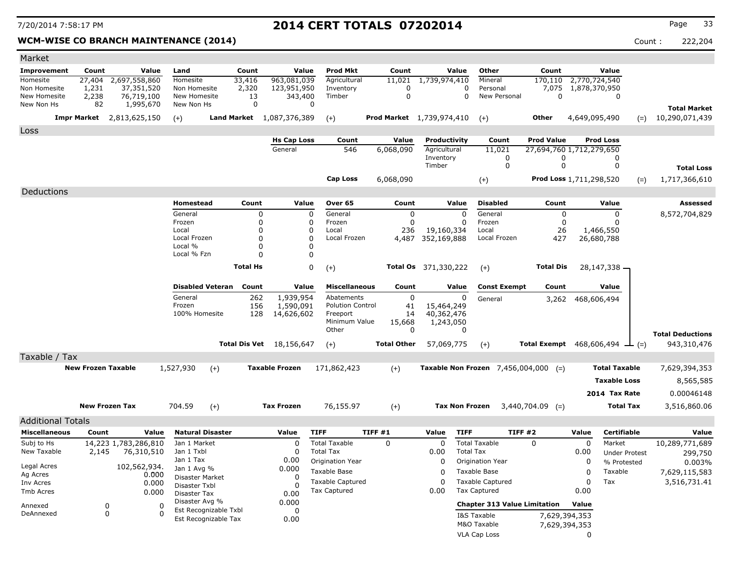## **WCM-WISE CO BRANCH MAINTENANCE (2014)** Count : 222,204

| <b>Improvement</b><br>Count<br>Value<br>Count<br><b>Prod Mkt</b><br>Count<br>Other<br>Count<br>Value<br>Land<br>Value<br>Value<br>27,404<br>Agricultural<br>Mineral<br>Homesite<br>2,697,558,860<br>Homesite<br>963,081,039<br>1,739,974,410<br>2,770,724,540<br>33,416<br>11,021<br>170,110<br>1,231<br>37,351,520<br>Non Homesite<br>2,320<br>123,951,950<br>Inventory<br>Personal<br>7,075<br>1,878,370,950<br>Non Homesite<br>0<br>$\Omega$<br>$\mathbf 0$<br>New Homesite<br>2,238<br>76,719,100<br>New Homesite<br>13<br>343,400<br>Timber<br>0<br>New Personal<br>$\Omega$<br>0<br>New Non Hs<br>82<br>1,995,670<br>New Non Hs<br>0<br>$\Omega$<br><b>Total Market</b><br><b>Impr Market</b> 2,813,625,150<br>Land Market 1,087,376,389<br><b>Prod Market</b> 1,739,974,410<br>Other<br>4,649,095,490<br>10,290,071,439<br>$(+)$<br>$(+)$<br>$(=)$<br>$(+)$<br>Loss<br><b>Prod Value</b><br><b>Hs Cap Loss</b><br>Count<br>Value<br>Productivity<br>Count<br><b>Prod Loss</b><br>General<br>546<br>Agricultural<br>11,021<br>6,068,090<br>27,694,760 1,712,279,650<br>Inventory<br>0<br>$\Omega$<br>0<br>0<br>$\mathbf 0$<br>0<br>Timber<br><b>Total Loss</b><br><b>Cap Loss</b><br>6,068,090<br><b>Prod Loss 1,711,298,520</b><br>1,717,366,610<br>$^{(+)}$<br>$(=)$<br>Deductions<br>Homestead<br>Count<br>Value<br>Over 65<br>Count<br>Value<br><b>Disabled</b><br>Count<br><b>Assessed</b><br>Value<br>$\mathbf 0$<br>General<br>0<br>$\Omega$<br>General<br>$\mathbf 0$<br>General<br>0<br>$\mathbf{0}$<br>8,572,704,829<br>$\Omega$<br>Frozen<br>$\mathbf 0$<br>Frozen<br>$\mathbf 0$<br>Frozen<br>0<br>$\Omega$<br>26<br>$\mathbf 0$<br>$\Omega$<br>236<br>Local<br>Local<br>19,160,334<br>Local<br>1,466,550<br>$\Omega$<br>$\Omega$<br>352,169,888<br>427<br>Local Frozen<br>Local Frozen<br>4,487<br>Local Frozen<br>26,680,788<br>Local %<br>$\Omega$<br>$\Omega$<br>Local % Fzn<br>$\Omega$<br>0<br>0<br>28, 147, 338 -<br><b>Total Hs</b><br><b>Total Os</b> 371,330,222<br><b>Total Dis</b><br>$(+)$<br>$(+)$<br><b>Disabled Veteran</b><br>Count<br>Value<br><b>Miscellaneous</b><br>Count<br>Value<br><b>Const Exempt</b><br>Count<br>Value<br>1,939,954<br>262<br>$\mathbf 0$<br>$\mathbf 0$<br>General<br>Abatements<br>3,262<br>468,606,494<br>General<br>156<br>1,590,091<br><b>Polution Control</b><br>Frozen<br>41<br>15,464,249<br>100% Homesite<br>128<br>Freeport<br>14,626,602<br>14<br>40,362,476<br>Minimum Value<br>15,668<br>1,243,050<br>Other<br>$\Omega$<br>$\Omega$<br><b>Total Deductions</b><br><b>Total Other</b><br><b>Total Dis Vet</b> 18,156,647<br>57,069,775<br><b>Total Exempt</b> 468,606,494 $\perp$ (=)<br>943,310,476<br>$(+)$<br>$(+)$<br>Taxable / Tax<br>1,527,930<br><b>Taxable Frozen</b><br>7,629,394,353<br><b>New Frozen Taxable</b><br>171,862,423<br>$(+)$<br><b>Taxable Non Frozen</b> 7,456,004,000<br><b>Total Taxable</b><br>$(+)$<br>$(=)$<br><b>Taxable Loss</b><br>8,565,585<br>0.00046148<br>2014 Tax Rate<br><b>New Frozen Tax</b><br>704.59<br><b>Tax Frozen</b><br>76,155.97<br><b>Tax Non Frozen</b><br><b>Total Tax</b><br>3,516,860.06<br>$(+)$<br>$(+)$<br>$3,440,704.09$ (=)<br><b>Additional Totals</b><br><b>Miscellaneous</b><br><b>TIFF</b><br>TIFF#1<br>Value<br><b>TIFF #2</b><br><b>Certifiable</b><br>Count<br>Value<br><b>Natural Disaster</b><br>Value<br><b>TIFF</b><br>Value<br>Value<br>$\overline{0}$<br><b>Total Taxable</b><br>14,223 1,783,286,810<br><b>Total Taxable</b><br>$\mathbf 0$<br>$\Omega$<br>$\Omega$<br>$\mathbf 0$<br>Market<br>Subj to Hs<br>Jan 1 Market<br>10,289,771,689<br>New Taxable<br>Jan 1 Txbl<br><b>Total Tax</b><br><b>Total Tax</b><br>2,145<br>76,310,510<br>$\Omega$<br>0.00<br>0.00<br><b>Under Protest</b><br>299,750<br>Jan 1 Tax<br>0.00<br>Origination Year<br>$\Omega$<br>$\Omega$<br><b>Origination Year</b><br>% Protested<br>0.003%<br>Legal Acres<br>102,562,934.<br>0.000<br>Jan 1 Avg %<br>Taxable Base<br>$\Omega$<br>7,629,115,583<br>Taxable Base<br>Taxable<br>ŋ<br>Ag Acres<br>0.000<br>Disaster Market<br>0<br><b>Taxable Captured</b><br>$\mathbf 0$<br>$\Omega$<br><b>Taxable Captured</b><br>Tax<br>3,516,731.41<br>0.000<br>Inv Acres<br>Disaster Txbl<br>$\Omega$<br>Tax Captured<br><b>Tax Captured</b><br>0.00<br>0.00<br>Tmb Acres<br>0.000<br>0.00<br>Disaster Tax<br>Disaster Avg %<br>0.000<br><b>Chapter 313 Value Limitation</b><br>Value<br>$\mathbf 0$<br>$\Omega$<br>Annexed<br>Est Recognizable Txbl<br>$\mathbf 0$<br>$\mathbf 0$<br>DeAnnexed<br>$\Omega$<br>I&S Taxable<br>7,629,394,353<br>Est Recognizable Tax<br>0.00<br>M&O Taxable<br>7,629,394,353<br><b>VLA Cap Loss</b> | Market |  |  |  |  |  |  |   |  |  |
|-------------------------------------------------------------------------------------------------------------------------------------------------------------------------------------------------------------------------------------------------------------------------------------------------------------------------------------------------------------------------------------------------------------------------------------------------------------------------------------------------------------------------------------------------------------------------------------------------------------------------------------------------------------------------------------------------------------------------------------------------------------------------------------------------------------------------------------------------------------------------------------------------------------------------------------------------------------------------------------------------------------------------------------------------------------------------------------------------------------------------------------------------------------------------------------------------------------------------------------------------------------------------------------------------------------------------------------------------------------------------------------------------------------------------------------------------------------------------------------------------------------------------------------------------------------------------------------------------------------------------------------------------------------------------------------------------------------------------------------------------------------------------------------------------------------------------------------------------------------------------------------------------------------------------------------------------------------------------------------------------------------------------------------------------------------------------------------------------------------------------------------------------------------------------------------------------------------------------------------------------------------------------------------------------------------------------------------------------------------------------------------------------------------------------------------------------------------------------------------------------------------------------------------------------------------------------------------------------------------------------------------------------------------------------------------------------------------------------------------------------------------------------------------------------------------------------------------------------------------------------------------------------------------------------------------------------------------------------------------------------------------------------------------------------------------------------------------------------------------------------------------------------------------------------------------------------------------------------------------------------------------------------------------------------------------------------------------------------------------------------------------------------------------------------------------------------------------------------------------------------------------------------------------------------------------------------------------------------------------------------------------------------------------------------------------------------------------------------------------------------------------------------------------------------------------------------------------------------------------------------------------------------------------------------------------------------------------------------------------------------------------------------------------------------------------------------------------------------------------------------------------------------------------------------------------------------------------------------------------------------------------------------------------------------------------------------------------------------------------------------------------------------------------------------------------------------------------------------------------------------------------------------------------------------------------------------------------------------------------------------------------------------------|--------|--|--|--|--|--|--|---|--|--|
|                                                                                                                                                                                                                                                                                                                                                                                                                                                                                                                                                                                                                                                                                                                                                                                                                                                                                                                                                                                                                                                                                                                                                                                                                                                                                                                                                                                                                                                                                                                                                                                                                                                                                                                                                                                                                                                                                                                                                                                                                                                                                                                                                                                                                                                                                                                                                                                                                                                                                                                                                                                                                                                                                                                                                                                                                                                                                                                                                                                                                                                                                                                                                                                                                                                                                                                                                                                                                                                                                                                                                                                                                                                                                                                                                                                                                                                                                                                                                                                                                                                                                                                                                                                                                                                                                                                                                                                                                                                                                                                                                                                                                                                       |        |  |  |  |  |  |  |   |  |  |
|                                                                                                                                                                                                                                                                                                                                                                                                                                                                                                                                                                                                                                                                                                                                                                                                                                                                                                                                                                                                                                                                                                                                                                                                                                                                                                                                                                                                                                                                                                                                                                                                                                                                                                                                                                                                                                                                                                                                                                                                                                                                                                                                                                                                                                                                                                                                                                                                                                                                                                                                                                                                                                                                                                                                                                                                                                                                                                                                                                                                                                                                                                                                                                                                                                                                                                                                                                                                                                                                                                                                                                                                                                                                                                                                                                                                                                                                                                                                                                                                                                                                                                                                                                                                                                                                                                                                                                                                                                                                                                                                                                                                                                                       |        |  |  |  |  |  |  |   |  |  |
|                                                                                                                                                                                                                                                                                                                                                                                                                                                                                                                                                                                                                                                                                                                                                                                                                                                                                                                                                                                                                                                                                                                                                                                                                                                                                                                                                                                                                                                                                                                                                                                                                                                                                                                                                                                                                                                                                                                                                                                                                                                                                                                                                                                                                                                                                                                                                                                                                                                                                                                                                                                                                                                                                                                                                                                                                                                                                                                                                                                                                                                                                                                                                                                                                                                                                                                                                                                                                                                                                                                                                                                                                                                                                                                                                                                                                                                                                                                                                                                                                                                                                                                                                                                                                                                                                                                                                                                                                                                                                                                                                                                                                                                       |        |  |  |  |  |  |  |   |  |  |
|                                                                                                                                                                                                                                                                                                                                                                                                                                                                                                                                                                                                                                                                                                                                                                                                                                                                                                                                                                                                                                                                                                                                                                                                                                                                                                                                                                                                                                                                                                                                                                                                                                                                                                                                                                                                                                                                                                                                                                                                                                                                                                                                                                                                                                                                                                                                                                                                                                                                                                                                                                                                                                                                                                                                                                                                                                                                                                                                                                                                                                                                                                                                                                                                                                                                                                                                                                                                                                                                                                                                                                                                                                                                                                                                                                                                                                                                                                                                                                                                                                                                                                                                                                                                                                                                                                                                                                                                                                                                                                                                                                                                                                                       |        |  |  |  |  |  |  |   |  |  |
|                                                                                                                                                                                                                                                                                                                                                                                                                                                                                                                                                                                                                                                                                                                                                                                                                                                                                                                                                                                                                                                                                                                                                                                                                                                                                                                                                                                                                                                                                                                                                                                                                                                                                                                                                                                                                                                                                                                                                                                                                                                                                                                                                                                                                                                                                                                                                                                                                                                                                                                                                                                                                                                                                                                                                                                                                                                                                                                                                                                                                                                                                                                                                                                                                                                                                                                                                                                                                                                                                                                                                                                                                                                                                                                                                                                                                                                                                                                                                                                                                                                                                                                                                                                                                                                                                                                                                                                                                                                                                                                                                                                                                                                       |        |  |  |  |  |  |  |   |  |  |
|                                                                                                                                                                                                                                                                                                                                                                                                                                                                                                                                                                                                                                                                                                                                                                                                                                                                                                                                                                                                                                                                                                                                                                                                                                                                                                                                                                                                                                                                                                                                                                                                                                                                                                                                                                                                                                                                                                                                                                                                                                                                                                                                                                                                                                                                                                                                                                                                                                                                                                                                                                                                                                                                                                                                                                                                                                                                                                                                                                                                                                                                                                                                                                                                                                                                                                                                                                                                                                                                                                                                                                                                                                                                                                                                                                                                                                                                                                                                                                                                                                                                                                                                                                                                                                                                                                                                                                                                                                                                                                                                                                                                                                                       |        |  |  |  |  |  |  |   |  |  |
|                                                                                                                                                                                                                                                                                                                                                                                                                                                                                                                                                                                                                                                                                                                                                                                                                                                                                                                                                                                                                                                                                                                                                                                                                                                                                                                                                                                                                                                                                                                                                                                                                                                                                                                                                                                                                                                                                                                                                                                                                                                                                                                                                                                                                                                                                                                                                                                                                                                                                                                                                                                                                                                                                                                                                                                                                                                                                                                                                                                                                                                                                                                                                                                                                                                                                                                                                                                                                                                                                                                                                                                                                                                                                                                                                                                                                                                                                                                                                                                                                                                                                                                                                                                                                                                                                                                                                                                                                                                                                                                                                                                                                                                       |        |  |  |  |  |  |  |   |  |  |
|                                                                                                                                                                                                                                                                                                                                                                                                                                                                                                                                                                                                                                                                                                                                                                                                                                                                                                                                                                                                                                                                                                                                                                                                                                                                                                                                                                                                                                                                                                                                                                                                                                                                                                                                                                                                                                                                                                                                                                                                                                                                                                                                                                                                                                                                                                                                                                                                                                                                                                                                                                                                                                                                                                                                                                                                                                                                                                                                                                                                                                                                                                                                                                                                                                                                                                                                                                                                                                                                                                                                                                                                                                                                                                                                                                                                                                                                                                                                                                                                                                                                                                                                                                                                                                                                                                                                                                                                                                                                                                                                                                                                                                                       |        |  |  |  |  |  |  |   |  |  |
|                                                                                                                                                                                                                                                                                                                                                                                                                                                                                                                                                                                                                                                                                                                                                                                                                                                                                                                                                                                                                                                                                                                                                                                                                                                                                                                                                                                                                                                                                                                                                                                                                                                                                                                                                                                                                                                                                                                                                                                                                                                                                                                                                                                                                                                                                                                                                                                                                                                                                                                                                                                                                                                                                                                                                                                                                                                                                                                                                                                                                                                                                                                                                                                                                                                                                                                                                                                                                                                                                                                                                                                                                                                                                                                                                                                                                                                                                                                                                                                                                                                                                                                                                                                                                                                                                                                                                                                                                                                                                                                                                                                                                                                       |        |  |  |  |  |  |  |   |  |  |
|                                                                                                                                                                                                                                                                                                                                                                                                                                                                                                                                                                                                                                                                                                                                                                                                                                                                                                                                                                                                                                                                                                                                                                                                                                                                                                                                                                                                                                                                                                                                                                                                                                                                                                                                                                                                                                                                                                                                                                                                                                                                                                                                                                                                                                                                                                                                                                                                                                                                                                                                                                                                                                                                                                                                                                                                                                                                                                                                                                                                                                                                                                                                                                                                                                                                                                                                                                                                                                                                                                                                                                                                                                                                                                                                                                                                                                                                                                                                                                                                                                                                                                                                                                                                                                                                                                                                                                                                                                                                                                                                                                                                                                                       |        |  |  |  |  |  |  |   |  |  |
|                                                                                                                                                                                                                                                                                                                                                                                                                                                                                                                                                                                                                                                                                                                                                                                                                                                                                                                                                                                                                                                                                                                                                                                                                                                                                                                                                                                                                                                                                                                                                                                                                                                                                                                                                                                                                                                                                                                                                                                                                                                                                                                                                                                                                                                                                                                                                                                                                                                                                                                                                                                                                                                                                                                                                                                                                                                                                                                                                                                                                                                                                                                                                                                                                                                                                                                                                                                                                                                                                                                                                                                                                                                                                                                                                                                                                                                                                                                                                                                                                                                                                                                                                                                                                                                                                                                                                                                                                                                                                                                                                                                                                                                       |        |  |  |  |  |  |  |   |  |  |
|                                                                                                                                                                                                                                                                                                                                                                                                                                                                                                                                                                                                                                                                                                                                                                                                                                                                                                                                                                                                                                                                                                                                                                                                                                                                                                                                                                                                                                                                                                                                                                                                                                                                                                                                                                                                                                                                                                                                                                                                                                                                                                                                                                                                                                                                                                                                                                                                                                                                                                                                                                                                                                                                                                                                                                                                                                                                                                                                                                                                                                                                                                                                                                                                                                                                                                                                                                                                                                                                                                                                                                                                                                                                                                                                                                                                                                                                                                                                                                                                                                                                                                                                                                                                                                                                                                                                                                                                                                                                                                                                                                                                                                                       |        |  |  |  |  |  |  |   |  |  |
|                                                                                                                                                                                                                                                                                                                                                                                                                                                                                                                                                                                                                                                                                                                                                                                                                                                                                                                                                                                                                                                                                                                                                                                                                                                                                                                                                                                                                                                                                                                                                                                                                                                                                                                                                                                                                                                                                                                                                                                                                                                                                                                                                                                                                                                                                                                                                                                                                                                                                                                                                                                                                                                                                                                                                                                                                                                                                                                                                                                                                                                                                                                                                                                                                                                                                                                                                                                                                                                                                                                                                                                                                                                                                                                                                                                                                                                                                                                                                                                                                                                                                                                                                                                                                                                                                                                                                                                                                                                                                                                                                                                                                                                       |        |  |  |  |  |  |  |   |  |  |
|                                                                                                                                                                                                                                                                                                                                                                                                                                                                                                                                                                                                                                                                                                                                                                                                                                                                                                                                                                                                                                                                                                                                                                                                                                                                                                                                                                                                                                                                                                                                                                                                                                                                                                                                                                                                                                                                                                                                                                                                                                                                                                                                                                                                                                                                                                                                                                                                                                                                                                                                                                                                                                                                                                                                                                                                                                                                                                                                                                                                                                                                                                                                                                                                                                                                                                                                                                                                                                                                                                                                                                                                                                                                                                                                                                                                                                                                                                                                                                                                                                                                                                                                                                                                                                                                                                                                                                                                                                                                                                                                                                                                                                                       |        |  |  |  |  |  |  |   |  |  |
|                                                                                                                                                                                                                                                                                                                                                                                                                                                                                                                                                                                                                                                                                                                                                                                                                                                                                                                                                                                                                                                                                                                                                                                                                                                                                                                                                                                                                                                                                                                                                                                                                                                                                                                                                                                                                                                                                                                                                                                                                                                                                                                                                                                                                                                                                                                                                                                                                                                                                                                                                                                                                                                                                                                                                                                                                                                                                                                                                                                                                                                                                                                                                                                                                                                                                                                                                                                                                                                                                                                                                                                                                                                                                                                                                                                                                                                                                                                                                                                                                                                                                                                                                                                                                                                                                                                                                                                                                                                                                                                                                                                                                                                       |        |  |  |  |  |  |  |   |  |  |
|                                                                                                                                                                                                                                                                                                                                                                                                                                                                                                                                                                                                                                                                                                                                                                                                                                                                                                                                                                                                                                                                                                                                                                                                                                                                                                                                                                                                                                                                                                                                                                                                                                                                                                                                                                                                                                                                                                                                                                                                                                                                                                                                                                                                                                                                                                                                                                                                                                                                                                                                                                                                                                                                                                                                                                                                                                                                                                                                                                                                                                                                                                                                                                                                                                                                                                                                                                                                                                                                                                                                                                                                                                                                                                                                                                                                                                                                                                                                                                                                                                                                                                                                                                                                                                                                                                                                                                                                                                                                                                                                                                                                                                                       |        |  |  |  |  |  |  |   |  |  |
|                                                                                                                                                                                                                                                                                                                                                                                                                                                                                                                                                                                                                                                                                                                                                                                                                                                                                                                                                                                                                                                                                                                                                                                                                                                                                                                                                                                                                                                                                                                                                                                                                                                                                                                                                                                                                                                                                                                                                                                                                                                                                                                                                                                                                                                                                                                                                                                                                                                                                                                                                                                                                                                                                                                                                                                                                                                                                                                                                                                                                                                                                                                                                                                                                                                                                                                                                                                                                                                                                                                                                                                                                                                                                                                                                                                                                                                                                                                                                                                                                                                                                                                                                                                                                                                                                                                                                                                                                                                                                                                                                                                                                                                       |        |  |  |  |  |  |  |   |  |  |
|                                                                                                                                                                                                                                                                                                                                                                                                                                                                                                                                                                                                                                                                                                                                                                                                                                                                                                                                                                                                                                                                                                                                                                                                                                                                                                                                                                                                                                                                                                                                                                                                                                                                                                                                                                                                                                                                                                                                                                                                                                                                                                                                                                                                                                                                                                                                                                                                                                                                                                                                                                                                                                                                                                                                                                                                                                                                                                                                                                                                                                                                                                                                                                                                                                                                                                                                                                                                                                                                                                                                                                                                                                                                                                                                                                                                                                                                                                                                                                                                                                                                                                                                                                                                                                                                                                                                                                                                                                                                                                                                                                                                                                                       |        |  |  |  |  |  |  |   |  |  |
|                                                                                                                                                                                                                                                                                                                                                                                                                                                                                                                                                                                                                                                                                                                                                                                                                                                                                                                                                                                                                                                                                                                                                                                                                                                                                                                                                                                                                                                                                                                                                                                                                                                                                                                                                                                                                                                                                                                                                                                                                                                                                                                                                                                                                                                                                                                                                                                                                                                                                                                                                                                                                                                                                                                                                                                                                                                                                                                                                                                                                                                                                                                                                                                                                                                                                                                                                                                                                                                                                                                                                                                                                                                                                                                                                                                                                                                                                                                                                                                                                                                                                                                                                                                                                                                                                                                                                                                                                                                                                                                                                                                                                                                       |        |  |  |  |  |  |  |   |  |  |
|                                                                                                                                                                                                                                                                                                                                                                                                                                                                                                                                                                                                                                                                                                                                                                                                                                                                                                                                                                                                                                                                                                                                                                                                                                                                                                                                                                                                                                                                                                                                                                                                                                                                                                                                                                                                                                                                                                                                                                                                                                                                                                                                                                                                                                                                                                                                                                                                                                                                                                                                                                                                                                                                                                                                                                                                                                                                                                                                                                                                                                                                                                                                                                                                                                                                                                                                                                                                                                                                                                                                                                                                                                                                                                                                                                                                                                                                                                                                                                                                                                                                                                                                                                                                                                                                                                                                                                                                                                                                                                                                                                                                                                                       |        |  |  |  |  |  |  |   |  |  |
|                                                                                                                                                                                                                                                                                                                                                                                                                                                                                                                                                                                                                                                                                                                                                                                                                                                                                                                                                                                                                                                                                                                                                                                                                                                                                                                                                                                                                                                                                                                                                                                                                                                                                                                                                                                                                                                                                                                                                                                                                                                                                                                                                                                                                                                                                                                                                                                                                                                                                                                                                                                                                                                                                                                                                                                                                                                                                                                                                                                                                                                                                                                                                                                                                                                                                                                                                                                                                                                                                                                                                                                                                                                                                                                                                                                                                                                                                                                                                                                                                                                                                                                                                                                                                                                                                                                                                                                                                                                                                                                                                                                                                                                       |        |  |  |  |  |  |  |   |  |  |
|                                                                                                                                                                                                                                                                                                                                                                                                                                                                                                                                                                                                                                                                                                                                                                                                                                                                                                                                                                                                                                                                                                                                                                                                                                                                                                                                                                                                                                                                                                                                                                                                                                                                                                                                                                                                                                                                                                                                                                                                                                                                                                                                                                                                                                                                                                                                                                                                                                                                                                                                                                                                                                                                                                                                                                                                                                                                                                                                                                                                                                                                                                                                                                                                                                                                                                                                                                                                                                                                                                                                                                                                                                                                                                                                                                                                                                                                                                                                                                                                                                                                                                                                                                                                                                                                                                                                                                                                                                                                                                                                                                                                                                                       |        |  |  |  |  |  |  |   |  |  |
|                                                                                                                                                                                                                                                                                                                                                                                                                                                                                                                                                                                                                                                                                                                                                                                                                                                                                                                                                                                                                                                                                                                                                                                                                                                                                                                                                                                                                                                                                                                                                                                                                                                                                                                                                                                                                                                                                                                                                                                                                                                                                                                                                                                                                                                                                                                                                                                                                                                                                                                                                                                                                                                                                                                                                                                                                                                                                                                                                                                                                                                                                                                                                                                                                                                                                                                                                                                                                                                                                                                                                                                                                                                                                                                                                                                                                                                                                                                                                                                                                                                                                                                                                                                                                                                                                                                                                                                                                                                                                                                                                                                                                                                       |        |  |  |  |  |  |  |   |  |  |
|                                                                                                                                                                                                                                                                                                                                                                                                                                                                                                                                                                                                                                                                                                                                                                                                                                                                                                                                                                                                                                                                                                                                                                                                                                                                                                                                                                                                                                                                                                                                                                                                                                                                                                                                                                                                                                                                                                                                                                                                                                                                                                                                                                                                                                                                                                                                                                                                                                                                                                                                                                                                                                                                                                                                                                                                                                                                                                                                                                                                                                                                                                                                                                                                                                                                                                                                                                                                                                                                                                                                                                                                                                                                                                                                                                                                                                                                                                                                                                                                                                                                                                                                                                                                                                                                                                                                                                                                                                                                                                                                                                                                                                                       |        |  |  |  |  |  |  |   |  |  |
|                                                                                                                                                                                                                                                                                                                                                                                                                                                                                                                                                                                                                                                                                                                                                                                                                                                                                                                                                                                                                                                                                                                                                                                                                                                                                                                                                                                                                                                                                                                                                                                                                                                                                                                                                                                                                                                                                                                                                                                                                                                                                                                                                                                                                                                                                                                                                                                                                                                                                                                                                                                                                                                                                                                                                                                                                                                                                                                                                                                                                                                                                                                                                                                                                                                                                                                                                                                                                                                                                                                                                                                                                                                                                                                                                                                                                                                                                                                                                                                                                                                                                                                                                                                                                                                                                                                                                                                                                                                                                                                                                                                                                                                       |        |  |  |  |  |  |  |   |  |  |
|                                                                                                                                                                                                                                                                                                                                                                                                                                                                                                                                                                                                                                                                                                                                                                                                                                                                                                                                                                                                                                                                                                                                                                                                                                                                                                                                                                                                                                                                                                                                                                                                                                                                                                                                                                                                                                                                                                                                                                                                                                                                                                                                                                                                                                                                                                                                                                                                                                                                                                                                                                                                                                                                                                                                                                                                                                                                                                                                                                                                                                                                                                                                                                                                                                                                                                                                                                                                                                                                                                                                                                                                                                                                                                                                                                                                                                                                                                                                                                                                                                                                                                                                                                                                                                                                                                                                                                                                                                                                                                                                                                                                                                                       |        |  |  |  |  |  |  |   |  |  |
|                                                                                                                                                                                                                                                                                                                                                                                                                                                                                                                                                                                                                                                                                                                                                                                                                                                                                                                                                                                                                                                                                                                                                                                                                                                                                                                                                                                                                                                                                                                                                                                                                                                                                                                                                                                                                                                                                                                                                                                                                                                                                                                                                                                                                                                                                                                                                                                                                                                                                                                                                                                                                                                                                                                                                                                                                                                                                                                                                                                                                                                                                                                                                                                                                                                                                                                                                                                                                                                                                                                                                                                                                                                                                                                                                                                                                                                                                                                                                                                                                                                                                                                                                                                                                                                                                                                                                                                                                                                                                                                                                                                                                                                       |        |  |  |  |  |  |  |   |  |  |
|                                                                                                                                                                                                                                                                                                                                                                                                                                                                                                                                                                                                                                                                                                                                                                                                                                                                                                                                                                                                                                                                                                                                                                                                                                                                                                                                                                                                                                                                                                                                                                                                                                                                                                                                                                                                                                                                                                                                                                                                                                                                                                                                                                                                                                                                                                                                                                                                                                                                                                                                                                                                                                                                                                                                                                                                                                                                                                                                                                                                                                                                                                                                                                                                                                                                                                                                                                                                                                                                                                                                                                                                                                                                                                                                                                                                                                                                                                                                                                                                                                                                                                                                                                                                                                                                                                                                                                                                                                                                                                                                                                                                                                                       |        |  |  |  |  |  |  |   |  |  |
|                                                                                                                                                                                                                                                                                                                                                                                                                                                                                                                                                                                                                                                                                                                                                                                                                                                                                                                                                                                                                                                                                                                                                                                                                                                                                                                                                                                                                                                                                                                                                                                                                                                                                                                                                                                                                                                                                                                                                                                                                                                                                                                                                                                                                                                                                                                                                                                                                                                                                                                                                                                                                                                                                                                                                                                                                                                                                                                                                                                                                                                                                                                                                                                                                                                                                                                                                                                                                                                                                                                                                                                                                                                                                                                                                                                                                                                                                                                                                                                                                                                                                                                                                                                                                                                                                                                                                                                                                                                                                                                                                                                                                                                       |        |  |  |  |  |  |  |   |  |  |
|                                                                                                                                                                                                                                                                                                                                                                                                                                                                                                                                                                                                                                                                                                                                                                                                                                                                                                                                                                                                                                                                                                                                                                                                                                                                                                                                                                                                                                                                                                                                                                                                                                                                                                                                                                                                                                                                                                                                                                                                                                                                                                                                                                                                                                                                                                                                                                                                                                                                                                                                                                                                                                                                                                                                                                                                                                                                                                                                                                                                                                                                                                                                                                                                                                                                                                                                                                                                                                                                                                                                                                                                                                                                                                                                                                                                                                                                                                                                                                                                                                                                                                                                                                                                                                                                                                                                                                                                                                                                                                                                                                                                                                                       |        |  |  |  |  |  |  |   |  |  |
|                                                                                                                                                                                                                                                                                                                                                                                                                                                                                                                                                                                                                                                                                                                                                                                                                                                                                                                                                                                                                                                                                                                                                                                                                                                                                                                                                                                                                                                                                                                                                                                                                                                                                                                                                                                                                                                                                                                                                                                                                                                                                                                                                                                                                                                                                                                                                                                                                                                                                                                                                                                                                                                                                                                                                                                                                                                                                                                                                                                                                                                                                                                                                                                                                                                                                                                                                                                                                                                                                                                                                                                                                                                                                                                                                                                                                                                                                                                                                                                                                                                                                                                                                                                                                                                                                                                                                                                                                                                                                                                                                                                                                                                       |        |  |  |  |  |  |  |   |  |  |
|                                                                                                                                                                                                                                                                                                                                                                                                                                                                                                                                                                                                                                                                                                                                                                                                                                                                                                                                                                                                                                                                                                                                                                                                                                                                                                                                                                                                                                                                                                                                                                                                                                                                                                                                                                                                                                                                                                                                                                                                                                                                                                                                                                                                                                                                                                                                                                                                                                                                                                                                                                                                                                                                                                                                                                                                                                                                                                                                                                                                                                                                                                                                                                                                                                                                                                                                                                                                                                                                                                                                                                                                                                                                                                                                                                                                                                                                                                                                                                                                                                                                                                                                                                                                                                                                                                                                                                                                                                                                                                                                                                                                                                                       |        |  |  |  |  |  |  |   |  |  |
|                                                                                                                                                                                                                                                                                                                                                                                                                                                                                                                                                                                                                                                                                                                                                                                                                                                                                                                                                                                                                                                                                                                                                                                                                                                                                                                                                                                                                                                                                                                                                                                                                                                                                                                                                                                                                                                                                                                                                                                                                                                                                                                                                                                                                                                                                                                                                                                                                                                                                                                                                                                                                                                                                                                                                                                                                                                                                                                                                                                                                                                                                                                                                                                                                                                                                                                                                                                                                                                                                                                                                                                                                                                                                                                                                                                                                                                                                                                                                                                                                                                                                                                                                                                                                                                                                                                                                                                                                                                                                                                                                                                                                                                       |        |  |  |  |  |  |  |   |  |  |
|                                                                                                                                                                                                                                                                                                                                                                                                                                                                                                                                                                                                                                                                                                                                                                                                                                                                                                                                                                                                                                                                                                                                                                                                                                                                                                                                                                                                                                                                                                                                                                                                                                                                                                                                                                                                                                                                                                                                                                                                                                                                                                                                                                                                                                                                                                                                                                                                                                                                                                                                                                                                                                                                                                                                                                                                                                                                                                                                                                                                                                                                                                                                                                                                                                                                                                                                                                                                                                                                                                                                                                                                                                                                                                                                                                                                                                                                                                                                                                                                                                                                                                                                                                                                                                                                                                                                                                                                                                                                                                                                                                                                                                                       |        |  |  |  |  |  |  |   |  |  |
|                                                                                                                                                                                                                                                                                                                                                                                                                                                                                                                                                                                                                                                                                                                                                                                                                                                                                                                                                                                                                                                                                                                                                                                                                                                                                                                                                                                                                                                                                                                                                                                                                                                                                                                                                                                                                                                                                                                                                                                                                                                                                                                                                                                                                                                                                                                                                                                                                                                                                                                                                                                                                                                                                                                                                                                                                                                                                                                                                                                                                                                                                                                                                                                                                                                                                                                                                                                                                                                                                                                                                                                                                                                                                                                                                                                                                                                                                                                                                                                                                                                                                                                                                                                                                                                                                                                                                                                                                                                                                                                                                                                                                                                       |        |  |  |  |  |  |  |   |  |  |
|                                                                                                                                                                                                                                                                                                                                                                                                                                                                                                                                                                                                                                                                                                                                                                                                                                                                                                                                                                                                                                                                                                                                                                                                                                                                                                                                                                                                                                                                                                                                                                                                                                                                                                                                                                                                                                                                                                                                                                                                                                                                                                                                                                                                                                                                                                                                                                                                                                                                                                                                                                                                                                                                                                                                                                                                                                                                                                                                                                                                                                                                                                                                                                                                                                                                                                                                                                                                                                                                                                                                                                                                                                                                                                                                                                                                                                                                                                                                                                                                                                                                                                                                                                                                                                                                                                                                                                                                                                                                                                                                                                                                                                                       |        |  |  |  |  |  |  |   |  |  |
|                                                                                                                                                                                                                                                                                                                                                                                                                                                                                                                                                                                                                                                                                                                                                                                                                                                                                                                                                                                                                                                                                                                                                                                                                                                                                                                                                                                                                                                                                                                                                                                                                                                                                                                                                                                                                                                                                                                                                                                                                                                                                                                                                                                                                                                                                                                                                                                                                                                                                                                                                                                                                                                                                                                                                                                                                                                                                                                                                                                                                                                                                                                                                                                                                                                                                                                                                                                                                                                                                                                                                                                                                                                                                                                                                                                                                                                                                                                                                                                                                                                                                                                                                                                                                                                                                                                                                                                                                                                                                                                                                                                                                                                       |        |  |  |  |  |  |  |   |  |  |
|                                                                                                                                                                                                                                                                                                                                                                                                                                                                                                                                                                                                                                                                                                                                                                                                                                                                                                                                                                                                                                                                                                                                                                                                                                                                                                                                                                                                                                                                                                                                                                                                                                                                                                                                                                                                                                                                                                                                                                                                                                                                                                                                                                                                                                                                                                                                                                                                                                                                                                                                                                                                                                                                                                                                                                                                                                                                                                                                                                                                                                                                                                                                                                                                                                                                                                                                                                                                                                                                                                                                                                                                                                                                                                                                                                                                                                                                                                                                                                                                                                                                                                                                                                                                                                                                                                                                                                                                                                                                                                                                                                                                                                                       |        |  |  |  |  |  |  |   |  |  |
|                                                                                                                                                                                                                                                                                                                                                                                                                                                                                                                                                                                                                                                                                                                                                                                                                                                                                                                                                                                                                                                                                                                                                                                                                                                                                                                                                                                                                                                                                                                                                                                                                                                                                                                                                                                                                                                                                                                                                                                                                                                                                                                                                                                                                                                                                                                                                                                                                                                                                                                                                                                                                                                                                                                                                                                                                                                                                                                                                                                                                                                                                                                                                                                                                                                                                                                                                                                                                                                                                                                                                                                                                                                                                                                                                                                                                                                                                                                                                                                                                                                                                                                                                                                                                                                                                                                                                                                                                                                                                                                                                                                                                                                       |        |  |  |  |  |  |  |   |  |  |
|                                                                                                                                                                                                                                                                                                                                                                                                                                                                                                                                                                                                                                                                                                                                                                                                                                                                                                                                                                                                                                                                                                                                                                                                                                                                                                                                                                                                                                                                                                                                                                                                                                                                                                                                                                                                                                                                                                                                                                                                                                                                                                                                                                                                                                                                                                                                                                                                                                                                                                                                                                                                                                                                                                                                                                                                                                                                                                                                                                                                                                                                                                                                                                                                                                                                                                                                                                                                                                                                                                                                                                                                                                                                                                                                                                                                                                                                                                                                                                                                                                                                                                                                                                                                                                                                                                                                                                                                                                                                                                                                                                                                                                                       |        |  |  |  |  |  |  |   |  |  |
|                                                                                                                                                                                                                                                                                                                                                                                                                                                                                                                                                                                                                                                                                                                                                                                                                                                                                                                                                                                                                                                                                                                                                                                                                                                                                                                                                                                                                                                                                                                                                                                                                                                                                                                                                                                                                                                                                                                                                                                                                                                                                                                                                                                                                                                                                                                                                                                                                                                                                                                                                                                                                                                                                                                                                                                                                                                                                                                                                                                                                                                                                                                                                                                                                                                                                                                                                                                                                                                                                                                                                                                                                                                                                                                                                                                                                                                                                                                                                                                                                                                                                                                                                                                                                                                                                                                                                                                                                                                                                                                                                                                                                                                       |        |  |  |  |  |  |  |   |  |  |
|                                                                                                                                                                                                                                                                                                                                                                                                                                                                                                                                                                                                                                                                                                                                                                                                                                                                                                                                                                                                                                                                                                                                                                                                                                                                                                                                                                                                                                                                                                                                                                                                                                                                                                                                                                                                                                                                                                                                                                                                                                                                                                                                                                                                                                                                                                                                                                                                                                                                                                                                                                                                                                                                                                                                                                                                                                                                                                                                                                                                                                                                                                                                                                                                                                                                                                                                                                                                                                                                                                                                                                                                                                                                                                                                                                                                                                                                                                                                                                                                                                                                                                                                                                                                                                                                                                                                                                                                                                                                                                                                                                                                                                                       |        |  |  |  |  |  |  |   |  |  |
|                                                                                                                                                                                                                                                                                                                                                                                                                                                                                                                                                                                                                                                                                                                                                                                                                                                                                                                                                                                                                                                                                                                                                                                                                                                                                                                                                                                                                                                                                                                                                                                                                                                                                                                                                                                                                                                                                                                                                                                                                                                                                                                                                                                                                                                                                                                                                                                                                                                                                                                                                                                                                                                                                                                                                                                                                                                                                                                                                                                                                                                                                                                                                                                                                                                                                                                                                                                                                                                                                                                                                                                                                                                                                                                                                                                                                                                                                                                                                                                                                                                                                                                                                                                                                                                                                                                                                                                                                                                                                                                                                                                                                                                       |        |  |  |  |  |  |  | 0 |  |  |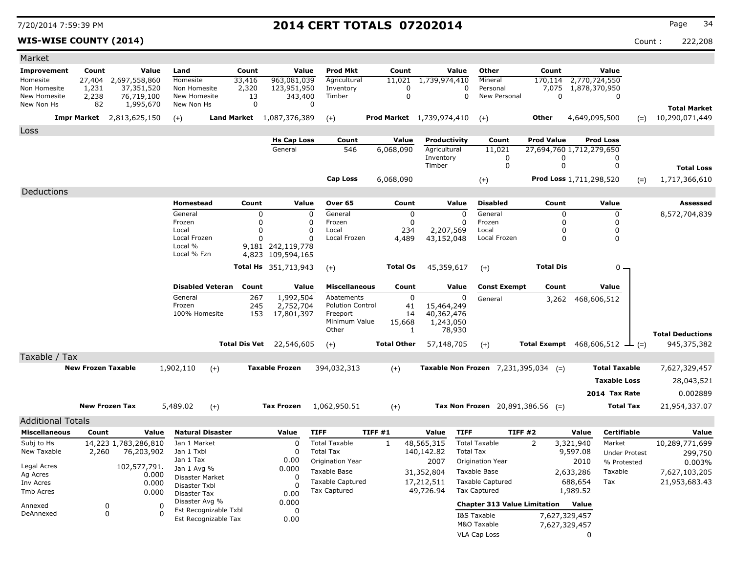## **WIS-WISE COUNTY (2014)** Count : 222,208

| Market                       |                           |                                  |          |                              |                       |                      |                                 |                           |              |                    |                                        |                             |                     |                                                   |                      |                      |                      |                         |
|------------------------------|---------------------------|----------------------------------|----------|------------------------------|-----------------------|----------------------|---------------------------------|---------------------------|--------------|--------------------|----------------------------------------|-----------------------------|---------------------|---------------------------------------------------|----------------------|----------------------|----------------------|-------------------------|
| Improvement                  | Count                     |                                  | Value    | Land                         |                       | Count                | Value                           | <b>Prod Mkt</b>           |              | Count              | Value                                  | Other                       |                     | Count                                             |                      | Value                |                      |                         |
| Homesite                     | 27,404                    | 2,697,558,860                    |          | Homesite                     |                       | 33,416               | 963,081,039                     | Agricultural              |              | 11,021             | 1,739,974,410                          | Mineral                     |                     | 170,114                                           |                      | 2,770,724,550        |                      |                         |
| Non Homesite<br>New Homesite | 1,231<br>2,238            | 37,351,520<br>76,719,100         |          | Non Homesite<br>New Homesite |                       | 2,320<br>13          | 123,951,950<br>343,400          | Inventory<br>Timber       |              | 0<br>$\Omega$      |                                        | 0<br>Personal<br>0          | New Personal        | 7,075<br>$\mathbf 0$                              |                      | 1,878,370,950<br>0   |                      |                         |
| New Non Hs                   | 82                        | 1,995,670                        |          | New Non Hs                   |                       | 0                    |                                 | $\Omega$                  |              |                    |                                        |                             |                     |                                                   |                      |                      |                      | <b>Total Market</b>     |
|                              |                           | <b>Impr Market</b> 2,813,625,150 |          | $(+)$                        |                       |                      | Land Market 1,087,376,389       | $(+)$                     |              |                    | <b>Prod Market</b> 1,739,974,410       | $(+)$                       |                     | Other                                             |                      | 4,649,095,500        | $(=)$                | 10,290,071,449          |
| Loss                         |                           |                                  |          |                              |                       |                      |                                 |                           |              |                    |                                        |                             |                     |                                                   |                      |                      |                      |                         |
|                              |                           |                                  |          |                              |                       |                      | <b>Hs Cap Loss</b>              | Count                     |              | Value              | Productivity                           |                             | Count               | <b>Prod Value</b>                                 |                      | <b>Prod Loss</b>     |                      |                         |
|                              |                           |                                  |          |                              |                       |                      | General                         | 546                       |              | 6,068,090          | Agricultural                           | 11,021                      |                     | 27,694,760 1,712,279,650                          |                      |                      |                      |                         |
|                              |                           |                                  |          |                              |                       |                      |                                 |                           |              |                    | Inventory                              |                             | 0                   |                                                   | 0                    | 0                    |                      |                         |
|                              |                           |                                  |          |                              |                       |                      |                                 |                           |              |                    | Timber                                 |                             | 0                   |                                                   | 0                    | 0                    |                      | <b>Total Loss</b>       |
|                              |                           |                                  |          |                              |                       |                      |                                 | <b>Cap Loss</b>           |              | 6,068,090          |                                        | $(+)$                       |                     | <b>Prod Loss 1,711,298,520</b>                    |                      |                      | $(=)$                | 1,717,366,610           |
| Deductions                   |                           |                                  |          |                              |                       |                      |                                 |                           |              |                    |                                        |                             |                     |                                                   |                      |                      |                      |                         |
|                              |                           |                                  |          | <b>Homestead</b>             |                       | Count                | Value                           | Over 65                   |              | Count              | Value                                  | <b>Disabled</b>             |                     | Count                                             |                      | Value                |                      | <b>Assessed</b>         |
|                              |                           |                                  |          | General                      |                       | 0                    |                                 | General<br>0              |              | 0                  |                                        | General<br>0                |                     |                                                   | 0                    | 0                    |                      | 8,572,704,839           |
|                              |                           |                                  |          | Frozen<br>Local              |                       | $\Omega$<br>$\Omega$ |                                 | 0<br>Frozen<br>0<br>Local |              | 0<br>234           | 2,207,569                              | $\Omega$<br>Frozen<br>Local |                     |                                                   | $\Omega$<br>$\Omega$ | 0<br>0               |                      |                         |
|                              |                           |                                  |          | Local Frozen                 |                       | $\Omega$             |                                 | 0<br>Local Frozen         |              | 4,489              | 43,152,048                             |                             | Local Frozen        |                                                   | 0                    | 0                    |                      |                         |
|                              |                           |                                  |          | Local %                      |                       |                      | 9,181 242,119,778               |                           |              |                    |                                        |                             |                     |                                                   |                      |                      |                      |                         |
|                              |                           |                                  |          | Local % Fzn                  |                       |                      | 4,823 109,594,165               |                           |              |                    |                                        |                             |                     |                                                   |                      |                      |                      |                         |
|                              |                           |                                  |          |                              |                       |                      | <b>Total Hs</b> 351,713,943     | $(+)$                     |              | <b>Total Os</b>    | 45,359,617                             | $(+)$                       |                     | <b>Total Dis</b>                                  |                      | 0                    |                      |                         |
|                              |                           |                                  |          | <b>Disabled Veteran</b>      |                       | Count                | Value                           | <b>Miscellaneous</b>      |              | Count              | Value                                  |                             | <b>Const Exempt</b> | Count                                             |                      | Value                |                      |                         |
|                              |                           |                                  |          | General                      |                       | 267                  | 1,992,504                       | Abatements                |              | $\mathbf 0$        |                                        | 0<br>General                |                     | 3,262                                             |                      | 468,606,512          |                      |                         |
|                              |                           |                                  |          | Frozen                       |                       | 245                  | 2,752,704                       | <b>Polution Control</b>   |              | 41                 | 15,464,249                             |                             |                     |                                                   |                      |                      |                      |                         |
|                              |                           |                                  |          | 100% Homesite                |                       | 153                  | 17,801,397                      | Freeport<br>Minimum Value |              | 14                 | 40,362,476                             |                             |                     |                                                   |                      |                      |                      |                         |
|                              |                           |                                  |          |                              |                       |                      |                                 | Other                     |              | 15,668<br>-1       | 1,243,050<br>78,930                    |                             |                     |                                                   |                      |                      |                      |                         |
|                              |                           |                                  |          |                              |                       |                      |                                 |                           |              | <b>Total Other</b> |                                        |                             |                     |                                                   |                      |                      |                      | <b>Total Deductions</b> |
|                              |                           |                                  |          |                              |                       |                      | <b>Total Dis Vet</b> 22,546,605 | $(+)$                     |              |                    | 57,148,705                             | $(+)$                       |                     | <b>Total Exempt</b> $468,606,512 \rightarrow (=)$ |                      |                      |                      | 945,375,382             |
| Taxable / Tax                | <b>New Frozen Taxable</b> |                                  |          |                              |                       |                      | <b>Taxable Frozen</b>           |                           |              |                    |                                        |                             |                     |                                                   |                      | <b>Total Taxable</b> |                      |                         |
|                              |                           |                                  |          | 1,902,110                    | $(+)$                 |                      |                                 | 394,032,313               |              | $(+)$              | Taxable Non Frozen $7,231,395,034$ (=) |                             |                     |                                                   |                      |                      |                      | 7,627,329,457           |
|                              |                           |                                  |          |                              |                       |                      |                                 |                           |              |                    |                                        |                             |                     |                                                   |                      | <b>Taxable Loss</b>  |                      | 28,043,521              |
|                              |                           |                                  |          |                              |                       |                      |                                 |                           |              |                    |                                        |                             |                     |                                                   |                      | 2014 Tax Rate        |                      | 0.002889                |
|                              | <b>New Frozen Tax</b>     |                                  |          | 5,489.02                     | $(+)$                 |                      | <b>Tax Frozen</b>               | 1,062,950.51              |              | $(+)$              |                                        |                             |                     | Tax Non Frozen $20,891,386.56$ (=)                |                      | <b>Total Tax</b>     |                      | 21,954,337.07           |
| <b>Additional Totals</b>     |                           |                                  |          |                              |                       |                      |                                 |                           |              |                    |                                        |                             |                     |                                                   |                      |                      |                      |                         |
| <b>Miscellaneous</b>         | Count                     |                                  | Value    | <b>Natural Disaster</b>      |                       |                      | Value                           | <b>TIFF</b>               | TIFF #1      |                    | Value                                  | <b>TIFF</b>                 | <b>TIFF #2</b>      |                                                   | Value                | <b>Certifiable</b>   |                      | Value                   |
| Subj to Hs                   |                           | 14,223 1,783,286,810             |          | Jan 1 Market                 |                       |                      | $\mathbf 0$                     | <b>Total Taxable</b>      | $\mathbf{1}$ |                    | 48,565,315                             | <b>Total Taxable</b>        |                     | 2                                                 | 3,321,940            | Market               |                      | 10,289,771,699          |
| New Taxable                  | 2,260                     | 76,203,902                       |          | Jan 1 Txbl                   |                       |                      | $\mathbf 0$                     | <b>Total Tax</b>          |              |                    | 140,142.82                             | <b>Total Tax</b>            |                     |                                                   | 9,597.08             |                      | <b>Under Protest</b> | 299,750                 |
| Legal Acres                  |                           | 102,577,791.                     |          | Jan 1 Tax<br>Jan 1 Avg %     |                       |                      | 0.00<br>0.000                   | Origination Year          |              |                    | 2007                                   | Origination Year            |                     |                                                   | 2010                 | % Protested          |                      | 0.003%                  |
| Ag Acres                     |                           |                                  | 0.000    | Disaster Market              |                       |                      | 0                               | <b>Taxable Base</b>       |              |                    | 31,352,804                             | Taxable Base                |                     |                                                   | 2,633,286            | Taxable              |                      | 7,627,103,205           |
| Inv Acres                    |                           |                                  | 0.000    | Disaster Txbl                |                       |                      | $\Omega$                        | <b>Taxable Captured</b>   |              |                    | 17,212,511                             | <b>Taxable Captured</b>     |                     |                                                   | 688,654              | Tax                  |                      | 21,953,683.43           |
| Tmb Acres                    |                           |                                  | 0.000    | Disaster Tax                 |                       |                      | 0.00                            | <b>Tax Captured</b>       |              |                    | 49,726.94                              | <b>Tax Captured</b>         |                     |                                                   | 1,989.52             |                      |                      |                         |
| Annexed                      | 0                         |                                  | 0        | Disaster Avg %               | Est Recognizable Txbl |                      | 0.000                           |                           |              |                    |                                        |                             |                     | <b>Chapter 313 Value Limitation Value</b>         |                      |                      |                      |                         |
| DeAnnexed                    | 0                         |                                  | $\Omega$ |                              | Est Recognizable Tax  |                      | 0<br>0.00                       |                           |              |                    |                                        | I&S Taxable                 |                     |                                                   | 7,627,329,457        |                      |                      |                         |
|                              |                           |                                  |          |                              |                       |                      |                                 |                           |              |                    |                                        | M&O Taxable                 |                     |                                                   | 7,627,329,457        |                      |                      |                         |
|                              |                           |                                  |          |                              |                       |                      |                                 |                           |              |                    |                                        | VLA Cap Loss                |                     |                                                   | $\Omega$             |                      |                      |                         |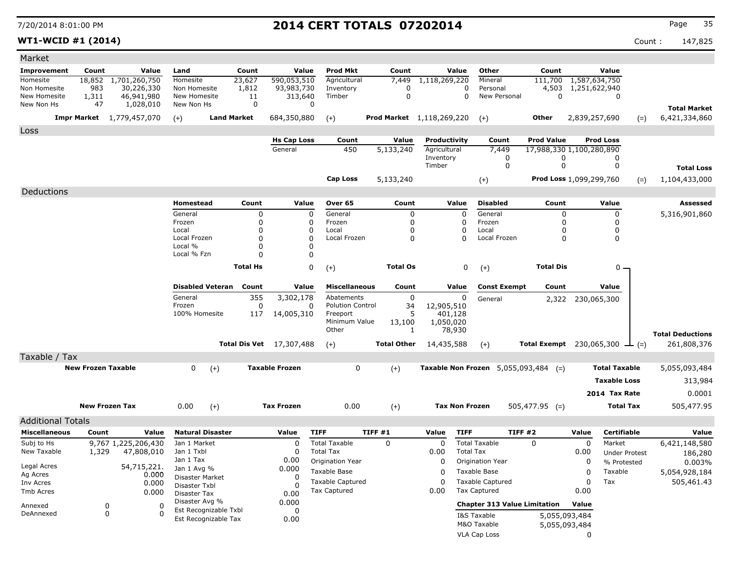**WT1-WCID #1 (2014)** Count : 147,825

| Market                     |                           |                                   |                            |                         |                         |                                 |                                                |                    |                 |                                  |                                                |                                             |                                |                                     |       |                                        |
|----------------------------|---------------------------|-----------------------------------|----------------------------|-------------------------|-------------------------|---------------------------------|------------------------------------------------|--------------------|-----------------|----------------------------------|------------------------------------------------|---------------------------------------------|--------------------------------|-------------------------------------|-------|----------------------------------------|
| Improvement                | Count                     | Value                             | Land                       |                         | Count                   | Value                           | <b>Prod Mkt</b>                                |                    | Count           | Value                            | Other                                          | Count                                       |                                | Value                               |       |                                        |
| Homesite                   |                           | 18,852 1,701,260,750              | <b>Homesite</b>            |                         | 23,627                  | 590,053,510                     | Agricultural                                   |                    | 7,449           | 1,118,269,220                    | Mineral                                        | 111,700                                     | 1,587,634,750                  |                                     |       |                                        |
| Non Homesite               | 983                       | 30,226,330                        | Non Homesite               |                         | 1,812                   | 93,983,730                      | Inventory                                      |                    | $\Omega$        |                                  | Personal<br>0                                  | 4,503                                       | 1,251,622,940                  |                                     |       |                                        |
| New Homesite<br>New Non Hs | 1,311<br>47               | 46,941,980                        | New Homesite<br>New Non Hs |                         | 11<br>0                 | 313,640                         | Timber<br>$\Omega$                             |                    | $\Omega$        |                                  | 0<br>New Personal                              | $\mathbf 0$                                 |                                | $\Omega$                            |       |                                        |
|                            |                           | 1,028,010                         |                            |                         |                         |                                 |                                                |                    |                 |                                  |                                                |                                             |                                |                                     |       | <b>Total Market</b>                    |
|                            |                           | <b>Impr Market</b> 1,779,457,070  | $(+)$                      | <b>Land Market</b>      |                         | 684,350,880                     | $(+)$                                          |                    |                 | <b>Prod Market</b> 1,118,269,220 | $(+)$                                          | <b>Other</b>                                | 2,839,257,690                  |                                     | $(=)$ | 6,421,334,860                          |
| Loss                       |                           |                                   |                            |                         |                         |                                 |                                                |                    |                 |                                  |                                                |                                             |                                |                                     |       |                                        |
|                            |                           |                                   |                            |                         |                         | <b>Hs Cap Loss</b>              | Count                                          |                    | Value           | Productivity                     | Count                                          | <b>Prod Value</b>                           |                                | <b>Prod Loss</b>                    |       |                                        |
|                            |                           |                                   |                            |                         |                         | General                         | 450                                            | 5,133,240          |                 | Agricultural                     | 7,449                                          | 17,988,330 1,100,280,890                    |                                |                                     |       |                                        |
|                            |                           |                                   |                            |                         |                         |                                 |                                                |                    |                 | Inventory<br>Timber              | 0<br>$\mathbf 0$                               |                                             | $\Omega$<br>0                  | 0<br>0                              |       |                                        |
|                            |                           |                                   |                            |                         |                         |                                 |                                                |                    |                 |                                  |                                                |                                             |                                |                                     |       | <b>Total Loss</b>                      |
|                            |                           |                                   |                            |                         |                         |                                 | <b>Cap Loss</b>                                | 5,133,240          |                 |                                  | $(+)$                                          |                                             | <b>Prod Loss 1,099,299,760</b> |                                     | $(=)$ | 1,104,433,000                          |
| Deductions                 |                           |                                   |                            |                         |                         |                                 |                                                |                    |                 |                                  |                                                |                                             |                                |                                     |       |                                        |
|                            |                           |                                   | Homestead                  |                         | Count                   | Value                           | Over 65                                        |                    | Count           | Value                            | <b>Disabled</b>                                | Count                                       |                                | Value                               |       | <b>Assessed</b>                        |
|                            |                           |                                   | General                    |                         | 0                       |                                 | $\mathbf 0$<br>General                         |                    | $\mathbf 0$     | $\Omega$                         | General                                        |                                             | $\Omega$                       | 0                                   |       | 5,316,901,860                          |
|                            |                           |                                   | Frozen                     |                         | 0                       |                                 | 0<br>Frozen                                    |                    | $\mathbf 0$     | 0                                | Frozen                                         |                                             | $\Omega$                       | 0                                   |       |                                        |
|                            |                           |                                   | Local<br>Local Frozen      |                         | $\mathbf 0$<br>$\Omega$ |                                 | 0<br>Local<br>0<br>Local Frozen                |                    | 0<br>$\Omega$   | 0<br>$\Omega$                    | Local<br>Local Frozen                          |                                             | 0<br>$\Omega$                  | 0<br>0                              |       |                                        |
|                            |                           |                                   | Local %                    |                         | $\Omega$                |                                 | $\Omega$                                       |                    |                 |                                  |                                                |                                             |                                |                                     |       |                                        |
|                            |                           |                                   | Local % Fzn                |                         | $\Omega$                |                                 | 0                                              |                    |                 |                                  |                                                |                                             |                                |                                     |       |                                        |
|                            |                           |                                   |                            |                         | <b>Total Hs</b>         |                                 | $\mathbf 0$<br>$(+)$                           |                    | <b>Total Os</b> | 0                                | $(+)$                                          | <b>Total Dis</b>                            |                                | 0                                   |       |                                        |
|                            |                           |                                   |                            |                         |                         |                                 |                                                |                    |                 |                                  |                                                |                                             |                                |                                     |       |                                        |
|                            |                           |                                   |                            | <b>Disabled Veteran</b> | Count                   | Value                           | <b>Miscellaneous</b>                           |                    | Count           | Value                            | <b>Const Exempt</b>                            | Count                                       |                                | Value                               |       |                                        |
|                            |                           |                                   | General                    |                         | 355                     | 3,302,178                       | Abatements                                     |                    | $\mathbf 0$     | $\mathbf 0$                      | General                                        | 2,322                                       |                                | 230,065,300                         |       |                                        |
|                            |                           |                                   | Frozen                     |                         | $\Omega$                |                                 | <b>Polution Control</b><br>$\mathbf{0}$        |                    | 34              | 12,905,510                       |                                                |                                             |                                |                                     |       |                                        |
|                            |                           |                                   | 100% Homesite              |                         | 117                     | 14,005,310                      | Freeport<br>Minimum Value                      |                    | 5<br>13,100     | 401,128<br>1,050,020             |                                                |                                             |                                |                                     |       |                                        |
|                            |                           |                                   |                            |                         |                         |                                 | Other                                          |                    | -1              | 78,930                           |                                                |                                             |                                |                                     |       |                                        |
|                            |                           |                                   |                            |                         |                         | <b>Total Dis Vet</b> 17,307,488 |                                                | <b>Total Other</b> |                 |                                  |                                                | <b>Total Exempt</b> 230,065,300 $\perp$ (=) |                                |                                     |       | <b>Total Deductions</b><br>261,808,376 |
|                            |                           |                                   |                            |                         |                         |                                 | $(+)$                                          |                    |                 | 14,435,588                       | $(+)$                                          |                                             |                                |                                     |       |                                        |
| Taxable / Tax              |                           |                                   |                            |                         |                         |                                 |                                                |                    |                 |                                  |                                                |                                             |                                |                                     |       |                                        |
|                            | <b>New Frozen Taxable</b> |                                   | $\mathbf 0$                | $(+)$                   |                         | <b>Taxable Frozen</b>           | $\mathbf 0$                                    | $(+)$              |                 |                                  |                                                | Taxable Non Frozen $5,055,093,484$ (=)      |                                | <b>Total Taxable</b>                |       | 5,055,093,484                          |
|                            |                           |                                   |                            |                         |                         |                                 |                                                |                    |                 |                                  |                                                |                                             |                                | <b>Taxable Loss</b>                 |       | 313,984                                |
|                            |                           |                                   |                            |                         |                         |                                 |                                                |                    |                 |                                  |                                                |                                             |                                | 2014 Tax Rate                       |       | 0.0001                                 |
|                            | <b>New Frozen Tax</b>     |                                   | 0.00                       | $(+)$                   |                         | <b>Tax Frozen</b>               | 0.00                                           | $(+)$              |                 | <b>Tax Non Frozen</b>            |                                                | $505,477.95$ (=)                            |                                | <b>Total Tax</b>                    |       | 505,477.95                             |
|                            |                           |                                   |                            |                         |                         |                                 |                                                |                    |                 |                                  |                                                |                                             |                                |                                     |       |                                        |
| <b>Additional Totals</b>   |                           |                                   |                            |                         |                         |                                 |                                                |                    |                 |                                  |                                                |                                             |                                |                                     |       |                                        |
| <b>Miscellaneous</b>       | Count                     | Value                             |                            | <b>Natural Disaster</b> |                         | Value                           | <b>TIFF</b>                                    | TIFF#1             |                 | Value<br><b>TIFF</b>             |                                                | <b>TIFF #2</b>                              | Value                          | <b>Certifiable</b>                  |       | Value                                  |
| Subj to Hs<br>New Taxable  | 1,329                     | 9,767 1,225,206,430<br>47,808,010 | Jan 1 Market<br>Jan 1 Txbl |                         |                         | $\mathbf 0$<br>$\Omega$         | <b>Total Taxable</b><br><b>Total Tax</b>       | $\mathbf 0$        |                 | $\Omega$<br>0.00                 | <b>Total Taxable</b><br><b>Total Tax</b>       | $\Omega$                                    | $\mathbf 0$<br>0.00            | Market                              |       | 6,421,148,580                          |
|                            |                           |                                   | Jan 1 Tax                  |                         |                         | 0.00                            | Origination Year                               |                    |                 | $\Omega$                         | <b>Origination Year</b>                        |                                             | 0                              | <b>Under Protest</b><br>% Protested |       | 186,280                                |
| Legal Acres                |                           | 54,715,221.                       | Jan 1 Avg %                |                         |                         | 0.000                           | Taxable Base                                   |                    |                 | $\Omega$                         | Taxable Base                                   |                                             | 0                              | Taxable                             |       | 0.003%                                 |
| Ag Acres                   |                           | 0.000                             | Disaster Market            |                         |                         | O                               |                                                |                    |                 |                                  |                                                |                                             |                                |                                     |       | 5,054,928,184                          |
| Inv Acres                  |                           | 0.000                             | Disaster Txbl              |                         |                         | U                               | <b>Taxable Captured</b><br><b>Tax Captured</b> |                    |                 | $\mathbf 0$<br>0.00              | <b>Taxable Captured</b><br><b>Tax Captured</b> |                                             | $\mathbf 0$                    | Tax                                 |       | 505,461.43                             |
| Tmb Acres                  |                           | 0.000                             | Disaster Tax               |                         |                         | 0.00                            |                                                |                    |                 |                                  |                                                |                                             | 0.00                           |                                     |       |                                        |
| Annexed                    | $\mathbf 0$               | $\Omega$                          | Disaster Avg %             | Est Recognizable Txbl   |                         | 0.000<br>$\mathbf 0$            |                                                |                    |                 |                                  |                                                | <b>Chapter 313 Value Limitation</b>         | Value                          |                                     |       |                                        |
| DeAnnexed                  | $\mathbf 0$               | $\Omega$                          |                            | Est Recognizable Tax    |                         | 0.00                            |                                                |                    |                 |                                  | I&S Taxable                                    |                                             | 5,055,093,484                  |                                     |       |                                        |
|                            |                           |                                   |                            |                         |                         |                                 |                                                |                    |                 |                                  | M&O Taxable                                    |                                             | 5,055,093,484                  |                                     |       |                                        |
|                            |                           |                                   |                            |                         |                         |                                 |                                                |                    |                 |                                  | VLA Cap Loss                                   |                                             | 0                              |                                     |       |                                        |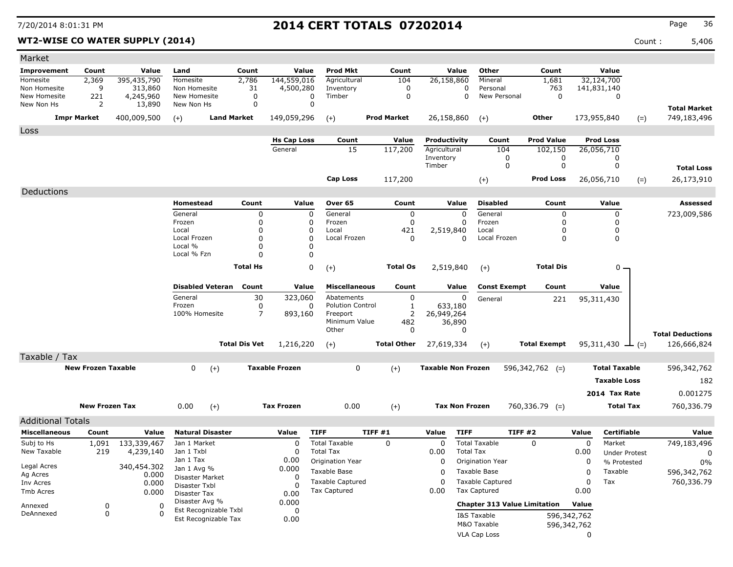## **WT2-WISE CO WATER SUPPLY (2014)** 6,406

| Market                     |                           |                     |                                |                      |                               |                                          |                    |                              |                         |                                                |                     |             |                                     |                         |
|----------------------------|---------------------------|---------------------|--------------------------------|----------------------|-------------------------------|------------------------------------------|--------------------|------------------------------|-------------------------|------------------------------------------------|---------------------|-------------|-------------------------------------|-------------------------|
| <b>Improvement</b>         | Count                     | Value               | Land                           | Count                | Value                         | <b>Prod Mkt</b>                          | Count              |                              | Value                   | Other                                          | Count               |             | Value                               |                         |
| Homesite                   | 2,369                     | 395,435,790         | Homesite                       | 2,786                | 144,559,016                   | Agricultural                             | 104                | 26,158,860                   |                         | Mineral                                        | 1,681               |             | 32,124,700                          |                         |
| Non Homesite               | 9                         | 313,860             | Non Homesite                   | 31                   | 4,500,280                     | Inventory                                | 0<br>$\mathbf 0$   |                              | 0<br>0                  | Personal                                       | 763<br>0            |             | 141,831,140                         |                         |
| New Homesite<br>New Non Hs | 221<br>2                  | 4,245,960<br>13,890 | New Homesite<br>New Non Hs     | 0<br>0               | 0<br>0                        | Timber                                   |                    |                              |                         | New Personal                                   |                     |             | 0                                   |                         |
|                            |                           |                     |                                |                      |                               |                                          |                    |                              |                         |                                                |                     |             |                                     | <b>Total Market</b>     |
|                            | <b>Impr Market</b>        | 400,009,500         | $(+)$                          | <b>Land Market</b>   | 149,059,296                   | $(+)$                                    | <b>Prod Market</b> | 26,158,860                   |                         | $(+)$                                          | Other               |             | 173,955,840<br>$(=)$                | 749,183,496             |
| Loss                       |                           |                     |                                |                      |                               |                                          |                    |                              |                         |                                                |                     |             |                                     |                         |
|                            |                           |                     |                                |                      | <b>Hs Cap Loss</b><br>General | Count<br>15                              | Value              | Productivity<br>Agricultural |                         | Count                                          | <b>Prod Value</b>   |             | <b>Prod Loss</b><br>26,056,710      |                         |
|                            |                           |                     |                                |                      |                               |                                          | 117,200            | Inventory                    |                         | 104<br>0                                       | 102,150<br>0        |             | 0                                   |                         |
|                            |                           |                     |                                |                      |                               |                                          |                    | Timber                       |                         | 0                                              | 0                   |             | 0                                   | <b>Total Loss</b>       |
|                            |                           |                     |                                |                      |                               | Cap Loss                                 | 117,200            |                              |                         | $(+)$                                          | <b>Prod Loss</b>    |             | 26,056,710<br>$(=)$                 | 26,173,910              |
|                            |                           |                     |                                |                      |                               |                                          |                    |                              |                         |                                                |                     |             |                                     |                         |
| Deductions                 |                           |                     | Homestead                      | Count                | Value                         |                                          | Count              |                              | Value                   | <b>Disabled</b>                                | Count               |             |                                     | Assessed                |
|                            |                           |                     |                                |                      |                               | Over 65                                  |                    |                              |                         | General                                        |                     |             | Value                               |                         |
|                            |                           |                     | General<br>Frozen              | 0<br>0               | $\Omega$<br>0                 | General<br>Frozen                        | 0<br>0             |                              | $\mathbf 0$<br>$\Omega$ | Frozen                                         | 0<br>$\Omega$       |             | 0<br>O                              | 723,009,586             |
|                            |                           |                     | Local                          | 0                    | 0                             | Local                                    | 421                | 2,519,840                    |                         | Local                                          | 0                   |             | 0                                   |                         |
|                            |                           |                     | Local Frozen                   | 0                    | $\Omega$                      | Local Frozen                             | $\Omega$           |                              | $\Omega$                | Local Frozen                                   | 0                   |             | 0                                   |                         |
|                            |                           |                     | Local %                        | 0                    |                               |                                          |                    |                              |                         |                                                |                     |             |                                     |                         |
|                            |                           |                     | Local % Fzn                    | 0                    | <sup>0</sup>                  |                                          |                    |                              |                         |                                                |                     |             |                                     |                         |
|                            |                           |                     |                                | <b>Total Hs</b>      | 0                             | $(+)$                                    | <b>Total Os</b>    | 2,519,840                    |                         | $(+)$                                          | <b>Total Dis</b>    |             | 0 –                                 |                         |
|                            |                           |                     | <b>Disabled Veteran</b>        | Count                | Value                         | <b>Miscellaneous</b>                     | Count              |                              | Value                   | <b>Const Exempt</b>                            | Count               |             | Value                               |                         |
|                            |                           |                     | General                        | 30                   | 323,060                       | Abatements                               | 0                  |                              | $\mathbf 0$             | General                                        | 221                 |             | 95,311,430                          |                         |
|                            |                           |                     | Frozen                         | 0                    | <sup>0</sup>                  | <b>Polution Control</b>                  | 1                  | 633,180                      |                         |                                                |                     |             |                                     |                         |
|                            |                           |                     | 100% Homesite                  | 7                    | 893,160                       | Freeport                                 | $\overline{2}$     | 26,949,264                   |                         |                                                |                     |             |                                     |                         |
|                            |                           |                     |                                |                      |                               | Minimum Value<br>Other                   | 482<br>0           |                              | 36,890<br>0             |                                                |                     |             |                                     |                         |
|                            |                           |                     |                                |                      |                               |                                          |                    |                              |                         |                                                |                     |             |                                     | <b>Total Deductions</b> |
|                            |                           |                     |                                | <b>Total Dis Vet</b> | 1,216,220                     | $(+)$                                    | <b>Total Other</b> | 27,619,334                   |                         | $(+)$                                          | <b>Total Exempt</b> |             | 95,311,430<br>$ (=)$                | 126,666,824             |
| Taxable / Tax              |                           |                     |                                |                      |                               |                                          |                    |                              |                         |                                                |                     |             |                                     |                         |
|                            | <b>New Frozen Taxable</b> |                     | 0                              | $(+)$                | <b>Taxable Frozen</b>         | 0                                        | $(+)$              | <b>Taxable Non Frozen</b>    |                         |                                                | $596,342,762$ (=)   |             | <b>Total Taxable</b>                | 596,342,762             |
|                            |                           |                     |                                |                      |                               |                                          |                    |                              |                         |                                                |                     |             | <b>Taxable Loss</b>                 | 182                     |
|                            |                           |                     |                                |                      |                               |                                          |                    |                              |                         |                                                |                     |             | 2014 Tax Rate                       | 0.001275                |
|                            | <b>New Frozen Tax</b>     |                     | 0.00                           | $(+)$                | <b>Tax Frozen</b>             | 0.00                                     | $(+)$              |                              | <b>Tax Non Frozen</b>   |                                                | $760,336.79$ (=)    |             | <b>Total Tax</b>                    | 760,336.79              |
|                            |                           |                     |                                |                      |                               |                                          |                    |                              |                         |                                                |                     |             |                                     |                         |
| <b>Additional Totals</b>   |                           |                     |                                |                      |                               |                                          |                    |                              |                         |                                                |                     |             |                                     |                         |
| <b>Miscellaneous</b>       | Count                     | Value               | <b>Natural Disaster</b>        |                      | Value                         | <b>TIFF</b>                              | TIFF #1            | Value                        | <b>TIFF</b>             | TIFF#2                                         |                     | Value       | <b>Certifiable</b>                  | Value                   |
| Subj to Hs<br>New Taxable  | 1,091<br>219              | 133,339,467         | Jan 1 Market<br>Jan 1 Txbl     |                      | $\Omega$<br>0                 | <b>Total Taxable</b><br><b>Total Tax</b> | 0                  | 0<br>0.00                    | <b>Total Tax</b>        | <b>Total Taxable</b>                           | 0                   | 0           | Market                              | 749,183,496             |
|                            |                           | 4,239,140           | Jan 1 Tax                      |                      | 0.00                          | Origination Year                         |                    | 0                            |                         | Origination Year                               |                     | 0.00<br>0   | <b>Under Protest</b><br>% Protested | 0                       |
| Legal Acres                |                           | 340,454.302         | Jan 1 Avg %                    |                      | 0.000                         | Taxable Base                             |                    |                              |                         | Taxable Base                                   |                     | 0           | Taxable                             | $0\%$<br>596,342,762    |
| Ag Acres                   |                           | 0.000               | Disaster Market                |                      | 0                             | <b>Taxable Captured</b>                  |                    | 0<br>0                       |                         |                                                |                     |             |                                     | 760,336.79              |
| Inv Acres<br>Tmb Acres     |                           | 0.000               | Disaster Txbl                  |                      |                               | <b>Tax Captured</b>                      |                    | 0.00                         |                         | <b>Taxable Captured</b><br><b>Tax Captured</b> |                     | 0<br>0.00   | Tax                                 |                         |
|                            |                           | 0.000               | Disaster Tax<br>Disaster Avg % |                      | 0.00                          |                                          |                    |                              |                         |                                                |                     |             |                                     |                         |
| Annexed                    | 0                         | 0                   | Est Recognizable Txbl          |                      | 0.000<br>0                    |                                          |                    |                              |                         | <b>Chapter 313 Value Limitation</b>            |                     | Value       |                                     |                         |
| DeAnnexed                  | 0                         | 0                   | Est Recognizable Tax           |                      | 0.00                          |                                          |                    |                              |                         | I&S Taxable                                    |                     | 596,342,762 |                                     |                         |
|                            |                           |                     |                                |                      |                               |                                          |                    |                              |                         | M&O Taxable                                    |                     | 596,342,762 |                                     |                         |
|                            |                           |                     |                                |                      |                               |                                          |                    |                              |                         | <b>VLA Cap Loss</b>                            |                     | 0           |                                     |                         |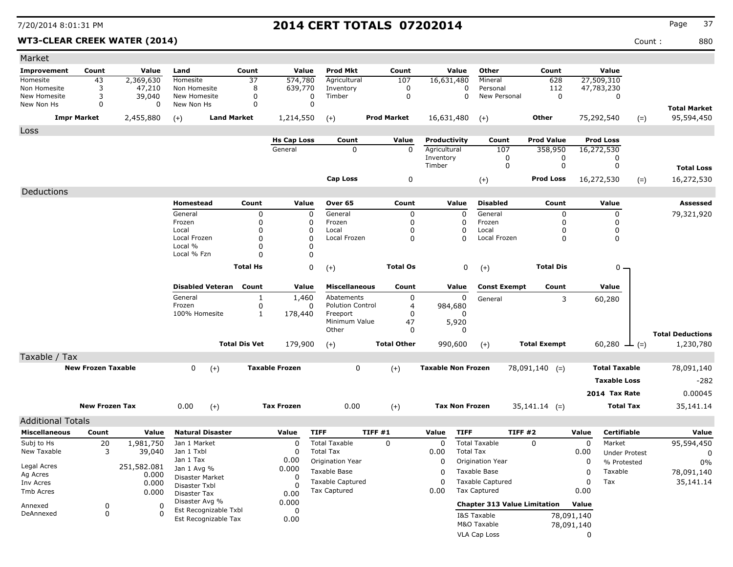### WT3-CLEAR CREEK WATER (2014) 880

| Market                             |                           |                     |                                         |                      |                                              |                           |        |                    |                           |                       |                                         |                     |                      |                      |                         |                   |
|------------------------------------|---------------------------|---------------------|-----------------------------------------|----------------------|----------------------------------------------|---------------------------|--------|--------------------|---------------------------|-----------------------|-----------------------------------------|---------------------|----------------------|----------------------|-------------------------|-------------------|
| <b>Improvement</b>                 | Count                     | Value               | Land                                    | Count                | Value                                        | <b>Prod Mkt</b>           |        | Count              |                           | Value                 | Other                                   | Count               |                      | Value                |                         |                   |
| Homesite                           | 43                        | 2,369,630           | Homesite                                | 37                   | 574,780                                      | Agricultural              |        | 107                | 16,631,480                |                       | Mineral                                 | 628                 |                      | 27,509,310           |                         |                   |
| Non Homesite                       | 3                         | 47,210              | Non Homesite                            | 8                    | 639,770                                      | Inventory                 |        | 0                  |                           | 0                     | Personal                                | 112                 |                      | 47,783,230           |                         |                   |
| New Homesite                       | 3                         | 39,040              | New Homesite                            | 0                    | 0                                            | Timber                    |        | $\mathbf 0$        |                           | 0                     | New Personal                            | $\mathbf 0$         |                      | 0                    |                         |                   |
| New Non Hs                         | 0                         | 0                   | New Non Hs                              | 0                    | $\Omega$                                     |                           |        |                    |                           |                       |                                         |                     |                      |                      | <b>Total Market</b>     |                   |
|                                    | <b>Impr Market</b>        | 2,455,880           | $(+)$                                   | <b>Land Market</b>   | 1,214,550                                    | $(+)$                     |        | <b>Prod Market</b> | 16,631,480                |                       | $(+)$                                   | Other               |                      | 75,292,540           | $(=)$                   | 95,594,450        |
| Loss                               |                           |                     |                                         |                      |                                              |                           |        |                    |                           |                       |                                         |                     |                      |                      |                         |                   |
|                                    |                           |                     |                                         |                      | <b>Hs Cap Loss</b>                           | Count                     |        | Value              | Productivity              |                       | Count                                   | <b>Prod Value</b>   |                      | <b>Prod Loss</b>     |                         |                   |
|                                    |                           |                     |                                         |                      | General                                      | $\Omega$                  |        | $\Omega$           | Agricultural              |                       | 107                                     | 358,950             |                      | 16,272,530           |                         |                   |
|                                    |                           |                     |                                         |                      |                                              |                           |        |                    | Inventory<br>Timber       |                       | 0<br>$\mathbf 0$                        | 0<br>0              |                      | 0<br>0               |                         |                   |
|                                    |                           |                     |                                         |                      |                                              |                           |        |                    |                           |                       |                                         |                     |                      |                      |                         | <b>Total Loss</b> |
|                                    |                           |                     |                                         |                      |                                              | <b>Cap Loss</b>           |        | 0                  |                           |                       | $(+)$                                   | <b>Prod Loss</b>    |                      | 16,272,530           | $(=)$                   | 16,272,530        |
| Deductions                         |                           |                     |                                         |                      |                                              |                           |        |                    |                           |                       |                                         |                     |                      |                      |                         |                   |
|                                    |                           |                     | Homestead                               | Count                | Value                                        | Over 65                   |        | Count              |                           | Value                 | <b>Disabled</b>                         | Count               |                      | Value                |                         | Assessed          |
|                                    |                           |                     | General                                 | $\mathbf 0$          | 0                                            | General                   |        | 0                  |                           | 0                     | General                                 | 0                   |                      | $\Omega$             |                         | 79,321,920        |
|                                    |                           |                     | Frozen                                  | $\Omega$             | 0                                            | Frozen                    |        | 0                  |                           | 0                     | Frozen                                  | $\Omega$            |                      | $\Omega$             |                         |                   |
|                                    |                           |                     | Local<br>Local Frozen                   | O<br>ŋ               | 0<br>0                                       | Local<br>Local Frozen     |        | 0<br>0             |                           | 0<br>0                | Local<br>Local Frozen                   | 0<br>0              |                      | 0<br>$\mathbf 0$     |                         |                   |
|                                    |                           |                     | Local %                                 |                      | 0                                            |                           |        |                    |                           |                       |                                         |                     |                      |                      |                         |                   |
|                                    |                           |                     | Local % Fzn                             |                      | <sup>0</sup>                                 |                           |        |                    |                           |                       |                                         |                     |                      |                      |                         |                   |
|                                    |                           |                     |                                         | <b>Total Hs</b>      | 0                                            | $(+)$                     |        | <b>Total Os</b>    |                           | 0                     | $(+)$                                   | <b>Total Dis</b>    |                      | $0 -$                |                         |                   |
|                                    |                           |                     |                                         |                      |                                              |                           |        |                    |                           |                       |                                         |                     |                      |                      |                         |                   |
|                                    |                           |                     | <b>Disabled Veteran</b>                 | Count                | Value                                        | <b>Miscellaneous</b>      |        | Count              |                           | Value                 | <b>Const Exempt</b>                     | Count               |                      | Value                |                         |                   |
|                                    |                           |                     | General                                 | 1                    | 1,460                                        | Abatements                |        | 0                  |                           | 0                     | General                                 | 3                   |                      | 60,280               |                         |                   |
|                                    |                           |                     | Frozen                                  | $\mathbf 0$          | O                                            | <b>Polution Control</b>   |        | 4                  |                           | 984,680               |                                         |                     |                      |                      |                         |                   |
|                                    |                           |                     | 100% Homesite                           | $\mathbf{1}$         | 178,440                                      | Freeport<br>Minimum Value |        | 0<br>47            |                           | 0<br>5,920            |                                         |                     |                      |                      |                         |                   |
|                                    |                           |                     |                                         |                      |                                              | Other                     | 0      |                    |                           | 0                     |                                         |                     |                      |                      |                         |                   |
|                                    |                           |                     |                                         | <b>Total Dis Vet</b> | 179,900                                      |                           |        | <b>Total Other</b> |                           | 990,600               |                                         | <b>Total Exempt</b> |                      | 60,280 $\perp$ (=)   | <b>Total Deductions</b> |                   |
|                                    |                           |                     |                                         |                      |                                              | $(+)$                     |        |                    |                           |                       | $(+)$                                   |                     |                      |                      |                         | 1,230,780         |
| Taxable / Tax                      |                           |                     |                                         |                      |                                              |                           |        |                    |                           |                       |                                         |                     |                      |                      |                         |                   |
|                                    | <b>New Frozen Taxable</b> |                     | 0<br><b>Taxable Frozen</b><br>$(+)$     |                      |                                              | 0                         |        | $(+)$              | <b>Taxable Non Frozen</b> |                       |                                         | $78,091,140$ (=)    | <b>Total Taxable</b> |                      |                         | 78,091,140        |
|                                    |                           |                     |                                         |                      |                                              |                           |        |                    |                           |                       |                                         |                     |                      | <b>Taxable Loss</b>  |                         | $-282$            |
|                                    |                           |                     |                                         |                      |                                              |                           |        |                    |                           |                       |                                         |                     |                      | 2014 Tax Rate        |                         | 0.00045           |
|                                    | <b>New Frozen Tax</b>     |                     | 0.00<br>$(+)$                           |                      | <b>Tax Frozen</b>                            | 0.00                      |        | $(+)$              |                           | <b>Tax Non Frozen</b> |                                         | $35,141.14$ (=)     |                      | <b>Total Tax</b>     |                         | 35,141.14         |
|                                    |                           |                     |                                         |                      |                                              |                           |        |                    |                           |                       |                                         |                     |                      |                      |                         |                   |
| <b>Additional Totals</b>           |                           |                     | <b>Natural Disaster</b>                 |                      |                                              | <b>TIFF</b>               | TIFF#1 |                    |                           | <b>TIFF</b>           | TIFF #2                                 |                     |                      | Certifiable          |                         |                   |
| <b>Miscellaneous</b><br>Subj to Hs | Count                     | Value               | Jan 1 Market                            |                      | Value<br>0                                   | <b>Total Taxable</b>      |        |                    | Value                     |                       | <b>Total Taxable</b>                    |                     | Value<br>0           | Market               |                         | Value             |
| New Taxable                        | 20<br>3                   | 1,981,750<br>39,040 | Jan 1 Txbl                              |                      | 0                                            | <b>Total Tax</b>          |        | 0                  | 0<br>0.00                 | <b>Total Tax</b>      |                                         | 0                   | 0.00                 | <b>Under Protest</b> |                         | 95,594,450        |
|                                    |                           |                     | Jan 1 Tax                               |                      | 0.00                                         | Origination Year          |        |                    | 0                         |                       | Origination Year                        |                     | 0                    | % Protested          |                         | 0<br>$0\%$        |
| Legal Acres                        |                           | 251,582.081         | Jan 1 Avg %                             |                      | 0.000                                        |                           |        |                    |                           |                       | Taxable Base                            |                     | 0                    | Taxable              |                         | 78,091,140        |
| Ag Acres                           |                           | 0.000               | Disaster Market                         |                      | Taxable Base<br>0<br><b>Taxable Captured</b> |                           |        |                    | 0<br>0                    |                       |                                         |                     | 0                    | Tax                  |                         | 35,141.14         |
| Inv Acres<br>Tmb Acres             |                           | 0.000               | Disaster Txbl<br>Disaster Tax           |                      | <sup>0</sup>                                 | <b>Tax Captured</b>       |        |                    | 0.00                      |                       | <b>Taxable Captured</b><br>Tax Captured |                     | 0.00                 |                      |                         |                   |
|                                    |                           | 0.000               |                                         |                      | 0.00                                         |                           |        |                    |                           |                       |                                         |                     |                      |                      |                         |                   |
| Annexed                            | 0                         | 0                   | Disaster Avg %<br>Est Recognizable Txbl |                      | 0.000<br>0                                   |                           |        |                    |                           |                       | <b>Chapter 313 Value Limitation</b>     |                     | Value                |                      |                         |                   |
| DeAnnexed                          | 0                         | $\Omega$            | Est Recognizable Tax                    |                      | 0.00                                         |                           |        |                    |                           |                       | I&S Taxable                             |                     | 78,091,140           |                      |                         |                   |
|                                    |                           |                     |                                         |                      |                                              |                           |        |                    |                           |                       | M&O Taxable                             |                     | 78,091,140           |                      |                         |                   |
|                                    |                           |                     |                                         |                      |                                              |                           |        |                    |                           |                       | VLA Cap Loss                            |                     | 0                    |                      |                         |                   |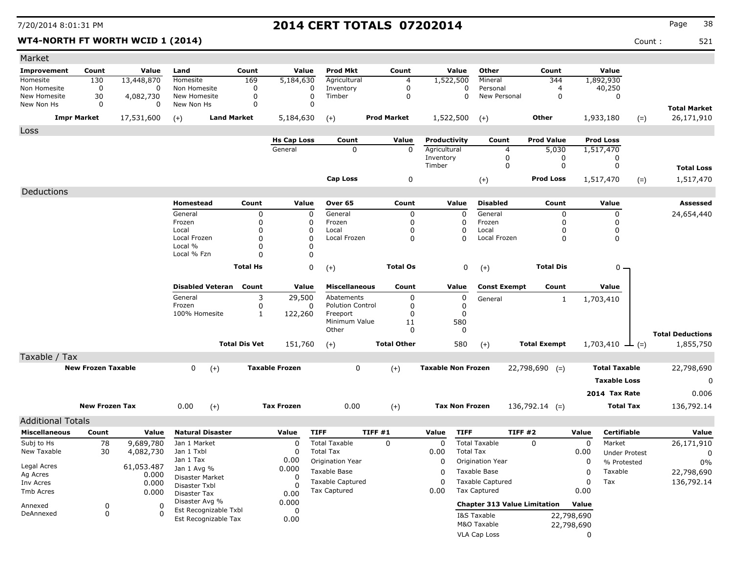### **WT4-NORTH FT WORTH WCID 1 (2014)** 521

| Market                   |                           |            |                                               |                      |                      |                         |                           |                       |                         |                            |                                     |                     |                             |            |                         |
|--------------------------|---------------------------|------------|-----------------------------------------------|----------------------|----------------------|-------------------------|---------------------------|-----------------------|-------------------------|----------------------------|-------------------------------------|---------------------|-----------------------------|------------|-------------------------|
| <b>Improvement</b>       | Count                     | Value      | Land                                          | Count                | Value                | <b>Prod Mkt</b>         | Count                     | Value                 | Other                   |                            | Count                               |                     | Value                       |            |                         |
| Homesite                 | 130                       | 13,448,870 | Homesite                                      | 169                  | 5,184,630            | Agricultural            | $\overline{4}$            | 1,522,500             | Mineral                 |                            | 344                                 |                     | 1,892,930                   |            |                         |
| Non Homesite             | $\mathbf 0$               | 0          | Non Homesite                                  | $\Omega$             | 0                    | Inventory               | $\mathbf 0$               |                       | Personal<br>$\Omega$    |                            | 4                                   |                     | 40,250                      |            |                         |
| New Homesite             | 30                        | 4,082,730  | New Homesite                                  | $\Omega$             | $\mathbf 0$          | Timber                  | $\mathbf 0$               |                       | $\Omega$                | New Personal               | $\Omega$                            |                     | 0                           |            |                         |
| New Non Hs               | $\boldsymbol{0}$          | 0          | New Non Hs                                    | 0                    | $\mathbf 0$          |                         |                           |                       |                         |                            |                                     |                     |                             |            | <b>Total Market</b>     |
|                          | <b>Impr Market</b>        | 17,531,600 | $(+)$                                         | <b>Land Market</b>   | 5,184,630            | $(+)$                   | <b>Prod Market</b>        | 1,522,500             | $(+)$                   |                            | Other                               |                     | 1,933,180                   | $(=)$      | 26,171,910              |
| Loss                     |                           |            |                                               |                      |                      |                         |                           |                       |                         |                            |                                     |                     |                             |            |                         |
|                          |                           |            |                                               |                      | <b>Hs Cap Loss</b>   | Count                   | Value                     | Productivity          |                         | Count                      | <b>Prod Value</b>                   |                     | <b>Prod Loss</b>            |            |                         |
|                          |                           |            |                                               |                      | General              | $\Omega$                | $\Omega$                  | Agricultural          |                         | $\overline{4}$             | 5,030                               |                     | 1,517,470                   |            |                         |
|                          |                           |            |                                               |                      |                      |                         |                           | Inventory             |                         | $\mathbf 0$                | $\mathbf 0$                         |                     | 0                           |            |                         |
|                          |                           |            |                                               |                      |                      |                         |                           | Timber                |                         | $\mathbf 0$<br>$\mathbf 0$ |                                     |                     | 0                           |            | <b>Total Loss</b>       |
|                          |                           |            |                                               |                      |                      | <b>Cap Loss</b>         | $\mathbf 0$               |                       | $(+)$                   |                            | <b>Prod Loss</b>                    |                     | 1,517,470                   | $(=)$      | 1,517,470               |
| Deductions               |                           |            |                                               |                      |                      |                         |                           |                       |                         |                            |                                     |                     |                             |            |                         |
|                          |                           |            | Homestead                                     | Count                | Value                | Over 65                 | Count                     | Value                 | <b>Disabled</b>         |                            | Count                               |                     | Value                       |            | <b>Assessed</b>         |
|                          |                           |            | General                                       | $\mathbf 0$          | $\pmb{0}$            | General                 | 0                         |                       | $\mathbf 0$<br>General  |                            | 0                                   |                     | $\mathbf 0$                 |            | 24,654,440              |
|                          |                           |            | Frozen                                        | 0                    | 0                    | Frozen                  | 0                         |                       | $\mathbf 0$<br>Frozen   |                            | 0                                   |                     | 0                           |            |                         |
|                          |                           |            | Local                                         | 0                    | 0                    | Local                   | $\Omega$                  |                       | 0<br>Local              |                            | 0                                   |                     | 0                           |            |                         |
|                          |                           |            | Local Frozen                                  | $\Omega$             | $\Omega$             | Local Frozen            | $\Omega$                  |                       | $\Omega$                | Local Frozen               | 0                                   |                     | 0                           |            |                         |
|                          |                           |            | Local %<br>Local % Fzn                        | 0<br>$\Omega$        | 0<br>0               |                         |                           |                       |                         |                            |                                     |                     |                             |            |                         |
|                          |                           |            |                                               |                      |                      |                         |                           |                       |                         |                            |                                     |                     |                             |            |                         |
|                          |                           |            |                                               | <b>Total Hs</b>      | 0                    | $(+)$                   | <b>Total Os</b>           |                       | 0<br>$(+)$              |                            | <b>Total Dis</b>                    |                     | $0 -$                       |            |                         |
|                          |                           |            | <b>Disabled Veteran</b>                       | Count                | Value                | <b>Miscellaneous</b>    | Count                     | Value                 |                         | <b>Const Exempt</b>        | Count                               |                     | Value                       |            |                         |
|                          |                           |            | General                                       | 3                    | 29,500               | Abatements              | 0                         |                       | 0<br>General            |                            | $\mathbf{1}$                        |                     | 1,703,410                   |            |                         |
|                          |                           |            | Frozen                                        | $\mathbf 0$          | 0                    | <b>Polution Control</b> | $\mathbf 0$               |                       | 0                       |                            |                                     |                     |                             |            |                         |
|                          |                           |            | 100% Homesite                                 | $\mathbf{1}$         | 122,260              | Freeport                | 0                         |                       | 0                       |                            |                                     |                     |                             |            |                         |
|                          |                           |            |                                               |                      |                      | Minimum Value<br>Other  | 11<br>0                   | 580                   | 0                       |                            |                                     |                     |                             |            |                         |
|                          |                           |            |                                               |                      |                      |                         |                           |                       |                         |                            |                                     |                     |                             |            | <b>Total Deductions</b> |
|                          |                           |            |                                               | <b>Total Dis Vet</b> | 151,760              | $(+)$                   | <b>Total Other</b>        | 580                   | $(+)$                   |                            | <b>Total Exempt</b>                 |                     | $1,703,410 \rightarrow (=)$ |            | 1,855,750               |
| Taxable / Tax            |                           |            |                                               |                      |                      |                         |                           |                       |                         |                            |                                     |                     |                             |            |                         |
|                          | <b>New Frozen Taxable</b> |            | $\mathbf 0$<br><b>Taxable Frozen</b><br>$(+)$ |                      | 0                    | $(+)$                   | <b>Taxable Non Frozen</b> |                       |                         | $22,798,690$ (=)           | <b>Total Taxable</b>                |                     |                             | 22,798,690 |                         |
|                          |                           |            |                                               |                      |                      |                         |                           |                       |                         |                            |                                     | <b>Taxable Loss</b> |                             | 0          |                         |
|                          |                           |            |                                               |                      |                      |                         |                           |                       |                         |                            |                                     |                     | 2014 Tax Rate               |            | 0.006                   |
|                          | <b>New Frozen Tax</b>     |            | 0.00<br>$(+)$                                 |                      | <b>Tax Frozen</b>    | 0.00                    | $(+)$                     | <b>Tax Non Frozen</b> |                         |                            | $136,792.14$ (=)                    |                     | <b>Total Tax</b>            |            | 136,792.14              |
| <b>Additional Totals</b> |                           |            |                                               |                      |                      |                         |                           |                       |                         |                            |                                     |                     |                             |            |                         |
| <b>Miscellaneous</b>     | Count                     | Value      | <b>Natural Disaster</b>                       |                      | Value                | <b>TIFF</b>             | TIFF #1                   | Value                 | <b>TIFF</b>             | <b>TIFF #2</b>             |                                     | Value               | <b>Certifiable</b>          |            | Value                   |
| Subj to Hs               | 78                        | 9,689,780  | Jan 1 Market                                  |                      | $\mathbf 0$          | <b>Total Taxable</b>    | $\mathbf 0$               | $\mathbf 0$           | <b>Total Taxable</b>    |                            | 0                                   | $\mathbf 0$         | Market                      |            | 26,171,910              |
| New Taxable              | 30                        | 4,082,730  | Jan 1 Txbl                                    |                      | 0                    | <b>Total Tax</b>        |                           | 0.00                  | <b>Total Tax</b>        |                            |                                     | 0.00                | <b>Under Protest</b>        |            | $\mathbf 0$             |
|                          |                           |            | Jan 1 Tax                                     |                      | 0.00                 | Origination Year        |                           | $\mathbf 0$           | Origination Year        |                            |                                     | 0                   | % Protested                 |            | 0%                      |
| Legal Acres              |                           | 61,053.487 | Jan 1 Avg %                                   |                      | 0.000                | Taxable Base            |                           | $\Omega$              | Taxable Base            |                            |                                     |                     | $\Omega$<br>Taxable         |            |                         |
| Ag Acres                 |                           | 0.000      | <b>Disaster Market</b>                        |                      | $\Omega$             | <b>Taxable Captured</b> |                           | $\Omega$              |                         |                            |                                     | $\Omega$            |                             |            | 22,798,690              |
|                          | 0.000<br>Inv Acres        |            | Disaster Txbl                                 |                      | n                    | Tax Captured            |                           |                       | <b>Taxable Captured</b> |                            |                                     |                     | Tax                         |            | 136,792.14              |
| Tmb Acres                |                           | 0.000      | Disaster Tax                                  |                      | 0.00                 |                         |                           | 0.00                  | Tax Captured            |                            | 0.00                                |                     |                             |            |                         |
| Annexed                  | 0                         | $\Omega$   | Disaster Avg %<br>Est Recognizable Txbl       |                      | 0.000<br>$\mathbf 0$ |                         |                           |                       |                         |                            | <b>Chapter 313 Value Limitation</b> | Value               |                             |            |                         |
| DeAnnexed                | 0                         | $\Omega$   | Est Recognizable Tax                          |                      | 0.00                 |                         |                           |                       | I&S Taxable             |                            |                                     | 22,798,690          |                             |            |                         |
|                          |                           |            |                                               |                      |                      |                         |                           |                       | M&O Taxable             |                            |                                     | 22,798,690          |                             |            |                         |
|                          |                           |            |                                               |                      |                      |                         |                           |                       | <b>VLA Cap Loss</b>     |                            |                                     | $\mathbf 0$         |                             |            |                         |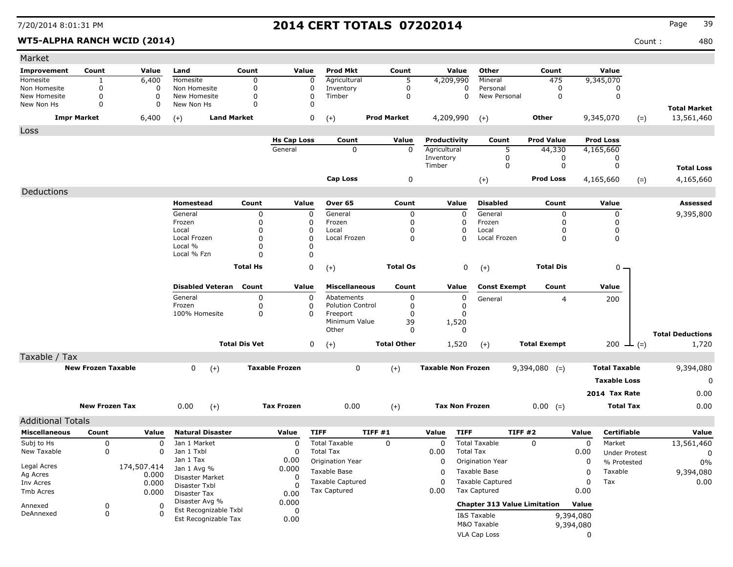### WT5-ALPHA RANCH WCID (2014) **Count :** 480

| Market                     |                           |                  |                                |                      |                       |                         |                    |                           |                                     |                         |                     |           |                      |                         |
|----------------------------|---------------------------|------------------|--------------------------------|----------------------|-----------------------|-------------------------|--------------------|---------------------------|-------------------------------------|-------------------------|---------------------|-----------|----------------------|-------------------------|
| Improvement                | Count                     | Value            | Land                           | Count                | Value                 | <b>Prod Mkt</b>         | Count              | Value                     | Other                               |                         | Count               |           | Value                |                         |
| Homesite                   | 1                         | 6,400            | Homesite                       | 0                    | 0                     | Agricultural            | 5                  | 4,209,990                 | Mineral                             |                         | 475                 |           | 9,345,070            |                         |
| Non Homesite               | $\Omega$                  | 0                | Non Homesite                   | $\Omega$             | 0                     | Inventory               | $\mathbf 0$        |                           | Personal<br>0                       |                         | 0                   |           | 0                    |                         |
| New Homesite<br>New Non Hs | 0<br>0                    | $\mathbf 0$<br>0 | New Homesite<br>New Non Hs     | 0<br>$\Omega$        | $\Omega$<br>0         | Timber                  | $\mathbf 0$        |                           | 0                                   | New Personal            | 0                   |           | 0                    |                         |
|                            |                           |                  |                                |                      |                       |                         |                    |                           |                                     |                         |                     |           |                      | <b>Total Market</b>     |
|                            | <b>Impr Market</b>        | 6,400            | <b>Land Market</b><br>$(+)$    |                      | 0                     | $(+)$                   | <b>Prod Market</b> | 4,209,990                 | $(+)$                               |                         | Other               |           | 9,345,070            | 13,561,460<br>$(=)$     |
| Loss                       |                           |                  |                                |                      |                       |                         |                    |                           |                                     |                         |                     |           |                      |                         |
|                            |                           |                  |                                |                      | <b>Hs Cap Loss</b>    | Count                   | Value              | Productivity              |                                     | Count                   | <b>Prod Value</b>   |           | <b>Prod Loss</b>     |                         |
|                            |                           |                  |                                |                      | General               | $\Omega$                | $\Omega$           | Agricultural<br>Inventory |                                     | 5                       | 44,330              |           | 4,165,660            |                         |
|                            |                           |                  |                                |                      |                       |                         |                    | Timber                    |                                     | 0<br>0                  | 0<br>$\mathbf 0$    |           | 0<br>0               |                         |
|                            |                           |                  |                                |                      |                       |                         |                    |                           |                                     |                         |                     |           |                      | <b>Total Loss</b>       |
|                            |                           |                  |                                |                      |                       | Cap Loss                | 0                  |                           | $(+)$                               |                         | <b>Prod Loss</b>    |           | 4,165,660            | 4,165,660<br>$(=)$      |
| Deductions                 |                           |                  |                                |                      |                       |                         |                    |                           |                                     |                         |                     |           |                      |                         |
|                            |                           |                  | Homestead                      | Count                | Value                 | Over 65                 | Count              | Value                     | <b>Disabled</b>                     |                         | Count               |           | Value                | Assessed                |
|                            |                           |                  | General                        | 0                    | 0                     | General                 | 0                  |                           | $\mathbf 0$<br>General              |                         | 0                   |           | 0                    | 9,395,800               |
|                            |                           |                  | Frozen                         | 0                    | 0                     | Frozen                  | 0                  |                           | 0<br>Frozen                         |                         | 0                   |           | 0                    |                         |
|                            |                           |                  | Local<br>Local Frozen          | 0<br>$\mathbf 0$     | 0<br>0                | Local<br>Local Frozen   | 0<br>$\Omega$      |                           | 0<br>Local<br>$\Omega$              | Local Frozen            | 0<br>0              |           | 0<br>0               |                         |
|                            |                           |                  | Local %                        | $\mathbf 0$          | 0                     |                         |                    |                           |                                     |                         |                     |           |                      |                         |
|                            |                           |                  | Local % Fzn                    | $\Omega$             | 0                     |                         |                    |                           |                                     |                         |                     |           |                      |                         |
|                            |                           |                  |                                | <b>Total Hs</b>      | 0                     |                         | <b>Total Os</b>    |                           | 0                                   |                         | <b>Total Dis</b>    |           | $0 -$                |                         |
|                            |                           |                  |                                |                      |                       | $(+)$                   |                    |                           | $(+)$                               |                         |                     |           |                      |                         |
|                            |                           |                  | <b>Disabled Veteran</b>        | Count                | Value                 | <b>Miscellaneous</b>    | Count              | Value                     |                                     | <b>Const Exempt</b>     | Count               |           | Value                |                         |
|                            |                           |                  | General                        | 0                    | 0                     | Abatements              | 0                  |                           | 0<br>General                        |                         | 4                   |           | 200                  |                         |
|                            |                           |                  | Frozen                         | 0                    | 0                     | <b>Polution Control</b> | 0                  |                           | 0                                   |                         |                     |           |                      |                         |
|                            |                           |                  | 100% Homesite                  | 0                    | 0                     | Freeport                | 0                  |                           | $\mathbf 0$                         |                         |                     |           |                      |                         |
|                            |                           |                  |                                |                      |                       | Minimum Value           | 39                 | 1,520                     |                                     |                         |                     |           |                      |                         |
|                            |                           |                  |                                |                      |                       | Other                   | 0                  |                           | 0                                   |                         |                     |           |                      | <b>Total Deductions</b> |
|                            |                           |                  |                                | <b>Total Dis Vet</b> | 0                     | $(+)$                   | <b>Total Other</b> | 1,520                     | $(+)$                               |                         | <b>Total Exempt</b> |           | 200<br>$ (=)$        | 1,720                   |
| Taxable / Tax              |                           |                  |                                |                      |                       |                         |                    |                           |                                     |                         |                     |           |                      |                         |
|                            | <b>New Frozen Taxable</b> |                  | 0<br>$(+)$                     |                      | <b>Taxable Frozen</b> | 0                       | $(+)$              | <b>Taxable Non Frozen</b> |                                     |                         | $9,394,080$ (=)     |           | <b>Total Taxable</b> | 9,394,080               |
|                            |                           |                  |                                |                      |                       |                         |                    |                           |                                     |                         |                     |           | <b>Taxable Loss</b>  | 0                       |
|                            |                           |                  |                                |                      |                       |                         |                    |                           |                                     |                         |                     |           |                      |                         |
|                            |                           |                  |                                |                      |                       |                         |                    |                           |                                     |                         |                     |           | 2014 Tax Rate        | 0.00                    |
|                            | <b>New Frozen Tax</b>     |                  | 0.00<br>$(+)$                  |                      | <b>Tax Frozen</b>     | 0.00                    | $(+)$              |                           | <b>Tax Non Frozen</b>               |                         | $0.00 (=)$          |           | <b>Total Tax</b>     | 0.00                    |
| <b>Additional Totals</b>   |                           |                  |                                |                      |                       |                         |                    |                           |                                     |                         |                     |           |                      |                         |
| <b>Miscellaneous</b>       | Count                     | Value            | <b>Natural Disaster</b>        |                      | Value                 | <b>TIFF</b>             | TIFF #1            | Value                     | <b>TIFF</b>                         | TIFF #2                 |                     | Value     | <b>Certifiable</b>   | Value                   |
| Subj to Hs                 | 0                         | $\mathbf 0$      | Jan 1 Market                   |                      | $\mathbf 0$           | <b>Total Taxable</b>    | 0                  | 0                         | <b>Total Taxable</b>                |                         | 0                   | 0         | Market               | 13,561,460              |
| New Taxable                | 0                         | 0                | Jan 1 Txbl                     |                      | 0                     | <b>Total Tax</b>        |                    | 0.00                      | <b>Total Tax</b>                    |                         |                     | 0.00      | <b>Under Protest</b> | 0                       |
|                            |                           |                  | Jan 1 Tax                      |                      | 0.00                  | Origination Year        |                    | 0                         | Origination Year                    |                         |                     | 0         | % Protested          | 0%                      |
| Legal Acres<br>Ag Acres    |                           |                  | 174,507.414 Jan 1 Avg %        |                      | 0.000                 | Taxable Base            |                    | 0                         | Taxable Base                        |                         | 0                   | Taxable   | 9,394,080            |                         |
| Inv Acres                  |                           | 0.000<br>0.000   | Disaster Market                |                      | 0                     | <b>Taxable Captured</b> |                    | 0                         |                                     | <b>Taxable Captured</b> |                     | 0         | Tax                  | 0.00                    |
| Tmb Acres                  |                           | 0.000            | Disaster Txbl                  |                      | 0                     | Tax Captured            |                    | 0.00                      | <b>Tax Captured</b>                 |                         |                     | 0.00      |                      |                         |
|                            |                           |                  | Disaster Tax<br>Disaster Avg % |                      | 0.00<br>0.000         |                         |                    |                           |                                     |                         |                     |           |                      |                         |
| Annexed                    | 0                         | 0                | Est Recognizable Txbl          |                      | 0                     |                         |                    |                           | <b>Chapter 313 Value Limitation</b> |                         |                     | Value     |                      |                         |
| DeAnnexed                  | 0                         | 0                | Est Recognizable Tax           |                      | 0.00                  |                         |                    |                           | I&S Taxable                         |                         |                     | 9,394,080 |                      |                         |
|                            |                           |                  |                                |                      |                       |                         |                    |                           | M&O Taxable                         |                         |                     | 9,394,080 |                      |                         |
|                            |                           |                  |                                |                      |                       |                         |                    |                           | VLA Cap Loss                        |                         |                     | 0         |                      |                         |